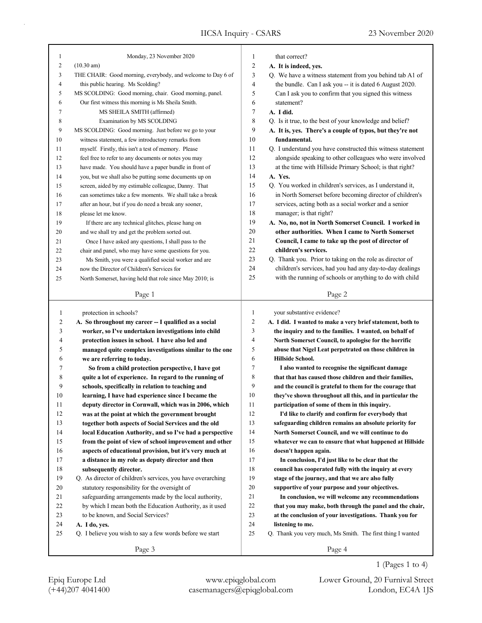| 1            | Monday, 23 November 2020                                    | 1              | that correct?                                               |
|--------------|-------------------------------------------------------------|----------------|-------------------------------------------------------------|
| 2            | $(10.30 \text{ am})$                                        | $\overline{c}$ | A. It is indeed, yes.                                       |
| 3            | THE CHAIR: Good morning, everybody, and welcome to Day 6 of | 3              | Q. We have a witness statement from you behind tab A1 of    |
| 4            | this public hearing. Ms Scolding?                           | $\overline{4}$ | the bundle. Can I ask you -- it is dated 6 August 2020.     |
| 5            | MS SCOLDING: Good morning, chair. Good morning, panel.      | 5              | Can I ask you to confirm that you signed this witness       |
| 6            | Our first witness this morning is Ms Sheila Smith.          | 6              | statement?                                                  |
| 7            | MS SHEILA SMITH (affirmed)                                  | 7              | A. I did.                                                   |
| 8            | Examination by MS SCOLDING                                  | 8              | Q. Is it true, to the best of your knowledge and belief?    |
| 9            | MS SCOLDING: Good morning. Just before we go to your        | 9              | A. It is, yes. There's a couple of typos, but they're not   |
| 10           | witness statement, a few introductory remarks from          | 10             | fundamental.                                                |
| 11           | myself. Firstly, this isn't a test of memory. Please        | 11             | Q. I understand you have constructed this witness statement |
| 12           | feel free to refer to any documents or notes you may        | 12             | alongside speaking to other colleagues who were involved    |
| 13           | have made. You should have a paper bundle in front of       | 13             | at the time with Hillside Primary School; is that right?    |
| 14           | you, but we shall also be putting some documents up on      | 14             | A. Yes.                                                     |
| 15           | screen, aided by my estimable colleague, Danny. That        | 15             | Q. You worked in children's services, as I understand it,   |
| 16           | can sometimes take a few moments. We shall take a break     | 16             | in North Somerset before becoming director of children's    |
| 17           | after an hour, but if you do need a break any sooner,       | 17             | services, acting both as a social worker and a senior       |
| 18           | please let me know.                                         | 18             | manager; is that right?                                     |
| 19           | If there are any technical glitches, please hang on         | 19             | A. No, no, not in North Somerset Council. I worked in       |
| 20           | and we shall try and get the problem sorted out.            | 20             | other authorities. When I came to North Somerset            |
| 21           | Once I have asked any questions, I shall pass to the        | 21             | Council, I came to take up the post of director of          |
| 22           | chair and panel, who may have some questions for you.       | 22             | children's services.                                        |
| 23           | Ms Smith, you were a qualified social worker and are        | 23             | Q. Thank you. Prior to taking on the role as director of    |
| 24           | now the Director of Children's Services for                 | 24             | children's services, had you had any day-to-day dealings    |
| 25           | North Somerset, having held that role since May 2010; is    | 25             | with the running of schools or anything to do with child    |
|              |                                                             |                |                                                             |
|              | Page 1                                                      |                | Page 2                                                      |
|              |                                                             |                |                                                             |
|              |                                                             |                |                                                             |
| $\mathbf{1}$ | protection in schools?                                      | 1              | your substantive evidence?                                  |
| 2            | A. So throughout my career -- I qualified as a social       | $\overline{c}$ | A. I did. I wanted to make a very brief statement, both to  |
| 3            | worker, so I've undertaken investigations into child        | 3              | the inquiry and to the families. I wanted, on behalf of     |
| 4            | protection issues in school. I have also led and            | $\overline{4}$ | North Somerset Council, to apologise for the horrific       |
| 5            | managed quite complex investigations similar to the one     | 5              | abuse that Nigel Leat perpetrated on those children in      |
| 6            | we are referring to today.                                  | 6              | <b>Hillside School.</b>                                     |
| 7            | So from a child protection perspective, I have got          | 7              | I also wanted to recognise the significant damage           |
| 8            | quite a lot of experience. In regard to the running of      | 8              | that that has caused those children and their families,     |
| 9            | schools, specifically in relation to teaching and           | 9<br>10        | and the council is grateful to them for the courage that    |
| 10           | learning, I have had experience since I became the          |                | they've shown throughout all this, and in particular the    |
| 11           | deputy director in Cornwall, which was in 2006, which       | 11             | participation of some of them in this inquiry.              |
| 12           | was at the point at which the government brought            | 12             | I'd like to clarify and confirm for everybody that          |
| 13           | together both aspects of Social Services and the old        | 13             | safeguarding children remains an absolute priority for      |
| 14           | local Education Authority, and so I've had a perspective    | 14             | North Somerset Council, and we will continue to do          |
| 15           | from the point of view of school improvement and other      | 15             | whatever we can to ensure that what happened at Hillside    |
| 16           | aspects of educational provision, but it's very much at     | 16             | doesn't happen again.                                       |
| 17           | a distance in my role as deputy director and then           | 17             | In conclusion, I'd just like to be clear that the           |
| 18           | subsequently director.                                      | 18             | council has cooperated fully with the inquiry at every      |
| 19           | Q. As director of children's services, you have overarching | 19             | stage of the journey, and that we are also fully            |
| 20           | statutory responsibility for the oversight of               | 20             | supportive of your purpose and your objectives.             |
| 21           | safeguarding arrangements made by the local authority,      | 21             | In conclusion, we will welcome any recommendations          |
| 22           | by which I mean both the Education Authority, as it used    | 22             | that you may make, both through the panel and the chair,    |
| 23           | to be known, and Social Services?                           | 23             | at the conclusion of your investigations. Thank you for     |
| 24           | A. I do, yes.                                               | 24<br>25       | listening to me.                                            |
| 25           | Q. I believe you wish to say a few words before we start    |                | Q. Thank you very much, Ms Smith. The first thing I wanted  |

(+44)207 4041400 casemanagers@epiqglobal.com London, EC4A 1JS Epiq Europe Ltd www.epiqglobal.com Lower Ground, 20 Furnival Street

1 (Pages 1 to 4)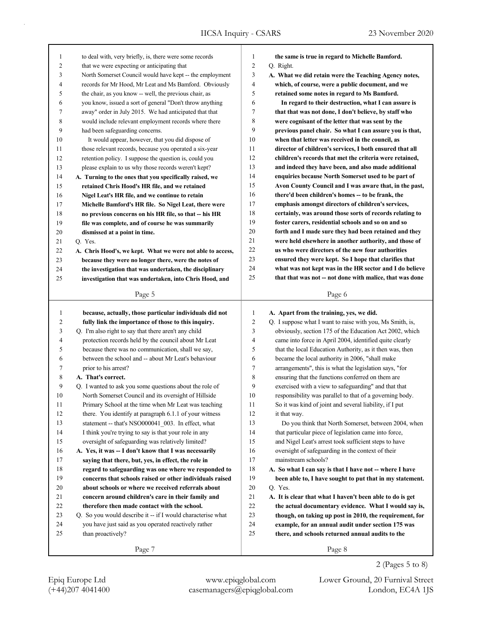| 1  | to deal with, very briefly, is, there were some records     | 1      | the same is true in regard to Michelle Bamford.           |
|----|-------------------------------------------------------------|--------|-----------------------------------------------------------|
| 2  | that we were expecting or anticipating that                 | 2      | Q. Right.                                                 |
| 3  | North Somerset Council would have kept -- the employment    | 3      | A. What we did retain were the Teaching Agency notes,     |
| 4  | records for Mr Hood, Mr Leat and Ms Bamford. Obviously      | 4      | which, of course, were a public document, and we          |
| 5  | the chair, as you know -- well, the previous chair, as      | 5      | retained some notes in regard to Ms Bamford.              |
| 6  | you know, issued a sort of general "Don't throw anything    | 6      | In regard to their destruction, what I can assure is      |
| 7  | away" order in July 2015. We had anticipated that that      | 7      | that that was not done, I don't believe, by staff who     |
| 8  | would include relevant employment records where there       | 8      | were cognisant of the letter that was sent by the         |
| 9  | had been safeguarding concerns.                             | 9      | previous panel chair. So what I can assure you is that,   |
| 10 | It would appear, however, that you did dispose of           | 10     | when that letter was received in the council, as          |
| 11 | those relevant records, because you operated a six-year     | 11     | director of children's services, I both ensured that all  |
| 12 | retention policy. I suppose the question is, could you      | 12     | children's records that met the criteria were retained,   |
| 13 | please explain to us why those records weren't kept?        | 13     | and indeed they have been, and also made additional       |
| 14 | A. Turning to the ones that you specifically raised, we     | 14     | enquiries because North Somerset used to be part of       |
| 15 | retained Chris Hood's HR file, and we retained              | 15     | Avon County Council and I was aware that, in the past,    |
| 16 | Nigel Leat's HR file, and we continue to retain             | 16     | there'd been children's homes -- to be frank, the         |
| 17 | Michelle Bamford's HR file. So Nigel Leat, there were       | 17     | emphasis amongst directors of children's services,        |
| 18 | no previous concerns on his HR file, so that -- his HR      | 18     | certainly, was around those sorts of records relating to  |
| 19 | file was complete, and of course he was summarily           | 19     | foster carers, residential schools and so on and so       |
| 20 | dismissed at a point in time.                               | 20     | forth and I made sure they had been retained and they     |
| 21 | Q. Yes.                                                     | 21     | were held elsewhere in another authority, and those of    |
| 22 | A. Chris Hood's, we kept. What we were not able to access,  | 22     | us who were directors of the new four authorities         |
| 23 | because they were no longer there, were the notes of        | 23     | ensured they were kept. So I hope that clarifies that     |
| 24 | the investigation that was undertaken, the disciplinary     | 24     | what was not kept was in the HR sector and I do believe   |
| 25 | investigation that was undertaken, into Chris Hood, and     | 25     | that that was not -- not done with malice, that was done  |
|    |                                                             |        |                                                           |
|    | Page 5                                                      |        | Page 6                                                    |
|    |                                                             |        |                                                           |
|    |                                                             |        |                                                           |
| 1  | because, actually, those particular individuals did not     | 1      | A. Apart from the training, yes, we did.                  |
| 2  | fully link the importance of those to this inquiry.         | 2      | Q. I suppose what I want to raise with you, Ms Smith, is, |
| 3  | Q. I'm also right to say that there aren't any child        | 3      | obviously, section 175 of the Education Act 2002, which   |
| 4  | protection records held by the council about Mr Leat        | 4      | came into force in April 2004, identified quite clearly   |
| 5  | because there was no communication, shall we say,           | 5      | that the local Education Authority, as it then was, then  |
| 6  | between the school and -- about Mr Leat's behaviour         | 6      | became the local authority in 2006, "shall make           |
| 7  | prior to his arrest?                                        | 7      | arrangements", this is what the legislation says, "for    |
| 8  | A. That's correct.                                          | 8      | ensuring that the functions conferred on them are         |
| 9  | Q. I wanted to ask you some questions about the role of     | 9      | exercised with a view to safeguarding" and that that      |
| 10 | North Somerset Council and its oversight of Hillside        | 10     | responsibility was parallel to that of a governing body.  |
| 11 | Primary School at the time when Mr Leat was teaching        | 11     | So it was kind of joint and several liability, if I put   |
| 12 | there. You identify at paragraph 6.1.1 of your witness      | 12     | it that way.                                              |
| 13 | statement -- that's NSO000041 003. In effect, what          | 13     | Do you think that North Somerset, between 2004, when      |
| 14 | I think you're trying to say is that your role in any       | 14     | that particular piece of legislation came into force,     |
| 15 | oversight of safeguarding was relatively limited?           | 15     | and Nigel Leat's arrest took sufficient steps to have     |
| 16 | A. Yes, it was -- I don't know that I was necessarily       | 16     | oversight of safeguarding in the context of their         |
| 17 | saying that there, but, yes, in effect, the role in         | 17     | mainstream schools?                                       |
| 18 | regard to safeguarding was one where we responded to        | 18     | A. So what I can say is that I have not -- where I have   |
| 19 | concerns that schools raised or other individuals raised    | 19     | been able to, I have sought to put that in my statement.  |
| 20 | about schools or where we received referrals about          | $20\,$ | Q. Yes.                                                   |
| 21 | concern around children's care in their family and          | 21     | A. It is clear that what I haven't been able to do is get |
| 22 | therefore then made contact with the school.                | 22     | the actual documentary evidence. What I would say is,     |
| 23 | Q. So you would describe it -- if I would characterise what | 23     | though, on taking up post in 2010, the requirement, for   |
| 24 | you have just said as you operated reactively rather        | 24     | example, for an annual audit under section 175 was        |
| 25 | than proactively?                                           | 25     | there, and schools returned annual audits to the          |

2 (Pages 5 to 8)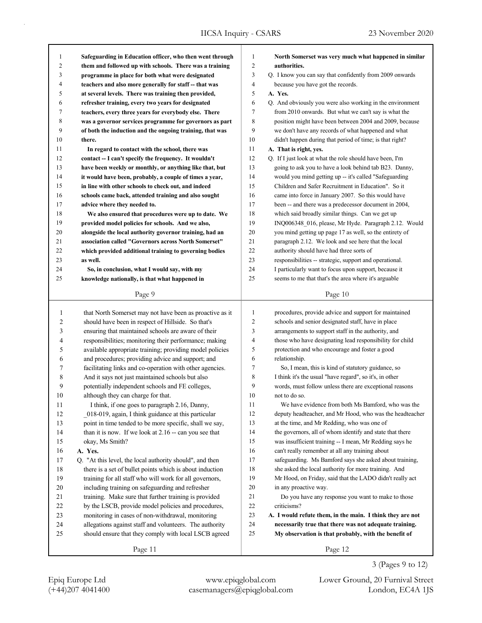| 1              | Safeguarding in Education officer, who then went through | 1                | North Somerset was very much what happened in similar     |
|----------------|----------------------------------------------------------|------------------|-----------------------------------------------------------|
| $\overline{c}$ | them and followed up with schools. There was a training  | $\overline{c}$   | authorities.                                              |
| 3              | programme in place for both what were designated         | 3                | Q. I know you can say that confidently from 2009 onwards  |
| 4              | teachers and also more generally for staff -- that was   | 4                | because you have got the records.                         |
| 5              | at several levels. There was training then provided,     | 5                | A. Yes.                                                   |
| 6              | refresher training, every two years for designated       | 6                | Q. And obviously you were also working in the environment |
| 7              | teachers, every three years for everybody else. There    | 7                | from 2010 onwards. But what we can't say is what the      |
| 8              | was a governor services programme for governors as part  | 8                | position might have been between 2004 and 2009, because   |
| 9              | of both the induction and the ongoing training, that was | 9                | we don't have any records of what happened and what       |
| 10             | there.                                                   | 10               | didn't happen during that period of time; is that right?  |
| 11             | In regard to contact with the school, there was          | 11               | A. That is right, yes.                                    |
| 12             | contact -- I can't specify the frequency. It wouldn't    | 12               | Q. If I just look at what the role should have been, I'm  |
| 13             | have been weekly or monthly, or anything like that, but  | 13               | going to ask you to have a look behind tab B23. Danny,    |
| 14             | it would have been, probably, a couple of times a year,  | 14               | would you mind getting up -- it's called "Safeguarding    |
| 15             | in line with other schools to check out, and indeed      | 15               | Children and Safer Recruitment in Education". So it       |
| 16             | schools came back, attended training and also sought     | 16               | came into force in January 2007. So this would have       |
| 17             | advice where they needed to.                             | 17               | been -- and there was a predecessor document in 2004,     |
| 18             | We also ensured that procedures were up to date. We      | 18               | which said broadly similar things. Can we get up          |
| 19             | provided model policies for schools. And we also,        | 19               | INQ006348_016, please, Mr Hyde. Paragraph 2.12. Would     |
| 20             | alongside the local authority governor training, had an  | 20               | you mind getting up page 17 as well, so the entirety of   |
| 21             | association called "Governors across North Somerset"     | 21               | paragraph 2.12. We look and see here that the local       |
| 22             | which provided additional training to governing bodies   | 22               | authority should have had three sorts of                  |
| 23             | as well.                                                 | 23               | responsibilities -- strategic, support and operational.   |
| 24             | So, in conclusion, what I would say, with my             | 24               | I particularly want to focus upon support, because it     |
| 25             | knowledge nationally, is that what happened in           | 25               | seems to me that that's the area where it's arguable      |
|                |                                                          |                  |                                                           |
|                | Page 9                                                   |                  | Page 10                                                   |
|                |                                                          |                  |                                                           |
|                |                                                          |                  |                                                           |
| 1              | that North Somerset may not have been as proactive as it | 1                | procedures, provide advice and support for maintained     |
| 2              | should have been in respect of Hillside. So that's       | $\mathbf{2}$     | schools and senior designated staff, have in place        |
| 3              | ensuring that maintained schools are aware of their      | 3                | arrangements to support staff in the authority, and       |
| 4              | responsibilities; monitoring their performance; making   | $\overline{4}$   | those who have designating lead responsibility for child  |
| 5              | available appropriate training; providing model policies | 5                | protection and who encourage and foster a good            |
| 6              | and procedures; providing advice and support; and        | 6                | relationship.                                             |
| 7              | facilitating links and co-operation with other agencies. | $\boldsymbol{7}$ | So, I mean, this is kind of statutory guidance, so        |
| 8              | And it says not just maintained schools but also         | 8                | I think it's the usual "have regard", so it's, in other   |
| 9              | potentially independent schools and FE colleges,         | 9                | words, must follow unless there are exceptional reasons   |
| 10             | although they can charge for that.                       | 10               | not to do so.                                             |
| 11             | I think, if one goes to paragraph 2.16, Danny,           | 11               | We have evidence from both Ms Bamford, who was the        |
| 12             | 018-019, again, I think guidance at this particular      | 12               | deputy headteacher, and Mr Hood, who was the headteacher  |
| 13             | point in time tended to be more specific, shall we say,  | 13               | at the time, and Mr Redding, who was one of               |
| 14             | than it is now. If we look at 2.16 -- can you see that   | 14               | the governors, all of whom identify and state that there  |
| 15             | okay, Ms Smith?                                          | 15               | was insufficient training -- I mean, Mr Redding says he   |
| 16             | A. Yes.                                                  | 16               | can't really remember at all any training about           |
| 17             | Q. "At this level, the local authority should", and then | 17               | safeguarding. Ms Bamford says she asked about training,   |
| 18             | there is a set of bullet points which is about induction | 18               | she asked the local authority for more training. And      |
| 19             | training for all staff who will work for all governors,  | 19               | Mr Hood, on Friday, said that the LADO didn't really act  |
| $20\,$         | including training on safeguarding and refresher         | 20               | in any proactive way.                                     |
| 21             | training. Make sure that further training is provided    | 21               | Do you have any response you want to make to those        |
| 22             | by the LSCB, provide model policies and procedures,      | $22\,$           | criticisms?                                               |
| 23             | monitoring in cases of non-withdrawal, monitoring        | 23               | A. I would refute them, in the main. I think they are not |
| 24             | allegations against staff and volunteers. The authority  | 24               | necessarily true that there was not adequate training.    |
| 25             | should ensure that they comply with local LSCB agreed    | 25               | My observation is that probably, with the benefit of      |

Page 12

3 (Pages 9 to 12)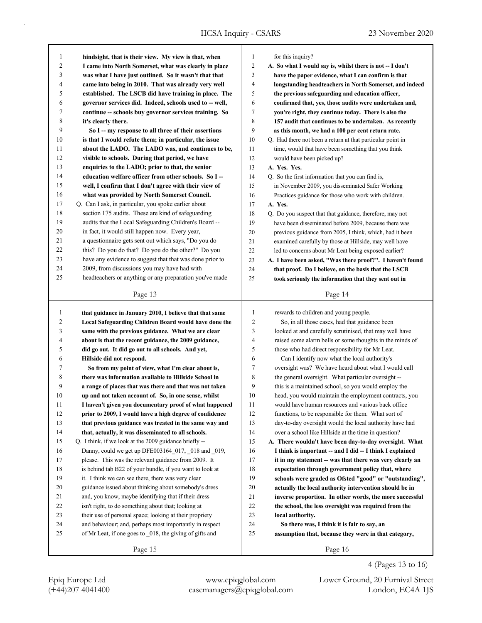| 1  | hindsight, that is their view. My view is that, when     | 1              | for this inquiry?                                          |
|----|----------------------------------------------------------|----------------|------------------------------------------------------------|
| 2  | I came into North Somerset, what was clearly in place    | $\overline{2}$ | A. So what I would say is, whilst there is not -- I don't  |
| 3  | was what I have just outlined. So it wasn't that that    | 3              | have the paper evidence, what I can confirm is that        |
| 4  | came into being in 2010. That was already very well      | 4              | longstanding headteachers in North Somerset, and indeed    |
| 5  | established. The LSCB did have training in place. The    | 5              | the previous safeguarding and education officer,           |
| 6  | governor services did. Indeed, schools used to -- well,  | 6              | confirmed that, yes, those audits were undertaken and,     |
| 7  | continue -- schools buy governor services training. So   | 7              | you're right, they continue today. There is also the       |
| 8  | it's clearly there.                                      | 8              | 157 audit that continues to be undertaken. As recently     |
| 9  | So I -- my response to all three of their assertions     | 9              | as this month, we had a 100 per cent return rate.          |
| 10 | is that I would refute them; in particular, the issue    | 10             | Q. Had there not been a return at that particular point in |
| 11 | about the LADO. The LADO was, and continues to be,       | 11             | time, would that have been something that you think        |
| 12 | visible to schools. During that period, we have          | 12             | would have been picked up?                                 |
| 13 | enquiries to the LADO; prior to that, the senior         | 13             | A. Yes. Yes.                                               |
| 14 | education welfare officer from other schools. So I-      | 14             | Q. So the first information that you can find is,          |
| 15 | well, I confirm that I don't agree with their view of    | 15             | in November 2009, you disseminated Safer Working           |
| 16 | what was provided by North Somerset Council.             | 16             | Practices guidance for those who work with children.       |
| 17 | Q. Can I ask, in particular, you spoke earlier about     | 17             | A. Yes.                                                    |
| 18 | section 175 audits. These are kind of safeguarding       | 18             | Q. Do you suspect that that guidance, therefore, may not   |
| 19 | audits that the Local Safeguarding Children's Board --   | 19             | have been disseminated before 2009, because there was      |
| 20 | in fact, it would still happen now. Every year,          | 20             | previous guidance from 2005, I think, which, had it been   |
| 21 | a questionnaire gets sent out which says, "Do you do     | 21             | examined carefully by those at Hillside, may well have     |
| 22 | this? Do you do that? Do you do the other?" Do you       | 22             | led to concerns about Mr Leat being exposed earlier?       |
| 23 | have any evidence to suggest that that was done prior to | 23             | A. I have been asked, "Was there proof?". I haven't found  |
| 24 | 2009, from discussions you may have had with             | 24             | that proof. Do I believe, on the basis that the LSCB       |
| 25 | headteachers or anything or any preparation you've made  | 25             | took seriously the information that they sent out in       |
|    |                                                          |                |                                                            |
|    | Page 13                                                  |                | Page 14                                                    |
|    |                                                          |                |                                                            |
|    |                                                          |                |                                                            |
| 1  | that guidance in January 2010, I believe that that same  | 1              | rewards to children and young people.                      |
| 2  | Local Safeguarding Children Board would have done the    | $\overline{c}$ | So, in all those cases, had that guidance been             |
| 3  | same with the previous guidance. What we are clear       | 3              | looked at and carefully scrutinised, that may well have    |
| 4  | about is that the recent guidance, the 2009 guidance,    | 4              | raised some alarm bells or some thoughts in the minds of   |
| 5  | did go out. It did go out to all schools. And yet,       | 5              | those who had direct responsibility for Mr Leat.           |
| 6  | Hillside did not respond.                                | 6              | Can I identify now what the local authority's              |
| 7  | So from my point of view, what I'm clear about is,       | 7              | oversight was? We have heard about what I would call       |
| 8  | there was information available to Hillside School in    | 8              | the general oversight. What particular oversight --        |
| 9  | a range of places that was there and that was not taken  | 9              | this is a maintained school, so you would employ the       |
| 10 | up and not taken account of. So, in one sense, whilst    | 10             | head, you would maintain the employment contracts, you     |
| 11 | I haven't given you documentary proof of what happened   | 11             | would have human resources and various back office         |
| 12 | prior to 2009, I would have a high degree of confidence  | 12             | functions, to be responsible for them. What sort of        |
| 13 | that previous guidance was treated in the same way and   | 13             | day-to-day oversight would the local authority have had    |
| 14 | that, actually, it was disseminated to all schools.      | 14             | over a school like Hillside at the time in question?       |
| 15 | Q. I think, if we look at the 2009 guidance briefly --   | 15             | A. There wouldn't have been day-to-day oversight. What     |
| 16 | Danny, could we get up DFE003164_017, _018 and _019,     | 16             | I think is important -- and I did -- I think I explained   |
| 17 | please. This was the relevant guidance from 2009. It     | 17             | it in my statement -- was that there was very clearly an   |
| 18 | is behind tab B22 of your bundle, if you want to look at | 18             | expectation through government policy that, where          |
| 19 | it. I think we can see there, there was very clear       | 19             | schools were graded as Ofsted "good" or "outstanding",     |
| 20 | guidance issued about thinking about somebody's dress    | 20             | actually the local authority intervention should be in     |
| 21 | and, you know, maybe identifying that if their dress     | 21             | inverse proportion. In other words, the more successful    |
| 22 | isn't right, to do something about that; looking at      | $22\,$         | the school, the less oversight was required from the       |
| 23 | their use of personal space; looking at their propriety  | $23\,$         | local authority.                                           |
| 24 | and behaviour; and, perhaps most importantly in respect  | $24\,$         | So there was, I think it is fair to say, an                |
| 25 | of Mr Leat, if one goes to _018, the giving of gifts and | 25             | assumption that, because they were in that category,       |
|    | Page 15                                                  |                | Page 16                                                    |

4 (Pages 13 to 16)

(+44)207 4041400 casemanagers@epiqglobal.com London, EC4A 1JS Epiq Europe Ltd www.epiqglobal.com Lower Ground, 20 Furnival Street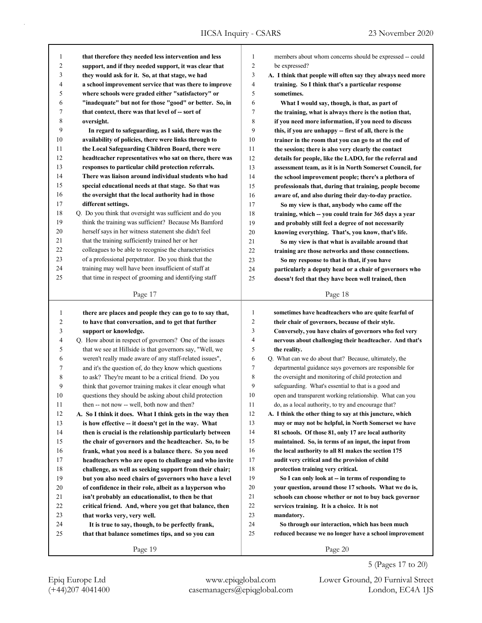| 1            | that therefore they needed less intervention and less    | 1              | members about whom concerns should be expressed -- could    |
|--------------|----------------------------------------------------------|----------------|-------------------------------------------------------------|
| 2            | support, and if they needed support, it was clear that   | $\mathfrak{2}$ | be expressed?                                               |
| 3            | they would ask for it. So, at that stage, we had         | 3              | A. I think that people will often say they always need more |
| 4            | a school improvement service that was there to improve   | 4              | training. So I think that's a particular response           |
| 5            | where schools were graded either "satisfactory" or       | 5              | sometimes.                                                  |
| 6            | "inadequate" but not for those "good" or better. So, in  | 6              | What I would say, though, is that, as part of               |
| 7            | that context, there was that level of -- sort of         | 7              | the training, what is always there is the notion that,      |
| 8            | oversight.                                               | 8              | if you need more information, if you need to discuss        |
| 9            | In regard to safeguarding, as I said, there was the      | 9              | this, if you are unhappy -- first of all, there is the      |
| 10           | availability of policies, there were links through to    | 10             | trainer in the room that you can go to at the end of        |
| 11           | the Local Safeguarding Children Board, there were        | 11             | the session; there is also very clearly the contact         |
| 12           | headteacher representatives who sat on there, there was  | 12             | details for people, like the LADO, for the referral and     |
| 13           | responses to particular child protection referrals.      | 13             | assessment team, as it is in North Somerset Council, for    |
| 14           | There was liaison around individual students who had     | 14             | the school improvement people; there's a plethora of        |
| 15           | special educational needs at that stage. So that was     | 15             | professionals that, during that training, people become     |
| 16           | the oversight that the local authority had in those      | 16             | aware of, and also during their day-to-day practice.        |
| 17           | different settings.                                      | 17             | So my view is that, anybody who came off the                |
| 18           | Q. Do you think that oversight was sufficient and do you | 18             | training, which -- you could train for 365 days a year      |
| 19           | think the training was sufficient? Because Ms Bamford    | 19             | and probably still feel a degree of not necessarily         |
| 20           | herself says in her witness statement she didn't feel    | 20             | knowing everything. That's, you know, that's life.          |
| 21           | that the training sufficiently trained her or her        | 21             | So my view is that what is available around that            |
| 22           | colleagues to be able to recognise the characteristics   | 22             | training are those networks and those connections.          |
| 23           | of a professional perpetrator. Do you think that the     | 23             | So my response to that is that, if you have                 |
| 24           | training may well have been insufficient of staff at     | 24             | particularly a deputy head or a chair of governors who      |
| 25           | that time in respect of grooming and identifying staff   | 25             | doesn't feel that they have been well trained, then         |
|              |                                                          |                |                                                             |
|              | Page 17                                                  |                | Page 18                                                     |
|              |                                                          |                |                                                             |
|              |                                                          |                |                                                             |
| $\mathbf{1}$ | there are places and people they can go to to say that,  | $\mathbf{1}$   | sometimes have headteachers who are quite fearful of        |
| 2            | to have that conversation, and to get that further       | $\overline{c}$ | their chair of governors, because of their style.           |
| 3            | support or knowledge.                                    | 3              | Conversely, you have chairs of governors who feel very      |
| 4            | Q. How about in respect of governors? One of the issues  | 4              | nervous about challenging their headteacher. And that's     |
| 5            | that we see at Hillside is that governors say, "Well, we | 5              | the reality.                                                |
| 6            | weren't really made aware of any staff-related issues",  | 6              | Q. What can we do about that? Because, ultimately, the      |
| 7            | and it's the question of, do they know which questions   | 7              | departmental guidance says governors are responsible for    |
| 8            | to ask? They're meant to be a critical friend. Do you    | 8              | the oversight and monitoring of child protection and        |
| 9            | think that governor training makes it clear enough what  | 9              | safeguarding. What's essential to that is a good and        |
| 10           | questions they should be asking about child protection   | 10             | open and transparent working relationship. What can you     |
| 11           | then -- not now -- well, both now and then?              | 11             | do, as a local authority, to try and encourage that?        |
| 12           | A. So I think it does. What I think gets in the way then | 12             | A. I think the other thing to say at this juncture, which   |
| 13           | is how effective -- it doesn't get in the way. What      | 13             | may or may not be helpful, in North Somerset we have        |
| 14           | then is crucial is the relationship particularly between | 14             | 81 schools. Of those 81, only 17 are local authority        |
| 15           | the chair of governors and the headteacher. So, to be    | 15             | maintained. So, in terms of an input, the input from        |
| 16           | frank, what you need is a balance there. So you need     | 16             | the local authority to all 81 makes the section 175         |
| 17           | headteachers who are open to challenge and who invite    | 17             | audit very critical and the provision of child              |
| 18           | challenge, as well as seeking support from their chair;  | $18\,$         | protection training very critical.                          |
| 19           | but you also need chairs of governors who have a level   | 19             | So I can only look at -- in terms of responding to          |
| 20           | of confidence in their role, albeit as a layperson who   | 20             | your question, around those 17 schools. What we do is,      |
| 21           | isn't probably an educationalist, to then be that        | 21             | schools can choose whether or not to buy back governor      |
| 22           | critical friend. And, where you get that balance, then   | 22             | services training. It is a choice. It is not                |
| 23           | that works very, very well.                              | 23             | mandatory.                                                  |
| 24           | It is true to say, though, to be perfectly frank,        | 24             | So through our interaction, which has been much             |
| 25           | that that balance sometimes tips, and so you can         | 25             | reduced because we no longer have a school improvement      |
|              | Page 19                                                  |                | Page 20                                                     |

5 (Pages 17 to 20)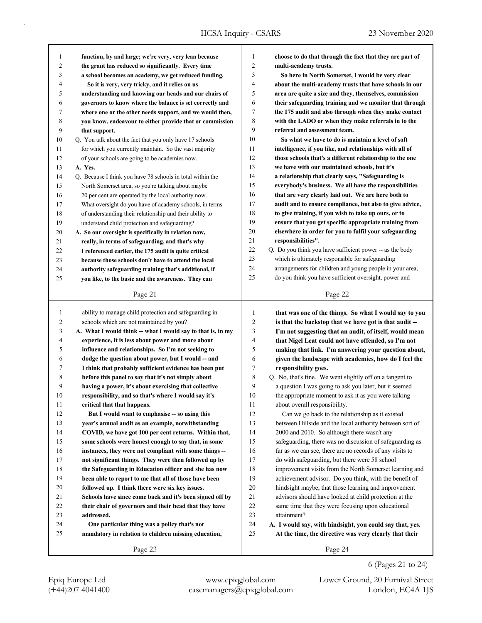| 1            | function, by and large; we're very, very lean because                                                         | $\mathbf{1}$   | choose to do that through the fact that they are part of                                                       |
|--------------|---------------------------------------------------------------------------------------------------------------|----------------|----------------------------------------------------------------------------------------------------------------|
| 2            | the grant has reduced so significantly. Every time                                                            | 2              | multi-academy trusts.                                                                                          |
| 3            | a school becomes an academy, we get reduced funding.                                                          | 3              | So here in North Somerset, I would be very clear                                                               |
| 4            | So it is very, very tricky, and it relies on us                                                               | 4              | about the multi-academy trusts that have schools in our                                                        |
| 5            | understanding and knowing our heads and our chairs of                                                         | 5              | area are quite a size and they, themselves, commission                                                         |
| 6            | governors to know where the balance is set correctly and                                                      | 6              | their safeguarding training and we monitor that through                                                        |
| 7            | where one or the other needs support, and we would then,                                                      | 7              | the 175 audit and also through when they make contact                                                          |
| 8            | you know, endeavour to either provide that or commission                                                      | 8              | with the LADO or when they make referrals in to the                                                            |
| 9            | that support.                                                                                                 | 9              | referral and assessment team.                                                                                  |
| 10           | Q. You talk about the fact that you only have 17 schools                                                      | 10             | So what we have to do is maintain a level of soft                                                              |
| 11           | for which you currently maintain. So the vast majority                                                        | 11             | intelligence, if you like, and relationships with all of                                                       |
| 12           | of your schools are going to be academies now.                                                                | 12             | those schools that's a different relationship to the one                                                       |
| 13           | A. Yes.                                                                                                       | 13             | we have with our maintained schools, but it's                                                                  |
| 14           | Q. Because I think you have 78 schools in total within the                                                    | 14<br>15       | a relationship that clearly says, "Safeguarding is                                                             |
| 15           | North Somerset area, so you're talking about maybe                                                            |                | everybody's business. We all have the responsibilities                                                         |
| 16           | 20 per cent are operated by the local authority now.                                                          | 16<br>17       | that are very clearly laid out. We are here both to                                                            |
| 17           | What oversight do you have of academy schools, in terms                                                       | 18             | audit and to ensure compliance, but also to give advice,                                                       |
| 18           | of understanding their relationship and their ability to                                                      | 19             | to give training, if you wish to take up ours, or to<br>ensure that you get specific appropriate training from |
| 19           | understand child protection and safeguarding?                                                                 | 20             | elsewhere in order for you to fulfil your safeguarding                                                         |
| 20           | A. So our oversight is specifically in relation now,                                                          | 21             | responsibilities".                                                                                             |
| 21<br>22     | really, in terms of safeguarding, and that's why                                                              | 22             | Q. Do you think you have sufficient power -- as the body                                                       |
| 23           | I referenced earlier, the 175 audit is quite critical<br>because those schools don't have to attend the local | 23             | which is ultimately responsible for safeguarding                                                               |
| 24           |                                                                                                               | 24             | arrangements for children and young people in your area,                                                       |
| 25           | authority safeguarding training that's additional, if<br>you like, to the basic and the awareness. They can   | 25             | do you think you have sufficient oversight, power and                                                          |
|              |                                                                                                               |                |                                                                                                                |
|              |                                                                                                               |                |                                                                                                                |
|              | Page 21                                                                                                       |                | Page 22                                                                                                        |
|              |                                                                                                               |                |                                                                                                                |
| $\mathbf{1}$ | ability to manage child protection and safeguarding in                                                        | $\mathbf{1}$   | that was one of the things. So what I would say to you                                                         |
| 2            | schools which are not maintained by you?                                                                      | $\overline{c}$ | is that the backstop that we have got is that audit --                                                         |
| 3            | A. What I would think -- what I would say to that is, in my                                                   | 3              | I'm not suggesting that an audit, of itself, would mean                                                        |
| 4            | experience, it is less about power and more about                                                             | 4              | that Nigel Leat could not have offended, so I'm not                                                            |
| 5            | influence and relationships. So I'm not seeking to                                                            | 5              | making that link. I'm answering your question about,                                                           |
| 6            | dodge the question about power, but I would -- and                                                            | 6              | given the landscape with academies, how do I feel the                                                          |
| 7            | I think that probably sufficient evidence has been put                                                        | 7              | responsibility goes.                                                                                           |
| 8            | before this panel to say that it's not simply about                                                           | 8              | Q. No, that's fine. We went slightly off on a tangent to                                                       |
| 9            | having a power, it's about exercising that collective                                                         | 9              | a question I was going to ask you later, but it seemed                                                         |
| 10           | responsibility, and so that's where I would say it's                                                          | 10             | the appropriate moment to ask it as you were talking                                                           |
| 11           | critical that that happens.                                                                                   | 11             | about overall responsibility.                                                                                  |
| 12           | But I would want to emphasise -- so using this                                                                | 12             | Can we go back to the relationship as it existed                                                               |
| 13           | year's annual audit as an example, notwithstanding                                                            | 13             | between Hillside and the local authority between sort of                                                       |
| 14           | COVID, we have got 100 per cent returns. Within that,                                                         | 14             | 2000 and 2010. So although there wasn't any                                                                    |
| 15           | some schools were honest enough to say that, in some                                                          | 15             | safeguarding, there was no discussion of safeguarding as                                                       |
| 16           | instances, they were not compliant with some things --                                                        | 16             | far as we can see, there are no records of any visits to                                                       |
| 17           | not significant things. They were then followed up by                                                         | 17             | do with safeguarding, but there were 58 school                                                                 |
| 18           | the Safeguarding in Education officer and she has now                                                         | 18             | improvement visits from the North Somerset learning and                                                        |
| 19           | been able to report to me that all of those have been                                                         | 19             | achievement advisor. Do you think, with the benefit of                                                         |
| 20<br>21     | followed up. I think there were six key issues.                                                               | 20             | hindsight maybe, that those learning and improvement                                                           |
| 22           | Schools have since come back and it's been signed off by                                                      | 21             | advisors should have looked at child protection at the                                                         |
| 23           | their chair of governors and their head that they have<br>addressed.                                          | 22<br>23       | same time that they were focusing upon educational<br>attainment?                                              |
| 24           | One particular thing was a policy that's not                                                                  | 24             | A. I would say, with hindsight, you could say that, yes.                                                       |
| 25           | mandatory in relation to children missing education,                                                          | 25             | At the time, the directive was very clearly that their                                                         |

Page 23

(+44)207 4041400 casemanagers@epiqglobal.com London, EC4A 1JS Epiq Europe Ltd www.epiqglobal.com Lower Ground, 20 Furnival Street

6 (Pages 21 to 24)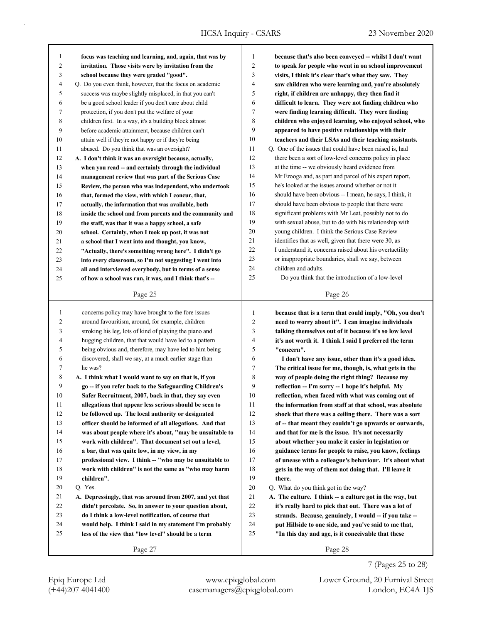| 1              | focus was teaching and learning, and, again, that was by                                                           | $\mathbf{1}$        | because that's also been conveyed -- whilst I don't want                                                   |
|----------------|--------------------------------------------------------------------------------------------------------------------|---------------------|------------------------------------------------------------------------------------------------------------|
| $\overline{c}$ | invitation. Those visits were by invitation from the                                                               | 2                   | to speak for people who went in on school improvement                                                      |
| 3              | school because they were graded "good".                                                                            | 3                   | visits, I think it's clear that's what they saw. They                                                      |
| 4              | Q. Do you even think, however, that the focus on academic                                                          | $\overline{4}$      | saw children who were learning and, you're absolutely                                                      |
| 5              | success was maybe slightly misplaced, in that you can't                                                            | 5                   | right, if children are unhappy, they then find it                                                          |
| 6              | be a good school leader if you don't care about child                                                              | 6                   | difficult to learn. They were not finding children who                                                     |
| 7              | protection, if you don't put the welfare of your                                                                   | $\tau$              | were finding learning difficult. They were finding                                                         |
| 8              | children first. In a way, it's a building block almost                                                             | 8                   | children who enjoyed learning, who enjoyed school, who                                                     |
| 9              | before academic attainment, because children can't                                                                 | 9                   | appeared to have positive relationships with their                                                         |
| 10             | attain well if they're not happy or if they're being                                                               | 10                  | teachers and their LSAs and their teaching assistants.                                                     |
| 11             | abused. Do you think that was an oversight?                                                                        | 11                  | Q. One of the issues that could have been raised is, had                                                   |
| 12             | A. I don't think it was an oversight because, actually,                                                            | 12                  | there been a sort of low-level concerns policy in place                                                    |
| 13             | when you read -- and certainly through the individual                                                              | 13                  | at the time -- we obviously heard evidence from                                                            |
| 14             | management review that was part of the Serious Case                                                                | 14                  | Mr Erooga and, as part and parcel of his expert report,                                                    |
| 15             | Review, the person who was independent, who undertook                                                              | 15                  | he's looked at the issues around whether or not it                                                         |
| 16             | that, formed the view, with which I concur, that,                                                                  | 16                  | should have been obvious -- I mean, he says, I think, it                                                   |
| 17             | actually, the information that was available, both                                                                 | 17                  | should have been obvious to people that there were                                                         |
| 18             | inside the school and from parents and the community and                                                           | 18                  | significant problems with Mr Leat, possibly not to do                                                      |
| 19             | the staff, was that it was a happy school, a safe                                                                  | 19                  | with sexual abuse, but to do with his relationship with                                                    |
| 20             | school. Certainly, when I took up post, it was not                                                                 | 20                  | young children. I think the Serious Case Review                                                            |
| 21             | a school that I went into and thought, you know,                                                                   | 21                  | identifies that as well, given that there were 30, as                                                      |
| 22             | "Actually, there's something wrong here". I didn't go                                                              | 22                  | I understand it, concerns raised about his overtactility                                                   |
| 23             | into every classroom, so I'm not suggesting I went into                                                            | 23                  | or inappropriate boundaries, shall we say, between                                                         |
| 24             | all and interviewed everybody, but in terms of a sense                                                             | 24                  | children and adults.                                                                                       |
| 25             | of how a school was run, it was, and I think that's --                                                             | 25                  | Do you think that the introduction of a low-level                                                          |
|                |                                                                                                                    |                     |                                                                                                            |
|                | Page 25                                                                                                            |                     | Page 26                                                                                                    |
|                |                                                                                                                    |                     |                                                                                                            |
|                |                                                                                                                    |                     |                                                                                                            |
| $\mathbf{1}$   | concerns policy may have brought to the fore issues                                                                | $\mathbf{1}$        | because that is a term that could imply, "Oh, you don't                                                    |
| 2<br>3         | around favouritism, around, for example, children<br>stroking his leg, lots of kind of playing the piano and       | $\overline{2}$<br>3 | need to worry about it". I can imagine individuals                                                         |
| 4              |                                                                                                                    | 4                   | talking themselves out of it because it's so low level                                                     |
| 5              | hugging children, that that would have led to a pattern<br>being obvious and, therefore, may have led to him being | 5                   | it's not worth it. I think I said I preferred the term<br>"concern".                                       |
| 6              | discovered, shall we say, at a much earlier stage than                                                             | 6                   | I don't have any issue, other than it's a good idea.                                                       |
| 7              | he was?                                                                                                            | 7                   |                                                                                                            |
| 8              | A. I think what I would want to say on that is, if you                                                             | 8                   | The critical issue for me, though, is, what gets in the<br>way of people doing the right thing? Because my |
| 9              | go -- if you refer back to the Safeguarding Children's                                                             | 9                   | reflection -- I'm sorry -- I hope it's helpful. My                                                         |
| 10             | Safer Recruitment, 2007, back in that, they say even                                                               | 10                  | reflection, when faced with what was coming out of                                                         |
| 11             | allegations that appear less serious should be seen to                                                             | 11                  | the information from staff at that school, was absolute                                                    |
| 12             | be followed up. The local authority or designated                                                                  | 12                  | shock that there was a ceiling there. There was a sort                                                     |
| 13             | officer should be informed of all allegations. And that                                                            | 13                  | of -- that meant they couldn't go upwards or outwards,                                                     |
| 14             | was about people where it's about, "may be unsuitable to                                                           | 14                  | and that for me is the issue. It's not necessarily                                                         |
| 15             | work with children". That document set out a level,                                                                | 15                  | about whether you make it easier in legislation or                                                         |
| 16             | a bar, that was quite low, in my view, in my                                                                       | 16                  | guidance terms for people to raise, you know, feelings                                                     |
| 17             | professional view. I think -- "who may be unsuitable to                                                            | 17                  | of unease with a colleague's behaviour. It's about what                                                    |
| $18\,$         | work with children" is not the same as "who may harm                                                               | 18                  | gets in the way of them not doing that. I'll leave it                                                      |
| 19             | children".                                                                                                         | 19                  | there.                                                                                                     |
| 20             | Q. Yes.                                                                                                            | 20                  | Q. What do you think got in the way?                                                                       |
| 21             | A. Depressingly, that was around from 2007, and yet that                                                           | 21                  | A. The culture. I think - a culture got in the way, but                                                    |
| 22             | didn't percolate. So, in answer to your question about,                                                            | 22                  | it's really hard to pick that out. There was a lot of                                                      |
| 23             | do I think a low-level notification, of course that                                                                | 23                  | strands. Because, genuinely, I would -- if you take --                                                     |
| 24             | would help. I think I said in my statement I'm probably                                                            | 24                  | put Hillside to one side, and you've said to me that,                                                      |
| 25             | less of the view that "low level" should be a term                                                                 | 25                  | "In this day and age, is it conceivable that these                                                         |

Page 28

7 (Pages 25 to 28)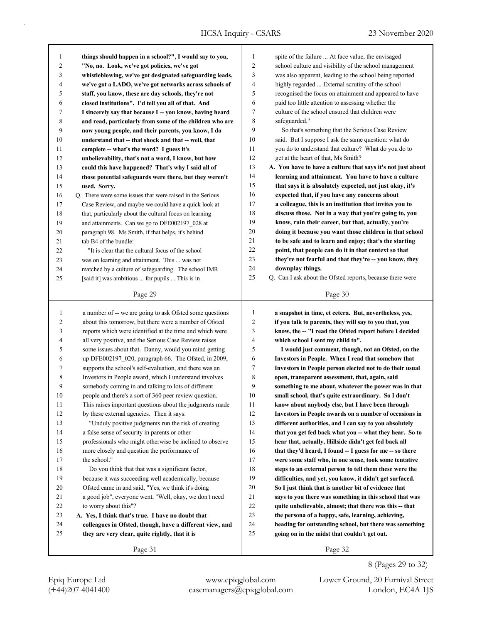| things should happen in a school?", I would say to you,<br>1<br>spite of the failure  At face value, the envisaged<br>1<br>$\overline{c}$<br>$\overline{2}$<br>school culture and visibility of the school management<br>"No, no. Look, we've got policies, we've got<br>$\mathfrak{Z}$<br>3<br>was also apparent, leading to the school being reported<br>whistleblowing, we've got designated safeguarding leads,<br>4<br>highly regarded  External scrutiny of the school<br>4<br>we've got a LADO, we've got networks across schools of<br>5<br>5<br>recognised the focus on attainment and appeared to have<br>staff, you know, these are day schools, they're not<br>6<br>paid too little attention to assessing whether the<br>6<br>closed institutions". I'd tell you all of that. And<br>$\tau$<br>7<br>culture of the school ensured that children were<br>I sincerely say that because I -- you know, having heard<br>8<br>8<br>and read, particularly from some of the children who are<br>safeguarded."<br>9<br>9<br>So that's something that the Serious Case Review<br>now young people, and their parents, you know, I do<br>10<br>said. But I suppose I ask the same question: what do<br>10<br>understand that -- that shock and that -- well, that<br>11<br>you do to understand that culture? What do you do to<br>11<br>complete -- what's the word? I guess it's<br>12<br>get at the heart of that, Ms Smith?<br>12<br>unbelievability, that's not a word, I know, but how<br>13<br>A. You have to have a culture that says it's not just about<br>13<br>could this have happened? That's why I said all of<br>14<br>14<br>learning and attainment. You have to have a culture<br>those potential safeguards were there, but they weren't<br>15<br>15<br>that says it is absolutely expected, not just okay, it's<br>used. Sorry.<br>16<br>16<br>expected that, if you have any concerns about<br>Q. There were some issues that were raised in the Serious<br>17<br>a colleague, this is an institution that invites you to<br>17<br>Case Review, and maybe we could have a quick look at<br>18<br>discuss those. Not in a way that you're going to, you<br>18<br>that, particularly about the cultural focus on learning<br>19<br>19<br>know, ruin their career, but that, actually, you're<br>and attainments. Can we go to DFE002197_028 at<br>20<br>doing it because you want those children in that school<br>20<br>paragraph 98. Ms Smith, if that helps, it's behind<br>21<br>to be safe and to learn and enjoy; that's the starting<br>21<br>tab B4 of the bundle:<br>22<br>point, that people can do it in that context so that<br>22<br>"It is clear that the cultural focus of the school"<br>23<br>they're not fearful and that they're -- you know, they<br>23<br>was on learning and attainment. This  was not<br>24<br>downplay things.<br>24<br>matched by a culture of safeguarding. The school IMR<br>25<br>Q. Can I ask about the Ofsted reports, because there were<br>25<br>[said it] was ambitious  for pupils  This is in<br>Page 29<br>Page 30<br>$\mathbf{1}$<br>a number of -- we are going to ask Ofsted some questions<br>$\mathbf{1}$<br>a snapshot in time, et cetera. But, nevertheless, yes,<br>$\overline{c}$<br>$\overline{c}$<br>about this tomorrow, but there were a number of Ofsted<br>if you talk to parents, they will say to you that, you<br>$\mathfrak{Z}$<br>3<br>reports which were identified at the time and which were<br>know, the -- "I read the Ofsted report before I decided<br>$\overline{4}$<br>4<br>all very positive, and the Serious Case Review raises<br>which school I sent my child to".<br>5<br>5<br>some issues about that. Danny, would you mind getting<br>I would just comment, though, not an Ofsted, on the<br>6<br>6<br>up DFE002197_020, paragraph 66. The Ofsted, in 2009,<br>Investors in People. When I read that somehow that<br>$\tau$<br>supports the school's self-evaluation, and there was an<br>7<br>Investors in People person elected not to do their usual<br>8<br>8<br>Investors in People award, which I understand involves<br>open, transparent assessment, that, again, said<br>9<br>9<br>somebody coming in and talking to lots of different<br>something to me about, whatever the power was in that<br>10<br>people and there's a sort of 360 peer review question.<br>10<br>small school, that's quite extraordinary. So I don't<br>11<br>This raises important questions about the judgments made<br>11<br>know about anybody else, but I have been through<br>by these external agencies. Then it says:<br>12<br>12<br>Investors in People awards on a number of occasions in<br>"Unduly positive judgments run the risk of creating<br>13<br>13<br>different authorities, and I can say to you absolutely<br>14<br>14<br>a false sense of security in parents or other<br>that you get fed back what you -- what they hear. So to<br>15<br>15<br>professionals who might otherwise be inclined to observe<br>hear that, actually, Hillside didn't get fed back all<br>16<br>16<br>more closely and question the performance of<br>that they'd heard, I found -- I guess for me -- so there<br>17<br>the school."<br>17<br>were some staff who, in one sense, took some tentative<br>18<br>18<br>Do you think that that was a significant factor,<br>steps to an external person to tell them these were the<br>19<br>19<br>because it was succeeding well academically, because<br>difficulties, and yet, you know, it didn't get surfaced.<br>20<br>20<br>Ofsted came in and said, "Yes, we think it's doing<br>So I just think that is another bit of evidence that<br>21<br>21<br>a good job", everyone went, "Well, okay, we don't need<br>says to you there was something in this school that was<br>22<br>22<br>to worry about this"?<br>quite unbelievable, almost; that there was this -- that<br>23<br>23<br>A. Yes, I think that's true. I have no doubt that<br>the persona of a happy, safe, learning, achieving,<br>24<br>24<br>heading for outstanding school, but there was something<br>colleagues in Ofsted, though, have a different view, and<br>25<br>25<br>going on in the midst that couldn't get out.<br>they are very clear, quite rightly, that it is<br>Page 32<br>Page 31 |  |  |
|------------------------------------------------------------------------------------------------------------------------------------------------------------------------------------------------------------------------------------------------------------------------------------------------------------------------------------------------------------------------------------------------------------------------------------------------------------------------------------------------------------------------------------------------------------------------------------------------------------------------------------------------------------------------------------------------------------------------------------------------------------------------------------------------------------------------------------------------------------------------------------------------------------------------------------------------------------------------------------------------------------------------------------------------------------------------------------------------------------------------------------------------------------------------------------------------------------------------------------------------------------------------------------------------------------------------------------------------------------------------------------------------------------------------------------------------------------------------------------------------------------------------------------------------------------------------------------------------------------------------------------------------------------------------------------------------------------------------------------------------------------------------------------------------------------------------------------------------------------------------------------------------------------------------------------------------------------------------------------------------------------------------------------------------------------------------------------------------------------------------------------------------------------------------------------------------------------------------------------------------------------------------------------------------------------------------------------------------------------------------------------------------------------------------------------------------------------------------------------------------------------------------------------------------------------------------------------------------------------------------------------------------------------------------------------------------------------------------------------------------------------------------------------------------------------------------------------------------------------------------------------------------------------------------------------------------------------------------------------------------------------------------------------------------------------------------------------------------------------------------------------------------------------------------------------------------------------------------------------------------------------------------------------------------------------------------------------------------------------------------------------------------------------------------------------------------------------------------------------------------------------------------------------------------------------------------------------------------------------------------------------------------------------------------------------------------------------------------------------------------------------------------------------------------------------------------------------------------------------------------------------------------------------------------------------------------------------------------------------------------------------------------------------------------------------------------------------------------------------------------------------------------------------------------------------------------------------------------------------------------------------------------------------------------------------------------------------------------------------------------------------------------------------------------------------------------------------------------------------------------------------------------------------------------------------------------------------------------------------------------------------------------------------------------------------------------------------------------------------------------------------------------------------------------------------------------------------------------------------------------------------------------------------------------------------------------------------------------------------------------------------------------------------------------------------------------------------------------------------------------------------------------------------------------------------------------------------------------------------------------------------------------------------------------------------------------------------------------------------------------------------------------------------------------------------------------------------------------------------------------------------------------------------------------------------------------------------------------------------------------------------------------------------------------------------------------------------------------------------------------------------------------------------------------------------------------------------------------------------------------------------------------------------------------------------------------------------------------------------------------------------------------------------------------------------------------------------------------------------------------------------------------------------------------------------------------------------------------------------------------------------------------------------------------------------------------------|--|--|
|                                                                                                                                                                                                                                                                                                                                                                                                                                                                                                                                                                                                                                                                                                                                                                                                                                                                                                                                                                                                                                                                                                                                                                                                                                                                                                                                                                                                                                                                                                                                                                                                                                                                                                                                                                                                                                                                                                                                                                                                                                                                                                                                                                                                                                                                                                                                                                                                                                                                                                                                                                                                                                                                                                                                                                                                                                                                                                                                                                                                                                                                                                                                                                                                                                                                                                                                                                                                                                                                                                                                                                                                                                                                                                                                                                                                                                                                                                                                                                                                                                                                                                                                                                                                                                                                                                                                                                                                                                                                                                                                                                                                                                                                                                                                                                                                                                                                                                                                                                                                                                                                                                                                                                                                                                                                                                                                                                                                                                                                                                                                                                                                                                                                                                                                                                                                                                                                                                                                                                                                                                                                                                                                                                                                                                                                                                                              |  |  |
|                                                                                                                                                                                                                                                                                                                                                                                                                                                                                                                                                                                                                                                                                                                                                                                                                                                                                                                                                                                                                                                                                                                                                                                                                                                                                                                                                                                                                                                                                                                                                                                                                                                                                                                                                                                                                                                                                                                                                                                                                                                                                                                                                                                                                                                                                                                                                                                                                                                                                                                                                                                                                                                                                                                                                                                                                                                                                                                                                                                                                                                                                                                                                                                                                                                                                                                                                                                                                                                                                                                                                                                                                                                                                                                                                                                                                                                                                                                                                                                                                                                                                                                                                                                                                                                                                                                                                                                                                                                                                                                                                                                                                                                                                                                                                                                                                                                                                                                                                                                                                                                                                                                                                                                                                                                                                                                                                                                                                                                                                                                                                                                                                                                                                                                                                                                                                                                                                                                                                                                                                                                                                                                                                                                                                                                                                                                              |  |  |
|                                                                                                                                                                                                                                                                                                                                                                                                                                                                                                                                                                                                                                                                                                                                                                                                                                                                                                                                                                                                                                                                                                                                                                                                                                                                                                                                                                                                                                                                                                                                                                                                                                                                                                                                                                                                                                                                                                                                                                                                                                                                                                                                                                                                                                                                                                                                                                                                                                                                                                                                                                                                                                                                                                                                                                                                                                                                                                                                                                                                                                                                                                                                                                                                                                                                                                                                                                                                                                                                                                                                                                                                                                                                                                                                                                                                                                                                                                                                                                                                                                                                                                                                                                                                                                                                                                                                                                                                                                                                                                                                                                                                                                                                                                                                                                                                                                                                                                                                                                                                                                                                                                                                                                                                                                                                                                                                                                                                                                                                                                                                                                                                                                                                                                                                                                                                                                                                                                                                                                                                                                                                                                                                                                                                                                                                                                                              |  |  |
|                                                                                                                                                                                                                                                                                                                                                                                                                                                                                                                                                                                                                                                                                                                                                                                                                                                                                                                                                                                                                                                                                                                                                                                                                                                                                                                                                                                                                                                                                                                                                                                                                                                                                                                                                                                                                                                                                                                                                                                                                                                                                                                                                                                                                                                                                                                                                                                                                                                                                                                                                                                                                                                                                                                                                                                                                                                                                                                                                                                                                                                                                                                                                                                                                                                                                                                                                                                                                                                                                                                                                                                                                                                                                                                                                                                                                                                                                                                                                                                                                                                                                                                                                                                                                                                                                                                                                                                                                                                                                                                                                                                                                                                                                                                                                                                                                                                                                                                                                                                                                                                                                                                                                                                                                                                                                                                                                                                                                                                                                                                                                                                                                                                                                                                                                                                                                                                                                                                                                                                                                                                                                                                                                                                                                                                                                                                              |  |  |
|                                                                                                                                                                                                                                                                                                                                                                                                                                                                                                                                                                                                                                                                                                                                                                                                                                                                                                                                                                                                                                                                                                                                                                                                                                                                                                                                                                                                                                                                                                                                                                                                                                                                                                                                                                                                                                                                                                                                                                                                                                                                                                                                                                                                                                                                                                                                                                                                                                                                                                                                                                                                                                                                                                                                                                                                                                                                                                                                                                                                                                                                                                                                                                                                                                                                                                                                                                                                                                                                                                                                                                                                                                                                                                                                                                                                                                                                                                                                                                                                                                                                                                                                                                                                                                                                                                                                                                                                                                                                                                                                                                                                                                                                                                                                                                                                                                                                                                                                                                                                                                                                                                                                                                                                                                                                                                                                                                                                                                                                                                                                                                                                                                                                                                                                                                                                                                                                                                                                                                                                                                                                                                                                                                                                                                                                                                                              |  |  |
|                                                                                                                                                                                                                                                                                                                                                                                                                                                                                                                                                                                                                                                                                                                                                                                                                                                                                                                                                                                                                                                                                                                                                                                                                                                                                                                                                                                                                                                                                                                                                                                                                                                                                                                                                                                                                                                                                                                                                                                                                                                                                                                                                                                                                                                                                                                                                                                                                                                                                                                                                                                                                                                                                                                                                                                                                                                                                                                                                                                                                                                                                                                                                                                                                                                                                                                                                                                                                                                                                                                                                                                                                                                                                                                                                                                                                                                                                                                                                                                                                                                                                                                                                                                                                                                                                                                                                                                                                                                                                                                                                                                                                                                                                                                                                                                                                                                                                                                                                                                                                                                                                                                                                                                                                                                                                                                                                                                                                                                                                                                                                                                                                                                                                                                                                                                                                                                                                                                                                                                                                                                                                                                                                                                                                                                                                                                              |  |  |
|                                                                                                                                                                                                                                                                                                                                                                                                                                                                                                                                                                                                                                                                                                                                                                                                                                                                                                                                                                                                                                                                                                                                                                                                                                                                                                                                                                                                                                                                                                                                                                                                                                                                                                                                                                                                                                                                                                                                                                                                                                                                                                                                                                                                                                                                                                                                                                                                                                                                                                                                                                                                                                                                                                                                                                                                                                                                                                                                                                                                                                                                                                                                                                                                                                                                                                                                                                                                                                                                                                                                                                                                                                                                                                                                                                                                                                                                                                                                                                                                                                                                                                                                                                                                                                                                                                                                                                                                                                                                                                                                                                                                                                                                                                                                                                                                                                                                                                                                                                                                                                                                                                                                                                                                                                                                                                                                                                                                                                                                                                                                                                                                                                                                                                                                                                                                                                                                                                                                                                                                                                                                                                                                                                                                                                                                                                                              |  |  |
|                                                                                                                                                                                                                                                                                                                                                                                                                                                                                                                                                                                                                                                                                                                                                                                                                                                                                                                                                                                                                                                                                                                                                                                                                                                                                                                                                                                                                                                                                                                                                                                                                                                                                                                                                                                                                                                                                                                                                                                                                                                                                                                                                                                                                                                                                                                                                                                                                                                                                                                                                                                                                                                                                                                                                                                                                                                                                                                                                                                                                                                                                                                                                                                                                                                                                                                                                                                                                                                                                                                                                                                                                                                                                                                                                                                                                                                                                                                                                                                                                                                                                                                                                                                                                                                                                                                                                                                                                                                                                                                                                                                                                                                                                                                                                                                                                                                                                                                                                                                                                                                                                                                                                                                                                                                                                                                                                                                                                                                                                                                                                                                                                                                                                                                                                                                                                                                                                                                                                                                                                                                                                                                                                                                                                                                                                                                              |  |  |
|                                                                                                                                                                                                                                                                                                                                                                                                                                                                                                                                                                                                                                                                                                                                                                                                                                                                                                                                                                                                                                                                                                                                                                                                                                                                                                                                                                                                                                                                                                                                                                                                                                                                                                                                                                                                                                                                                                                                                                                                                                                                                                                                                                                                                                                                                                                                                                                                                                                                                                                                                                                                                                                                                                                                                                                                                                                                                                                                                                                                                                                                                                                                                                                                                                                                                                                                                                                                                                                                                                                                                                                                                                                                                                                                                                                                                                                                                                                                                                                                                                                                                                                                                                                                                                                                                                                                                                                                                                                                                                                                                                                                                                                                                                                                                                                                                                                                                                                                                                                                                                                                                                                                                                                                                                                                                                                                                                                                                                                                                                                                                                                                                                                                                                                                                                                                                                                                                                                                                                                                                                                                                                                                                                                                                                                                                                                              |  |  |
|                                                                                                                                                                                                                                                                                                                                                                                                                                                                                                                                                                                                                                                                                                                                                                                                                                                                                                                                                                                                                                                                                                                                                                                                                                                                                                                                                                                                                                                                                                                                                                                                                                                                                                                                                                                                                                                                                                                                                                                                                                                                                                                                                                                                                                                                                                                                                                                                                                                                                                                                                                                                                                                                                                                                                                                                                                                                                                                                                                                                                                                                                                                                                                                                                                                                                                                                                                                                                                                                                                                                                                                                                                                                                                                                                                                                                                                                                                                                                                                                                                                                                                                                                                                                                                                                                                                                                                                                                                                                                                                                                                                                                                                                                                                                                                                                                                                                                                                                                                                                                                                                                                                                                                                                                                                                                                                                                                                                                                                                                                                                                                                                                                                                                                                                                                                                                                                                                                                                                                                                                                                                                                                                                                                                                                                                                                                              |  |  |
|                                                                                                                                                                                                                                                                                                                                                                                                                                                                                                                                                                                                                                                                                                                                                                                                                                                                                                                                                                                                                                                                                                                                                                                                                                                                                                                                                                                                                                                                                                                                                                                                                                                                                                                                                                                                                                                                                                                                                                                                                                                                                                                                                                                                                                                                                                                                                                                                                                                                                                                                                                                                                                                                                                                                                                                                                                                                                                                                                                                                                                                                                                                                                                                                                                                                                                                                                                                                                                                                                                                                                                                                                                                                                                                                                                                                                                                                                                                                                                                                                                                                                                                                                                                                                                                                                                                                                                                                                                                                                                                                                                                                                                                                                                                                                                                                                                                                                                                                                                                                                                                                                                                                                                                                                                                                                                                                                                                                                                                                                                                                                                                                                                                                                                                                                                                                                                                                                                                                                                                                                                                                                                                                                                                                                                                                                                                              |  |  |
|                                                                                                                                                                                                                                                                                                                                                                                                                                                                                                                                                                                                                                                                                                                                                                                                                                                                                                                                                                                                                                                                                                                                                                                                                                                                                                                                                                                                                                                                                                                                                                                                                                                                                                                                                                                                                                                                                                                                                                                                                                                                                                                                                                                                                                                                                                                                                                                                                                                                                                                                                                                                                                                                                                                                                                                                                                                                                                                                                                                                                                                                                                                                                                                                                                                                                                                                                                                                                                                                                                                                                                                                                                                                                                                                                                                                                                                                                                                                                                                                                                                                                                                                                                                                                                                                                                                                                                                                                                                                                                                                                                                                                                                                                                                                                                                                                                                                                                                                                                                                                                                                                                                                                                                                                                                                                                                                                                                                                                                                                                                                                                                                                                                                                                                                                                                                                                                                                                                                                                                                                                                                                                                                                                                                                                                                                                                              |  |  |
|                                                                                                                                                                                                                                                                                                                                                                                                                                                                                                                                                                                                                                                                                                                                                                                                                                                                                                                                                                                                                                                                                                                                                                                                                                                                                                                                                                                                                                                                                                                                                                                                                                                                                                                                                                                                                                                                                                                                                                                                                                                                                                                                                                                                                                                                                                                                                                                                                                                                                                                                                                                                                                                                                                                                                                                                                                                                                                                                                                                                                                                                                                                                                                                                                                                                                                                                                                                                                                                                                                                                                                                                                                                                                                                                                                                                                                                                                                                                                                                                                                                                                                                                                                                                                                                                                                                                                                                                                                                                                                                                                                                                                                                                                                                                                                                                                                                                                                                                                                                                                                                                                                                                                                                                                                                                                                                                                                                                                                                                                                                                                                                                                                                                                                                                                                                                                                                                                                                                                                                                                                                                                                                                                                                                                                                                                                                              |  |  |
|                                                                                                                                                                                                                                                                                                                                                                                                                                                                                                                                                                                                                                                                                                                                                                                                                                                                                                                                                                                                                                                                                                                                                                                                                                                                                                                                                                                                                                                                                                                                                                                                                                                                                                                                                                                                                                                                                                                                                                                                                                                                                                                                                                                                                                                                                                                                                                                                                                                                                                                                                                                                                                                                                                                                                                                                                                                                                                                                                                                                                                                                                                                                                                                                                                                                                                                                                                                                                                                                                                                                                                                                                                                                                                                                                                                                                                                                                                                                                                                                                                                                                                                                                                                                                                                                                                                                                                                                                                                                                                                                                                                                                                                                                                                                                                                                                                                                                                                                                                                                                                                                                                                                                                                                                                                                                                                                                                                                                                                                                                                                                                                                                                                                                                                                                                                                                                                                                                                                                                                                                                                                                                                                                                                                                                                                                                                              |  |  |
|                                                                                                                                                                                                                                                                                                                                                                                                                                                                                                                                                                                                                                                                                                                                                                                                                                                                                                                                                                                                                                                                                                                                                                                                                                                                                                                                                                                                                                                                                                                                                                                                                                                                                                                                                                                                                                                                                                                                                                                                                                                                                                                                                                                                                                                                                                                                                                                                                                                                                                                                                                                                                                                                                                                                                                                                                                                                                                                                                                                                                                                                                                                                                                                                                                                                                                                                                                                                                                                                                                                                                                                                                                                                                                                                                                                                                                                                                                                                                                                                                                                                                                                                                                                                                                                                                                                                                                                                                                                                                                                                                                                                                                                                                                                                                                                                                                                                                                                                                                                                                                                                                                                                                                                                                                                                                                                                                                                                                                                                                                                                                                                                                                                                                                                                                                                                                                                                                                                                                                                                                                                                                                                                                                                                                                                                                                                              |  |  |
|                                                                                                                                                                                                                                                                                                                                                                                                                                                                                                                                                                                                                                                                                                                                                                                                                                                                                                                                                                                                                                                                                                                                                                                                                                                                                                                                                                                                                                                                                                                                                                                                                                                                                                                                                                                                                                                                                                                                                                                                                                                                                                                                                                                                                                                                                                                                                                                                                                                                                                                                                                                                                                                                                                                                                                                                                                                                                                                                                                                                                                                                                                                                                                                                                                                                                                                                                                                                                                                                                                                                                                                                                                                                                                                                                                                                                                                                                                                                                                                                                                                                                                                                                                                                                                                                                                                                                                                                                                                                                                                                                                                                                                                                                                                                                                                                                                                                                                                                                                                                                                                                                                                                                                                                                                                                                                                                                                                                                                                                                                                                                                                                                                                                                                                                                                                                                                                                                                                                                                                                                                                                                                                                                                                                                                                                                                                              |  |  |
|                                                                                                                                                                                                                                                                                                                                                                                                                                                                                                                                                                                                                                                                                                                                                                                                                                                                                                                                                                                                                                                                                                                                                                                                                                                                                                                                                                                                                                                                                                                                                                                                                                                                                                                                                                                                                                                                                                                                                                                                                                                                                                                                                                                                                                                                                                                                                                                                                                                                                                                                                                                                                                                                                                                                                                                                                                                                                                                                                                                                                                                                                                                                                                                                                                                                                                                                                                                                                                                                                                                                                                                                                                                                                                                                                                                                                                                                                                                                                                                                                                                                                                                                                                                                                                                                                                                                                                                                                                                                                                                                                                                                                                                                                                                                                                                                                                                                                                                                                                                                                                                                                                                                                                                                                                                                                                                                                                                                                                                                                                                                                                                                                                                                                                                                                                                                                                                                                                                                                                                                                                                                                                                                                                                                                                                                                                                              |  |  |
|                                                                                                                                                                                                                                                                                                                                                                                                                                                                                                                                                                                                                                                                                                                                                                                                                                                                                                                                                                                                                                                                                                                                                                                                                                                                                                                                                                                                                                                                                                                                                                                                                                                                                                                                                                                                                                                                                                                                                                                                                                                                                                                                                                                                                                                                                                                                                                                                                                                                                                                                                                                                                                                                                                                                                                                                                                                                                                                                                                                                                                                                                                                                                                                                                                                                                                                                                                                                                                                                                                                                                                                                                                                                                                                                                                                                                                                                                                                                                                                                                                                                                                                                                                                                                                                                                                                                                                                                                                                                                                                                                                                                                                                                                                                                                                                                                                                                                                                                                                                                                                                                                                                                                                                                                                                                                                                                                                                                                                                                                                                                                                                                                                                                                                                                                                                                                                                                                                                                                                                                                                                                                                                                                                                                                                                                                                                              |  |  |
|                                                                                                                                                                                                                                                                                                                                                                                                                                                                                                                                                                                                                                                                                                                                                                                                                                                                                                                                                                                                                                                                                                                                                                                                                                                                                                                                                                                                                                                                                                                                                                                                                                                                                                                                                                                                                                                                                                                                                                                                                                                                                                                                                                                                                                                                                                                                                                                                                                                                                                                                                                                                                                                                                                                                                                                                                                                                                                                                                                                                                                                                                                                                                                                                                                                                                                                                                                                                                                                                                                                                                                                                                                                                                                                                                                                                                                                                                                                                                                                                                                                                                                                                                                                                                                                                                                                                                                                                                                                                                                                                                                                                                                                                                                                                                                                                                                                                                                                                                                                                                                                                                                                                                                                                                                                                                                                                                                                                                                                                                                                                                                                                                                                                                                                                                                                                                                                                                                                                                                                                                                                                                                                                                                                                                                                                                                                              |  |  |
|                                                                                                                                                                                                                                                                                                                                                                                                                                                                                                                                                                                                                                                                                                                                                                                                                                                                                                                                                                                                                                                                                                                                                                                                                                                                                                                                                                                                                                                                                                                                                                                                                                                                                                                                                                                                                                                                                                                                                                                                                                                                                                                                                                                                                                                                                                                                                                                                                                                                                                                                                                                                                                                                                                                                                                                                                                                                                                                                                                                                                                                                                                                                                                                                                                                                                                                                                                                                                                                                                                                                                                                                                                                                                                                                                                                                                                                                                                                                                                                                                                                                                                                                                                                                                                                                                                                                                                                                                                                                                                                                                                                                                                                                                                                                                                                                                                                                                                                                                                                                                                                                                                                                                                                                                                                                                                                                                                                                                                                                                                                                                                                                                                                                                                                                                                                                                                                                                                                                                                                                                                                                                                                                                                                                                                                                                                                              |  |  |
|                                                                                                                                                                                                                                                                                                                                                                                                                                                                                                                                                                                                                                                                                                                                                                                                                                                                                                                                                                                                                                                                                                                                                                                                                                                                                                                                                                                                                                                                                                                                                                                                                                                                                                                                                                                                                                                                                                                                                                                                                                                                                                                                                                                                                                                                                                                                                                                                                                                                                                                                                                                                                                                                                                                                                                                                                                                                                                                                                                                                                                                                                                                                                                                                                                                                                                                                                                                                                                                                                                                                                                                                                                                                                                                                                                                                                                                                                                                                                                                                                                                                                                                                                                                                                                                                                                                                                                                                                                                                                                                                                                                                                                                                                                                                                                                                                                                                                                                                                                                                                                                                                                                                                                                                                                                                                                                                                                                                                                                                                                                                                                                                                                                                                                                                                                                                                                                                                                                                                                                                                                                                                                                                                                                                                                                                                                                              |  |  |
|                                                                                                                                                                                                                                                                                                                                                                                                                                                                                                                                                                                                                                                                                                                                                                                                                                                                                                                                                                                                                                                                                                                                                                                                                                                                                                                                                                                                                                                                                                                                                                                                                                                                                                                                                                                                                                                                                                                                                                                                                                                                                                                                                                                                                                                                                                                                                                                                                                                                                                                                                                                                                                                                                                                                                                                                                                                                                                                                                                                                                                                                                                                                                                                                                                                                                                                                                                                                                                                                                                                                                                                                                                                                                                                                                                                                                                                                                                                                                                                                                                                                                                                                                                                                                                                                                                                                                                                                                                                                                                                                                                                                                                                                                                                                                                                                                                                                                                                                                                                                                                                                                                                                                                                                                                                                                                                                                                                                                                                                                                                                                                                                                                                                                                                                                                                                                                                                                                                                                                                                                                                                                                                                                                                                                                                                                                                              |  |  |
|                                                                                                                                                                                                                                                                                                                                                                                                                                                                                                                                                                                                                                                                                                                                                                                                                                                                                                                                                                                                                                                                                                                                                                                                                                                                                                                                                                                                                                                                                                                                                                                                                                                                                                                                                                                                                                                                                                                                                                                                                                                                                                                                                                                                                                                                                                                                                                                                                                                                                                                                                                                                                                                                                                                                                                                                                                                                                                                                                                                                                                                                                                                                                                                                                                                                                                                                                                                                                                                                                                                                                                                                                                                                                                                                                                                                                                                                                                                                                                                                                                                                                                                                                                                                                                                                                                                                                                                                                                                                                                                                                                                                                                                                                                                                                                                                                                                                                                                                                                                                                                                                                                                                                                                                                                                                                                                                                                                                                                                                                                                                                                                                                                                                                                                                                                                                                                                                                                                                                                                                                                                                                                                                                                                                                                                                                                                              |  |  |
|                                                                                                                                                                                                                                                                                                                                                                                                                                                                                                                                                                                                                                                                                                                                                                                                                                                                                                                                                                                                                                                                                                                                                                                                                                                                                                                                                                                                                                                                                                                                                                                                                                                                                                                                                                                                                                                                                                                                                                                                                                                                                                                                                                                                                                                                                                                                                                                                                                                                                                                                                                                                                                                                                                                                                                                                                                                                                                                                                                                                                                                                                                                                                                                                                                                                                                                                                                                                                                                                                                                                                                                                                                                                                                                                                                                                                                                                                                                                                                                                                                                                                                                                                                                                                                                                                                                                                                                                                                                                                                                                                                                                                                                                                                                                                                                                                                                                                                                                                                                                                                                                                                                                                                                                                                                                                                                                                                                                                                                                                                                                                                                                                                                                                                                                                                                                                                                                                                                                                                                                                                                                                                                                                                                                                                                                                                                              |  |  |
|                                                                                                                                                                                                                                                                                                                                                                                                                                                                                                                                                                                                                                                                                                                                                                                                                                                                                                                                                                                                                                                                                                                                                                                                                                                                                                                                                                                                                                                                                                                                                                                                                                                                                                                                                                                                                                                                                                                                                                                                                                                                                                                                                                                                                                                                                                                                                                                                                                                                                                                                                                                                                                                                                                                                                                                                                                                                                                                                                                                                                                                                                                                                                                                                                                                                                                                                                                                                                                                                                                                                                                                                                                                                                                                                                                                                                                                                                                                                                                                                                                                                                                                                                                                                                                                                                                                                                                                                                                                                                                                                                                                                                                                                                                                                                                                                                                                                                                                                                                                                                                                                                                                                                                                                                                                                                                                                                                                                                                                                                                                                                                                                                                                                                                                                                                                                                                                                                                                                                                                                                                                                                                                                                                                                                                                                                                                              |  |  |
|                                                                                                                                                                                                                                                                                                                                                                                                                                                                                                                                                                                                                                                                                                                                                                                                                                                                                                                                                                                                                                                                                                                                                                                                                                                                                                                                                                                                                                                                                                                                                                                                                                                                                                                                                                                                                                                                                                                                                                                                                                                                                                                                                                                                                                                                                                                                                                                                                                                                                                                                                                                                                                                                                                                                                                                                                                                                                                                                                                                                                                                                                                                                                                                                                                                                                                                                                                                                                                                                                                                                                                                                                                                                                                                                                                                                                                                                                                                                                                                                                                                                                                                                                                                                                                                                                                                                                                                                                                                                                                                                                                                                                                                                                                                                                                                                                                                                                                                                                                                                                                                                                                                                                                                                                                                                                                                                                                                                                                                                                                                                                                                                                                                                                                                                                                                                                                                                                                                                                                                                                                                                                                                                                                                                                                                                                                                              |  |  |
|                                                                                                                                                                                                                                                                                                                                                                                                                                                                                                                                                                                                                                                                                                                                                                                                                                                                                                                                                                                                                                                                                                                                                                                                                                                                                                                                                                                                                                                                                                                                                                                                                                                                                                                                                                                                                                                                                                                                                                                                                                                                                                                                                                                                                                                                                                                                                                                                                                                                                                                                                                                                                                                                                                                                                                                                                                                                                                                                                                                                                                                                                                                                                                                                                                                                                                                                                                                                                                                                                                                                                                                                                                                                                                                                                                                                                                                                                                                                                                                                                                                                                                                                                                                                                                                                                                                                                                                                                                                                                                                                                                                                                                                                                                                                                                                                                                                                                                                                                                                                                                                                                                                                                                                                                                                                                                                                                                                                                                                                                                                                                                                                                                                                                                                                                                                                                                                                                                                                                                                                                                                                                                                                                                                                                                                                                                                              |  |  |
|                                                                                                                                                                                                                                                                                                                                                                                                                                                                                                                                                                                                                                                                                                                                                                                                                                                                                                                                                                                                                                                                                                                                                                                                                                                                                                                                                                                                                                                                                                                                                                                                                                                                                                                                                                                                                                                                                                                                                                                                                                                                                                                                                                                                                                                                                                                                                                                                                                                                                                                                                                                                                                                                                                                                                                                                                                                                                                                                                                                                                                                                                                                                                                                                                                                                                                                                                                                                                                                                                                                                                                                                                                                                                                                                                                                                                                                                                                                                                                                                                                                                                                                                                                                                                                                                                                                                                                                                                                                                                                                                                                                                                                                                                                                                                                                                                                                                                                                                                                                                                                                                                                                                                                                                                                                                                                                                                                                                                                                                                                                                                                                                                                                                                                                                                                                                                                                                                                                                                                                                                                                                                                                                                                                                                                                                                                                              |  |  |
|                                                                                                                                                                                                                                                                                                                                                                                                                                                                                                                                                                                                                                                                                                                                                                                                                                                                                                                                                                                                                                                                                                                                                                                                                                                                                                                                                                                                                                                                                                                                                                                                                                                                                                                                                                                                                                                                                                                                                                                                                                                                                                                                                                                                                                                                                                                                                                                                                                                                                                                                                                                                                                                                                                                                                                                                                                                                                                                                                                                                                                                                                                                                                                                                                                                                                                                                                                                                                                                                                                                                                                                                                                                                                                                                                                                                                                                                                                                                                                                                                                                                                                                                                                                                                                                                                                                                                                                                                                                                                                                                                                                                                                                                                                                                                                                                                                                                                                                                                                                                                                                                                                                                                                                                                                                                                                                                                                                                                                                                                                                                                                                                                                                                                                                                                                                                                                                                                                                                                                                                                                                                                                                                                                                                                                                                                                                              |  |  |
|                                                                                                                                                                                                                                                                                                                                                                                                                                                                                                                                                                                                                                                                                                                                                                                                                                                                                                                                                                                                                                                                                                                                                                                                                                                                                                                                                                                                                                                                                                                                                                                                                                                                                                                                                                                                                                                                                                                                                                                                                                                                                                                                                                                                                                                                                                                                                                                                                                                                                                                                                                                                                                                                                                                                                                                                                                                                                                                                                                                                                                                                                                                                                                                                                                                                                                                                                                                                                                                                                                                                                                                                                                                                                                                                                                                                                                                                                                                                                                                                                                                                                                                                                                                                                                                                                                                                                                                                                                                                                                                                                                                                                                                                                                                                                                                                                                                                                                                                                                                                                                                                                                                                                                                                                                                                                                                                                                                                                                                                                                                                                                                                                                                                                                                                                                                                                                                                                                                                                                                                                                                                                                                                                                                                                                                                                                                              |  |  |
|                                                                                                                                                                                                                                                                                                                                                                                                                                                                                                                                                                                                                                                                                                                                                                                                                                                                                                                                                                                                                                                                                                                                                                                                                                                                                                                                                                                                                                                                                                                                                                                                                                                                                                                                                                                                                                                                                                                                                                                                                                                                                                                                                                                                                                                                                                                                                                                                                                                                                                                                                                                                                                                                                                                                                                                                                                                                                                                                                                                                                                                                                                                                                                                                                                                                                                                                                                                                                                                                                                                                                                                                                                                                                                                                                                                                                                                                                                                                                                                                                                                                                                                                                                                                                                                                                                                                                                                                                                                                                                                                                                                                                                                                                                                                                                                                                                                                                                                                                                                                                                                                                                                                                                                                                                                                                                                                                                                                                                                                                                                                                                                                                                                                                                                                                                                                                                                                                                                                                                                                                                                                                                                                                                                                                                                                                                                              |  |  |
|                                                                                                                                                                                                                                                                                                                                                                                                                                                                                                                                                                                                                                                                                                                                                                                                                                                                                                                                                                                                                                                                                                                                                                                                                                                                                                                                                                                                                                                                                                                                                                                                                                                                                                                                                                                                                                                                                                                                                                                                                                                                                                                                                                                                                                                                                                                                                                                                                                                                                                                                                                                                                                                                                                                                                                                                                                                                                                                                                                                                                                                                                                                                                                                                                                                                                                                                                                                                                                                                                                                                                                                                                                                                                                                                                                                                                                                                                                                                                                                                                                                                                                                                                                                                                                                                                                                                                                                                                                                                                                                                                                                                                                                                                                                                                                                                                                                                                                                                                                                                                                                                                                                                                                                                                                                                                                                                                                                                                                                                                                                                                                                                                                                                                                                                                                                                                                                                                                                                                                                                                                                                                                                                                                                                                                                                                                                              |  |  |
|                                                                                                                                                                                                                                                                                                                                                                                                                                                                                                                                                                                                                                                                                                                                                                                                                                                                                                                                                                                                                                                                                                                                                                                                                                                                                                                                                                                                                                                                                                                                                                                                                                                                                                                                                                                                                                                                                                                                                                                                                                                                                                                                                                                                                                                                                                                                                                                                                                                                                                                                                                                                                                                                                                                                                                                                                                                                                                                                                                                                                                                                                                                                                                                                                                                                                                                                                                                                                                                                                                                                                                                                                                                                                                                                                                                                                                                                                                                                                                                                                                                                                                                                                                                                                                                                                                                                                                                                                                                                                                                                                                                                                                                                                                                                                                                                                                                                                                                                                                                                                                                                                                                                                                                                                                                                                                                                                                                                                                                                                                                                                                                                                                                                                                                                                                                                                                                                                                                                                                                                                                                                                                                                                                                                                                                                                                                              |  |  |
|                                                                                                                                                                                                                                                                                                                                                                                                                                                                                                                                                                                                                                                                                                                                                                                                                                                                                                                                                                                                                                                                                                                                                                                                                                                                                                                                                                                                                                                                                                                                                                                                                                                                                                                                                                                                                                                                                                                                                                                                                                                                                                                                                                                                                                                                                                                                                                                                                                                                                                                                                                                                                                                                                                                                                                                                                                                                                                                                                                                                                                                                                                                                                                                                                                                                                                                                                                                                                                                                                                                                                                                                                                                                                                                                                                                                                                                                                                                                                                                                                                                                                                                                                                                                                                                                                                                                                                                                                                                                                                                                                                                                                                                                                                                                                                                                                                                                                                                                                                                                                                                                                                                                                                                                                                                                                                                                                                                                                                                                                                                                                                                                                                                                                                                                                                                                                                                                                                                                                                                                                                                                                                                                                                                                                                                                                                                              |  |  |
|                                                                                                                                                                                                                                                                                                                                                                                                                                                                                                                                                                                                                                                                                                                                                                                                                                                                                                                                                                                                                                                                                                                                                                                                                                                                                                                                                                                                                                                                                                                                                                                                                                                                                                                                                                                                                                                                                                                                                                                                                                                                                                                                                                                                                                                                                                                                                                                                                                                                                                                                                                                                                                                                                                                                                                                                                                                                                                                                                                                                                                                                                                                                                                                                                                                                                                                                                                                                                                                                                                                                                                                                                                                                                                                                                                                                                                                                                                                                                                                                                                                                                                                                                                                                                                                                                                                                                                                                                                                                                                                                                                                                                                                                                                                                                                                                                                                                                                                                                                                                                                                                                                                                                                                                                                                                                                                                                                                                                                                                                                                                                                                                                                                                                                                                                                                                                                                                                                                                                                                                                                                                                                                                                                                                                                                                                                                              |  |  |
|                                                                                                                                                                                                                                                                                                                                                                                                                                                                                                                                                                                                                                                                                                                                                                                                                                                                                                                                                                                                                                                                                                                                                                                                                                                                                                                                                                                                                                                                                                                                                                                                                                                                                                                                                                                                                                                                                                                                                                                                                                                                                                                                                                                                                                                                                                                                                                                                                                                                                                                                                                                                                                                                                                                                                                                                                                                                                                                                                                                                                                                                                                                                                                                                                                                                                                                                                                                                                                                                                                                                                                                                                                                                                                                                                                                                                                                                                                                                                                                                                                                                                                                                                                                                                                                                                                                                                                                                                                                                                                                                                                                                                                                                                                                                                                                                                                                                                                                                                                                                                                                                                                                                                                                                                                                                                                                                                                                                                                                                                                                                                                                                                                                                                                                                                                                                                                                                                                                                                                                                                                                                                                                                                                                                                                                                                                                              |  |  |
|                                                                                                                                                                                                                                                                                                                                                                                                                                                                                                                                                                                                                                                                                                                                                                                                                                                                                                                                                                                                                                                                                                                                                                                                                                                                                                                                                                                                                                                                                                                                                                                                                                                                                                                                                                                                                                                                                                                                                                                                                                                                                                                                                                                                                                                                                                                                                                                                                                                                                                                                                                                                                                                                                                                                                                                                                                                                                                                                                                                                                                                                                                                                                                                                                                                                                                                                                                                                                                                                                                                                                                                                                                                                                                                                                                                                                                                                                                                                                                                                                                                                                                                                                                                                                                                                                                                                                                                                                                                                                                                                                                                                                                                                                                                                                                                                                                                                                                                                                                                                                                                                                                                                                                                                                                                                                                                                                                                                                                                                                                                                                                                                                                                                                                                                                                                                                                                                                                                                                                                                                                                                                                                                                                                                                                                                                                                              |  |  |
|                                                                                                                                                                                                                                                                                                                                                                                                                                                                                                                                                                                                                                                                                                                                                                                                                                                                                                                                                                                                                                                                                                                                                                                                                                                                                                                                                                                                                                                                                                                                                                                                                                                                                                                                                                                                                                                                                                                                                                                                                                                                                                                                                                                                                                                                                                                                                                                                                                                                                                                                                                                                                                                                                                                                                                                                                                                                                                                                                                                                                                                                                                                                                                                                                                                                                                                                                                                                                                                                                                                                                                                                                                                                                                                                                                                                                                                                                                                                                                                                                                                                                                                                                                                                                                                                                                                                                                                                                                                                                                                                                                                                                                                                                                                                                                                                                                                                                                                                                                                                                                                                                                                                                                                                                                                                                                                                                                                                                                                                                                                                                                                                                                                                                                                                                                                                                                                                                                                                                                                                                                                                                                                                                                                                                                                                                                                              |  |  |
|                                                                                                                                                                                                                                                                                                                                                                                                                                                                                                                                                                                                                                                                                                                                                                                                                                                                                                                                                                                                                                                                                                                                                                                                                                                                                                                                                                                                                                                                                                                                                                                                                                                                                                                                                                                                                                                                                                                                                                                                                                                                                                                                                                                                                                                                                                                                                                                                                                                                                                                                                                                                                                                                                                                                                                                                                                                                                                                                                                                                                                                                                                                                                                                                                                                                                                                                                                                                                                                                                                                                                                                                                                                                                                                                                                                                                                                                                                                                                                                                                                                                                                                                                                                                                                                                                                                                                                                                                                                                                                                                                                                                                                                                                                                                                                                                                                                                                                                                                                                                                                                                                                                                                                                                                                                                                                                                                                                                                                                                                                                                                                                                                                                                                                                                                                                                                                                                                                                                                                                                                                                                                                                                                                                                                                                                                                                              |  |  |
|                                                                                                                                                                                                                                                                                                                                                                                                                                                                                                                                                                                                                                                                                                                                                                                                                                                                                                                                                                                                                                                                                                                                                                                                                                                                                                                                                                                                                                                                                                                                                                                                                                                                                                                                                                                                                                                                                                                                                                                                                                                                                                                                                                                                                                                                                                                                                                                                                                                                                                                                                                                                                                                                                                                                                                                                                                                                                                                                                                                                                                                                                                                                                                                                                                                                                                                                                                                                                                                                                                                                                                                                                                                                                                                                                                                                                                                                                                                                                                                                                                                                                                                                                                                                                                                                                                                                                                                                                                                                                                                                                                                                                                                                                                                                                                                                                                                                                                                                                                                                                                                                                                                                                                                                                                                                                                                                                                                                                                                                                                                                                                                                                                                                                                                                                                                                                                                                                                                                                                                                                                                                                                                                                                                                                                                                                                                              |  |  |
|                                                                                                                                                                                                                                                                                                                                                                                                                                                                                                                                                                                                                                                                                                                                                                                                                                                                                                                                                                                                                                                                                                                                                                                                                                                                                                                                                                                                                                                                                                                                                                                                                                                                                                                                                                                                                                                                                                                                                                                                                                                                                                                                                                                                                                                                                                                                                                                                                                                                                                                                                                                                                                                                                                                                                                                                                                                                                                                                                                                                                                                                                                                                                                                                                                                                                                                                                                                                                                                                                                                                                                                                                                                                                                                                                                                                                                                                                                                                                                                                                                                                                                                                                                                                                                                                                                                                                                                                                                                                                                                                                                                                                                                                                                                                                                                                                                                                                                                                                                                                                                                                                                                                                                                                                                                                                                                                                                                                                                                                                                                                                                                                                                                                                                                                                                                                                                                                                                                                                                                                                                                                                                                                                                                                                                                                                                                              |  |  |
|                                                                                                                                                                                                                                                                                                                                                                                                                                                                                                                                                                                                                                                                                                                                                                                                                                                                                                                                                                                                                                                                                                                                                                                                                                                                                                                                                                                                                                                                                                                                                                                                                                                                                                                                                                                                                                                                                                                                                                                                                                                                                                                                                                                                                                                                                                                                                                                                                                                                                                                                                                                                                                                                                                                                                                                                                                                                                                                                                                                                                                                                                                                                                                                                                                                                                                                                                                                                                                                                                                                                                                                                                                                                                                                                                                                                                                                                                                                                                                                                                                                                                                                                                                                                                                                                                                                                                                                                                                                                                                                                                                                                                                                                                                                                                                                                                                                                                                                                                                                                                                                                                                                                                                                                                                                                                                                                                                                                                                                                                                                                                                                                                                                                                                                                                                                                                                                                                                                                                                                                                                                                                                                                                                                                                                                                                                                              |  |  |
|                                                                                                                                                                                                                                                                                                                                                                                                                                                                                                                                                                                                                                                                                                                                                                                                                                                                                                                                                                                                                                                                                                                                                                                                                                                                                                                                                                                                                                                                                                                                                                                                                                                                                                                                                                                                                                                                                                                                                                                                                                                                                                                                                                                                                                                                                                                                                                                                                                                                                                                                                                                                                                                                                                                                                                                                                                                                                                                                                                                                                                                                                                                                                                                                                                                                                                                                                                                                                                                                                                                                                                                                                                                                                                                                                                                                                                                                                                                                                                                                                                                                                                                                                                                                                                                                                                                                                                                                                                                                                                                                                                                                                                                                                                                                                                                                                                                                                                                                                                                                                                                                                                                                                                                                                                                                                                                                                                                                                                                                                                                                                                                                                                                                                                                                                                                                                                                                                                                                                                                                                                                                                                                                                                                                                                                                                                                              |  |  |
|                                                                                                                                                                                                                                                                                                                                                                                                                                                                                                                                                                                                                                                                                                                                                                                                                                                                                                                                                                                                                                                                                                                                                                                                                                                                                                                                                                                                                                                                                                                                                                                                                                                                                                                                                                                                                                                                                                                                                                                                                                                                                                                                                                                                                                                                                                                                                                                                                                                                                                                                                                                                                                                                                                                                                                                                                                                                                                                                                                                                                                                                                                                                                                                                                                                                                                                                                                                                                                                                                                                                                                                                                                                                                                                                                                                                                                                                                                                                                                                                                                                                                                                                                                                                                                                                                                                                                                                                                                                                                                                                                                                                                                                                                                                                                                                                                                                                                                                                                                                                                                                                                                                                                                                                                                                                                                                                                                                                                                                                                                                                                                                                                                                                                                                                                                                                                                                                                                                                                                                                                                                                                                                                                                                                                                                                                                                              |  |  |
|                                                                                                                                                                                                                                                                                                                                                                                                                                                                                                                                                                                                                                                                                                                                                                                                                                                                                                                                                                                                                                                                                                                                                                                                                                                                                                                                                                                                                                                                                                                                                                                                                                                                                                                                                                                                                                                                                                                                                                                                                                                                                                                                                                                                                                                                                                                                                                                                                                                                                                                                                                                                                                                                                                                                                                                                                                                                                                                                                                                                                                                                                                                                                                                                                                                                                                                                                                                                                                                                                                                                                                                                                                                                                                                                                                                                                                                                                                                                                                                                                                                                                                                                                                                                                                                                                                                                                                                                                                                                                                                                                                                                                                                                                                                                                                                                                                                                                                                                                                                                                                                                                                                                                                                                                                                                                                                                                                                                                                                                                                                                                                                                                                                                                                                                                                                                                                                                                                                                                                                                                                                                                                                                                                                                                                                                                                                              |  |  |
|                                                                                                                                                                                                                                                                                                                                                                                                                                                                                                                                                                                                                                                                                                                                                                                                                                                                                                                                                                                                                                                                                                                                                                                                                                                                                                                                                                                                                                                                                                                                                                                                                                                                                                                                                                                                                                                                                                                                                                                                                                                                                                                                                                                                                                                                                                                                                                                                                                                                                                                                                                                                                                                                                                                                                                                                                                                                                                                                                                                                                                                                                                                                                                                                                                                                                                                                                                                                                                                                                                                                                                                                                                                                                                                                                                                                                                                                                                                                                                                                                                                                                                                                                                                                                                                                                                                                                                                                                                                                                                                                                                                                                                                                                                                                                                                                                                                                                                                                                                                                                                                                                                                                                                                                                                                                                                                                                                                                                                                                                                                                                                                                                                                                                                                                                                                                                                                                                                                                                                                                                                                                                                                                                                                                                                                                                                                              |  |  |
|                                                                                                                                                                                                                                                                                                                                                                                                                                                                                                                                                                                                                                                                                                                                                                                                                                                                                                                                                                                                                                                                                                                                                                                                                                                                                                                                                                                                                                                                                                                                                                                                                                                                                                                                                                                                                                                                                                                                                                                                                                                                                                                                                                                                                                                                                                                                                                                                                                                                                                                                                                                                                                                                                                                                                                                                                                                                                                                                                                                                                                                                                                                                                                                                                                                                                                                                                                                                                                                                                                                                                                                                                                                                                                                                                                                                                                                                                                                                                                                                                                                                                                                                                                                                                                                                                                                                                                                                                                                                                                                                                                                                                                                                                                                                                                                                                                                                                                                                                                                                                                                                                                                                                                                                                                                                                                                                                                                                                                                                                                                                                                                                                                                                                                                                                                                                                                                                                                                                                                                                                                                                                                                                                                                                                                                                                                                              |  |  |
|                                                                                                                                                                                                                                                                                                                                                                                                                                                                                                                                                                                                                                                                                                                                                                                                                                                                                                                                                                                                                                                                                                                                                                                                                                                                                                                                                                                                                                                                                                                                                                                                                                                                                                                                                                                                                                                                                                                                                                                                                                                                                                                                                                                                                                                                                                                                                                                                                                                                                                                                                                                                                                                                                                                                                                                                                                                                                                                                                                                                                                                                                                                                                                                                                                                                                                                                                                                                                                                                                                                                                                                                                                                                                                                                                                                                                                                                                                                                                                                                                                                                                                                                                                                                                                                                                                                                                                                                                                                                                                                                                                                                                                                                                                                                                                                                                                                                                                                                                                                                                                                                                                                                                                                                                                                                                                                                                                                                                                                                                                                                                                                                                                                                                                                                                                                                                                                                                                                                                                                                                                                                                                                                                                                                                                                                                                                              |  |  |
|                                                                                                                                                                                                                                                                                                                                                                                                                                                                                                                                                                                                                                                                                                                                                                                                                                                                                                                                                                                                                                                                                                                                                                                                                                                                                                                                                                                                                                                                                                                                                                                                                                                                                                                                                                                                                                                                                                                                                                                                                                                                                                                                                                                                                                                                                                                                                                                                                                                                                                                                                                                                                                                                                                                                                                                                                                                                                                                                                                                                                                                                                                                                                                                                                                                                                                                                                                                                                                                                                                                                                                                                                                                                                                                                                                                                                                                                                                                                                                                                                                                                                                                                                                                                                                                                                                                                                                                                                                                                                                                                                                                                                                                                                                                                                                                                                                                                                                                                                                                                                                                                                                                                                                                                                                                                                                                                                                                                                                                                                                                                                                                                                                                                                                                                                                                                                                                                                                                                                                                                                                                                                                                                                                                                                                                                                                                              |  |  |
|                                                                                                                                                                                                                                                                                                                                                                                                                                                                                                                                                                                                                                                                                                                                                                                                                                                                                                                                                                                                                                                                                                                                                                                                                                                                                                                                                                                                                                                                                                                                                                                                                                                                                                                                                                                                                                                                                                                                                                                                                                                                                                                                                                                                                                                                                                                                                                                                                                                                                                                                                                                                                                                                                                                                                                                                                                                                                                                                                                                                                                                                                                                                                                                                                                                                                                                                                                                                                                                                                                                                                                                                                                                                                                                                                                                                                                                                                                                                                                                                                                                                                                                                                                                                                                                                                                                                                                                                                                                                                                                                                                                                                                                                                                                                                                                                                                                                                                                                                                                                                                                                                                                                                                                                                                                                                                                                                                                                                                                                                                                                                                                                                                                                                                                                                                                                                                                                                                                                                                                                                                                                                                                                                                                                                                                                                                                              |  |  |
|                                                                                                                                                                                                                                                                                                                                                                                                                                                                                                                                                                                                                                                                                                                                                                                                                                                                                                                                                                                                                                                                                                                                                                                                                                                                                                                                                                                                                                                                                                                                                                                                                                                                                                                                                                                                                                                                                                                                                                                                                                                                                                                                                                                                                                                                                                                                                                                                                                                                                                                                                                                                                                                                                                                                                                                                                                                                                                                                                                                                                                                                                                                                                                                                                                                                                                                                                                                                                                                                                                                                                                                                                                                                                                                                                                                                                                                                                                                                                                                                                                                                                                                                                                                                                                                                                                                                                                                                                                                                                                                                                                                                                                                                                                                                                                                                                                                                                                                                                                                                                                                                                                                                                                                                                                                                                                                                                                                                                                                                                                                                                                                                                                                                                                                                                                                                                                                                                                                                                                                                                                                                                                                                                                                                                                                                                                                              |  |  |
|                                                                                                                                                                                                                                                                                                                                                                                                                                                                                                                                                                                                                                                                                                                                                                                                                                                                                                                                                                                                                                                                                                                                                                                                                                                                                                                                                                                                                                                                                                                                                                                                                                                                                                                                                                                                                                                                                                                                                                                                                                                                                                                                                                                                                                                                                                                                                                                                                                                                                                                                                                                                                                                                                                                                                                                                                                                                                                                                                                                                                                                                                                                                                                                                                                                                                                                                                                                                                                                                                                                                                                                                                                                                                                                                                                                                                                                                                                                                                                                                                                                                                                                                                                                                                                                                                                                                                                                                                                                                                                                                                                                                                                                                                                                                                                                                                                                                                                                                                                                                                                                                                                                                                                                                                                                                                                                                                                                                                                                                                                                                                                                                                                                                                                                                                                                                                                                                                                                                                                                                                                                                                                                                                                                                                                                                                                                              |  |  |
|                                                                                                                                                                                                                                                                                                                                                                                                                                                                                                                                                                                                                                                                                                                                                                                                                                                                                                                                                                                                                                                                                                                                                                                                                                                                                                                                                                                                                                                                                                                                                                                                                                                                                                                                                                                                                                                                                                                                                                                                                                                                                                                                                                                                                                                                                                                                                                                                                                                                                                                                                                                                                                                                                                                                                                                                                                                                                                                                                                                                                                                                                                                                                                                                                                                                                                                                                                                                                                                                                                                                                                                                                                                                                                                                                                                                                                                                                                                                                                                                                                                                                                                                                                                                                                                                                                                                                                                                                                                                                                                                                                                                                                                                                                                                                                                                                                                                                                                                                                                                                                                                                                                                                                                                                                                                                                                                                                                                                                                                                                                                                                                                                                                                                                                                                                                                                                                                                                                                                                                                                                                                                                                                                                                                                                                                                                                              |  |  |
|                                                                                                                                                                                                                                                                                                                                                                                                                                                                                                                                                                                                                                                                                                                                                                                                                                                                                                                                                                                                                                                                                                                                                                                                                                                                                                                                                                                                                                                                                                                                                                                                                                                                                                                                                                                                                                                                                                                                                                                                                                                                                                                                                                                                                                                                                                                                                                                                                                                                                                                                                                                                                                                                                                                                                                                                                                                                                                                                                                                                                                                                                                                                                                                                                                                                                                                                                                                                                                                                                                                                                                                                                                                                                                                                                                                                                                                                                                                                                                                                                                                                                                                                                                                                                                                                                                                                                                                                                                                                                                                                                                                                                                                                                                                                                                                                                                                                                                                                                                                                                                                                                                                                                                                                                                                                                                                                                                                                                                                                                                                                                                                                                                                                                                                                                                                                                                                                                                                                                                                                                                                                                                                                                                                                                                                                                                                              |  |  |

8 (Pages 29 to 32)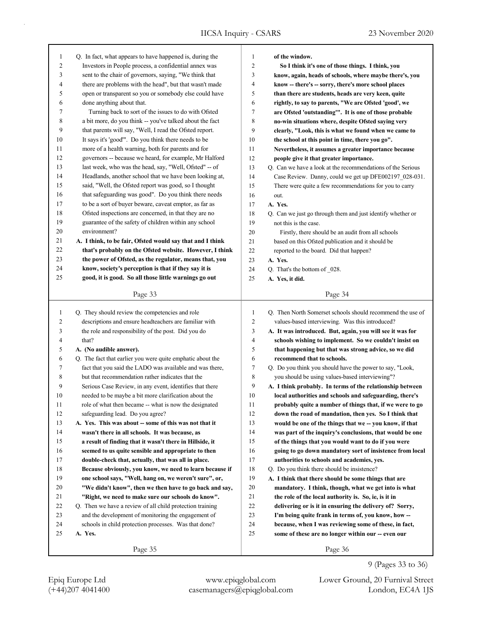| $\mathbf{1}$<br>2<br>3 | Q. In fact, what appears to have happened is, during the<br>Investors in People process, a confidential annex was<br>sent to the chair of governors, saying, "We think that | 1<br>2<br>3  | of the window.<br>So I think it's one of those things. I think, you<br>know, again, heads of schools, where maybe there's, you |
|------------------------|-----------------------------------------------------------------------------------------------------------------------------------------------------------------------------|--------------|--------------------------------------------------------------------------------------------------------------------------------|
| 4                      | there are problems with the head", but that wasn't made                                                                                                                     | 4            | know -- there's -- sorry, there's more school places                                                                           |
| 5                      | open or transparent so you or somebody else could have<br>done anything about that.                                                                                         | 5            | than there are students, heads are very keen, quite                                                                            |
| 6                      |                                                                                                                                                                             | 6            | rightly, to say to parents, "We are Ofsted 'good', we                                                                          |
| 7                      | Turning back to sort of the issues to do with Ofsted                                                                                                                        | 7            | are Ofsted 'outstanding'". It is one of those probable                                                                         |
| 8                      | a bit more, do you think -- you've talked about the fact                                                                                                                    | 8            | no-win situations where, despite Ofsted saying very                                                                            |
| 9                      | that parents will say, "Well, I read the Ofsted report.                                                                                                                     | 9            | clearly, "Look, this is what we found when we came to                                                                          |
| 10                     | It says it's 'good"'. Do you think there needs to be                                                                                                                        | 10           | the school at this point in time, there you go".                                                                               |
| 11                     | more of a health warning, both for parents and for                                                                                                                          | 11           | Nevertheless, it assumes a greater importance because                                                                          |
| 12                     | governors -- because we heard, for example, Mr Halford                                                                                                                      | 12           | people give it that greater importance.                                                                                        |
| 13                     | last week, who was the head, say, "Well, Ofsted" -- of                                                                                                                      | 13           | Q. Can we have a look at the recommendations of the Serious                                                                    |
| 14                     | Headlands, another school that we have been looking at,                                                                                                                     | 14           | Case Review. Danny, could we get up DFE002197_028-031.                                                                         |
| 15                     | said, "Well, the Ofsted report was good, so I thought                                                                                                                       | 15           | There were quite a few recommendations for you to carry                                                                        |
| 16                     | that safeguarding was good". Do you think there needs                                                                                                                       | 16           | out.                                                                                                                           |
| 17                     | to be a sort of buyer beware, caveat emptor, as far as                                                                                                                      | 17           | A. Yes.                                                                                                                        |
| 18                     | Ofsted inspections are concerned, in that they are no                                                                                                                       | 18           | Q. Can we just go through them and just identify whether or                                                                    |
| 19                     | guarantee of the safety of children within any school                                                                                                                       | 19           | not this is the case.                                                                                                          |
| 20                     | environment?                                                                                                                                                                | 20           | Firstly, there should be an audit from all schools                                                                             |
| 21                     | A. I think, to be fair, Ofsted would say that and I think                                                                                                                   | 21           | based on this Ofsted publication and it should be                                                                              |
| 22                     | that's probably on the Ofsted website. However, I think                                                                                                                     | 22           | reported to the board. Did that happen?                                                                                        |
| 23                     | the power of Ofsted, as the regulator, means that, you                                                                                                                      | 23           | A. Yes.                                                                                                                        |
| 24                     | know, society's perception is that if they say it is                                                                                                                        | 24           | Q. That's the bottom of 028.                                                                                                   |
| 25                     | good, it is good. So all those little warnings go out                                                                                                                       | 25           | A. Yes, it did.                                                                                                                |
|                        | Page 33                                                                                                                                                                     |              | Page 34                                                                                                                        |
|                        |                                                                                                                                                                             |              |                                                                                                                                |
|                        |                                                                                                                                                                             |              |                                                                                                                                |
| $\mathbf{1}$           | Q. They should review the competencies and role                                                                                                                             | $\mathbf{1}$ | Q. Then North Somerset schools should recommend the use of                                                                     |
| 2                      | descriptions and ensure headteachers are familiar with                                                                                                                      | 2            | values-based interviewing. Was this introduced?                                                                                |
| 3                      | the role and responsibility of the post. Did you do                                                                                                                         | 3            | A. It was introduced. But, again, you will see it was for                                                                      |
| 4                      | that?                                                                                                                                                                       | 4            | schools wishing to implement. So we couldn't insist on                                                                         |
| 5                      | A. (No audible answer).                                                                                                                                                     | 5            | that happening but that was strong advice, so we did                                                                           |
| 6                      | Q. The fact that earlier you were quite emphatic about the                                                                                                                  | 6            | recommend that to schools.                                                                                                     |
| 7                      | fact that you said the LADO was available and was there,                                                                                                                    | 7            | Q. Do you think you should have the power to say, "Look,                                                                       |
| 8                      | but that recommendation rather indicates that the                                                                                                                           | 8            | you should be using values-based interviewing"?                                                                                |
| 9                      | Serious Case Review, in any event, identifies that there                                                                                                                    | 9            | A. I think probably. In terms of the relationship between                                                                      |
| 10                     | needed to be maybe a bit more clarification about the                                                                                                                       | 10           | local authorities and schools and safeguarding, there's                                                                        |
| 11                     | role of what then became -- what is now the designated                                                                                                                      | 11           | probably quite a number of things that, if we were to go                                                                       |
| 12                     | safeguarding lead. Do you agree?                                                                                                                                            | 12           | down the road of mandation, then yes. So I think that                                                                          |
| 13                     | A. Yes. This was about -- some of this was not that it                                                                                                                      | 13           | would be one of the things that we -- you know, if that                                                                        |
| 14                     | wasn't there in all schools. It was because, as                                                                                                                             | 14           | was part of the inquiry's conclusions, that would be one                                                                       |
| 15                     | a result of finding that it wasn't there in Hillside, it                                                                                                                    | 15           | of the things that you would want to do if you were                                                                            |
| 16                     | seemed to us quite sensible and appropriate to then                                                                                                                         | 16           | going to go down mandatory sort of insistence from local                                                                       |
| 17                     | double-check that, actually, that was all in place.                                                                                                                         | 17           | authorities to schools and academies, yes.                                                                                     |
| 18                     | Because obviously, you know, we need to learn because if                                                                                                                    | 18           | Q. Do you think there should be insistence?                                                                                    |
| 19                     | one school says, "Well, hang on, we weren't sure", or,                                                                                                                      | 19           | A. I think that there should be some things that are                                                                           |
| 20                     | "We didn't know", then we then have to go back and say,                                                                                                                     | 20           | mandatory. I think, though, what we get into is what                                                                           |
| 21                     | "Right, we need to make sure our schools do know".                                                                                                                          | 21           | the role of the local authority is. So, ie, is it in                                                                           |
| 22                     | Q. Then we have a review of all child protection training                                                                                                                   | 22           | delivering or is it in ensuring the delivery of? Sorry,                                                                        |
| 23                     | and the development of monitoring the engagement of                                                                                                                         | 23           | I'm being quite frank in terms of, you know, how --                                                                            |
| 24                     | schools in child protection processes. Was that done?                                                                                                                       | 24           | because, when I was reviewing some of these, in fact,                                                                          |
| 25                     | A. Yes.                                                                                                                                                                     | 25           | some of these are no longer within our -- even our                                                                             |

 $\Gamma$ 

(+44)207 4041400 casemanagers@epiqglobal.com London, EC4A 1JS Epiq Europe Ltd www.epiqglobal.com Lower Ground, 20 Furnival Street

9 (Pages 33 to 36)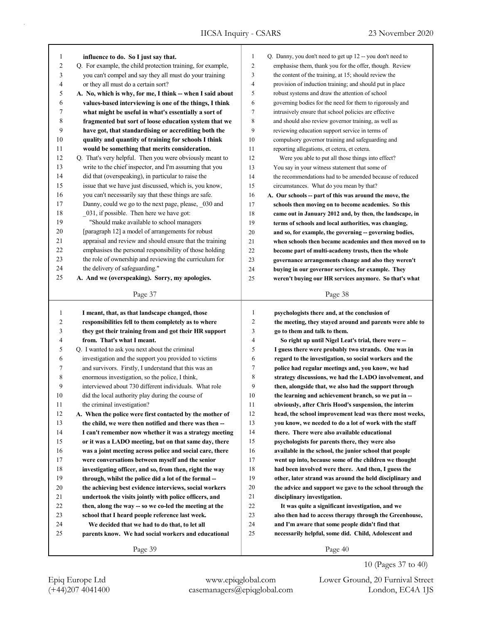| 1              | influence to do. So I just say that.                        | 1              | Q. Danny, you don't need to get up 12 -- you don't need to |
|----------------|-------------------------------------------------------------|----------------|------------------------------------------------------------|
| $\overline{c}$ | Q. For example, the child protection training, for example, | 2              | emphasise them, thank you for the offer, though. Review    |
| 3              | you can't compel and say they all must do your training     | 3              | the content of the training, at 15; should review the      |
| 4              | or they all must do a certain sort?                         | 4              | provision of induction training; and should put in place   |
| 5              | A. No, which is why, for me, I think -- when I said about   | 5              | robust systems and draw the attention of school            |
| 6              | values-based interviewing is one of the things, I think     | 6              | governing bodies for the need for them to rigorously and   |
| 7              | what might be useful in what's essentially a sort of        | 7              | intrusively ensure that school policies are effective      |
| 8              | fragmented but sort of loose education system that we       | 8              | and should also review governor training, as well as       |
| 9              | have got, that standardising or accrediting both the        | 9              | reviewing education support service in terms of            |
| 10             | quality and quantity of training for schools I think        | 10             | compulsory governor training and safeguarding and          |
| 11             | would be something that merits consideration.               | 11             | reporting allegations, et cetera, et cetera.               |
| 12             | Q. That's very helpful. Then you were obviously meant to    | 12             | Were you able to put all those things into effect?         |
| 13             | write to the chief inspector, and I'm assuming that you     | 13             | You say in your witness statement that some of             |
| 14             | did that (overspeaking), in particular to raise the         | 14             | the recommendations had to be amended because of reduced   |
| 15             | issue that we have just discussed, which is, you know,      | 15             | circumstances. What do you mean by that?                   |
| 16             | you can't necessarily say that these things are safe.       | 16             | A. Our schools -- part of this was around the move, the    |
| 17             | Danny, could we go to the next page, please, _030 and       | 17             | schools then moving on to become academies. So this        |
| 18             | 031, if possible. Then here we have got:                    | 18             | came out in January 2012 and, by then, the landscape, in   |
| 19             | "Should make available to school managers                   | 19             | terms of schools and local authorities, was changing,      |
| 20             | [paragraph 12] a model of arrangements for robust           | 20             | and so, for example, the governing -- governing bodies,    |
| 21             | appraisal and review and should ensure that the training    | 21             | when schools then became academies and then moved on to    |
| 22             | emphasises the personal responsibility of those holding     | 22             | become part of multi-academy trusts, then the whole        |
| 23             | the role of ownership and reviewing the curriculum for      | 23             | governance arrangements change and also they weren't       |
| 24             | the delivery of safeguarding."                              | 24             | buying in our governor services, for example. They         |
| 25             | A. And we (overspeaking). Sorry, my apologies.              | 25             | weren't buying our HR services anymore. So that's what     |
|                |                                                             |                |                                                            |
|                | Page 37                                                     |                | Page 38                                                    |
|                |                                                             |                |                                                            |
|                |                                                             |                |                                                            |
| $\mathbf{1}$   | I meant, that, as that landscape changed, those             | $\mathbf{1}$   | psychologists there and, at the conclusion of              |
| 2              | responsibilities fell to them completely as to where        | $\overline{c}$ | the meeting, they stayed around and parents were able to   |
| 3              | they got their training from and got their HR support       | 3              | go to them and talk to them.                               |
| 4              | from. That's what I meant.                                  | $\overline{4}$ | So right up until Nigel Leat's trial, there were --        |
| 5              | Q. I wanted to ask you next about the criminal              | 5              | I guess there were probably two strands. One was in        |
| 6              | investigation and the support you provided to victims       | 6              | regard to the investigation, so social workers and the     |
| 7              | and survivors. Firstly, I understand that this was an       | 7              | police had regular meetings and, you know, we had          |
| 8              | enormous investigation, so the police, I think,             | 8              | strategy discussions, we had the LADO involvement, and     |
| 9              | interviewed about 730 different individuals. What role      | 9              | then, alongside that, we also had the support through      |
| 10             | did the local authority play during the course of           | 10             | the learning and achievement branch, so we put in --       |
| 11             | the criminal investigation?                                 | 11             | obviously, after Chris Hood's suspension, the interim      |
| 12             | A. When the police were first contacted by the mother of    | 12             | head, the school improvement lead was there most weeks,    |
| 13             | the child, we were then notified and there was then --      | 13             | you know, we needed to do a lot of work with the staff     |
| 14             | I can't remember now whether it was a strategy meeting      | 14             | there. There were also available educational               |
| 15             | or it was a LADO meeting, but on that same day, there       | 15             | psychologists for parents there, they were also            |
| 16             | was a joint meeting across police and social care, there    | 16             | available in the school, the junior school that people     |
| 17             | were conversations between myself and the senior            | 17             | went up into, because some of the children we thought      |
| 18             | investigating officer, and so, from then, right the way     | 18             | had been involved were there. And then, I guess the        |
| 19             | through, whilst the police did a lot of the formal --       | 19             | other, later strand was around the held disciplinary and   |
| 20             | the achieving best evidence interviews, social workers      | 20             | the advice and support we gave to the school through the   |
| 21             | undertook the visits jointly with police officers, and      | $21\,$         | disciplinary investigation.                                |
| 22             | then, along the way -- so we co-led the meeting at the      | 22             | It was quite a significant investigation, and we           |
| 23             | school that I heard people reference last week.             | 23             | also then had to access therapy through the Greenhouse,    |
| 24             | We decided that we had to do that, to let all               | 24             | and I'm aware that some people didn't find that            |
| 25             | parents know. We had social workers and educational         | 25             | necessarily helpful, some did. Child, Adolescent and       |

(+44)207 4041400 casemanagers@epiqglobal.com London, EC4A 1JS

Epiq Europe Ltd www.epiqglobal.com Lower Ground, 20 Furnival Street

10 (Pages 37 to 40)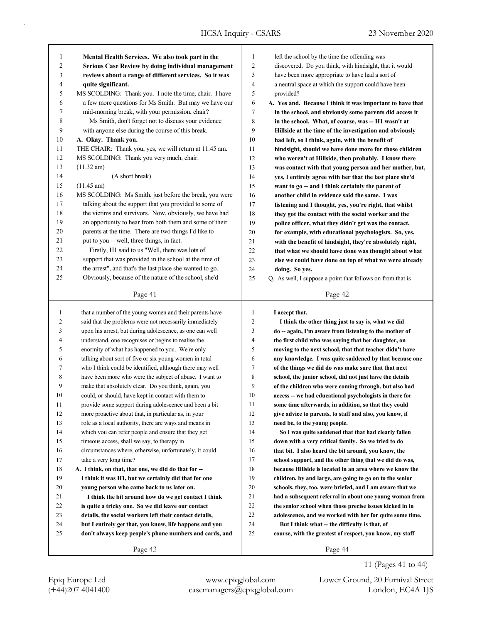| $\mathbf{1}$   | Mental Health Services. We also took part in the                                                                   | $\mathbf{1}$   | left the school by the time the offending was                                                                        |
|----------------|--------------------------------------------------------------------------------------------------------------------|----------------|----------------------------------------------------------------------------------------------------------------------|
|                |                                                                                                                    | $\mathbf{2}$   |                                                                                                                      |
| $\overline{c}$ | Serious Case Review by doing individual management                                                                 |                | discovered. Do you think, with hindsight, that it would                                                              |
| 3              | reviews about a range of different services. So it was                                                             | 3              | have been more appropriate to have had a sort of                                                                     |
| 4<br>5         | quite significant.                                                                                                 | 4              | a neutral space at which the support could have been                                                                 |
| 6              | MS SCOLDING: Thank you. I note the time, chair. I have                                                             | 5<br>6         | provided?                                                                                                            |
| 7              | a few more questions for Ms Smith. But may we have our<br>mid-morning break, with your permission, chair?          | 7              | A. Yes and. Because I think it was important to have that<br>in the school, and obviously some parents did access it |
| 8              | Ms Smith, don't forget not to discuss your evidence                                                                | 8              | in the school. What, of course, was -- H1 wasn't at                                                                  |
| 9              | with anyone else during the course of this break.                                                                  | 9              | Hillside at the time of the investigation and obviously                                                              |
| 10             | A. Okay. Thank you.                                                                                                | 10             | had left, so I think, again, with the benefit of                                                                     |
| 11             | THE CHAIR: Thank you, yes, we will return at 11.45 am.                                                             | 11             | hindsight, should we have done more for those children                                                               |
| 12             | MS SCOLDING: Thank you very much, chair.                                                                           | 12             | who weren't at Hillside, then probably. I know there                                                                 |
| 13             | $(11.32 \text{ am})$                                                                                               | 13             | was contact with that young person and her mother, but,                                                              |
| 14             | (A short break)                                                                                                    | 14             | yes, I entirely agree with her that the last place she'd                                                             |
| 15             | $(11.45 \text{ am})$                                                                                               | 15             | want to go -- and I think certainly the parent of                                                                    |
| 16             | MS SCOLDING: Ms Smith, just before the break, you were                                                             | 16             | another child in evidence said the same. I was                                                                       |
| 17             | talking about the support that you provided to some of                                                             | 17             | listening and I thought, yes, you're right, that whilst                                                              |
| 18             | the victims and survivors. Now, obviously, we have had                                                             | 18             | they got the contact with the social worker and the                                                                  |
| 19             | an opportunity to hear from both them and some of their                                                            | 19             | police officer, what they didn't get was the contact,                                                                |
| 20             | parents at the time. There are two things I'd like to                                                              | $20\,$         | for example, with educational psychologists. So, yes,                                                                |
| 21             | put to you -- well, three things, in fact.                                                                         | 21             | with the benefit of hindsight, they're absolutely right,                                                             |
| 22             | Firstly, H1 said to us "Well, there was lots of                                                                    | 22             | that what we should have done was thought about what                                                                 |
| 23             | support that was provided in the school at the time of                                                             | 23             | else we could have done on top of what we were already                                                               |
| 24             | the arrest", and that's the last place she wanted to go.                                                           | 24             | doing. So yes.                                                                                                       |
| 25             | Obviously, because of the nature of the school, she'd                                                              | 25             | Q. As well, I suppose a point that follows on from that is                                                           |
|                |                                                                                                                    |                |                                                                                                                      |
|                | Page 41                                                                                                            |                | Page 42                                                                                                              |
|                |                                                                                                                    |                |                                                                                                                      |
| 1              | that a number of the young women and their parents have                                                            | $\mathbf{1}$   | I accept that.                                                                                                       |
| 2              | said that the problems were not necessarily immediately                                                            | $\overline{2}$ | I think the other thing just to say is, what we did                                                                  |
| 3              | upon his arrest, but during adolescence, as one can well                                                           | 3              | do -- again, I'm aware from listening to the mother of                                                               |
| 4              | understand, one recognises or begins to realise the                                                                | $\overline{4}$ | the first child who was saying that her daughter, on                                                                 |
| 5              | enormity of what has happened to you. We're only                                                                   | 5              | moving to the next school, that that teacher didn't have                                                             |
| 6              | talking about sort of five or six young women in total                                                             | 6              | any knowledge. I was quite saddened by that because one                                                              |
| 7              | who I think could be identified, although there may well                                                           | 7              | of the things we did do was make sure that that next                                                                 |
| 8              | have been more who were the subject of abuse. I want to                                                            | 8              | school, the junior school, did not just have the details                                                             |
| 9              | make that absolutely clear. Do you think, again, you                                                               | 9              | of the children who were coming through, but also had                                                                |
| 10             | could, or should, have kept in contact with them to                                                                | 10             | access -- we had educational psychologists in there for                                                              |
| 11             | provide some support during adolescence and been a bit                                                             | 11             | some time afterwards, in addition, so that they could                                                                |
| 12             | more proactive about that, in particular as, in your                                                               | 12             | give advice to parents, to staff and also, you know, if                                                              |
| 13             | role as a local authority, there are ways and means in                                                             | 13             | need be, to the young people.                                                                                        |
| 14             | which you can refer people and ensure that they get                                                                | 14             | So I was quite saddened that that had clearly fallen                                                                 |
| 15             | timeous access, shall we say, to therapy in                                                                        | 15             | down with a very critical family. So we tried to do                                                                  |
| 16             | circumstances where, otherwise, unfortunately, it could                                                            | 16             | that bit. I also heard the bit around, you know, the                                                                 |
| 17             | take a very long time?                                                                                             | 17             | school support, and the other thing that we did do was,                                                              |
| 18             | A. I think, on that, that one, we did do that for --                                                               | 18             | because Hillside is located in an area where we know the                                                             |
| 19             | I think it was H1, but we certainly did that for one                                                               | 19             | children, by and large, are going to go on to the senior                                                             |
| 20             | young person who came back to us later on.                                                                         | 20             | schools, they, too, were briefed, and I am aware that we                                                             |
| 21             | I think the bit around how do we get contact I think                                                               | 21             | had a subsequent referral in about one young woman from                                                              |
| 22             | is quite a tricky one. So we did leave our contact                                                                 | $22\,$         | the senior school when those precise issues kicked in in                                                             |
| 23             | details, the social workers left their contact details,                                                            | 23             | adolescence, and we worked with her for quite some time.                                                             |
| 24<br>25       | but I entirely get that, you know, life happens and you<br>don't always keep people's phone numbers and cards, and | 24<br>25       | But I think what -- the difficulty is that, of<br>course, with the greatest of respect, you know, my staff           |

Page 43

(+44)207 4041400 casemanagers@epiqglobal.com London, EC4A 1JS Epiq Europe Ltd www.epiqglobal.com Lower Ground, 20 Furnival Street

11 (Pages 41 to 44)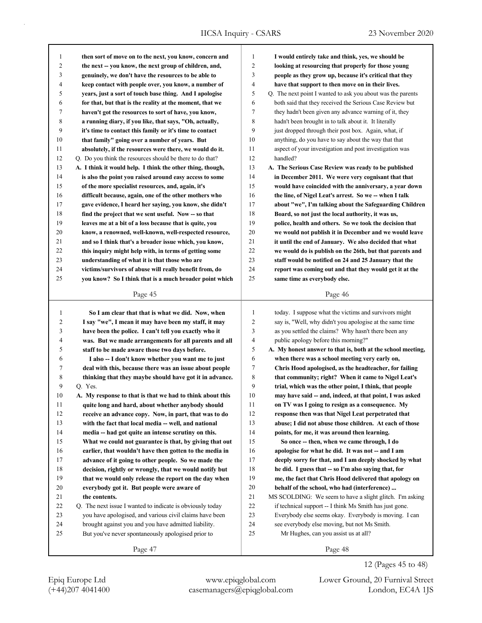| 1      | then sort of move on to the next, you know, concern and    | $\mathbf{1}$   | I would entirely take and think, yes, we should be          |
|--------|------------------------------------------------------------|----------------|-------------------------------------------------------------|
| 2      | the next -- you know, the next group of children, and,     | $\overline{c}$ | looking at resourcing that properly for those young         |
| 3      | genuinely, we don't have the resources to be able to       | 3              | people as they grow up, because it's critical that they     |
| 4      | keep contact with people over, you know, a number of       | $\overline{4}$ | have that support to then move on in their lives.           |
| 5      | years, just a sort of touch base thing. And I apologise    | 5              | Q. The next point I wanted to ask you about was the parents |
| 6      | for that, but that is the reality at the moment, that we   | 6              | both said that they received the Serious Case Review but    |
| 7      | haven't got the resources to sort of have, you know,       | 7              | they hadn't been given any advance warning of it, they      |
| 8      | a running diary, if you like, that says, "Oh, actually,    | 8              | hadn't been brought in to talk about it. It literally       |
| 9      | it's time to contact this family or it's time to contact   | 9              | just dropped through their post box. Again, what, if        |
| 10     | that family" going over a number of years. But             | 10             | anything, do you have to say about the way that that        |
| 11     | absolutely, if the resources were there, we would do it.   | 11             | aspect of your investigation and post investigation was     |
| 12     | Q. Do you think the resources should be there to do that?  | 12             | handled?                                                    |
| 13     | A. I think it would help. I think the other thing, though, | 13             | A. The Serious Case Review was ready to be published        |
| 14     | is also the point you raised around easy access to some    | 14             | in December 2011. We were very cognisant that that          |
| 15     | of the more specialist resources, and, again, it's         | 15             | would have coincided with the anniversary, a year down      |
| 16     | difficult because, again, one of the other mothers who     | 16             | the line, of Nigel Leat's arrest. So we -- when I talk      |
| 17     | gave evidence, I heard her saying, you know, she didn't    | 17             | about "we", I'm talking about the Safeguarding Children     |
| 18     | find the project that we sent useful. Now -- so that       | 18             | Board, so not just the local authority, it was us,          |
| 19     | leaves me at a bit of a loss because that is quite, you    | 19             | police, health and others. So we took the decision that     |
| 20     | know, a renowned, well-known, well-respected resource,     | 20             | we would not publish it in December and we would leave      |
| 21     | and so I think that's a broader issue which, you know,     | 21             | it until the end of January. We also decided that what      |
| 22     | this inquiry might help with, in terms of getting some     | 22             | we would do is publish on the 26th, but that parents and    |
| 23     | understanding of what it is that those who are             | 23             | staff would be notified on 24 and 25 January that the       |
| 24     | victims/survivors of abuse will really benefit from, do    | 24             | report was coming out and that they would get it at the     |
| 25     | you know? So I think that is a much broader point which    | 25             | same time as everybody else.                                |
|        |                                                            |                |                                                             |
|        | Page 45                                                    |                | Page 46                                                     |
|        |                                                            |                |                                                             |
|        |                                                            |                |                                                             |
| 1      | So I am clear that that is what we did. Now, when          | $\mathbf{1}$   | today. I suppose what the victims and survivors might       |
| 2      | I say "we", I mean it may have been my staff, it may       | $\overline{c}$ | say is, "Well, why didn't you apologise at the same time    |
| 3      | have been the police. I can't tell you exactly who it      | 3              | as you settled the claims? Why hasn't there been any        |
| 4<br>5 | was. But we made arrangements for all parents and all      | $\overline{4}$ | public apology before this morning?"                        |
|        | staff to be made aware those two days before.              | 5              | A. My honest answer to that is, both at the school meeting, |
| 6      | I also -- I don't know whether you want me to just         | 6              | when there was a school meeting very early on,              |
| 7      | deal with this, because there was an issue about people    | 7              | Chris Hood apologised, as the headteacher, for failing      |
| 8<br>9 | thinking that they maybe should have got it in advance.    | 8<br>9         | that community; right? When it came to Nigel Leat's         |
|        | Q. Yes.                                                    | 10             | trial, which was the other point, I think, that people      |
| 10     | A. My response to that is that we had to think about this  |                | may have said -- and, indeed, at that point, I was asked    |
| 11     | quite long and hard, about whether anybody should          | $11\,$         | on TV was I going to resign as a consequence. My            |
| 12     | receive an advance copy. Now, in part, that was to do      | $12\,$         | response then was that Nigel Leat perpetrated that          |
| 13     | with the fact that local media -- well, and national       | 13             | abuse; I did not abuse those children. At each of those     |
| 14     | media -- had got quite an intense scrutiny on this.        | 14             | points, for me, it was around then learning.                |
| $15\,$ | What we could not guarantee is that, by giving that out    | 15             | So once -- then, when we came through, I do                 |
| 16     | earlier, that wouldn't have then gotten to the media in    | 16             | apologise for what he did. It was not -- and I am           |
| 17     | advance of it going to other people. So we made the        | 17             | deeply sorry for that, and I am deeply shocked by what      |
| 18     | decision, rightly or wrongly, that we would notify but     | 18             | he did. I guess that -- so I'm also saying that, for        |
| 19     | that we would only release the report on the day when      | 19             | me, the fact that Chris Hood delivered that apology on      |
| 20     | everybody got it. But people were aware of                 | 20             | behalf of the school, who had (interference)                |
| 21     | the contents.                                              | 21             | MS SCOLDING: We seem to have a slight glitch. I'm asking    |
| 22     | Q. The next issue I wanted to indicate is obviously today  | 22             | if technical support -- I think Ms Smith has just gone.     |
| 23     | you have apologised, and various civil claims have been    | 23             | Everybody else seems okay. Everybody is moving. I can       |
| 24     | brought against you and you have admitted liability.       | 24             | see everybody else moving, but not Ms Smith.                |
| 25     | But you've never spontaneously apologised prior to         | 25             | Mr Hughes, can you assist us at all?                        |

12 (Pages 45 to 48)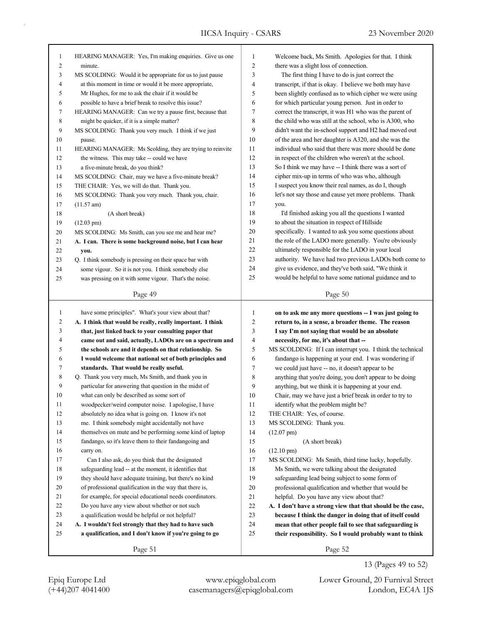| 1              |                                                            |                |                                                             |
|----------------|------------------------------------------------------------|----------------|-------------------------------------------------------------|
|                | HEARING MANAGER: Yes, I'm making enquiries. Give us one    | $\mathbf{1}$   | Welcome back, Ms Smith. Apologies for that. I think         |
| $\overline{c}$ | minute.                                                    | $\overline{c}$ | there was a slight loss of connection.                      |
| 3              | MS SCOLDING: Would it be appropriate for us to just pause  | 3              | The first thing I have to do is just correct the            |
| 4              | at this moment in time or would it be more appropriate,    | 4              | transcript, if that is okay. I believe we both may have     |
| 5              | Mr Hughes, for me to ask the chair if it would be          | 5              | been slightly confused as to which cipher we were using     |
| 6              | possible to have a brief break to resolve this issue?      | 6              | for which particular young person. Just in order to         |
| 7              | HEARING MANAGER: Can we try a pause first, because that    | 7              | correct the transcript, it was H1 who was the parent of     |
| 8              | might be quicker, if it is a simple matter?                | 8              | the child who was still at the school, who is A300, who     |
| 9              | MS SCOLDING: Thank you very much. I think if we just       | 9              | didn't want the in-school support and H2 had moved out      |
| 10             | pause.                                                     | 10             | of the area and her daughter is A320, and she was the       |
| 11             | HEARING MANAGER: Ms Scolding, they are trying to reinvite  | 11             | individual who said that there was more should be done      |
| 12             | the witness. This may take -- could we have                | 12             | in respect of the children who weren't at the school.       |
| 13             | a five-minute break, do you think?                         | 13             | So I think we may have -- I think there was a sort of       |
| 14             | MS SCOLDING: Chair, may we have a five-minute break?       | 14             | cipher mix-up in terms of who was who, although             |
| 15             | THE CHAIR: Yes, we will do that. Thank you.                | 15             | I suspect you know their real names, as do I, though        |
| 16             | MS SCOLDING: Thank you very much. Thank you, chair.        | 16             | let's not say those and cause yet more problems. Thank      |
| 17             | $(11.57 \text{ am})$                                       | 17             | you.                                                        |
| 18             | (A short break)                                            | 18             | I'd finished asking you all the questions I wanted          |
| 19             | $(12.03 \text{ pm})$                                       | 19             | to about the situation in respect of Hillside               |
| 20             | MS SCOLDING: Ms Smith, can you see me and hear me?         | 20             | specifically. I wanted to ask you some questions about      |
| 21             | A. I can. There is some background noise, but I can hear   | 21             | the role of the LADO more generally. You're obviously       |
| 22             | you.                                                       | 22             | ultimately responsible for the LADO in your local           |
| 23             | Q. I think somebody is pressing on their space bar with    | 23             | authority. We have had two previous LADOs both come to      |
| 24             | some vigour. So it is not you. I think somebody else       | 24             | give us evidence, and they've both said, "We think it       |
| 25             | was pressing on it with some vigour. That's the noise.     | 25             | would be helpful to have some national guidance and to      |
|                | Page 49                                                    |                | Page 50                                                     |
|                |                                                            |                |                                                             |
| 1              |                                                            |                |                                                             |
|                | have some principles". What's your view about that?        | $\mathbf{1}$   | on to ask me any more questions -- I was just going to      |
| 2              | A. I think that would be really, really important. I think | $\overline{c}$ | return to, in a sense, a broader theme. The reason          |
| 3              | that, just linked back to your consulting paper that       | 3              | I say I'm not saying that would be an absolute              |
| 4              | came out and said, actually, LADOs are on a spectrum and   | 4              | necessity, for me, it's about that --                       |
| 5              | the schools are and it depends on that relationship. So    | 5              | MS SCOLDING: If I can interrupt you. I think the technical  |
| 6              | I would welcome that national set of both principles and   | 6              | fandango is happening at your end. I was wondering if       |
| 7              | standards. That would be really useful.                    | $\tau$         | we could just have -- no, it doesn't appear to be           |
| 8              | Q. Thank you very much, Ms Smith, and thank you in         | 8              | anything that you're doing, you don't appear to be doing    |
| 9              | particular for answering that question in the midst of     | 9              | anything, but we think it is happening at your end.         |
| 10             | what can only be described as some sort of                 | 10             | Chair, may we have just a brief break in order to try to    |
| 11             | woodpecker/weird computer noise. I apologise, I have       | 11             | identify what the problem might be?                         |
| 12             | absolutely no idea what is going on. I know it's not       | 12             | THE CHAIR: Yes, of course.                                  |
| 13             | me. I think somebody might accidentally not have           | 13             | MS SCOLDING: Thank you.                                     |
| 14             | themselves on mute and be performing some kind of laptop   | 14             | $(12.07 \text{ pm})$                                        |
| 15             | fandango, so it's leave them to their fandangoing and      | 15             | (A short break)                                             |
| 16             | carry on.                                                  | 16             | $(12.10 \text{ pm})$                                        |
| 17             | Can I also ask, do you think that the designated           | 17             | MS SCOLDING: Ms Smith, third time lucky, hopefully.         |
| 18             | safeguarding lead -- at the moment, it identifies that     | 18             | Ms Smith, we were talking about the designated              |
| 19             | they should have adequate training, but there's no kind    | 19             | safeguarding lead being subject to some form of             |
| $20\,$         | of professional qualification in the way that there is,    | 20             | professional qualification and whether that would be        |
| 21             | for example, for special educational needs coordinators.   | 21             | helpful. Do you have any view about that?                   |
| 22             | Do you have any view about whether or not such             | 22             | A. I don't have a strong view that that should be the case, |
| 23             | a qualification would be helpful or not helpful?           | 23             | because I think the danger in doing that of itself could    |
| 24             | A. I wouldn't feel strongly that they had to have such     | 24             | mean that other people fail to see that safeguarding is     |
| 25             | a qualification, and I don't know if you're going to go    | 25             | their responsibility. So I would probably want to think     |

(+44)207 4041400 casemanagers@epiqglobal.com London, EC4A 1JS Epiq Europe Ltd www.epiqglobal.com Lower Ground, 20 Furnival Street

13 (Pages 49 to 52)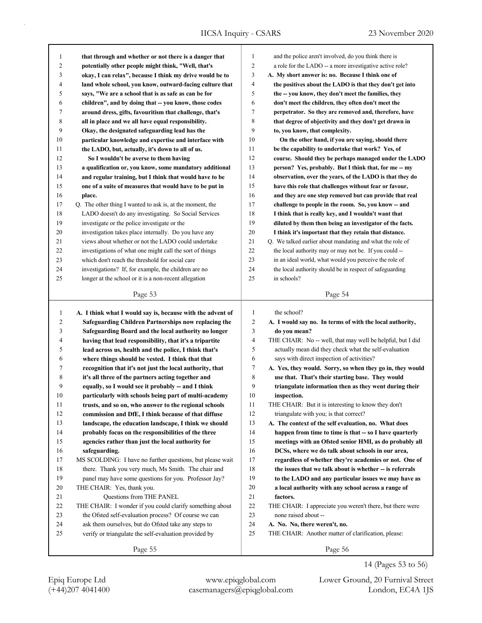| $\mathbf{1}$   | that through and whether or not there is a danger that     | $\mathbf{1}$             | and the police aren't involved, do you think there is      |
|----------------|------------------------------------------------------------|--------------------------|------------------------------------------------------------|
| $\overline{2}$ | potentially other people might think, "Well, that's        | 2                        | a role for the LADO -- a more investigative active role?   |
| 3              | okay, I can relax", because I think my drive would be to   | 3                        | A. My short answer is: no. Because I think one of          |
| $\overline{4}$ | land whole school, you know, outward-facing culture that   | 4                        | the positives about the LADO is that they don't get into   |
| 5              | says, "We are a school that is as safe as can be for       | 5                        | the -- you know, they don't meet the families, they        |
| 6              | children", and by doing that -- you know, those codes      | 6                        | don't meet the children, they often don't meet the         |
| 7              | around dress, gifts, favouritism that challenge, that's    | 7                        | perpetrator. So they are removed and, therefore, have      |
| 8              | all in place and we all have equal responsibility.         | 8                        | that degree of objectivity and they don't get drawn in     |
| 9              | Okay, the designated safeguarding lead has the             | 9                        | to, you know, that complexity.                             |
| 10             | particular knowledge and expertise and interface with      | 10                       | On the other hand, if you are saying, should there         |
| 11             | the LADO, but, actually, it's down to all of us.           | 11                       | be the capability to undertake that work? Yes, of          |
| 12             | So I wouldn't be averse to them having                     | 12                       | course. Should they be perhaps managed under the LADO      |
| 13             | a qualification or, you know, some mandatory additional    | 13                       | person? Yes, probably. But I think that, for me -- my      |
| 14             | and regular training, but I think that would have to be    | 14                       | observation, over the years, of the LADO is that they do   |
| 15             | one of a suite of measures that would have to be put in    | 15                       | have this role that challenges without fear or favour,     |
| 16             | place.                                                     | 16                       | and they are one step removed but can provide that real    |
| 17             | Q. The other thing I wanted to ask is, at the moment, the  | 17                       | challenge to people in the room. So, you know -- and       |
| 18             | LADO doesn't do any investigating. So Social Services      | 18                       | I think that is really key, and I wouldn't want that       |
| 19             | investigate or the police investigate or the               | 19                       | diluted by them then being an investigator of the facts.   |
| 20             | investigation takes place internally. Do you have any      | 20                       | I think it's important that they retain that distance.     |
| 21             | views about whether or not the LADO could undertake        | 21                       | Q. We talked earlier about mandating and what the role of  |
| 22             | investigations of what one might call the sort of things   | 22                       | the local authority may or may not be. If you could --     |
| 23             | which don't reach the threshold for social care            | 23                       | in an ideal world, what would you perceive the role of     |
| 24             |                                                            | 24                       | the local authority should be in respect of safeguarding   |
|                | investigations? If, for example, the children are no       | 25                       |                                                            |
| 25             | longer at the school or it is a non-recent allegation      |                          | in schools?                                                |
|                | Page 53                                                    |                          | Page 54                                                    |
|                |                                                            |                          |                                                            |
|                |                                                            |                          |                                                            |
| $\mathbf{1}$   | A. I think what I would say is, because with the advent of | $\mathbf{1}$             | the school?                                                |
| $\overline{c}$ | Safeguarding Children Partnerships now replacing the       | 2                        | A. I would say no. In terms of with the local authority,   |
| 3              | Safeguarding Board and the local authority no longer       | 3                        | do you mean?                                               |
| 4              | having that lead responsibility, that it's a tripartite    | $\overline{\mathcal{A}}$ | THE CHAIR: No -- well, that may well be helpful, but I did |
| 5              | lead across us, health and the police, I think that's      | 5                        | actually mean did they check what the self-evaluation      |
| 6              | where things should be vested. I think that that           | 6                        | says with direct inspection of activities?                 |
| 7              | recognition that it's not just the local authority, that   | 7                        | A. Yes, they would. Sorry, so when they go in, they would  |
| 8              | it's all three of the partners acting together and         | 8                        | use that. That's their starting base. They would           |
| 9              | equally, so I would see it probably -- and I think         | 9                        | triangulate information then as they went during their     |
| 10             | particularly with schools being part of multi-academy      | 10                       | inspection.                                                |
| $1\,1$         | trusts, and so on, who answer to the regional schools      | 11                       | THE CHAIR: But it is interesting to know they don't        |
| 12             | commission and DfE, I think because of that diffuse        | 12                       | triangulate with you; is that correct?                     |
| 13             | landscape, the education landscape, I think we should      | 13                       | A. The context of the self evaluation, no. What does       |
| 14             | probably focus on the responsibilities of the three        | 14                       | happen from time to time is that -- so I have quarterly    |
| 15             | agencies rather than just the local authority for          | 15                       | meetings with an Ofsted senior HMI, as do probably all     |
| 16             | safeguarding.                                              | 16                       | DCSs, where we do talk about schools in our area,          |
| 17             | MS SCOLDING: I have no further questions, but please wait  | 17                       | regardless of whether they're academies or not. One of     |
| 18             | there. Thank you very much, Ms Smith. The chair and        | $18\,$                   | the issues that we talk about is whether -- is referrals   |
| 19             | panel may have some questions for you. Professor Jay?      | 19                       | to the LADO and any particular issues we may have as       |
| 20             | THE CHAIR: Yes, thank you.                                 | 20                       | a local authority with any school across a range of        |
| 21             | Questions from THE PANEL                                   | 21                       | factors.                                                   |
| 22             | THE CHAIR: I wonder if you could clarify something about   | $22\,$                   | THE CHAIR: I appreciate you weren't there, but there were  |
| 23             | the Ofsted self-evaluation process? Of course we can       | 23                       | none raised about --                                       |
| 24             | ask them ourselves, but do Ofsted take any steps to        | 24                       | A. No. No, there weren't, no.                              |
| 25             | verify or triangulate the self-evaluation provided by      | 25                       | THE CHAIR: Another matter of clarification, please:        |
|                | Page 55                                                    |                          | Page 56                                                    |

14 (Pages 53 to 56)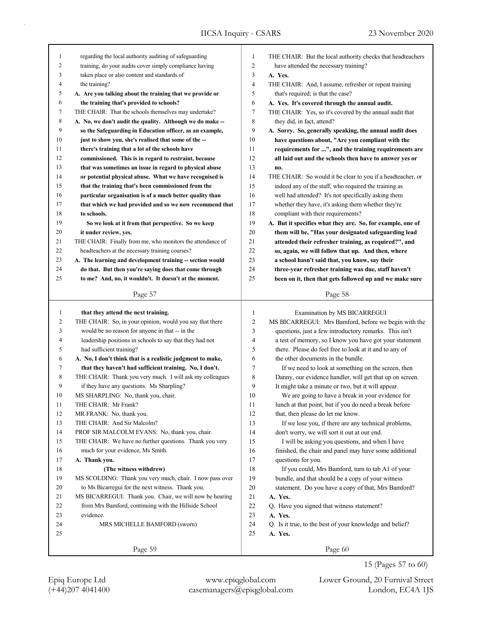| $\mathbf{1}$   | regarding the local authority auditing of safeguarding     | 1              | THE CHAIR: But the local authority checks that headteachers |
|----------------|------------------------------------------------------------|----------------|-------------------------------------------------------------|
| $\overline{c}$ | training, do your audits cover simply compliance having    | $\overline{c}$ | have attended the necessary training?                       |
| 3              | taken place or also content and standards of               | 3              | A. Yes.                                                     |
| 4              | the training?                                              | 4              | THE CHAIR: And, I assume, refresher or repeat training      |
| 5              | A. Are you talking about the training that we provide or   | 5              | that's required; is that the case?                          |
| 6              | the training that's provided to schools?                   | 6              | A. Yes. It's covered through the annual audit.              |
| 7              | THE CHAIR: That the schools themselves may undertake?      | 7              | THE CHAIR: Yes, so it's covered by the annual audit that    |
| 8              | A. No, we don't audit the quality. Although we do make --  | 8              | they did, in fact, attend?                                  |
| 9              | so the Safeguarding in Education officer, as an example,   | 9              | A. Sorry. So, generally speaking, the annual audit does     |
| 10             | just to show you, she's realised that some of the --       | 10             | have questions about, "Are you compliant with the           |
| 11             | there's training that a lot of the schools have            | 11             | requirements for ", and the training requirements are       |
| 12             | commissioned. This is in regard to restraint, because      | 12             | all laid out and the schools then have to answer yes or     |
| 13             | that was sometimes an issue in regard to physical abuse    | 13             | no.                                                         |
| 14             | or potential physical abuse. What we have recognised is    | 14             | THE CHAIR: So would it be clear to you if a headteacher, or |
| 15             | that the training that's been commissioned from the        | 15             | indeed any of the staff, who required the training as       |
| 16             | particular organisation is of a much better quality than   | 16             | well had attended? It's not specifically asking them        |
| 17             | that which we had provided and so we now recommend that    | 17             | whether they have, it's asking them whether they're         |
| 18             | to schools.                                                | 18             | compliant with their requirements?                          |
| 19             | So we look at it from that perspective. So we keep         | 19             | A. But it specifies what they are. So, for example, one of  |
| 20             | it under review, yes.                                      | 20             | them will be, "Has your designated safeguarding lead        |
| 21             | THE CHAIR: Finally from me, who monitors the attendance of | 21             | attended their refresher training, as required?", and       |
| 22             | headteachers at the necessary training courses?            | 22             | so, again, we will follow that up. And then, where          |
| 23             | A. The learning and development training -- section would  | 23             | a school hasn't said that, you know, say their              |
| 24             | do that. But then you're saying does that come through     | 24             | three-year refresher training was due, staff haven't        |
| 25             | to me? And, no, it wouldn't. It doesn't at the moment.     | 25             | been on it, then that gets followed up and we make sure     |
|                |                                                            |                |                                                             |
|                | Page 57                                                    |                | Page 58                                                     |
| $\mathbf{1}$   | that they attend the next training.                        | 1              | Examination by MS BICARREGUI                                |
| 2              | THE CHAIR: So, in your opinion, would you say that there   | $\overline{c}$ | MS BICARREGUI: Mrs Bamford, before we begin with the        |
| 3              | would be no reason for anyone in that -- in the            | 3              | questions, just a few introductory remarks. This isn't      |
| 4              | leadership positions in schools to say that they had not   | 4              | a test of memory, so I know you have got your statement     |
| 5              | had sufficient training?                                   | 5              | there. Please do feel free to look at it and to any of      |
| 6              | A. No, I don't think that is a realistic judgment to make, | 6              | the other documents in the bundle.                          |
| 7              | that they haven't had sufficient training. No, I don't.    | 7              | If we need to look at something on the screen, then         |
| 8              | THE CHAIR: Thank you very much. I will ask my colleagues   | 8              | Danny, our evidence handler, will get that up on screen.    |
| 9              | if they have any questions. Ms Sharpling?                  | 9              | It might take a minute or two, but it will appear.          |
| 10             | MS SHARPLING: No, thank you, chair.                        | 10             | We are going to have a break in your evidence for           |
| 11             | THE CHAIR: Mr Frank?                                       | 11             | lunch at that point, but if you do need a break before      |
| 12             | MR FRANK: No, thank you.                                   | 12             | that, then please do let me know.                           |
| 13             | THE CHAIR: And Sir Malcolm?                                | 13             | If we lose you, if there are any technical problems,        |
| 14             | PROF SIR MALCOLM EVANS: No, thank you, chair.              | 14             | don't worry, we will sort it out at our end.                |
| 15             | THE CHAIR: We have no further questions. Thank you very    | 15             | I will be asking you questions, and when I have             |
| 16             | much for your evidence, Ms Smith.                          |                | finished, the chair and panel may have some additional      |
|                | A. Thank you.                                              | 16<br>17       |                                                             |
| 17             |                                                            |                | questions for you.                                          |
| $18\,$         |                                                            |                |                                                             |
|                | (The witness withdrew)                                     | 18             | If you could, Mrs Bamford, turn to tab A1 of your           |
| 19             | MS SCOLDING: Thank you very much, chair. I now pass over   | 19             | bundle, and that should be a copy of your witness           |
| 20             | to Ms Bicarregui for the next witness. Thank you.          | 20             | statement. Do you have a copy of that, Mrs Bamford?         |
| 21             | MS BICARREGUI: Thank you. Chair, we will now be hearing    | 21             | A. Yes.                                                     |
| 22             | from Mrs Bamford, continuing with the Hillside School      | 22             | Q. Have you signed that witness statement?                  |
| 23             | evidence.                                                  | $23\,$         | A. Yes.                                                     |
| 24             | MRS MICHELLE BAMFORD (sworn)                               | 24             | Q. Is it true, to the best of your knowledge and belief?    |
| 25             |                                                            | $25\,$         | A. Yes.                                                     |
|                | Page 59                                                    |                | Page 60                                                     |

(+44)207 4041400 casemanagers@epiqglobal.com London, EC4A 1JS

Epiq Europe Ltd www.epiqglobal.com Lower Ground, 20 Furnival Street

15 (Pages 57 to 60)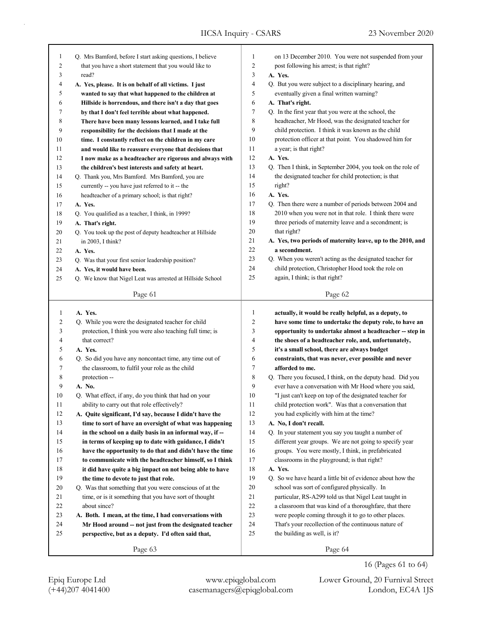| 1              | Q. Mrs Bamford, before I start asking questions, I believe                                                 | $\mathbf{1}$            | on 13 December 2010. You were not suspended from your                                                |
|----------------|------------------------------------------------------------------------------------------------------------|-------------------------|------------------------------------------------------------------------------------------------------|
| $\overline{c}$ | that you have a short statement that you would like to                                                     | 2                       | post following his arrest; is that right?                                                            |
| 3              | read?                                                                                                      | 3                       | A. Yes.                                                                                              |
| 4              | A. Yes, please. It is on behalf of all victims. I just                                                     | 4                       | Q. But you were subject to a disciplinary hearing, and                                               |
| 5              | wanted to say that what happened to the children at                                                        | 5                       | eventually given a final written warning?                                                            |
| 6              | Hillside is horrendous, and there isn't a day that goes                                                    | 6                       | A. That's right.                                                                                     |
| 7              | by that I don't feel terrible about what happened.                                                         | 7                       | Q. In the first year that you were at the school, the                                                |
| 8              | There have been many lessons learned, and I take full                                                      | 8                       | headteacher, Mr Hood, was the designated teacher for                                                 |
| 9              | responsibility for the decisions that I made at the                                                        | 9                       | child protection. I think it was known as the child                                                  |
| 10             | time. I constantly reflect on the children in my care                                                      | 10                      | protection officer at that point. You shadowed him for                                               |
| 11             | and would like to reassure everyone that decisions that                                                    | 11                      | a year; is that right?                                                                               |
| 12             | I now make as a headteacher are rigorous and always with                                                   | 12                      | A. Yes.                                                                                              |
| 13             | the children's best interests and safety at heart.                                                         | 13                      | Q. Then I think, in September 2004, you took on the role of                                          |
| 14             | Q. Thank you, Mrs Bamford. Mrs Bamford, you are                                                            | 14                      | the designated teacher for child protection; is that                                                 |
| 15             | currently -- you have just referred to it -- the                                                           | 15                      | right?                                                                                               |
| 16             | headteacher of a primary school; is that right?                                                            | 16                      | A. Yes.                                                                                              |
| 17             | A. Yes.                                                                                                    | 17                      | Q. Then there were a number of periods between 2004 and                                              |
| 18             | Q. You qualified as a teacher, I think, in 1999?                                                           | 18                      | 2010 when you were not in that role. I think there were                                              |
| 19             | A. That's right.                                                                                           | 19                      | three periods of maternity leave and a secondment; is                                                |
| 20             | Q. You took up the post of deputy headteacher at Hillside                                                  | 20                      | that right?                                                                                          |
| 21             | in 2003, I think?                                                                                          | 21                      | A. Yes, two periods of maternity leave, up to the 2010, and                                          |
| 22             | A. Yes.                                                                                                    | $22\,$                  | a secondment.                                                                                        |
| 23             | Q. Was that your first senior leadership position?                                                         | 23                      | Q. When you weren't acting as the designated teacher for                                             |
| 24             | A. Yes, it would have been.                                                                                | 24                      | child protection, Christopher Hood took the role on                                                  |
| 25             | Q. We know that Nigel Leat was arrested at Hillside School                                                 | 25                      | again, I think; is that right?                                                                       |
|                |                                                                                                            |                         |                                                                                                      |
|                | Page 61                                                                                                    |                         | Page 62                                                                                              |
|                |                                                                                                            |                         |                                                                                                      |
|                |                                                                                                            |                         |                                                                                                      |
| 1              | A. Yes.                                                                                                    | 1                       | actually, it would be really helpful, as a deputy, to                                                |
| 2              | Q. While you were the designated teacher for child                                                         | $\overline{\mathbf{c}}$ | have some time to undertake the deputy role, to have an                                              |
| 3<br>4         | protection, I think you were also teaching full time; is<br>that correct?                                  | 3<br>4                  | opportunity to undertake almost a headteacher -- step in                                             |
| 5              | A. Yes.                                                                                                    | 5                       | the shoes of a headteacher role, and, unfortunately,<br>it's a small school, there are always budget |
| 6              |                                                                                                            | 6                       | constraints, that was never, ever possible and never                                                 |
| 7              | Q. So did you have any noncontact time, any time out of<br>the classroom, to fulfil your role as the child | 7                       | afforded to me.                                                                                      |
| 8              | protection --                                                                                              | 8                       | Q. There you focused, I think, on the deputy head. Did you                                           |
| 9              | A. No.                                                                                                     | 9                       | ever have a conversation with Mr Hood where you said,                                                |
| 10             | Q. What effect, if any, do you think that had on your                                                      | 10                      | "I just can't keep on top of the designated teacher for                                              |
| 11             | ability to carry out that role effectively?                                                                | 11                      | child protection work". Was that a conversation that                                                 |
| 12             | A. Quite significant, I'd say, because I didn't have the                                                   | 12                      | you had explicitly with him at the time?                                                             |
| 13             | time to sort of have an oversight of what was happening                                                    | 13                      | A. No, I don't recall.                                                                               |
| 14             | in the school on a daily basis in an informal way, if --                                                   | 14                      | Q. In your statement you say you taught a number of                                                  |
| 15             | in terms of keeping up to date with guidance, I didn't                                                     | 15                      | different year groups. We are not going to specify year                                              |
| 16             | have the opportunity to do that and didn't have the time                                                   | 16                      | groups. You were mostly, I think, in prefabricated                                                   |
| 17             | to communicate with the headteacher himself, so I think                                                    | 17                      | classrooms in the playground; is that right?                                                         |
| $18\,$         | it did have quite a big impact on not being able to have                                                   | 18                      | A. Yes.                                                                                              |
| 19             | the time to devote to just that role.                                                                      | 19                      | Q. So we have heard a little bit of evidence about how the                                           |
| 20             | Q. Was that something that you were conscious of at the                                                    | 20                      | school was sort of configured physically. In                                                         |
| 21             | time, or is it something that you have sort of thought                                                     | 21                      | particular, RS-A299 told us that Nigel Leat taught in                                                |
| 22             | about since?                                                                                               | 22                      | a classroom that was kind of a thoroughfare, that there                                              |
| 23             | A. Both. I mean, at the time, I had conversations with                                                     | 23                      | were people coming through it to go to other places.                                                 |
| 24             | Mr Hood around -- not just from the designated teacher                                                     | 24                      | That's your recollection of the continuous nature of                                                 |
| 25             | perspective, but as a deputy. I'd often said that,                                                         | 25                      | the building as well, is it?                                                                         |

Page 64

16 (Pages 61 to 64)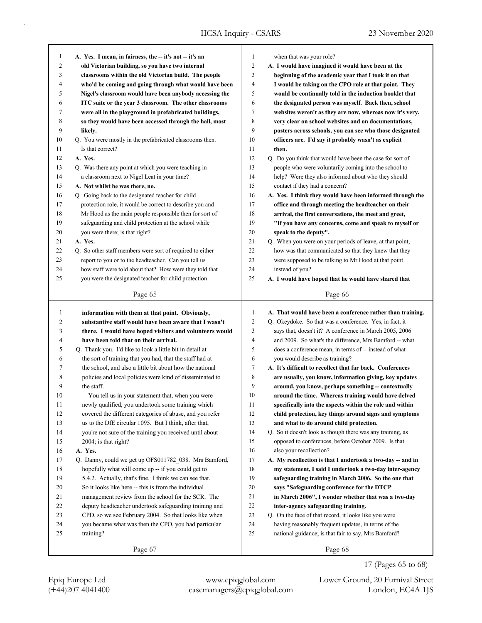| 1  | A. Yes. I mean, in fairness, the -- it's not -- it's an   | $\mathbf{1}$   | when that was your role?                                   |
|----|-----------------------------------------------------------|----------------|------------------------------------------------------------|
| 2  | old Victorian building, so you have two internal          | $\overline{2}$ | A. I would have imagined it would have been at the         |
| 3  | classrooms within the old Victorian build. The people     | 3              | beginning of the academic year that I took it on that      |
| 4  | who'd be coming and going through what would have been    | $\overline{4}$ | I would be taking on the CPO role at that point. They      |
| 5  | Nigel's classroom would have been anybody accessing the   | 5              | would be continually told in the induction booklet that    |
| 6  | ITC suite or the year 3 classroom. The other classrooms   | 6              | the designated person was myself. Back then, school        |
| 7  | were all in the playground in prefabricated buildings,    | $\tau$         | websites weren't as they are now, whereas now it's very,   |
| 8  | so they would have been accessed through the hall, most   | 8              | very clear on school websites and on documentations,       |
| 9  | likely.                                                   | 9              | posters across schools, you can see who those designated   |
| 10 | Q. You were mostly in the prefabricated classrooms then.  | 10             | officers are. I'd say it probably wasn't as explicit       |
| 11 | Is that correct?                                          | 11             | then.                                                      |
| 12 | A. Yes.                                                   | 12             | Q. Do you think that would have been the case for sort of  |
| 13 | Q. Was there any point at which you were teaching in      | 13             | people who were voluntarily coming into the school to      |
| 14 | a classroom next to Nigel Leat in your time?              | 14             | help? Were they also informed about who they should        |
| 15 | A. Not whilst he was there, no.                           | 15             | contact if they had a concern?                             |
| 16 | Q. Going back to the designated teacher for child         | 16             | A. Yes. I think they would have been informed through the  |
| 17 | protection role, it would be correct to describe you and  | 17             | office and through meeting the headteacher on their        |
| 18 | Mr Hood as the main people responsible then for sort of   | 18             | arrival, the first conversations, the meet and greet,      |
| 19 | safeguarding and child protection at the school while     | 19             | "If you have any concerns, come and speak to myself or     |
| 20 | you were there; is that right?                            | 20             | speak to the deputy".                                      |
| 21 | A. Yes.                                                   | 21             | Q. When you were on your periods of leave, at that point,  |
| 22 | Q. So other staff members were sort of required to either | 22             | how was that communicated so that they knew that they      |
| 23 | report to you or to the headteacher. Can you tell us      | 23             | were supposed to be talking to Mr Hood at that point       |
| 24 | how staff were told about that? How were they told that   | 24             | instead of you?                                            |
| 25 | you were the designated teacher for child protection      | 25             | A. I would have hoped that he would have shared that       |
|    |                                                           |                |                                                            |
|    | Page 65                                                   |                | Page 66                                                    |
|    |                                                           |                |                                                            |
|    |                                                           |                |                                                            |
| 1  | information with them at that point. Obviously,           | $\mathbf{1}$   | A. That would have been a conference rather than training. |
| 2  | substantive staff would have been aware that I wasn't     | $\overline{c}$ | Q. Okeydoke. So that was a conference. Yes, in fact, it    |
| 3  | there. I would have hoped visitors and volunteers would   | 3              | says that, doesn't it? A conference in March 2005, 2006    |
| 4  | have been told that on their arrival.                     | $\overline{4}$ | and 2009. So what's the difference, Mrs Bamford -- what    |
| 5  | Q. Thank you. I'd like to look a little bit in detail at  | 5              | does a conference mean, in terms of -- instead of what     |
| 6  | the sort of training that you had, that the staff had at  | 6              | you would describe as training?                            |
| 7  | the school, and also a little bit about how the national  | $\tau$         | A. It's difficult to recollect that far back. Conferences  |
| 8  | policies and local policies were kind of disseminated to  | 8              | are usually, you know, information giving, key updates     |
| 9  | the staff.                                                | 9              | around, you know, perhaps something -- contextually        |
| 10 | You tell us in your statement that, when you were         | 10             | around the time. Whereas training would have delved        |
| 11 | newly qualified, you undertook some training which        | 11             | specifically into the aspects within the role and within   |
| 12 | covered the different categories of abuse, and you refer  | 12             | child protection, key things around signs and symptoms     |
| 13 | us to the DfE circular 1095. But I think, after that,     | 13             | and what to do around child protection.                    |
| 14 | you're not sure of the training you received until about  | 14             | Q. So it doesn't look as though there was any training, as |
| 15 | 2004; is that right?                                      | 15             | opposed to conferences, before October 2009. Is that       |
| 16 | A. Yes.                                                   | 16             | also your recollection?                                    |
| 17 | Q. Danny, could we get up OFS011782 038. Mrs Bamford,     | 17             | A. My recollection is that I undertook a two-day -- and in |
| 18 | hopefully what will come up -- if you could get to        | 18             | my statement, I said I undertook a two-day inter-agency    |
| 19 | 5.4.2. Actually, that's fine. I think we can see that.    | 19             | safeguarding training in March 2006. So the one that       |
| 20 | So it looks like here -- this is from the individual      | 20             | says "Safeguarding conference for the DTCP                 |
| 21 | management review from the school for the SCR. The        | 21             | in March 2006", I wonder whether that was a two-day        |
| 22 | deputy headteacher undertook safeguarding training and    | $22\,$         | inter-agency safeguarding training.                        |
| 23 | CPD, so we see February 2004. So that looks like when     | 23             | Q. On the face of that record, it looks like you were      |
| 24 | you became what was then the CPO, you had particular      | 24             | having reasonably frequent updates, in terms of the        |
| 25 | training?                                                 | 25             | national guidance; is that fair to say, Mrs Bamford?       |
|    | Page 67                                                   |                | Page 68                                                    |

(+44)207 4041400 casemanagers@epiqglobal.com London, EC4A 1JS Epiq Europe Ltd www.epiqglobal.com Lower Ground, 20 Furnival Street

17 (Pages 65 to 68)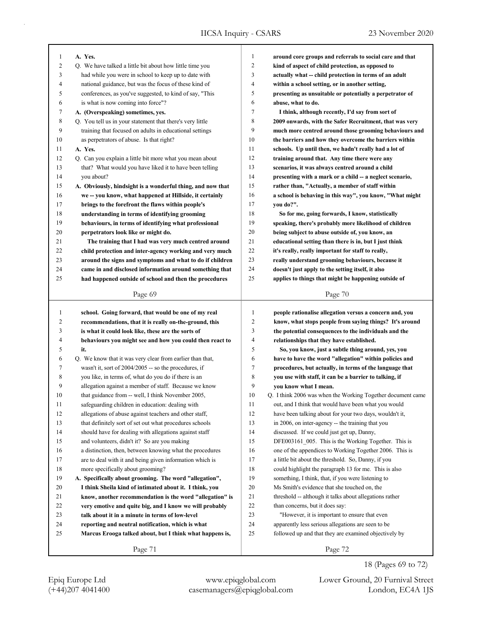| 1            | A. Yes.                                                                                                              | $\mathbf{1}$   | around core groups and referrals to social care and that                                                       |
|--------------|----------------------------------------------------------------------------------------------------------------------|----------------|----------------------------------------------------------------------------------------------------------------|
| 2            | Q. We have talked a little bit about how little time you                                                             | 2              | kind of aspect of child protection, as opposed to                                                              |
| 3            | had while you were in school to keep up to date with                                                                 | 3              | actually what -- child protection in terms of an adult                                                         |
| 4            | national guidance, but was the focus of these kind of                                                                | 4              | within a school setting, or in another setting,                                                                |
| 5            | conferences, as you've suggested, to kind of say, "This                                                              | 5              | presenting as unsuitable or potentially a perpetrator of                                                       |
| 6            | is what is now coming into force"?                                                                                   | 6              | abuse, what to do.                                                                                             |
| 7            | A. (Overspeaking) sometimes, yes.                                                                                    | 7              | I think, although recently, I'd say from sort of                                                               |
| 8            | Q. You tell us in your statement that there's very little                                                            | 8              | 2009 onwards, with the Safer Recruitment, that was very                                                        |
| 9            | training that focused on adults in educational settings                                                              | 9              | much more centred around those grooming behaviours and                                                         |
| 10           | as perpetrators of abuse. Is that right?                                                                             | 10             | the barriers and how they overcome the barriers within                                                         |
| 11           | A. Yes.                                                                                                              | 11             | schools. Up until then, we hadn't really had a lot of                                                          |
| 12           | Q. Can you explain a little bit more what you mean about                                                             | 12             | training around that. Any time there were any                                                                  |
| 13           | that? What would you have liked it to have been telling                                                              | 13             | scenarios, it was always centred around a child                                                                |
| 14           | you about?                                                                                                           | 14             | presenting with a mark or a child -- a neglect scenario,                                                       |
| 15           | A. Obviously, hindsight is a wonderful thing, and now that                                                           | 15             | rather than, "Actually, a member of staff within                                                               |
| 16           | we -- you know, what happened at Hillside, it certainly                                                              | 16             | a school is behaving in this way", you know, "What might                                                       |
| 17           | brings to the forefront the flaws within people's                                                                    | 17             | you do?".                                                                                                      |
| 18           | understanding in terms of identifying grooming                                                                       | 18             | So for me, going forwards, I know, statistically                                                               |
| 19           | behaviours, in terms of identifying what professional                                                                | 19             | speaking, there's probably more likelihood of children                                                         |
| 20           | perpetrators look like or might do.                                                                                  | 20             | being subject to abuse outside of, you know, an                                                                |
| 21           | The training that I had was very much centred around                                                                 | 21             | educational setting than there is in, but I just think                                                         |
| 22           | child protection and inter-agency working and very much                                                              | 22             | it's really, really important for staff to really,                                                             |
| 23           | around the signs and symptoms and what to do if children                                                             | 23             | really understand grooming behaviours, because it                                                              |
| 24           | came in and disclosed information around something that                                                              | 24             | doesn't just apply to the setting itself, it also                                                              |
| 25           | had happened outside of school and then the procedures                                                               | 25             | applies to things that might be happening outside of                                                           |
|              |                                                                                                                      |                |                                                                                                                |
|              | Page 69                                                                                                              |                | Page 70                                                                                                        |
|              |                                                                                                                      |                |                                                                                                                |
|              |                                                                                                                      |                |                                                                                                                |
| 1            | school. Going forward, that would be one of my real                                                                  | $\mathbf{1}$   | people rationalise allegation versus a concern and, you                                                        |
| 2            | recommendations, that it is really on-the-ground, this                                                               | $\overline{c}$ | know, what stops people from saying things? It's around                                                        |
| 3            | is what it could look like, these are the sorts of                                                                   | 3              | the potential consequences to the individuals and the                                                          |
| 4            | behaviours you might see and how you could then react to                                                             | 4<br>5         | relationships that they have established.                                                                      |
| 5<br>6       | it.                                                                                                                  | 6              | So, you know, just a subtle thing around, yes, you                                                             |
| 7            | Q. We know that it was very clear from earlier than that,                                                            | 7              | have to have the word "allegation" within policies and                                                         |
| 8            | wasn't it, sort of 2004/2005 -- so the procedures, if<br>you like, in terms of, what do you do if there is an        | 8              | procedures, but actually, in terms of the language that                                                        |
| 9            | allegation against a member of staff. Because we know                                                                | 9              | you use with staff, it can be a barrier to talking, if                                                         |
| 10           |                                                                                                                      | 10             | you know what I mean.                                                                                          |
| 11           | that guidance from -- well, I think November 2005,                                                                   | 11             | Q. I think 2006 was when the Working Together document came                                                    |
| 12           | safeguarding children in education: dealing with                                                                     | 12             | out, and I think that would have been what you would                                                           |
| 13           | allegations of abuse against teachers and other staff,                                                               | 13             | have been talking about for your two days, wouldn't it,                                                        |
| 14           | that definitely sort of set out what procedures schools<br>should have for dealing with allegations against staff    | 14             | in 2006, on inter-agency -- the training that you                                                              |
| 15           |                                                                                                                      | 15             | discussed. If we could just get up, Danny,<br>DFE003161 005. This is the Working Together. This is             |
|              | and volunteers, didn't it? So are you making                                                                         | 16             |                                                                                                                |
| 16<br>17     | a distinction, then, between knowing what the procedures<br>are to deal with it and being given information which is | 17             | one of the appendices to Working Together 2006. This is<br>a little bit about the threshold. So, Danny, if you |
|              |                                                                                                                      | 18             | could highlight the paragraph 13 for me. This is also                                                          |
| $18\,$<br>19 | more specifically about grooming?<br>A. Specifically about grooming. The word "allegation",                          | 19             | something, I think, that, if you were listening to                                                             |
| 20           | I think Sheila kind of intimated about it. I think, you                                                              | 20             | Ms Smith's evidence that she touched on, the                                                                   |
| 21           | know, another recommendation is the word "allegation" is                                                             | 21             | threshold -- although it talks about allegations rather                                                        |
| 22           | very emotive and quite big, and I know we will probably                                                              | 22             | than concerns, but it does say:                                                                                |
| 23           | talk about it in a minute in terms of low-level                                                                      | 23             | "However, it is important to ensure that even                                                                  |
| 24           | reporting and neutral notification, which is what                                                                    | 24             | apparently less serious allegations are seen to be                                                             |
| 25           | Marcus Erooga talked about, but I think what happens is,                                                             | 25             | followed up and that they are examined objectively by                                                          |
|              | Page 71                                                                                                              |                | Page 72                                                                                                        |

(+44)207 4041400 casemanagers@epiqglobal.com London, EC4A 1JS Epiq Europe Ltd www.epiqglobal.com Lower Ground, 20 Furnival Street

18 (Pages 69 to 72)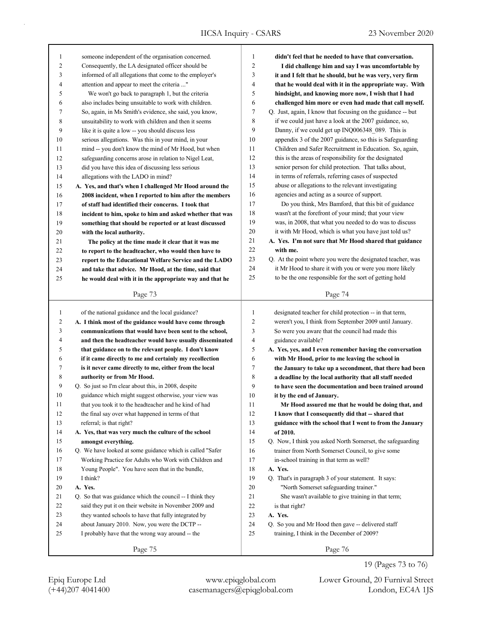| 1              | someone independent of the organisation concerned.        | 1              | didn't feel that he needed to have that conversation.       |
|----------------|-----------------------------------------------------------|----------------|-------------------------------------------------------------|
| 2              | Consequently, the LA designated officer should be         | $\overline{c}$ | I did challenge him and say I was uncomfortable by          |
| 3              | informed of all allegations that come to the employer's   | 3              | it and I felt that he should, but he was very, very firm    |
| 4              | attention and appear to meet the criteria "               | 4              | that he would deal with it in the appropriate way. With     |
| 5              | We won't go back to paragraph 1, but the criteria         | 5              | hindsight, and knowing more now, I wish that I had          |
| 6              | also includes being unsuitable to work with children.     | 6              | challenged him more or even had made that call myself.      |
| 7              | So, again, in Ms Smith's evidence, she said, you know,    | 7              | Q. Just, again, I know that focusing on the guidance -- but |
| 8              | unsuitability to work with children and then it seems     | 8              | if we could just have a look at the 2007 guidance, so,      |
| 9              | like it is quite a low -- you should discuss less         | 9              | Danny, if we could get up INQ006348_089. This is            |
| 10             | serious allegations. Was this in your mind, in your       | 10             | appendix 3 of the 2007 guidance, so this is Safeguarding    |
| 11             | mind -- you don't know the mind of Mr Hood, but when      | 11             | Children and Safer Recruitment in Education. So, again,     |
| 12             | safeguarding concerns arose in relation to Nigel Leat,    | 12             | this is the areas of responsibility for the designated      |
| 13             | did you have this idea of discussing less serious         | 13             | senior person for child protection. That talks about,       |
| 14             | allegations with the LADO in mind?                        | 14             | in terms of referrals, referring cases of suspected         |
| 15             | A. Yes, and that's when I challenged Mr Hood around the   | 15             | abuse or allegations to the relevant investigating          |
| 16             | 2008 incident, when I reported to him after the members   | 16             | agencies and acting as a source of support.                 |
| 17             | of staff had identified their concerns. I took that       | 17             | Do you think, Mrs Bamford, that this bit of guidance        |
| 18             | incident to him, spoke to him and asked whether that was  | 18             | wasn't at the forefront of your mind; that your view        |
| 19             | something that should be reported or at least discussed   | 19             | was, in 2008, that what you needed to do was to discuss     |
| 20             | with the local authority.                                 | 20             | it with Mr Hood, which is what you have just told us?       |
| 21             | The policy at the time made it clear that it was me       | 21             | A. Yes. I'm not sure that Mr Hood shared that guidance      |
| 22             | to report to the headteacher, who would then have to      | 22             | with me.                                                    |
| 23             | report to the Educational Welfare Service and the LADO    | 23             | Q. At the point where you were the designated teacher, was  |
| 24             | and take that advice. Mr Hood, at the time, said that     | 24             | it Mr Hood to share it with you or were you more likely     |
| 25             |                                                           | 25             | to be the one responsible for the sort of getting hold      |
|                | he would deal with it in the appropriate way and that he  |                |                                                             |
|                | Page 73                                                   |                | Page 74                                                     |
|                |                                                           |                |                                                             |
|                |                                                           |                |                                                             |
| 1              | of the national guidance and the local guidance?          | 1              | designated teacher for child protection -- in that term,    |
| $\overline{c}$ | A. I think most of the guidance would have come through   | $\overline{2}$ | weren't you, I think from September 2009 until January.     |
| 3              | communications that would have been sent to the school,   | 3              | So were you aware that the council had made this            |
| 4              | and then the headteacher would have usually disseminated  | $\overline{4}$ | guidance available?                                         |
| 5              | that guidance on to the relevant people. I don't know     | 5              | A. Yes, yes, and I even remember having the conversation    |
| 6              | if it came directly to me and certainly my recollection   | 6              | with Mr Hood, prior to me leaving the school in             |
| 7              | is it never came directly to me, either from the local    | 7              | the January to take up a secondment, that there had been    |
| 8              | authority or from Mr Hood.                                | 8              | a deadline by the local authority that all staff needed     |
| 9              | Q. So just so I'm clear about this, in 2008, despite      | 9              | to have seen the documentation and been trained around      |
| 10             | guidance which might suggest otherwise, your view was     | 10             | it by the end of January.                                   |
| 11             | that you took it to the headteacher and he kind of had    | 11             | Mr Hood assured me that he would be doing that, and         |
| 12             | the final say over what happened in terms of that         | 12             | I know that I consequently did that -- shared that          |
| 13             | referral; is that right?                                  | 13             | guidance with the school that I went to from the January    |
| 14             | A. Yes, that was very much the culture of the school      | 14             | of 2010.                                                    |
| 15             | amongst everything.                                       | 15             | Q. Now, I think you asked North Somerset, the safeguarding  |
| 16             | Q. We have looked at some guidance which is called "Safer | 16             | trainer from North Somerset Council, to give some           |
| 17             | Working Practice for Adults who Work with Children and    | 17             | in-school training in that term as well?                    |
| 18             | Young People". You have seen that in the bundle,          | 18             | A. Yes.                                                     |
| 19             | I think?                                                  | 19             | Q. That's in paragraph 3 of your statement. It says:        |
| 20             | A. Yes.                                                   | 20             | "North Somerset safeguarding trainer."                      |
| 21             | Q. So that was guidance which the council -- I think they | 21             | She wasn't available to give training in that term;         |
| 22             | said they put it on their website in November 2009 and    | 22             | is that right?                                              |
| 23             | they wanted schools to have that fully integrated by      | 23             | A. Yes.                                                     |
| 24             | about January 2010. Now, you were the DCTP --             | 24             | Q. So you and Mr Hood then gave -- delivered staff          |
| 25             | I probably have that the wrong way around -- the          | 25             | training, I think in the December of 2009?                  |
|                | Page 75                                                   |                | Page 76                                                     |

(+44)207 4041400 casemanagers@epiqglobal.com London, EC4A 1JS Epiq Europe Ltd www.epiqglobal.com Lower Ground, 20 Furnival Street

19 (Pages 73 to 76)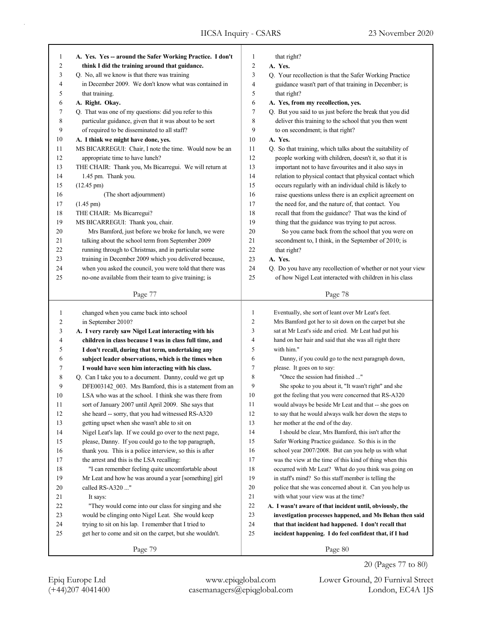| 1      | A. Yes. Yes -- around the Safer Working Practice. I don't | $\mathbf{1}$ | that right?                                                 |
|--------|-----------------------------------------------------------|--------------|-------------------------------------------------------------|
| 2      | think I did the training around that guidance.            | 2            | A. Yes.                                                     |
| 3      | Q. No, all we know is that there was training             | 3            | Q. Your recollection is that the Safer Working Practice     |
| 4      | in December 2009. We don't know what was contained in     | 4            | guidance wasn't part of that training in December; is       |
| 5      | that training.                                            | 5            | that right?                                                 |
| 6      | A. Right. Okay.                                           | 6            | A. Yes, from my recollection, yes.                          |
| 7      | Q. That was one of my questions: did you refer to this    | 7            | Q. But you said to us just before the break that you did    |
| 8      | particular guidance, given that it was about to be sort   | 8            | deliver this training to the school that you then went      |
| 9      | of required to be disseminated to all staff?              | 9            | to on secondment; is that right?                            |
| 10     | A. I think we might have done, yes.                       | 10           | A. Yes.                                                     |
| 11     | MS BICARREGUI: Chair, I note the time. Would now be an    | 11           | Q. So that training, which talks about the suitability of   |
| 12     | appropriate time to have lunch?                           | 12           | people working with children, doesn't it, so that it is     |
| 13     | THE CHAIR: Thank you, Ms Bicarregui. We will return at    | 13           | important not to have favourites and it also says in        |
| 14     | 1.45 pm. Thank you.                                       | 14           | relation to physical contact that physical contact which    |
| 15     | $(12.45 \text{ pm})$                                      | 15           | occurs regularly with an individual child is likely to      |
| 16     | (The short adjournment)                                   | 16           | raise questions unless there is an explicit agreement on    |
| 17     | $(1.45 \text{ pm})$                                       | 17           | the need for, and the nature of, that contact. You          |
| 18     | THE CHAIR: Ms Bicarregui?                                 | 18           | recall that from the guidance? That was the kind of         |
| 19     | MS BICARREGUI: Thank you, chair.                          | 19           | thing that the guidance was trying to put across.           |
| 20     | Mrs Bamford, just before we broke for lunch, we were      | 20           | So you came back from the school that you were on           |
| 21     | talking about the school term from September 2009         | 21           | secondment to, I think, in the September of 2010; is        |
| 22     | running through to Christmas, and in particular some      | 22           | that right?                                                 |
| 23     | training in December 2009 which you delivered because,    | 23           | A. Yes.                                                     |
| 24     | when you asked the council, you were told that there was  | 24           | Q. Do you have any recollection of whether or not your view |
| 25     | no-one available from their team to give training; is     | 25           | of how Nigel Leat interacted with children in his class     |
|        | Page 77                                                   |              | Page 78                                                     |
| 1      | changed when you came back into school                    | $\mathbf{1}$ | Eventually, she sort of leant over Mr Leat's feet.          |
| 2      | in September 2010?                                        | $\sqrt{2}$   | Mrs Bamford got her to sit down on the carpet but she       |
| 3      | A. I very rarely saw Nigel Leat interacting with his      | 3            | sat at Mr Leat's side and cried. Mr Leat had put his        |
| 4      | children in class because I was in class full time, and   | 4            | hand on her hair and said that she was all right there      |
| 5      | I don't recall, during that term, undertaking any         | 5            | with him."                                                  |
| 6      | subject leader observations, which is the times when      | 6            | Danny, if you could go to the next paragraph down,          |
| 7      | I would have seen him interacting with his class.         | 7            | please. It goes on to say:                                  |
| 8      | Q. Can I take you to a document. Danny, could we get up   | 8            | "Once the session had finished "                            |
| 9      | DFE003142_003. Mrs Bamford, this is a statement from an   | 9            | She spoke to you about it, "It wasn't right" and she        |
| 10     | LSA who was at the school. I think she was there from     | 10           | got the feeling that you were concerned that RS-A320        |
| 11     | sort of January 2007 until April 2009. She says that      | $11\,$       | would always be beside Mr Leat and that -- she goes on      |
| 12     | she heard -- sorry, that you had witnessed RS-A320        | 12           | to say that he would always walk her down the steps to      |
| 13     | getting upset when she wasn't able to sit on              | 13           | her mother at the end of the day.                           |
| 14     | Nigel Leat's lap. If we could go over to the next page,   | 14           | I should be clear, Mrs Bamford, this isn't after the        |
| 15     | please, Danny. If you could go to the top paragraph,      | 15           | Safer Working Practice guidance. So this is in the          |
| 16     | thank you. This is a police interview, so this is after   | 16           | school year 2007/2008. But can you help us with what        |
| 17     | the arrest and this is the LSA recalling:                 | 17           | was the view at the time of this kind of thing when this    |
| $18\,$ | "I can remember feeling quite uncomfortable about         | 18           | occurred with Mr Leat? What do you think was going on       |
| 19     | Mr Leat and how he was around a year [something] girl     | 19           | in staff's mind? So this staff member is telling the        |
| 20     | called RS-A320 "                                          | 20           | police that she was concerned about it. Can you help us     |
| 21     | It says:                                                  | 21           | with what your view was at the time?                        |
| 22     | "They would come into our class for singing and she       | 22           | A. I wasn't aware of that incident until, obviously, the    |
| 23     | would be clinging onto Nigel Leat. She would keep         | 23           | investigation processes happened, and Ms Behan then said    |
| 24     | trying to sit on his lap. I remember that I tried to      | 24           | that that incident had happened. I don't recall that        |
| 25     | get her to come and sit on the carpet, but she wouldn't.  | 25           | incident happening. I do feel confident that, if I had      |
|        | Page 79                                                   |              | Page 80                                                     |

(+44)207 4041400 casemanagers@epiqglobal.com London, EC4A 1JS Epiq Europe Ltd www.epiqglobal.com Lower Ground, 20 Furnival Street

20 (Pages 77 to 80)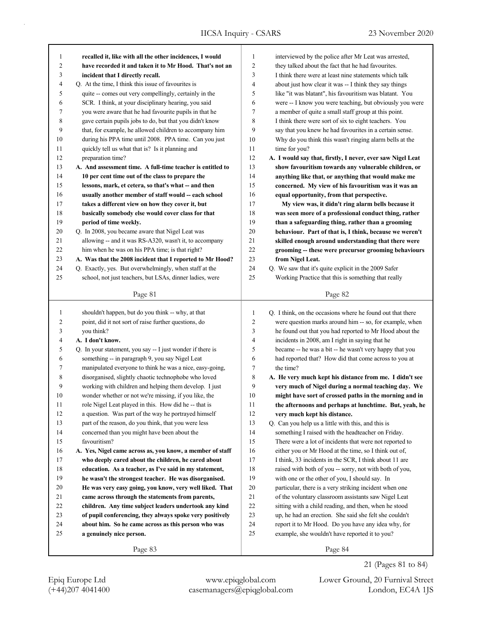| 1      | recalled it, like with all the other incidences, I would   | 1                | interviewed by the police after Mr Leat was arrested,      |
|--------|------------------------------------------------------------|------------------|------------------------------------------------------------|
| 2      | have recorded it and taken it to Mr Hood. That's not an    | $\overline{2}$   | they talked about the fact that he had favourites.         |
| 3      | incident that I directly recall.                           | 3                | I think there were at least nine statements which talk     |
| 4      | Q. At the time, I think this issue of favourites is        | $\overline{4}$   | about just how clear it was -- I think they say things     |
| 5      | quite -- comes out very compellingly, certainly in the     | 5                | like "it was blatant", his favouritism was blatant. You    |
| 6      | SCR. I think, at your disciplinary hearing, you said       | 6                | were -- I know you were teaching, but obviously you were   |
| 7      | you were aware that he had favourite pupils in that he     | 7                | a member of quite a small staff group at this point.       |
| 8      | gave certain pupils jobs to do, but that you didn't know   | 8                | I think there were sort of six to eight teachers. You      |
| 9      | that, for example, he allowed children to accompany him    | 9                | say that you knew he had favourites in a certain sense.    |
| 10     | during his PPA time until 2008. PPA time. Can you just     | 10               | Why do you think this wasn't ringing alarm bells at the    |
| 11     | quickly tell us what that is? Is it planning and           | 11               | time for you?                                              |
| 12     | preparation time?                                          | 12               | A. I would say that, firstly, I never, ever saw Nigel Leat |
| 13     | A. And assessment time. A full-time teacher is entitled to | 13               | show favouritism towards any vulnerable children, or       |
| 14     | 10 per cent time out of the class to prepare the           | 14               | anything like that, or anything that would make me         |
| 15     | lessons, mark, et cetera, so that's what -- and then       | 15               | concerned. My view of his favouritism was it was an        |
| 16     | usually another member of staff would -- each school       | 16               | equal opportunity, from that perspective.                  |
| 17     | takes a different view on how they cover it, but           | 17               | My view was, it didn't ring alarm bells because it         |
| 18     | basically somebody else would cover class for that         | 18               | was seen more of a professional conduct thing, rather      |
| 19     | period of time weekly.                                     | 19               | than a safeguarding thing, rather than a grooming          |
| 20     | Q. In 2008, you became aware that Nigel Leat was           | 20               | behaviour. Part of that is, I think, because we weren't    |
| 21     | allowing -- and it was RS-A320, wasn't it, to accompany    | 21               | skilled enough around understanding that there were        |
| 22     | him when he was on his PPA time; is that right?            | 22               | grooming -- these were precursor grooming behaviours       |
| 23     | A. Was that the 2008 incident that I reported to Mr Hood?  | 23               | from Nigel Leat.                                           |
| 24     | Q. Exactly, yes. But overwhelmingly, when staff at the     | 24               | Q. We saw that it's quite explicit in the 2009 Safer       |
| 25     | school, not just teachers, but LSAs, dinner ladies, were   | 25               | Working Practice that this is something that really        |
|        |                                                            |                  |                                                            |
|        | Page 81                                                    |                  | Page 82                                                    |
|        |                                                            |                  |                                                            |
|        |                                                            |                  |                                                            |
| 1      | shouldn't happen, but do you think -- why, at that         | $\mathbf{1}$     | Q. I think, on the occasions where he found out that there |
| 2      | point, did it not sort of raise further questions, do      | $\boldsymbol{2}$ | were question marks around him -- so, for example, when    |
| 3      | you think?                                                 | 3                | he found out that you had reported to Mr Hood about the    |
| 4      | A. I don't know.                                           | 4                | incidents in 2008, am I right in saying that he            |
| 5      | Q. In your statement, you say -- I just wonder if there is | 5                | became -- he was a bit -- he wasn't very happy that you    |
| 6      | something -- in paragraph 9, you say Nigel Leat            | 6                | had reported that? How did that come across to you at      |
| 7      | manipulated everyone to think he was a nice, easy-going,   | 7                | the time?                                                  |
| 8      | disorganised, slightly chaotic technophobe who loved       | $\,$ 8 $\,$      | A. He very much kept his distance from me. I didn't see    |
| 9      | working with children and helping them develop. I just     | 9                | very much of Nigel during a normal teaching day. We        |
| 10     | wonder whether or not we're missing, if you like, the      | 10               | might have sort of crossed paths in the morning and in     |
| $11\,$ | role Nigel Leat played in this. How did he-- that is       | 11               | the afternoons and perhaps at lunchtime. But, yeah, he     |
| 12     | a question. Was part of the way he portrayed himself       | 12               | very much kept his distance.                               |
| 13     | part of the reason, do you think, that you were less       | 13               | Q. Can you help us a little with this, and this is         |
| 14     | concerned than you might have been about the               | 14               | something I raised with the headteacher on Friday.         |
| 15     | favouritism?                                               | 15               | There were a lot of incidents that were not reported to    |
| 16     | A. Yes, Nigel came across as, you know, a member of staff  | 16               | either you or Mr Hood at the time, so I think out of,      |
| 17     | who deeply cared about the children, he cared about        | 17               | I think, 33 incidents in the SCR, I think about 11 are     |
| 18     | education. As a teacher, as I've said in my statement,     | 18               | raised with both of you -- sorry, not with both of you,    |
| 19     | he wasn't the strongest teacher. He was disorganised.      | 19               | with one or the other of you, I should say. In             |
| 20     | He was very easy going, you know, very well liked. That    | 20               | particular, there is a very striking incident when one     |
| 21     | came across through the statements from parents,           | 21               | of the voluntary classroom assistants saw Nigel Leat       |
| 22     | children. Any time subject leaders undertook any kind      | 22               | sitting with a child reading, and then, when he stood      |
| 23     | of pupil conferencing, they always spoke very positively   | 23               | up, he had an erection. She said she felt she couldn't     |
| 24     | about him. So he came across as this person who was        | 24               | report it to Mr Hood. Do you have any idea why, for        |
| 25     | a genuinely nice person.                                   | 25               | example, she wouldn't have reported it to you?             |
|        | Page 83                                                    |                  | Page 84                                                    |

(+44)207 4041400 casemanagers@epiqglobal.com London, EC4A 1JS Epiq Europe Ltd www.epiqglobal.com Lower Ground, 20 Furnival Street

21 (Pages 81 to 84)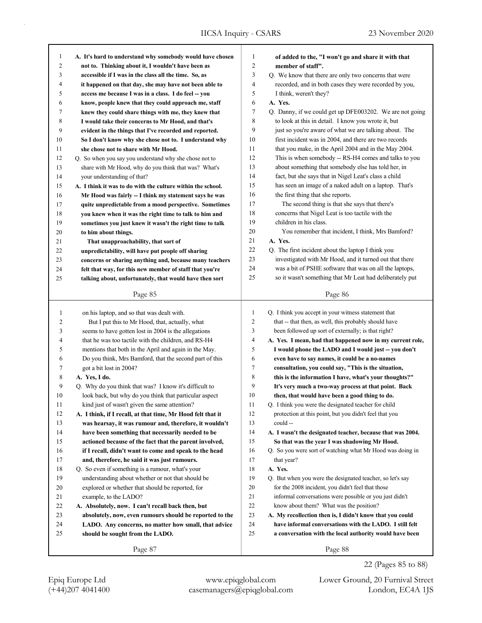| 1  | A. It's hard to understand why somebody would have chosen   | $\mathbf{1}$   | of added to the, "I won't go and share it with that        |
|----|-------------------------------------------------------------|----------------|------------------------------------------------------------|
| 2  | not to. Thinking about it, I wouldn't have been as          | $\overline{c}$ | member of staff".                                          |
| 3  | accessible if I was in the class all the time. So, as       | 3              | Q. We know that there are only two concerns that were      |
| 4  | it happened on that day, she may have not been able to      | 4              | recorded, and in both cases they were recorded by you,     |
| 5  | access me because I was in a class. I do feel -- you        | 5              | I think, weren't they?                                     |
| 6  | know, people knew that they could approach me, staff        | 6              | A. Yes.                                                    |
| 7  | knew they could share things with me, they knew that        | 7              | Q. Danny, if we could get up DFE003202. We are not going   |
| 8  | I would take their concerns to Mr Hood, and that's          | 8              | to look at this in detail. I know you wrote it, but        |
| 9  | evident in the things that I've recorded and reported.      | 9              | just so you're aware of what we are talking about. The     |
| 10 | So I don't know why she chose not to. I understand why      | 10             | first incident was in 2004, and there are two records      |
| 11 | she chose not to share with Mr Hood.                        | 11             | that you make, in the April 2004 and in the May 2004.      |
| 12 | Q. So when you say you understand why she chose not to      | 12             | This is when somebody -- RS-H4 comes and talks to you      |
| 13 | share with Mr Hood, why do you think that was? What's       | 13             | about something that somebody else has told her, in        |
| 14 | your understanding of that?                                 | 14             | fact, but she says that in Nigel Leat's class a child      |
| 15 | A. I think it was to do with the culture within the school. | 15             | has seen an image of a naked adult on a laptop. That's     |
| 16 | Mr Hood was fairly -- I think my statement says he was      | 16             | the first thing that she reports.                          |
| 17 | quite unpredictable from a mood perspective. Sometimes      | 17             | The second thing is that she says that there's             |
| 18 | you knew when it was the right time to talk to him and      | 18             | concerns that Nigel Leat is too tactile with the           |
| 19 | sometimes you just knew it wasn't the right time to talk    | 19             | children in his class.                                     |
| 20 | to him about things.                                        | 20             | You remember that incident, I think, Mrs Bamford?          |
| 21 | That unapproachability, that sort of                        | 21             | A. Yes.                                                    |
| 22 | unpredictability, will have put people off sharing          | 22             | Q. The first incident about the laptop I think you         |
| 23 | concerns or sharing anything and, because many teachers     | 23             | investigated with Mr Hood, and it turned out that there    |
| 24 | felt that way, for this new member of staff that you're     | 24             | was a bit of PSHE software that was on all the laptops,    |
| 25 | talking about, unfortunately, that would have then sort     | 25             | so it wasn't something that Mr Leat had deliberately put   |
|    | Page 85                                                     |                | Page 86                                                    |
|    |                                                             |                |                                                            |
|    |                                                             |                |                                                            |
| 1  | on his laptop, and so that was dealt with.                  | $\mathbf{1}$   | Q. I think you accept in your witness statement that       |
| 2  | But I put this to Mr Hood, that, actually, what             | $\overline{c}$ | that -- that then, as well, this probably should have      |
| 3  | seems to have gotten lost in 2004 is the allegations        | 3              | been followed up sort of externally; is that right?        |
| 4  | that he was too tactile with the children, and RS-H4        | $\overline{4}$ | A. Yes. I mean, had that happened now in my current role,  |
| 5  | mentions that both in the April and again in the May.       | 5              | I would phone the LADO and I would just -- you don't       |
| 6  | Do you think, Mrs Bamford, that the second part of this     | 6              | even have to say names, it could be a no-names             |
| 7  | got a bit lost in 2004?                                     | 7              | consultation, you could say, "This is the situation,       |
| 8  | A. Yes, I do.                                               | $\,$ 8 $\,$    | this is the information I have, what's your thoughts?"     |
| 9  | Q. Why do you think that was? I know it's difficult to      | 9              | It's very much a two-way process at that point. Back       |
| 10 | look back, but why do you think that particular aspect      | 10             | then, that would have been a good thing to do.             |
| 11 | kind just of wasn't given the same attention?               | 11             | Q. I think you were the designated teacher for child       |
| 12 | A. I think, if I recall, at that time, Mr Hood felt that it | 12             | protection at this point, but you didn't feel that you     |
| 13 | was hearsay, it was rumour and, therefore, it wouldn't      | 13             | could --                                                   |
| 14 | have been something that necessarily needed to be           | 14             | A. I wasn't the designated teacher, because that was 2004. |
| 15 | actioned because of the fact that the parent involved,      | 15             | So that was the year I was shadowing Mr Hood.              |
| 16 | if I recall, didn't want to come and speak to the head      | 16             | Q. So you were sort of watching what Mr Hood was doing in  |
| 17 | and, therefore, he said it was just rumours.                | 17             | that year?                                                 |
| 18 | Q. So even if something is a rumour, what's your            | 18             | A. Yes.                                                    |
| 19 | understanding about whether or not that should be           | 19             | Q. But when you were the designated teacher, so let's say  |
| 20 | explored or whether that should be reported, for            | 20             | for the 2008 incident, you didn't feel that those          |
| 21 | example, to the LADO?                                       | 21             | informal conversations were possible or you just didn't    |
| 22 | A. Absolutely, now. I can't recall back then, but           | 22             | know about them? What was the position?                    |
| 23 | absolutely, now, even rumours should be reported to the     | 23             | A. My recollection then is, I didn't know that you could   |
| 24 | LADO. Any concerns, no matter how small, that advice        | 24             | have informal conversations with the LADO. I still felt    |
| 25 | should be sought from the LADO.                             | 25             | a conversation with the local authority would have been    |
|    | Page 87                                                     |                | Page 88                                                    |

22 (Pages 85 to 88)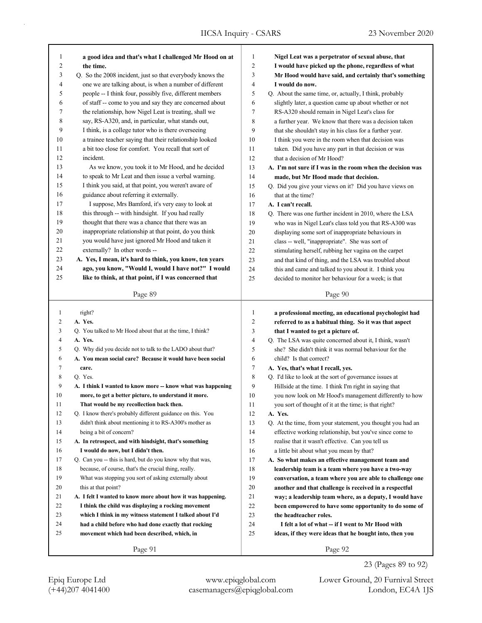٦

|    | a good idea and that's what I challenged Mr Hood on at      | $\mathbf{1}$   | Nigel Leat was a perpetrator of sexual abuse, that          |
|----|-------------------------------------------------------------|----------------|-------------------------------------------------------------|
| 2  | the time.                                                   | $\overline{2}$ | I would have picked up the phone, regardless of what        |
| 3  | Q. So the 2008 incident, just so that everybody knows the   | 3              | Mr Hood would have said, and certainly that's something     |
| 4  | one we are talking about, is when a number of different     | 4              | I would do now.                                             |
| 5  | people -- I think four, possibly five, different members    | 5              | Q. About the same time, or, actually, I think, probably     |
| 6  | of staff -- come to you and say they are concerned about    | 6              | slightly later, a question came up about whether or not     |
| 7  | the relationship, how Nigel Leat is treating, shall we      | 7              | RS-A320 should remain in Nigel Leat's class for             |
| 8  | say, RS-A320, and, in particular, what stands out,          | 8              | a further year. We know that there was a decision taken     |
| 9  | I think, is a college tutor who is there overseeing         | 9              | that she shouldn't stay in his class for a further year.    |
| 10 | a trainee teacher saying that their relationship looked     | 10             | I think you were in the room when that decision was         |
| 11 | a bit too close for comfort. You recall that sort of        | 11             | taken. Did you have any part in that decision or was        |
| 12 | incident.                                                   | 12             | that a decision of Mr Hood?                                 |
| 13 | As we know, you took it to Mr Hood, and he decided          | 13             | A. I'm not sure if I was in the room when the decision was  |
| 14 | to speak to Mr Leat and then issue a verbal warning.        | 14             | made, but Mr Hood made that decision.                       |
| 15 | I think you said, at that point, you weren't aware of       | 15             | Q. Did you give your views on it? Did you have views on     |
| 16 | guidance about referring it externally.                     | 16             | that at the time?                                           |
| 17 | I suppose, Mrs Bamford, it's very easy to look at           | 17             | A. I can't recall.                                          |
| 18 | this through -- with hindsight. If you had really           | 18             | Q. There was one further incident in 2010, where the LSA    |
| 19 | thought that there was a chance that there was an           | 19             | who was in Nigel Leat's class told you that RS-A300 was     |
| 20 | inappropriate relationship at that point, do you think      | 20             | displaying some sort of inappropriate behaviours in         |
| 21 | you would have just ignored Mr Hood and taken it            | 21             | class -- well, "inappropriate". She was sort of             |
| 22 | externally? In other words --                               | 22             | stimulating herself, rubbing her vagina on the carpet       |
| 23 | A. Yes, I mean, it's hard to think, you know, ten years     | 23             | and that kind of thing, and the LSA was troubled about      |
| 24 | ago, you know, "Would I, would I have not?" I would         | 24             | this and came and talked to you about it. I think you       |
| 25 | like to think, at that point, if I was concerned that       | 25             | decided to monitor her behaviour for a week; is that        |
|    | Page 89                                                     |                | Page 90                                                     |
| 1  | right?                                                      | $\mathbf{1}$   | a professional meeting, an educational psychologist had     |
| 2  | A. Yes.                                                     | 2              | referred to as a habitual thing. So it was that aspect      |
| 3  | Q. You talked to Mr Hood about that at the time, I think?   | 3              | that I wanted to get a picture of.                          |
| 4  | A. Yes.                                                     | 4              | Q. The LSA was quite concerned about it, I think, wasn't    |
|    | Q. Why did you decide not to talk to the LADO about that?   |                |                                                             |
| 5  |                                                             | 5              | she? She didn't think it was normal behaviour for the       |
| 6  | A. You mean social care? Because it would have been social  | 6              | child? Is that correct?                                     |
| 7  | care.                                                       | 7              | A. Yes, that's what I recall, yes.                          |
| 8  | Q. Yes.                                                     | 8              | Q. I'd like to look at the sort of governance issues at     |
| 9  | A. I think I wanted to know more -- know what was happening | 9              | Hillside at the time. I think I'm right in saying that      |
| 10 | more, to get a better picture, to understand it more.       | 10             | you now look on Mr Hood's management differently to how     |
| 11 | That would be my recollection back then.                    | 11             | you sort of thought of it at the time; is that right?       |
| 12 | Q. I know there's probably different guidance on this. You  | 12             | A. Yes.                                                     |
| 13 | didn't think about mentioning it to RS-A300's mother as     | 13             | Q. At the time, from your statement, you thought you had an |
| 14 | being a bit of concern?                                     | 14             | effective working relationship, but you've since come to    |
| 15 | A. In retrospect, and with hindsight, that's something      | 15             | realise that it wasn't effective. Can you tell us           |
| 16 | I would do now, but I didn't then.                          | 16             | a little bit about what you mean by that?                   |
| 17 | Q. Can you -- this is hard, but do you know why that was,   | 17             | A. So what makes an effective management team and           |
| 18 | because, of course, that's the crucial thing, really.       | 18             | leadership team is a team where you have a two-way          |
| 19 | What was stopping you sort of asking externally about       | 19             | conversation, a team where you are able to challenge one    |
| 20 | this at that point?                                         | 20             | another and that challenge is received in a respectful      |
| 21 | A. I felt I wanted to know more about how it was happening. | 21             | way; a leadership team where, as a deputy, I would have     |
| 22 | I think the child was displaying a rocking movement         | 22             | been empowered to have some opportunity to do some of       |
| 23 | which I think in my witness statement I talked about I'd    | 23             | the headteacher roles.                                      |
| 24 | had a child before who had done exactly that rocking        | 24             | I felt a lot of what -- if I went to Mr Hood with           |
| 25 | movement which had been described, which, in                | 25             | ideas, if they were ideas that he bought into, then you     |

23 (Pages 89 to 92)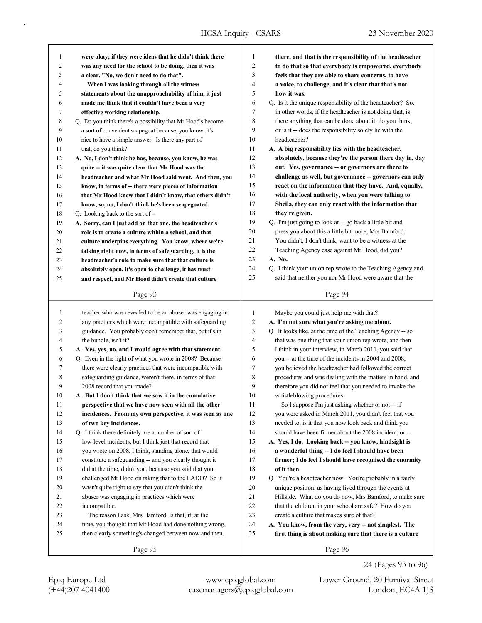| 1                | were okay; if they were ideas that he didn't think there    | 1              | there, and that is the responsibility of the headteacher   |
|------------------|-------------------------------------------------------------|----------------|------------------------------------------------------------|
| $\overline{c}$   | was any need for the school to be doing, then it was        | 2              | to do that so that everybody is empowered, everybody       |
| 3                | a clear, "No, we don't need to do that".                    | 3              | feels that they are able to share concerns, to have        |
| 4                | When I was looking through all the witness                  | 4              | a voice, to challenge, and it's clear that that's not      |
| 5                | statements about the unapproachability of him, it just      | 5              | how it was.                                                |
| 6                | made me think that it couldn't have been a very             | 6              | Q. Is it the unique responsibility of the headteacher? So, |
| 7                | effective working relationship.                             | 7              | in other words, if the headteacher is not doing that, is   |
| 8                | Q. Do you think there's a possibility that Mr Hood's become | 8              | there anything that can be done about it, do you think,    |
| 9                | a sort of convenient scapegoat because, you know, it's      | 9              | or is it -- does the responsibility solely lie with the    |
| 10               | nice to have a simple answer. Is there any part of          | 10             | headteacher?                                               |
| 11               | that, do you think?                                         | 11             | A. A big responsibility lies with the headteacher,         |
| 12               | A. No, I don't think he has, because, you know, he was      | 12             | absolutely, because they're the person there day in, day   |
| 13               | quite -- it was quite clear that Mr Hood was the            | 13             | out. Yes, governance -- or governors are there to          |
| 14               | headteacher and what Mr Hood said went. And then, you       | 14             | challenge as well, but governance -- governors can only    |
| 15               | know, in terms of -- there were pieces of information       | 15             | react on the information that they have. And, equally,     |
| 16               | that Mr Hood knew that I didn't know, that others didn't    | 16             | with the local authority, when you were talking to         |
| 17               | know, so, no, I don't think he's been scapegoated.          | 17             | Sheila, they can only react with the information that      |
| $18\,$           | Q. Looking back to the sort of --                           | 18             | they're given.                                             |
| 19               | A. Sorry, can I just add on that one, the headteacher's     | 19             | Q. I'm just going to look at -- go back a little bit and   |
| 20               | role is to create a culture within a school, and that       | 20             | press you about this a little bit more, Mrs Bamford.       |
| 21               | culture underpins everything. You know, where we're         | 21             | You didn't, I don't think, want to be a witness at the     |
| 22               | talking right now, in terms of safeguarding, it is the      | 22             | Teaching Agency case against Mr Hood, did you?             |
| 23               | headteacher's role to make sure that that culture is        | 23             | A. No.                                                     |
| 24               | absolutely open, it's open to challenge, it has trust       | 24             | Q. I think your union rep wrote to the Teaching Agency and |
| 25               | and respect, and Mr Hood didn't create that culture         | 25             | said that neither you nor Mr Hood were aware that the      |
|                  |                                                             |                |                                                            |
|                  | Page 93                                                     |                | Page 94                                                    |
|                  |                                                             |                |                                                            |
|                  |                                                             |                |                                                            |
| 1                | teacher who was revealed to be an abuser was engaging in    | $\mathbf{1}$   | Maybe you could just help me with that?                    |
| $\boldsymbol{2}$ | any practices which were incompatible with safeguarding     | $\overline{c}$ | A. I'm not sure what you're asking me about.               |
| 3                | guidance. You probably don't remember that, but it's in     | 3              | Q. It looks like, at the time of the Teaching Agency -- so |
| 4                | the bundle, isn't it?                                       | 4              | that was one thing that your union rep wrote, and then     |
| 5                | A. Yes, yes, no, and I would agree with that statement.     | 5              | I think in your interview, in March 2011, you said that    |
| 6                | Q. Even in the light of what you wrote in 2008? Because     | 6              | you -- at the time of the incidents in 2004 and 2008,      |
| 7                | there were clearly practices that were incompatible with    | 7              | you believed the headteacher had followed the correct      |
| 8                | safeguarding guidance, weren't there, in terms of that      | 8              | procedures and was dealing with the matters in hand, and   |
| 9                | 2008 record that you made?                                  | 9              | therefore you did not feel that you needed to invoke the   |
| 10               | A. But I don't think that we saw it in the cumulative       | 10             | whistleblowing procedures.                                 |
| 11               | perspective that we have now seen with all the other        | 11             | So I suppose I'm just asking whether or not -- if          |
| $12\,$           | incidences. From my own perspective, it was seen as one     | 12             | you were asked in March 2011, you didn't feel that you     |
| 13               | of two key incidences.                                      | 13             | needed to, is it that you now look back and think you      |
| 14               | Q. I think there definitely are a number of sort of         | 14             | should have been firmer about the 2008 incident, or --     |
| 15               | low-level incidents, but I think just that record that      | 15             | A. Yes, I do. Looking back -- you know, hindsight is       |
| 16               | you wrote on 2008, I think, standing alone, that would      | 16             | a wonderful thing -- I do feel I should have been          |
| 17               | constitute a safeguarding -- and you clearly thought it     | 17             | firmer; I do feel I should have recognised the enormity    |
| $18\,$           | did at the time, didn't you, because you said that you      | 18             | of it then.                                                |
| 19               | challenged Mr Hood on taking that to the LADO? So it        | 19             | Q. You're a headteacher now. You're probably in a fairly   |
| 20               | wasn't quite right to say that you didn't think the         | 20             | unique position, as having lived through the events at     |
| 21               | abuser was engaging in practices which were                 | 21             | Hillside. What do you do now, Mrs Bamford, to make sure    |
| $22\,$           | incompatible.                                               | 22             | that the children in your school are safe? How do you      |
| 23               | The reason I ask, Mrs Bamford, is that, if, at the          | 23             | create a culture that makes sure of that?                  |
| 24               | time, you thought that Mr Hood had done nothing wrong,      | 24             | A. You know, from the very, very -- not simplest. The      |
| 25               | then clearly something's changed between now and then.      | 25             | first thing is about making sure that there is a culture   |
|                  | Page 95                                                     |                | Page 96                                                    |

Epiq Europe Ltd www.epiqglobal.com Lower Ground, 20 Furnival Street

24 (Pages 93 to 96)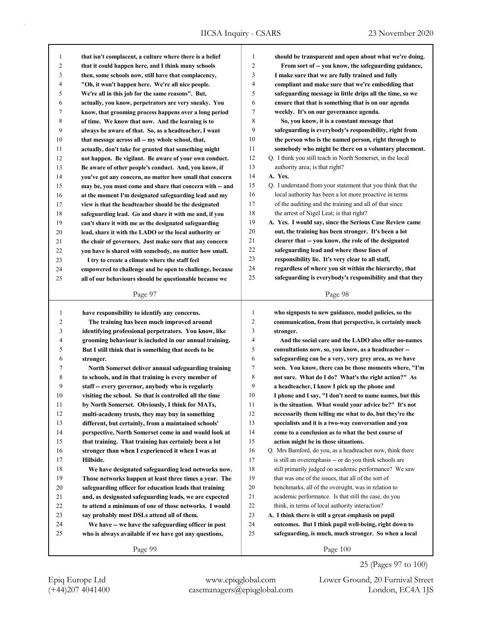| 1              | that isn't complacent, a culture where there is a belief | $\mathbf{1}$   | should be transparent and open about what we're doing.      |
|----------------|----------------------------------------------------------|----------------|-------------------------------------------------------------|
| $\overline{c}$ | that it could happen here, and I think many schools      | 2              | From sort of -- you know, the safeguarding guidance,        |
| 3              | then, some schools now, still have that complacency,     | 3              | I make sure that we are fully trained and fully             |
| 4              | "Oh, it won't happen here. We're all nice people.        | 4              | compliant and make sure that we're embedding that           |
| 5              | We're all in this job for the same reasons". But,        | 5              | safeguarding message in little drips all the time, so we    |
| 6              | actually, you know, perpetrators are very sneaky. You    | 6              | ensure that that is something that is on our agenda         |
| 7              | know, that grooming process happens over a long period   | 7              | weekly. It's on our governance agenda.                      |
| 8              | of time. We know that now. And the learning is to        | 8              | So, you know, it is a constant message that                 |
| 9              | always be aware of that. So, as a headteacher, I want    | 9              | safeguarding is everybody's responsibility, right from      |
| 10             | that message across all -- my whole school, that,        | 10             | the person who is the named person, right through to        |
| 11             | actually, don't take for granted that something might    | 11             | somebody who might be there on a voluntary placement.       |
| 12             | not happen. Be vigilant. Be aware of your own conduct.   | 12             | Q. I think you still teach in North Somerset, in the local  |
| 13             | Be aware of other people's conduct. And, you know, if    | 13             | authority area; is that right?                              |
| 14             | you've got any concern, no matter how small that concern | 14             | A. Yes.                                                     |
| 15             | may be, you must come and share that concern with -- and | 15             | Q. I understand from your statement that you think that the |
| 16             | at the moment I'm designated safeguarding lead and my    | 16             | local authority has been a lot more proactive in terms      |
| 17             | view is that the headteacher should be the designated    | 17             | of the auditing and the training and all of that since      |
| 18             | safeguarding lead. Go and share it with me and, if you   | 18             | the arrest of Nigel Leat; is that right?                    |
| 19             | can't share it with me as the designated safeguarding    | 19             | A. Yes. I would say, since the Serious Case Review came     |
| 20             | lead, share it with the LADO or the local authority or   | 20             | out, the training has been stronger. It's been a lot        |
| 21             | the chair of governors. Just make sure that any concern  | 21             | clearer that -- you know, the role of the designated        |
| 22             | you have is shared with somebody, no matter how small.   | $22\,$         | safeguarding lead and where those lines of                  |
| 23             | I try to create a climate where the staff feel           | 23             | responsibility lie. It's very clear to all staff,           |
| 24             | empowered to challenge and be open to challenge, because | 24             | regardless of where you sit within the hierarchy, that      |
| 25             | all of our behaviours should be questionable because we  | 25             | safeguarding is everybody's responsibility and that they    |
|                |                                                          |                |                                                             |
|                | Page 97                                                  |                | Page 98                                                     |
|                |                                                          |                |                                                             |
|                |                                                          |                |                                                             |
| $\mathbf{1}$   | have responsibility to identify any concerns.            | $\mathbf{1}$   | who signposts to new guidance, model policies, so the       |
| 2              | The training has been much improved around               | $\overline{c}$ | communication, from that perspective, is certainly much     |
| 3              | identifying professional perpetrators. You know, like    | 3              | stronger.                                                   |
| 4              | grooming behaviour is included in our annual training.   | 4              | And the social care and the LADO also offer no-names        |
| 5              | But I still think that is something that needs to be     | 5              | consultations now, so, you know, as a headteacher --        |
| 6              | stronger.                                                | 6              | safeguarding can be a very, very grey area, as we have      |
| 7              | North Somerset deliver annual safeguarding training      | 7              | seen. You know, there can be those moments where, "I'm      |
| 8              | to schools, and in that training is every member of      | 8              | not sure. What do I do? What's the right action?" As        |
| 9              | staff -- every governor, anybody who is regularly        | 9              | a headteacher, I know I pick up the phone and               |
| 10             | visiting the school. So that is controlled all the time  | 10             | I phone and I say, "I don't need to name names, but this    |
| 11             | by North Somerset. Obviously, I think for MATs,          | 11             | is the situation. What would your advice be?" It's not      |
| 12             | multi-academy trusts, they may buy in something          | 12             | necessarily them telling me what to do, but they're the     |
| 13             | different, but certainly, from a maintained schools'     | 13             | specialists and it is a two-way conversation and you        |
| 14             | perspective, North Somerset come in and would look at    | 14             | come to a conclusion as to what the best course of          |
| 15             | that training. That training has certainly been a lot    | 15             | action might be in those situations.                        |
| 16             | stronger than when I experienced it when I was at        | 16             | Q. Mrs Bamford, do you, as a headteacher now, think there   |
| 17             | Hillside.                                                | 17             | is still an overemphasis -- or do you think schools are     |
| 18             | We have designated safeguarding lead networks now.       | 18             | still primarily judged on academic performance? We saw      |
| 19             | Those networks happen at least three times a year. The   | 19             | that was one of the issues, that all of the sort of         |
| 20             | safeguarding officer for education leads that training   | $20\,$         | benchmarks, all of the oversight, was in relation to        |
| 21             | and, as designated safeguarding leads, we are expected   | 21             | academic performance. Is that still the case, do you        |
| $22\,$         | to attend a minimum of one of those networks. I would    | 22             | think, in terms of local authority interaction?             |
| 23             | say probably most DSLs attend all of them.               | 23             | A. I think there is still a great emphasis on pupil         |
| 24             | We have -- we have the safeguarding officer in post      | 24             | outcomes. But I think pupil well-being, right down to       |
| 25             | who is always available if we have got any questions,    | 25             | safeguarding, is much, much stronger. So when a local       |
|                | Page 99                                                  |                | Page 100                                                    |

25 (Pages 97 to 100)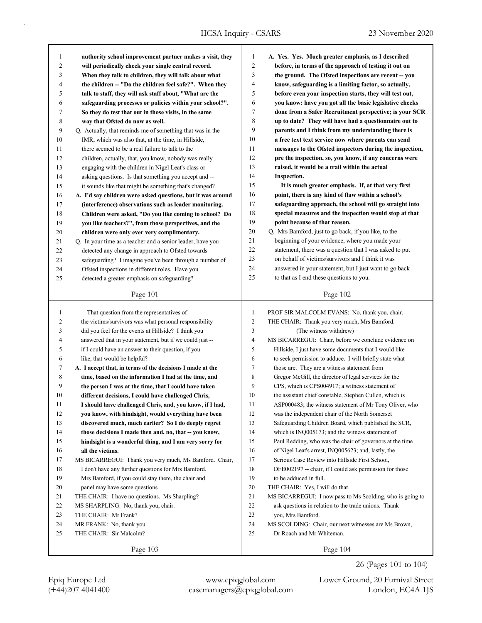| 1<br>$\overline{c}$ |                                                             |                |                                                           |
|---------------------|-------------------------------------------------------------|----------------|-----------------------------------------------------------|
|                     | authority school improvement partner makes a visit, they    | $\mathbf{1}$   | A. Yes. Yes. Much greater emphasis, as I described        |
|                     | will periodically check your single central record.         | $\overline{c}$ | before, in terms of the approach of testing it out on     |
| 3                   | When they talk to children, they will talk about what       | 3              | the ground. The Ofsted inspections are recent -- you      |
| 4                   | the children -- "Do the children feel safe?". When they     | 4              | know, safeguarding is a limiting factor, so actually,     |
| 5                   | talk to staff, they will ask staff about, "What are the     | 5              | before even your inspection starts, they will test out,   |
| 6                   | safeguarding processes or policies within your school?".    | 6              | you know: have you got all the basic legislative checks   |
| 7                   | So they do test that out in those visits, in the same       | 7              | done from a Safer Recruitment perspective; is your SCR    |
| 8                   | way that Ofsted do now as well.                             | 8              | up to date? They will have had a questionnaire out to     |
| 9                   | Q. Actually, that reminds me of something that was in the   | 9              | parents and I think from my understanding there is        |
| 10                  | IMR, which was also that, at the time, in Hillside,         | 10             | a free text text service now where parents can send       |
| 11                  | there seemed to be a real failure to talk to the            | 11             | messages to the Ofsted inspectors during the inspection,  |
| 12                  | children, actually, that, you know, nobody was really       | 12             | pre the inspection, so, you know, if any concerns were    |
| 13                  | engaging with the children in Nigel Leat's class or         | 13             | raised, it would be a trail within the actual             |
| 14                  | asking questions. Is that something you accept and --       | 14             | Inspection.                                               |
| 15                  | it sounds like that might be something that's changed?      | 15             | It is much greater emphasis. If, at that very first       |
| 16                  | A. I'd say children were asked questions, but it was around | 16             | point, there is any kind of flaw within a school's        |
| 17                  | (interference) observations such as leader monitoring.      | 17             | safeguarding approach, the school will go straight into   |
| 18                  | Children were asked, "Do you like coming to school? Do      | 18             | special measures and the inspection would stop at that    |
| 19                  | you like teachers?", from those perspectives, and the       | 19             | point because of that reason.                             |
| 20                  | children were only ever very complimentary.                 | 20             | Q. Mrs Bamford, just to go back, if you like, to the      |
| 21                  | Q. In your time as a teacher and a senior leader, have you  | 21             | beginning of your evidence, where you made your           |
| 22                  | detected any change in approach to Ofsted towards           | 22             | statement, there was a question that I was asked to put   |
| 23                  | safeguarding? I imagine you've been through a number of     | 23             | on behalf of victims/survivors and I think it was         |
| 24                  | Ofsted inspections in different roles. Have you             | 24             | answered in your statement, but I just want to go back    |
| 25                  | detected a greater emphasis on safeguarding?                | 25             | to that as I end these questions to you.                  |
|                     |                                                             |                |                                                           |
|                     | Page 101                                                    |                | Page 102                                                  |
| $\mathbf{1}$        | That question from the representatives of                   | $\mathbf{1}$   | PROF SIR MALCOLM EVANS: No, thank you, chair.             |
| $\overline{2}$      | the victims/survivors was what personal responsibility      | $\sqrt{2}$     | THE CHAIR: Thank you very much, Mrs Bamford.              |
|                     |                                                             |                |                                                           |
|                     |                                                             |                |                                                           |
| 3                   | did you feel for the events at Hillside? I think you        | $\mathfrak{Z}$ | (The witness withdrew)                                    |
| $\overline{4}$      | answered that in your statement, but if we could just --    | $\overline{4}$ | MS BICARREGUI: Chair, before we conclude evidence on      |
| 5                   | if I could have an answer to their question, if you         | 5              | Hillside, I just have some documents that I would like    |
| 6                   | like, that would be helpful?                                | 6              | to seek permission to adduce. I will briefly state what   |
| 7                   | A. I accept that, in terms of the decisions I made at the   | $\overline{7}$ | those are. They are a witness statement from              |
| 8                   | time, based on the information I had at the time, and       | 8              | Gregor McGill, the director of legal services for the     |
| 9                   | the person I was at the time, that I could have taken       | 9              | CPS, which is CPS004917; a witness statement of           |
| 10                  | different decisions, I could have challenged Chris,         | 10             | the assistant chief constable, Stephen Cullen, which is   |
| 11                  | I should have challenged Chris, and, you know, if I had,    | 11             | ASP000483; the witness statement of Mr Tony Oliver, who   |
| 12                  | you know, with hindsight, would everything have been        | 12             | was the independent chair of the North Somerset           |
| 13                  | discovered much, much earlier? So I do deeply regret        | 13             | Safeguarding Children Board, which published the SCR,     |
| 14                  | those decisions I made then and, no, that -- you know,      | 14             | which is INQ005173; and the witness statement of          |
| 15                  | hindsight is a wonderful thing, and I am very sorry for     | 15             | Paul Redding, who was the chair of governors at the time  |
| 16                  | all the victims.                                            | 16             | of Nigel Leat's arrest, INQ005623; and, lastly, the       |
| 17                  | MS BICARREGUI: Thank you very much, Ms Bamford. Chair,      | 17             | Serious Case Review into Hillside First School,           |
| 18                  | I don't have any further questions for Mrs Bamford.         | 18             | DFE002197 -- chair, if I could ask permission for those   |
| 19                  | Mrs Bamford, if you could stay there, the chair and         | 19             | to be adduced in full.                                    |
| 20                  | panel may have some questions.                              | 20             | THE CHAIR: Yes, I will do that.                           |
| 21                  | THE CHAIR: I have no questions. Ms Sharpling?               | 21             | MS BICARREGUI: I now pass to Ms Scolding, who is going to |
| 22                  | MS SHARPLING: No, thank you, chair.                         | 22             | ask questions in relation to the trade unions. Thank      |
| 23                  | THE CHAIR: Mr Frank?                                        | 23             | you, Mrs Bamford.                                         |
| 24                  | MR FRANK: No, thank you.                                    | 24             | MS SCOLDING: Chair, our next witnesses are Ms Brown,      |
| 25                  | THE CHAIR: Sir Malcolm?                                     | 25             | Dr Roach and Mr Whiteman.                                 |

(+44)207 4041400 casemanagers@epiqglobal.com London, EC4A 1JS

Epiq Europe Ltd www.epiqglobal.com Lower Ground, 20 Furnival Street

26 (Pages 101 to 104)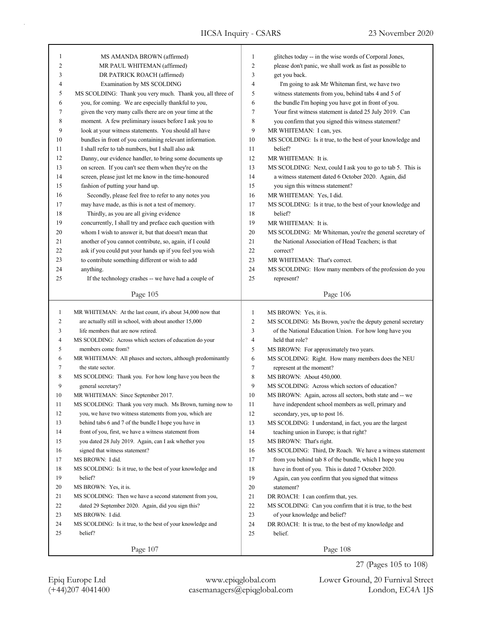| 1              | MS AMANDA BROWN (affirmed)                                  | $\mathbf{1}$   | glitches today -- in the wise words of Corporal Jones,     |
|----------------|-------------------------------------------------------------|----------------|------------------------------------------------------------|
| 2              | MR PAUL WHITEMAN (affirmed)                                 | $\overline{c}$ | please don't panic, we shall work as fast as possible to   |
| 3              | DR PATRICK ROACH (affirmed)                                 | 3              | get you back.                                              |
| 4              | Examination by MS SCOLDING                                  | 4              | I'm going to ask Mr Whiteman first, we have two            |
| 5              | MS SCOLDING: Thank you very much. Thank you, all three of   | 5              | witness statements from you, behind tabs 4 and 5 of        |
| 6              | you, for coming. We are especially thankful to you,         | 6              | the bundle I'm hoping you have got in front of you.        |
| 7              | given the very many calls there are on your time at the     | 7              | Your first witness statement is dated 25 July 2019. Can    |
| 8              | moment. A few preliminary issues before I ask you to        | 8              | you confirm that you signed this witness statement?        |
| 9              | look at your witness statements. You should all have        | 9              | MR WHITEMAN: I can, yes.                                   |
| 10             | bundles in front of you containing relevant information.    | 10             | MS SCOLDING: Is it true, to the best of your knowledge and |
| 11             | I shall refer to tab numbers, but I shall also ask          | 11             | belief?                                                    |
| 12             | Danny, our evidence handler, to bring some documents up     | 12             | MR WHITEMAN: It is.                                        |
| 13             | on screen. If you can't see them when they're on the        | 13             | MS SCOLDING: Next, could I ask you to go to tab 5. This is |
| 14             | screen, please just let me know in the time-honoured        | 14             | a witness statement dated 6 October 2020. Again, did       |
| 15             | fashion of putting your hand up.                            | 15             | you sign this witness statement?                           |
| 16             | Secondly, please feel free to refer to any notes you        | 16             | MR WHITEMAN: Yes, I did.                                   |
| 17             | may have made, as this is not a test of memory.             | 17             | MS SCOLDING: Is it true, to the best of your knowledge and |
| 18             | Thirdly, as you are all giving evidence                     | 18             | belief?                                                    |
| 19             | concurrently, I shall try and preface each question with    | 19             | MR WHITEMAN: It is.                                        |
| 20             | whom I wish to answer it, but that doesn't mean that        | 20             | MS SCOLDING: Mr Whiteman, you're the general secretary of  |
| 21             | another of you cannot contribute, so, again, if I could     | 21             | the National Association of Head Teachers; is that         |
| 22             | ask if you could put your hands up if you feel you wish     | 22             | correct?                                                   |
| 23             | to contribute something different or wish to add            | 23             | MR WHITEMAN: That's correct.                               |
| 24             | anything.                                                   | 24             | MS SCOLDING: How many members of the profession do you     |
| 25             | If the technology crashes -- we have had a couple of        | 25             | represent?                                                 |
|                |                                                             |                |                                                            |
|                | Page 105                                                    |                | Page 106                                                   |
|                |                                                             |                |                                                            |
|                |                                                             |                |                                                            |
| $\mathbf{1}$   | MR WHITEMAN: At the last count, it's about 34,000 now that  | $\mathbf{1}$   | MS BROWN: Yes, it is.                                      |
| $\overline{c}$ | are actually still in school, with about another 15,000     | $\overline{c}$ | MS SCOLDING: Ms Brown, you're the deputy general secretary |
| 3              | life members that are now retired.                          | 3              | of the National Education Union. For how long have you     |
| $\overline{4}$ | MS SCOLDING: Across which sectors of education do your      | 4              | held that role?                                            |
| 5              | members come from?                                          | 5              | MS BROWN: For approximately two years.                     |
| 6              | MR WHITEMAN: All phases and sectors, although predominantly | 6              | MS SCOLDING: Right. How many members does the NEU          |
| 7              | the state sector.                                           | 7              | represent at the moment?                                   |
| 8              | MS SCOLDING: Thank you. For how long have you been the      | 8              | MS BROWN: About 450,000.                                   |
| 9              | general secretary?                                          | 9              | MS SCOLDING: Across which sectors of education?            |
| 10             | MR WHITEMAN: Since September 2017.                          | 10             | MS BROWN: Again, across all sectors, both state and -- we  |
| 11             | MS SCOLDING: Thank you very much. Ms Brown, turning now to  | 11             | have independent school members as well, primary and       |
| 12             | you, we have two witness statements from you, which are     | 12             | secondary, yes, up to post 16.                             |
| 13             | behind tabs 6 and 7 of the bundle I hope you have in        | 13             | MS SCOLDING: I understand, in fact, you are the largest    |
| 14             | front of you, first, we have a witness statement from       | 14             | teaching union in Europe; is that right?                   |
| 15             | you dated 28 July 2019. Again, can I ask whether you        | 15             | MS BROWN: That's right.                                    |
| 16             | signed that witness statement?                              | 16             | MS SCOLDING: Third, Dr Roach. We have a witness statement  |
| 17             | MS BROWN: I did.                                            | 17             | from you behind tab 8 of the bundle, which I hope you      |
| 18             | MS SCOLDING: Is it true, to the best of your knowledge and  | 18             | have in front of you. This is dated 7 October 2020.        |
| 19             | belief?                                                     | 19             | Again, can you confirm that you signed that witness        |
| 20             | MS BROWN: Yes, it is.                                       | 20             | statement?                                                 |
| 21             | MS SCOLDING: Then we have a second statement from you,      | 21             | DR ROACH: I can confirm that, yes.                         |
| 22             | dated 29 September 2020. Again, did you sign this?          | 22             | MS SCOLDING: Can you confirm that it is true, to the best  |
| 23             | MS BROWN: I did.                                            | 23             | of your knowledge and belief?                              |
| 24             | MS SCOLDING: Is it true, to the best of your knowledge and  | 24             | DR ROACH: It is true, to the best of my knowledge and      |
| 25             | belief?                                                     | 25             | belief.                                                    |
|                | Page 107                                                    |                | Page 108                                                   |

(+44)207 4041400 casemanagers@epiqglobal.com London, EC4A 1JS

Epiq Europe Ltd www.epiqglobal.com Lower Ground, 20 Furnival Street

27 (Pages 105 to 108)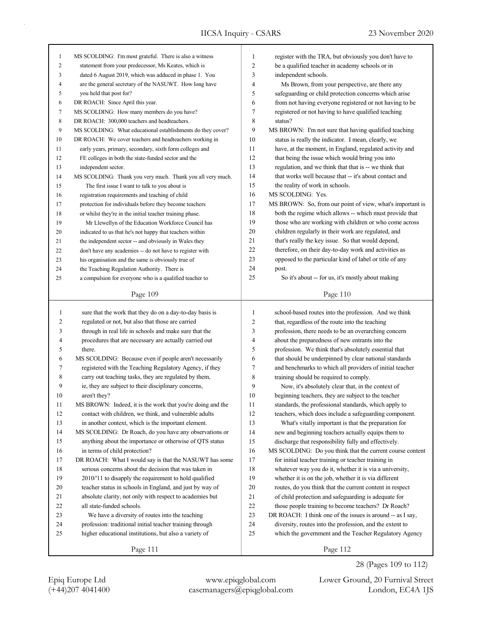| $\mathbf{1}$   | MS SCOLDING: I'm most grateful. There is also a witness     | 1              | register with the TRA, but obviously you don't have to     |
|----------------|-------------------------------------------------------------|----------------|------------------------------------------------------------|
| 2              | statement from your predecessor, Ms Keates, which is        | 2              | be a qualified teacher in academy schools or in            |
| 3              | dated 6 August 2019, which was adduced in phase 1. You      | 3              | independent schools.                                       |
| 4              | are the general secretary of the NASUWT. How long have      | 4              | Ms Brown, from your perspective, are there any             |
| 5              | you held that post for?                                     | 5              | safeguarding or child protection concerns which arise      |
| 6              | DR ROACH: Since April this year.                            | 6              | from not having everyone registered or not having to be    |
| 7              | MS SCOLDING: How many members do you have?                  | 7              | registered or not having to have qualified teaching        |
| 8              | DR ROACH: 300,000 teachers and headteachers.                | 8              | status?                                                    |
| 9              | MS SCOLDING: What educational establishments do they cover? | 9              | MS BROWN: I'm not sure that having qualified teaching      |
| 10             | DR ROACH: We cover teachers and headteachers working in     | 10             | status is really the indicator. I mean, clearly, we        |
| 11             | early years, primary, secondary, sixth form colleges and    | 11             | have, at the moment, in England, regulated activity and    |
| 12             | FE colleges in both the state-funded sector and the         | 12             | that being the issue which would bring you into            |
| 13             | independent sector.                                         | 13             | regulation, and we think that that is -- we think that     |
| 14             | MS SCOLDING: Thank you very much. Thank you all very much.  | 14             | that works well because that -- it's about contact and     |
| 15             | The first issue I want to talk to you about is              | 15             | the reality of work in schools.                            |
| 16             | registration requirements and teaching of child             | 16             | MS SCOLDING: Yes.                                          |
| 17             | protection for individuals before they become teachers      | 17             | MS BROWN: So, from our point of view, what's important is  |
| 18             | or whilst they're in the initial teacher training phase.    | 18             | both the regime which allows -- which must provide that    |
| 19             | Mr Llewellyn of the Education Workforce Council has         | 19             | those who are working with children or who come across     |
| 20             | indicated to us that he's not happy that teachers within    | 20             | children regularly in their work are regulated, and        |
| 21             | the independent sector -- and obviously in Wales they       | 21             | that's really the key issue. So that would depend,         |
| 22             | don't have any academies -- do not have to register with    | 22             | therefore, on their day-to-day work and activities as      |
| 23             | his organisation and the same is obviously true of          | 23             | opposed to the particular kind of label or title of any    |
| 24             | the Teaching Regulation Authority. There is                 | 24             | post.                                                      |
| 25             | a compulsion for everyone who is a qualified teacher to     | 25             | So it's about -- for us, it's mostly about making          |
|                |                                                             |                |                                                            |
|                | Page 109                                                    |                | Page 110                                                   |
|                |                                                             |                |                                                            |
|                |                                                             |                |                                                            |
| 1              | sure that the work that they do on a day-to-day basis is    | 1              | school-based routes into the profession. And we think      |
| $\overline{c}$ | regulated or not, but also that those are carried           | $\overline{c}$ | that, regardless of the route into the teaching            |
| 3              | through in real life in schools and make sure that the      | 3              | profession, there needs to be an overarching concern       |
| 4              | procedures that are necessary are actually carried out      | 4              | about the preparedness of new entrants into the            |
| 5              | there.                                                      | 5              | profession. We think that's absolutely essential that      |
| 6              | MS SCOLDING: Because even if people aren't necessarily      | 6              | that should be underpinned by clear national standards     |
| 7              | registered with the Teaching Regulatory Agency, if they     | 7              | and benchmarks to which all providers of initial teacher   |
| 8              | carry out teaching tasks, they are regulated by them,       | 8              | training should be required to comply.                     |
| 9              | ie, they are subject to their disciplinary concerns,        | 9              | Now, it's absolutely clear that, in the context of         |
| 10             | aren't they?                                                | 10             | beginning teachers, they are subject to the teacher        |
| 11             | MS BROWN: Indeed, it is the work that you're doing and the  | 11             | standards, the professional standards, which apply to      |
| 12             | contact with children, we think, and vulnerable adults      | 12             | teachers, which does include a safeguarding component.     |
| 13             | in another context, which is the important element.         | 13             | What's vitally important is that the preparation for       |
| 14             | MS SCOLDING: Dr Roach, do you have any observations or      | 14             | new and beginning teachers actually equips them to         |
| 15             | anything about the importance or otherwise of QTS status    | 15             | discharge that responsibility fully and effectively.       |
| 16             | in terms of child protection?                               | 16             | MS SCOLDING: Do you think that the current course content  |
| 17             | DR ROACH: What I would say is that the NASUWT has some      | 17             | for initial teacher training or teacher training in        |
| 18             | serious concerns about the decision that was taken in       | 18             | whatever way you do it, whether it is via a university,    |
| 19             | 2010/'11 to disapply the requirement to hold qualified      | 19             | whether it is on the job, whether it is via different      |
| 20             | teacher status in schools in England, and just by way of    | $20\,$         | routes, do you think that the current content in respect   |
| 21             | absolute clarity, not only with respect to academies but    | 21             | of child protection and safeguarding is adequate for       |
| 22             | all state-funded schools.                                   | 22             | those people training to become teachers? Dr Roach?        |
| 23             | We have a diversity of routes into the teaching             | 23             | DR ROACH: I think one of the issues is around -- as I say, |
| 24             | profession: traditional initial teacher training through    | 24             | diversity, routes into the profession, and the extent to   |
| 25             | higher educational institutions, but also a variety of      | 25             | which the government and the Teacher Regulatory Agency     |
|                | Page 111                                                    |                | Page 112                                                   |

28 (Pages 109 to 112)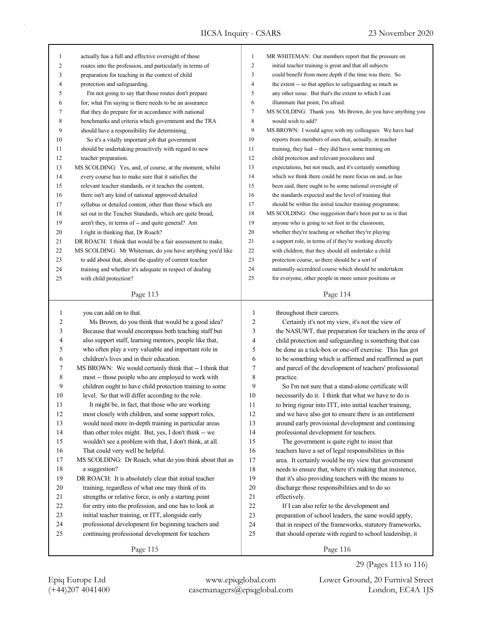| 1              | actually has a full and effective oversight of those       | 1              | MR WHITEMAN: Our members report that the pressure on       |
|----------------|------------------------------------------------------------|----------------|------------------------------------------------------------|
| 2              | routes into the profession, and particularly in terms of   | $\overline{2}$ | initial teacher training is great and that all subjects    |
| 3              | preparation for teaching in the context of child           | 3              | could benefit from more depth if the time was there. So    |
| $\overline{4}$ | protection and safeguarding.                               | $\overline{4}$ | the extent -- so that applies to safeguarding as much as   |
| 5              | I'm not going to say that those routes don't prepare       | 5              | any other issue. But that's the extent to which I can      |
| 6              | for; what I'm saying is there needs to be an assurance     | 6              | illuminate that point, I'm afraid.                         |
| 7              | that they do prepare for in accordance with national       | $\tau$         | MS SCOLDING: Thank you. Ms Brown, do you have anything you |
| 8              | benchmarks and criteria which government and the TRA       | $\,$ 8 $\,$    | would wish to add?                                         |
| 9              | should have a responsibility for determining.              | 9              | MS BROWN: I would agree with my colleagues. We have had    |
| 10             | So it's a vitally important job that government            | 10             | reports from members of ours that, actually, in teacher    |
| 11             | should be undertaking proactively with regard to new       | 11             | training, they had -- they did have some training on       |
| 12             | teacher preparation.                                       | 12             | child protection and relevant procedures and               |
| 13             | MS SCOLDING: Yes, and, of course, at the moment, whilst    | 13             | expectations, but not much, and it's certainly something   |
| 14             | every course has to make sure that it satisfies the        | 14             | which we think there could be more focus on and, as has    |
| 15             | relevant teacher standards, or it teaches the content,     | 15             | been said, there ought to be some national oversight of    |
| 16             | there isn't any kind of national approved detailed         | 16             | the standards expected and the level of training that      |
| 17             | syllabus or detailed content, other than those which are   | 17             | should be within the initial teacher training programme.   |
| 18             | set out in the Teacher Standards, which are quite broad,   | 18             | MS SCOLDING: One suggestion that's been put to us is that  |
| 19             | aren't they, in terms of -- and quite general? Am          | 19             | anyone who is going to set foot in the classroom,          |
| 20             | I right in thinking that, Dr Roach?                        | 20             | whether they're teaching or whether they're playing        |
| 21             | DR ROACH: I think that would be a fair assessment to make. | 21             | a support role, in terms of if they're working directly    |
| 22             | MS SCOLDING: Mr Whiteman, do you have anything you'd like  | 22             | with children, that they should all undertake a child      |
| 23             | to add about that, about the quality of current teacher    | 23             | protection course, so there should be a sort of            |
| 24             | training and whether it's adequate in respect of dealing   | 24             | nationally-accredited course which should be undertaken    |
| 25             | with child protection?                                     | 25             | for everyone, other people in more senior positions or     |
|                |                                                            |                |                                                            |
|                | Page 113                                                   |                | Page 114                                                   |
|                |                                                            |                |                                                            |
|                |                                                            |                |                                                            |
| $\mathbf{1}$   | you can add on to that.                                    | 1              | throughout their careers.                                  |
| 2              | Ms Brown, do you think that would be a good idea?          | 2              | Certainly it's not my view, it's not the view of           |
| 3              | Because that would encompass both teaching staff but       | 3              | the NASUWT, that preparation for teachers in the area of   |
| 4              | also support staff, learning mentors, people like that,    | 4              | child protection and safeguarding is something that can    |
| 5              | who often play a very valuable and important role in       | 5              | be done as a tick-box or one-off exercise. This has got    |
| 6              | children's lives and in their education.                   | 6              | to be something which is affirmed and reaffirmed as part   |
| 7              | MS BROWN: We would certainly think that -- I think that    | 7              | and parcel of the development of teachers' professional    |
| 8              | most -- those people who are employed to work with         | 8              | practice.                                                  |
| 9              | children ought to have child protection training to some   | 9              | So I'm not sure that a stand-alone certificate will        |
| 10             | level. So that will differ according to the role.          | 10             | necessarily do it. I think that what we have to do is      |
| 11             | It might be, in fact, that those who are working           | 11             | to bring rigour into ITT, into initial teacher training,   |
| 12             | most closely with children, and some support roles,        | 12             | and we have also got to ensure there is an entitlement     |
| 13             | would need more in-depth training in particular areas      | 13             | around early provisional development and continuing        |
| 14             | than other roles might. But, yes, I don't think -- we      | 14             | professional development for teachers.                     |
| 15             | wouldn't see a problem with that, I don't think, at all.   | 15             | The government is quite right to insist that               |
| 16             | That could very well be helpful.                           | 16             | teachers have a set of legal responsibilities in this      |
| 17             | MS SCOLDING: Dr Roach, what do you think about that as     | 17             | area. It certainly would be my view that government        |
| $18\,$         | a suggestion?                                              | 18             | needs to ensure that, where it's making that insistence,   |
| 19             | DR ROACH: It is absolutely clear that initial teacher      | 19             | that it's also providing teachers with the means to        |
| 20             | training, regardless of what one may think of its          | $20\,$         | discharge those responsibilities and to do so              |
| 21             | strengths or relative force, is only a starting point      | 21             | effectively.                                               |
| 22             | for entry into the profession, and one has to look at      | $22\,$         | If I can also refer to the development and                 |
| 23             | initial teacher training, or ITT, alongside early          | 23             | preparation of school leaders, the same would apply,       |
| 24             | professional development for beginning teachers and        | 24             | that in respect of the frameworks, statutory frameworks,   |
| 25             | continuing professional development for teachers           | 25             | that should operate with regard to school leadership, it   |

29 (Pages 113 to 116)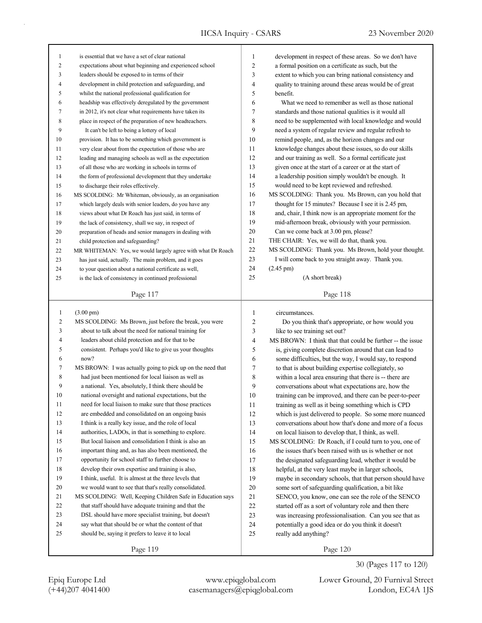| 1              | is essential that we have a set of clear national           | $\mathbf{1}$ | development in respect of these areas. So we don't have   |
|----------------|-------------------------------------------------------------|--------------|-----------------------------------------------------------|
| 2              | expectations about what beginning and experienced school    | 2            | a formal position on a certificate as such, but the       |
| 3              | leaders should be exposed to in terms of their              | 3            | extent to which you can bring national consistency and    |
| 4              | development in child protection and safeguarding, and       | 4            | quality to training around these areas would be of great  |
| 5              | whilst the national professional qualification for          | 5            | benefit.                                                  |
| 6              | headship was effectively deregulated by the government      | 6            | What we need to remember as well as those national        |
| 7              | in 2012, it's not clear what requirements have taken its    | 7            | standards and those national qualities is it would all    |
| 8              | place in respect of the preparation of new headteachers.    | 8            | need to be supplemented with local knowledge and would    |
| 9              | It can't be left to being a lottery of local                | 9            | need a system of regular review and regular refresh to    |
| 10             | provision. It has to be something which government is       | 10           | remind people, and, as the horizon changes and our        |
| 11             | very clear about from the expectation of those who are      | 11           | knowledge changes about these issues, so do our skills    |
| 12             | leading and managing schools as well as the expectation     | 12           | and our training as well. So a formal certificate just    |
| 13             | of all those who are working in schools in terms of         | 13           | given once at the start of a career or at the start of    |
| 14             | the form of professional development that they undertake    | 14           | a leadership position simply wouldn't be enough. It       |
| 15             | to discharge their roles effectively.                       | 15           | would need to be kept reviewed and refreshed.             |
| 16             | MS SCOLDING: Mr Whiteman, obviously, as an organisation     | 16           | MS SCOLDING: Thank you. Ms Brown, can you hold that       |
| 17             | which largely deals with senior leaders, do you have any    | 17           | thought for 15 minutes? Because I see it is 2.45 pm,      |
| 18             | views about what Dr Roach has just said, in terms of        | 18           | and, chair, I think now is an appropriate moment for the  |
| 19             | the lack of consistency, shall we say, in respect of        | 19           | mid-afternoon break, obviously with your permission.      |
| 20             | preparation of heads and senior managers in dealing with    | 20           | Can we come back at 3.00 pm, please?                      |
| 21             | child protection and safeguarding?                          | 21           | THE CHAIR: Yes, we will do that, thank you.               |
| 22             | MR WHITEMAN: Yes, we would largely agree with what Dr Roach | 22           | MS SCOLDING: Thank you. Ms Brown, hold your thought.      |
| 23             | has just said, actually. The main problem, and it goes      | 23           | I will come back to you straight away. Thank you.         |
| 24             |                                                             | 24           | $(2.45 \text{ pm})$                                       |
|                | to your question about a national certificate as well,      | 25           | (A short break)                                           |
| 25             | is the lack of consistency in continued professional        |              |                                                           |
|                | Page 117                                                    |              | Page 118                                                  |
|                |                                                             |              |                                                           |
|                |                                                             |              |                                                           |
| $\mathbf{1}$   | $(3.00 \text{ pm})$                                         | 1            | circumstances.                                            |
| $\overline{c}$ | MS SCOLDING: Ms Brown, just before the break, you were      | 2            | Do you think that's appropriate, or how would you         |
| 3              | about to talk about the need for national training for      | 3            | like to see training set out?                             |
| 4              | leaders about child protection and for that to be           | 4            | MS BROWN: I think that that could be further -- the issue |
| 5              | consistent. Perhaps you'd like to give us your thoughts     | 5            | is, giving complete discretion around that can lead to    |
| 6              | now?                                                        | 6            | some difficulties, but the way, I would say, to respond   |
| 7              | MS BROWN: I was actually going to pick up on the need that  | 7            | to that is about building expertise collegiately, so      |
| 8              | had just been mentioned for local liaison as well as        | 8            | within a local area ensuring that there is -- there are   |
| 9              | a national. Yes, absolutely, I think there should be        | 9            | conversations about what expectations are, how the        |
| 10             | national oversight and national expectations, but the       | 10           | training can be improved, and there can be peer-to-peer   |
| 11             | need for local liaison to make sure that those practices    | 11           | training as well as it being something which is CPD       |
| 12             | are embedded and consolidated on an ongoing basis           | 12           | which is just delivered to people. So some more nuanced   |
| 13             | I think is a really key issue, and the role of local        | 13           | conversations about how that's done and more of a focus   |
| 14             | authorities, LADOs, in that is something to explore.        | 14           | on local liaison to develop that, I think, as well.       |
| 15             | But local liaison and consolidation I think is also an      | 15           | MS SCOLDING: Dr Roach, if I could turn to you, one of     |
| 16             | important thing and, as has also been mentioned, the        | 16           | the issues that's been raised with us is whether or not   |
| 17             | opportunity for school staff to further choose to           | 17           | the designated safeguarding lead, whether it would be     |
| $18\,$         | develop their own expertise and training is also,           | 18           | helpful, at the very least maybe in larger schools,       |
| 19             | I think, useful. It is almost at the three levels that      | 19           | maybe in secondary schools, that that person should have  |
| $20\,$         | we would want to see that that's really consolidated.       | $20\,$       | some sort of safeguarding qualification, a bit like       |
| 21             | MS SCOLDING: Well, Keeping Children Safe in Education says  | 21           | SENCO, you know, one can see the role of the SENCO        |
| 22             | that staff should have adequate training and that the       | 22           | started off as a sort of voluntary role and then there    |
| 23             | DSL should have more specialist training, but doesn't       | 23           | was increasing professionalisation. Can you see that as   |
| 24             | say what that should be or what the content of that         | 24           | potentially a good idea or do you think it doesn't        |
| 25             | should be, saying it prefers to leave it to local           | 25           | really add anything?                                      |
|                | Page 119                                                    |              | Page 120                                                  |

30 (Pages 117 to 120)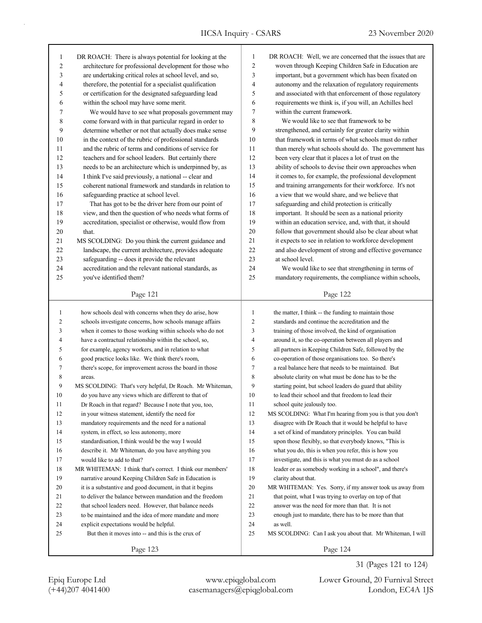IICSA Inquiry - CSARS 23 November 2020

| 1              | DR ROACH: There is always potential for looking at the                                                               | $\mathbf{1}$             | DR ROACH: Well, we are concerned that the issues that are          |
|----------------|----------------------------------------------------------------------------------------------------------------------|--------------------------|--------------------------------------------------------------------|
| $\overline{c}$ | architecture for professional development for those who                                                              | $\sqrt{2}$               | woven through Keeping Children Safe in Education are               |
| 3              | are undertaking critical roles at school level, and so,                                                              | 3                        | important, but a government which has been fixated on              |
| 4              | therefore, the potential for a specialist qualification                                                              | 4                        | autonomy and the relaxation of regulatory requirements             |
| 5              | or certification for the designated safeguarding lead                                                                | 5                        | and associated with that enforcement of those regulatory           |
| 6              | within the school may have some merit.                                                                               | 6                        | requirements we think is, if you will, an Achilles heel            |
| 7              | We would have to see what proposals government may                                                                   | 7                        | within the current framework.                                      |
| 8              | come forward with in that particular regard in order to                                                              | 8                        | We would like to see that framework to be                          |
| 9              | determine whether or not that actually does make sense                                                               | 9                        | strengthened, and certainly for greater clarity within             |
| 10             | in the context of the rubric of professional standards                                                               | 10                       | that framework in terms of what schools must do rather             |
| 11             | and the rubric of terms and conditions of service for                                                                | 11                       | than merely what schools should do. The government has             |
| 12             | teachers and for school leaders. But certainly there                                                                 | 12                       | been very clear that it places a lot of trust on the               |
| 13             | needs to be an architecture which is underpinned by, as                                                              | 13                       | ability of schools to devise their own approaches when             |
| 14             | I think I've said previously, a national -- clear and                                                                | 14                       | it comes to, for example, the professional development             |
| 15             | coherent national framework and standards in relation to                                                             | 15                       | and training arrangements for their workforce. It's not            |
| 16             | safeguarding practice at school level.                                                                               | 16                       | a view that we would share, and we believe that                    |
| 17             | That has got to be the driver here from our point of                                                                 | 17                       | safeguarding and child protection is critically                    |
| 18             | view, and then the question of who needs what forms of                                                               | 18                       | important. It should be seen as a national priority                |
| 19             | accreditation, specialist or otherwise, would flow from                                                              | 19                       | within an education service, and, with that, it should             |
| 20             | that.                                                                                                                | 20                       | follow that government should also be clear about what             |
| 21             | MS SCOLDING: Do you think the current guidance and                                                                   | 21                       | it expects to see in relation to workforce development             |
| 22             | landscape, the current architecture, provides adequate                                                               | 22                       | and also development of strong and effective governance            |
| 23             | safeguarding -- does it provide the relevant                                                                         | 23                       | at school level.                                                   |
| 24             | accreditation and the relevant national standards, as                                                                | 24                       | We would like to see that strengthening in terms of                |
| 25             |                                                                                                                      | 25                       | mandatory requirements, the compliance within schools,             |
|                | you've identified them?                                                                                              |                          |                                                                    |
|                | Page 121                                                                                                             |                          | Page 122                                                           |
|                |                                                                                                                      |                          |                                                                    |
|                |                                                                                                                      |                          |                                                                    |
| $\mathbf{1}$   | how schools deal with concerns when they do arise, how                                                               | $\mathbf{1}$             | the matter, I think -- the funding to maintain those               |
| 2              | schools investigate concerns, how schools manage affairs                                                             | $\overline{c}$           | standards and continue the accreditation and the                   |
| 3              | when it comes to those working within schools who do not                                                             | 3                        | training of those involved, the kind of organisation               |
| $\overline{4}$ | have a contractual relationship within the school, so,                                                               | $\overline{\mathbf{4}}$  | around it, so the co-operation between all players and             |
| 5              | for example, agency workers, and in relation to what                                                                 | 5                        | all partners in Keeping Children Safe, followed by the             |
| 6              | good practice looks like. We think there's room,                                                                     | 6                        | co-operation of those organisations too. So there's                |
| 7              | there's scope, for improvement across the board in those                                                             | $\overline{\mathcal{I}}$ | a real balance here that needs to be maintained. But               |
| 8              | areas.                                                                                                               | 8                        | absolute clarity on what must be done has to be the                |
| 9              | MS SCOLDING: That's very helpful, Dr Roach. Mr Whiteman,                                                             | 9                        | starting point, but school leaders do guard that ability           |
| 10             | do you have any views which are different to that of                                                                 | 10                       | to lead their school and that freedom to lead their                |
| 11             | Dr Roach in that regard? Because I note that you, too,                                                               | 11                       | school quite jealously too.                                        |
| 12             | in your witness statement, identify the need for                                                                     | $12\,$                   | MS SCOLDING: What I'm hearing from you is that you don't           |
| 13             | mandatory requirements and the need for a national                                                                   | 13                       | disagree with Dr Roach that it would be helpful to have            |
| 14             | system, in effect, so less autonomy, more                                                                            | 14                       | a set of kind of mandatory principles. You can build               |
| 15             | standardisation, I think would be the way I would                                                                    | 15                       | upon those flexibly, so that everybody knows, "This is             |
| 16             | describe it. Mr Whiteman, do you have anything you                                                                   | 16                       | what you do, this is when you refer, this is how you               |
| 17             | would like to add to that?                                                                                           | 17                       | investigate, and this is what you must do as a school              |
| 18             | MR WHITEMAN: I think that's correct. I think our members'                                                            | 18                       | leader or as somebody working in a school", and there's            |
| 19             | narrative around Keeping Children Safe in Education is                                                               | 19                       | clarity about that.                                                |
| 20             |                                                                                                                      | 20                       | MR WHITEMAN: Yes. Sorry, if my answer took us away from            |
| 21             | it is a substantive and good document, in that it begins<br>to deliver the balance between mandation and the freedom | 21                       | that point, what I was trying to overlay on top of that            |
| 22             |                                                                                                                      | $22\,$                   | answer was the need for more than that. It is not                  |
| 23             | that school leaders need. However, that balance needs<br>to be maintained and the idea of more mandate and more      | 23                       |                                                                    |
| 24             |                                                                                                                      |                          | enough just to mandate, there has to be more than that<br>as well. |
| 25             | explicit expectations would be helpful.<br>But then it moves into -- and this is the crux of                         | $24\,$<br>25             | MS SCOLDING: Can I ask you about that. Mr Whiteman, I will         |
|                | Page 123                                                                                                             |                          | Page 124                                                           |

(+44)207 4041400 casemanagers@epiqglobal.com London, EC4A 1JS Epiq Europe Ltd www.epiqglobal.com Lower Ground, 20 Furnival Street

31 (Pages 121 to 124)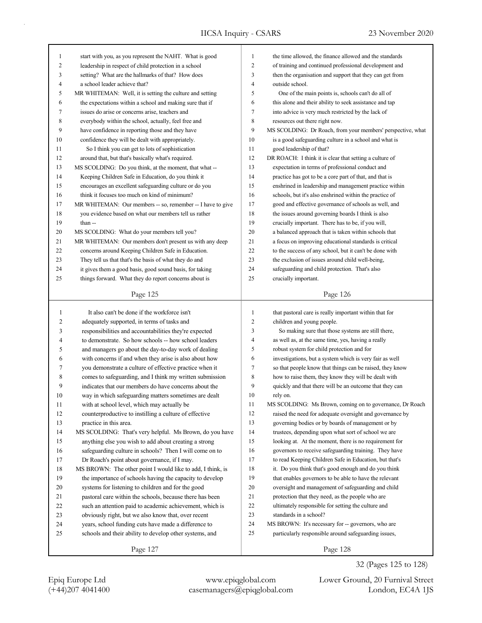| 1  | start with you, as you represent the NAHT. What is good    | 1                        | the time allowed, the finance allowed and the standards     |
|----|------------------------------------------------------------|--------------------------|-------------------------------------------------------------|
| 2  | leadership in respect of child protection in a school      | $\overline{c}$           | of training and continued professional development and      |
| 3  | setting? What are the hallmarks of that? How does          | 3                        | then the organisation and support that they can get from    |
| 4  | a school leader achieve that?                              | $\overline{\mathcal{L}}$ | outside school.                                             |
| 5  | MR WHITEMAN: Well, it is setting the culture and setting   | 5                        | One of the main points is, schools can't do all of          |
| 6  | the expectations within a school and making sure that if   | 6                        | this alone and their ability to seek assistance and tap     |
| 7  | issues do arise or concerns arise, teachers and            | $\tau$                   | into advice is very much restricted by the lack of          |
| 8  | everybody within the school, actually, feel free and       | 8                        | resources out there right now.                              |
| 9  | have confidence in reporting those and they have           | 9                        | MS SCOLDING: Dr Roach, from your members' perspective, what |
| 10 | confidence they will be dealt with appropriately.          | 10                       | is a good safeguarding culture in a school and what is      |
| 11 | So I think you can get to lots of sophistication           | 11                       | good leadership of that?                                    |
| 12 | around that, but that's basically what's required.         | 12                       | DR ROACH: I think it is clear that setting a culture of     |
| 13 | MS SCOLDING: Do you think, at the moment, that what --     | 13                       | expectation in terms of professional conduct and            |
| 14 | Keeping Children Safe in Education, do you think it        | 14                       | practice has got to be a core part of that, and that is     |
| 15 | encourages an excellent safeguarding culture or do you     | 15                       | enshrined in leadership and management practice within      |
| 16 | think it focuses too much on kind of minimum?              | 16                       | schools, but it's also enshrined within the practice of     |
| 17 | MR WHITEMAN: Our members -- so, remember -- I have to give | 17                       | good and effective governance of schools as well, and       |
| 18 | you evidence based on what our members tell us rather      | 18                       | the issues around governing boards I think is also          |
| 19 | than --                                                    | 19                       | crucially important. There has to be, if you will,          |
| 20 | MS SCOLDING: What do your members tell you?                | 20                       | a balanced approach that is taken within schools that       |
| 21 | MR WHITEMAN: Our members don't present us with any deep    | 21                       | a focus on improving educational standards is critical      |
| 22 | concerns around Keeping Children Safe in Education.        | 22                       | to the success of any school, but it can't be done with     |
| 23 | They tell us that that's the basis of what they do and     | 23                       | the exclusion of issues around child well-being,            |
| 24 | it gives them a good basis, good sound basis, for taking   | 24                       | safeguarding and child protection. That's also              |
| 25 | things forward. What they do report concerns about is      | 25                       | crucially important.                                        |
|    |                                                            |                          |                                                             |
|    | Page 125                                                   |                          | Page 126                                                    |
|    |                                                            |                          |                                                             |
|    |                                                            |                          |                                                             |
| 1  | It also can't be done if the workforce isn't               | $\mathbf{1}$             | that pastoral care is really important within that for      |
| 2  | adequately supported, in terms of tasks and                | $\overline{c}$           | children and young people.                                  |
| 3  | responsibilities and accountabilities they're expected     | 3                        | So making sure that those systems are still there,          |
| 4  | to demonstrate. So how schools -- how school leaders       | 4                        | as well as, at the same time, yes, having a really          |
| 5  | and managers go about the day-to-day work of dealing       | 5                        | robust system for child protection and for                  |
| 6  | with concerns if and when they arise is also about how     | 6                        | investigations, but a system which is very fair as well     |
| 7  | you demonstrate a culture of effective practice when it    | 7                        | so that people know that things can be raised, they know    |
| 8  | comes to safeguarding, and I think my written submission   | 8                        | how to raise them, they know they will be dealt with        |
| 9  | indicates that our members do have concerns about the      | 9                        | quickly and that there will be an outcome that they can     |
| 10 | way in which safeguarding matters sometimes are dealt      | 10                       | rely on.                                                    |
| 11 | with at school level, which may actually be                | 11                       | MS SCOLDING: Ms Brown, coming on to governance, Dr Roach    |
| 12 | counterproductive to instilling a culture of effective     | 12                       | raised the need for adequate oversight and governance by    |
| 13 | practice in this area.                                     | 13                       | governing bodies or by boards of management or by           |
| 14 | MS SCOLDING: That's very helpful. Ms Brown, do you have    | 14                       | trustees, depending upon what sort of school we are         |
| 15 | anything else you wish to add about creating a strong      | 15                       | looking at. At the moment, there is no requirement for      |
| 16 | safeguarding culture in schools? Then I will come on to    | 16                       | governors to receive safeguarding training. They have       |
| 17 | Dr Roach's point about governance, if I may.               | 17                       | to read Keeping Children Safe in Education, but that's      |
| 18 | MS BROWN: The other point I would like to add, I think, is | 18                       | it. Do you think that's good enough and do you think        |
| 19 | the importance of schools having the capacity to develop   | 19                       | that enables governors to be able to have the relevant      |
| 20 | systems for listening to children and for the good         | $20\,$                   | oversight and management of safeguarding and child          |
| 21 | pastoral care within the schools, because there has been   | 21                       | protection that they need, as the people who are            |
| 22 | such an attention paid to academic achievement, which is   | 22                       | ultimately responsible for setting the culture and          |
| 23 | obviously right, but we also know that, over recent        | 23                       | standards in a school?                                      |
| 24 | years, school funding cuts have made a difference to       | 24                       | MS BROWN: It's necessary for -- governors, who are          |
| 25 | schools and their ability to develop other systems, and    | 25                       | particularly responsible around safeguarding issues,        |
|    | Page 127                                                   |                          | Page 128                                                    |

(+44)207 4041400 casemanagers@epiqglobal.com London, EC4A 1JS Epiq Europe Ltd www.epiqglobal.com Lower Ground, 20 Furnival Street

32 (Pages 125 to 128)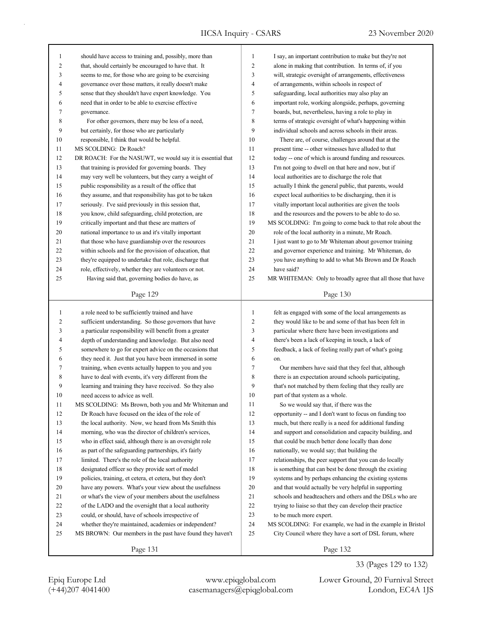| 1              | should have access to training and, possibly, more than     | $\mathbf{1}$   | I say, an important contribution to make but they're not    |
|----------------|-------------------------------------------------------------|----------------|-------------------------------------------------------------|
| $\overline{c}$ | that, should certainly be encouraged to have that. It       | $\overline{c}$ | alone in making that contribution. In terms of, if you      |
| 3              | seems to me, for those who are going to be exercising       | 3              | will, strategic oversight of arrangements, effectiveness    |
| 4              | governance over those matters, it really doesn't make       | $\overline{4}$ | of arrangements, within schools in respect of               |
| 5              | sense that they shouldn't have expert knowledge. You        | 5              | safeguarding, local authorities may also play an            |
| 6              | need that in order to be able to exercise effective         | 6              | important role, working alongside, perhaps, governing       |
| 7              | governance.                                                 | 7              | boards, but, nevertheless, having a role to play in         |
| 8              | For other governors, there may be less of a need,           | 8              | terms of strategic oversight of what's happening within     |
| 9              | but certainly, for those who are particularly               | 9              | individual schools and across schools in their areas.       |
| 10             | responsible, I think that would be helpful.                 | 10             | There are, of course, challenges around that at the         |
| 11             | MS SCOLDING: Dr Roach?                                      | 11             | present time -- other witnesses have alluded to that        |
| 12             | DR ROACH: For the NASUWT, we would say it is essential that | 12             | today -- one of which is around funding and resources.      |
| 13             | that training is provided for governing boards. They        | 13             | I'm not going to dwell on that here and now, but if         |
| 14             | may very well be volunteers, but they carry a weight of     | 14             | local authorities are to discharge the role that            |
| 15             | public responsibility as a result of the office that        | 15             | actually I think the general public, that parents, would    |
| 16             | they assume, and that responsibility has got to be taken    | 16             | expect local authorities to be discharging, then it is      |
|                |                                                             |                |                                                             |
| 17             | seriously. I've said previously in this session that,       | 17             | vitally important local authorities are given the tools     |
| 18             | you know, child safeguarding, child protection, are         | 18             | and the resources and the powers to be able to do so.       |
| 19             | critically important and that these are matters of          | 19             | MS SCOLDING: I'm going to come back to that role about the  |
| 20             | national importance to us and it's vitally important        | 20             | role of the local authority in a minute, Mr Roach.          |
| 21             | that those who have guardianship over the resources         | 21             | I just want to go to Mr Whiteman about governor training    |
| 22             | within schools and for the provision of education, that     | 22             | and governor experience and training. Mr Whiteman, do       |
| 23             | they're equipped to undertake that role, discharge that     | 23             | you have anything to add to what Ms Brown and Dr Roach      |
| 24             | role, effectively, whether they are volunteers or not.      | 24             | have said?                                                  |
| 25             | Having said that, governing bodies do have, as              | 25             | MR WHITEMAN: Only to broadly agree that all those that have |
|                | Page 129                                                    |                | Page 130                                                    |
|                |                                                             |                |                                                             |
|                |                                                             |                |                                                             |
|                |                                                             |                |                                                             |
| $\mathbf{1}$   | a role need to be sufficiently trained and have             | $\mathbf{1}$   | felt as engaged with some of the local arrangements as      |
| 2              | sufficient understanding. So those governors that have      | $\overline{c}$ | they would like to be and some of that has been felt in     |
| 3              | a particular responsibility will benefit from a greater     | 3              | particular where there have been investigations and         |
| 4              | depth of understanding and knowledge. But also need         | $\overline{4}$ | there's been a lack of keeping in touch, a lack of          |
| 5              | somewhere to go for expert advice on the occasions that     | 5              | feedback, a lack of feeling really part of what's going     |
| 6              | they need it. Just that you have been immersed in some      | 6              | on.                                                         |
| 7              | training, when events actually happen to you and you        | $\tau$         | Our members have said that they feel that, although         |
| 8              | have to deal with events, it's very different from the      | 8              | there is an expectation around schools participating,       |
| 9              | learning and training they have received. So they also      | 9              | that's not matched by them feeling that they really are     |
| 10             | need access to advice as well.                              | 10             | part of that system as a whole.                             |
| 11             | MS SCOLDING: Ms Brown, both you and Mr Whiteman and         | 11             | So we would say that, if there was the                      |
| 12             | Dr Roach have focused on the idea of the role of            | 12             | opportunity -- and I don't want to focus on funding too     |
| 13             | the local authority. Now, we heard from Ms Smith this       | 13             | much, but there really is a need for additional funding     |
| 14             | morning, who was the director of children's services,       | 14             | and support and consolidation and capacity building, and    |
| 15             | who in effect said, although there is an oversight role     | 15             | that could be much better done locally than done            |
| 16             | as part of the safeguarding partnerships, it's fairly       | 16             | nationally, we would say; that building the                 |
| 17             | limited. There's the role of the local authority            | 17             | relationships, the peer support that you can do locally     |
| 18             | designated officer so they provide sort of model            | 18             | is something that can best be done through the existing     |
| 19             | policies, training, et cetera, et cetera, but they don't    | 19             | systems and by perhaps enhancing the existing systems       |
| $20\,$         | have any powers. What's your view about the usefulness      | 20             | and that would actually be very helpful in supporting       |
| 21             | or what's the view of your members about the usefulness     | 21             | schools and headteachers and others and the DSLs who are    |
| 22             | of the LADO and the oversight that a local authority        | 22             | trying to liaise so that they can develop their practice    |
| 23             | could, or should, have of schools irrespective of           | 23             | to be much more expert.                                     |
| 24             | whether they're maintained, academies or independent?       | 24             | MS SCOLDING: For example, we had in the example in Bristol  |
| 25             | MS BROWN: Our members in the past have found they haven't   | 25             | City Council where they have a sort of DSL forum, where     |
|                | Page 131                                                    |                | Page 132                                                    |

(+44)207 4041400 casemanagers@epiqglobal.com London, EC4A 1JS Epiq Europe Ltd www.epiqglobal.com Lower Ground, 20 Furnival Street

33 (Pages 129 to 132)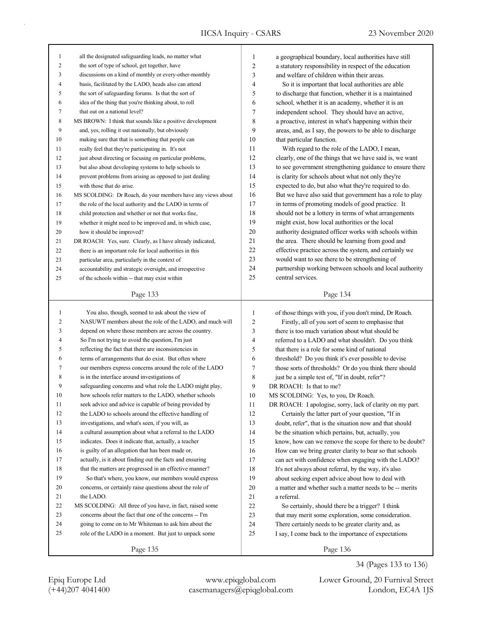| $\mathbf{1}$   | all the designated safeguarding leads, no matter what                                    | 1        | a geographical boundary, local authorities have still                                                                |
|----------------|------------------------------------------------------------------------------------------|----------|----------------------------------------------------------------------------------------------------------------------|
| $\overline{c}$ | the sort of type of school, get together, have                                           | 2        | a statutory responsibility in respect of the education                                                               |
| 3              | discussions on a kind of monthly or every-other-monthly                                  | 3        | and welfare of children within their areas.                                                                          |
| 4              | basis, facilitated by the LADO, heads also can attend                                    | 4        | So it is important that local authorities are able                                                                   |
| 5              | the sort of safeguarding forums. Is that the sort of                                     | 5        | to discharge that function, whether it is a maintained                                                               |
| 6              | idea of the thing that you're thinking about, to roll                                    | 6        | school, whether it is an academy, whether it is an                                                                   |
| 7              | that out on a national level?                                                            | 7        | independent school. They should have an active,                                                                      |
| $\,$ 8 $\,$    | MS BROWN: I think that sounds like a positive development                                | 8        | a proactive, interest in what's happening within their                                                               |
| 9              | and, yes, rolling it out nationally, but obviously                                       | 9        | areas, and, as I say, the powers to be able to discharge                                                             |
| 10             | making sure that that is something that people can                                       | 10       | that particular function.                                                                                            |
| 11             | really feel that they're participating in. It's not                                      | 11       | With regard to the role of the LADO, I mean,                                                                         |
| 12             | just about directing or focusing on particular problems,                                 | 12       | clearly, one of the things that we have said is, we want                                                             |
| 13             | but also about developing systems to help schools to                                     | 13       | to see government strengthening guidance to ensure there                                                             |
| 14             | prevent problems from arising as opposed to just dealing                                 | 14       | is clarity for schools about what not only they're                                                                   |
|                |                                                                                          | 15       | expected to do, but also what they're required to do.                                                                |
| 15             | with those that do arise.<br>MS SCOLDING: Dr Roach, do your members have any views about | 16       | But we have also said that government has a role to play                                                             |
| 16             |                                                                                          | 17       | in terms of promoting models of good practice. It                                                                    |
| 17             | the role of the local authority and the LADO in terms of                                 | 18       |                                                                                                                      |
| 18             | child protection and whether or not that works fine,                                     |          | should not be a lottery in terms of what arrangements<br>might exist, how local authorities or the local             |
| 19             | whether it might need to be improved and, in which case,                                 | 19<br>20 |                                                                                                                      |
| 20             | how it should be improved?                                                               | 21       | authority designated officer works with schools within                                                               |
| 21             | DR ROACH: Yes, sure. Clearly, as I have already indicated,                               | 22       | the area. There should be learning from good and                                                                     |
| 22             | there is an important role for local authorities in this                                 | 23       | effective practice across the system, and certainly we                                                               |
| 23             | particular area, particularly in the context of                                          |          | would want to see there to be strengthening of                                                                       |
| 24             | accountability and strategic oversight, and irrespective                                 | 24       | partnership working between schools and local authority                                                              |
| 25             | of the schools within -- that may exist within                                           | 25       | central services.                                                                                                    |
|                |                                                                                          |          |                                                                                                                      |
|                |                                                                                          |          |                                                                                                                      |
|                | Page 133                                                                                 |          | Page 134                                                                                                             |
| 1              | You also, though, seemed to ask about the view of                                        | 1        | of those things with you, if you don't mind, Dr Roach.                                                               |
| 2              | NASUWT members about the role of the LADO, and much will                                 | 2        | Firstly, all of you sort of seem to emphasise that                                                                   |
| 3              | depend on where those members are across the country.                                    | 3        | there is too much variation about what should be                                                                     |
| 4              | So I'm not trying to avoid the question, I'm just                                        | 4        | referred to a LADO and what shouldn't. Do you think                                                                  |
| 5              | reflecting the fact that there are inconsistencies in                                    | 5        | that there is a role for some kind of national                                                                       |
| 6              | terms of arrangements that do exist. But often where                                     | 6        | threshold? Do you think it's ever possible to devise                                                                 |
| 7              | our members express concerns around the role of the LADO                                 | 7        | those sorts of thresholds? Or do you think there should                                                              |
| 8              | is in the interface around investigations of                                             | 8        | just be a simple test of, "If in doubt, refer"?                                                                      |
| 9              | safeguarding concerns and what role the LADO might play,                                 | 9        | DR ROACH: Is that to me?                                                                                             |
| $10\,$         | how schools refer matters to the LADO, whether schools                                   | $10\,$   | MS SCOLDING: Yes, to you, Dr Roach.                                                                                  |
| 11             | seek advice and advice is capable of being provided by                                   | 11       | DR ROACH: I apologise, sorry, lack of clarity on my part.                                                            |
| 12             | the LADO to schools around the effective handling of                                     | 12       | Certainly the latter part of your question, "If in                                                                   |
| 13             | investigations, and what's seen, if you will, as                                         | 13       |                                                                                                                      |
| 14             | a cultural assumption about what a referral to the LADO                                  | 14       | doubt, refer", that is the situation now and that should<br>be the situation which pertains, but, actually, you      |
| 15             | indicates. Does it indicate that, actually, a teacher                                    | 15       |                                                                                                                      |
| 16             | is guilty of an allegation that has been made or,                                        | 16       | know, how can we remove the scope for there to be doubt?<br>How can we bring greater clarity to bear so that schools |
| 17             | actually, is it about finding out the facts and ensuring                                 | 17       | can act with confidence when engaging with the LADO?                                                                 |
| 18             | that the matters are progressed in an effective manner?                                  | 18       | It's not always about referral, by the way, it's also                                                                |
| 19             | So that's where, you know, our members would express                                     | 19       |                                                                                                                      |
| 20             | concerns, or certainly raise questions about the role of                                 | 20       | about seeking expert advice about how to deal with<br>a matter and whether such a matter needs to be -- merits       |
| 21             | the LADO.                                                                                | 21       | a referral.                                                                                                          |
| 22             | MS SCOLDING: All three of you have, in fact, raised some                                 | 22       | So certainly, should there be a trigger? I think                                                                     |
| 23             | concerns about the fact that one of the concerns -- I'm                                  | 23       |                                                                                                                      |
| 24             | going to come on to Mr Whiteman to ask him about the                                     | 24       | that may merit some exploration, some consideration.<br>There certainly needs to be greater clarity and, as          |
| 25             | role of the LADO in a moment. But just to unpack some                                    | 25       | I say, I come back to the importance of expectations                                                                 |

Page 135

34 (Pages 133 to 136)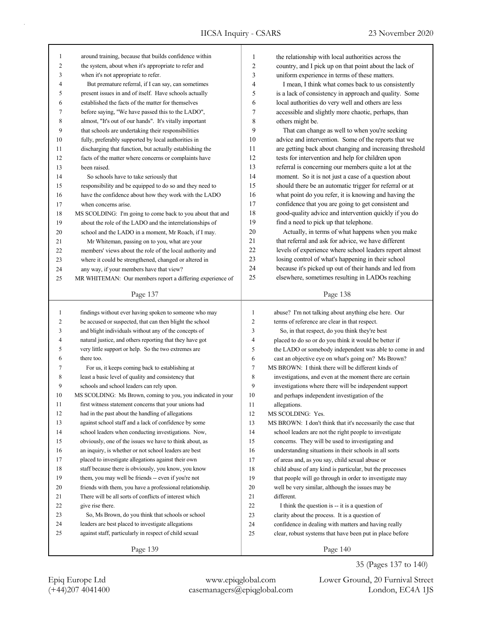| $\mathbf{1}$ | around training, because that builds confidence within      | $\mathbf{1}$   | the relationship with local authorities across the          |
|--------------|-------------------------------------------------------------|----------------|-------------------------------------------------------------|
| 2            | the system, about when it's appropriate to refer and        | $\overline{c}$ | country, and I pick up on that point about the lack of      |
| 3            | when it's not appropriate to refer.                         | 3              | uniform experience in terms of these matters.               |
| 4            | But premature referral, if I can say, can sometimes         | 4              | I mean, I think what comes back to us consistently          |
| 5            | present issues in and of itself. Have schools actually      | 5              | is a lack of consistency in approach and quality. Some      |
| 6            | established the facts of the matter for themselves          | 6              | local authorities do very well and others are less          |
| 7            | before saying, "We have passed this to the LADO",           | 7              | accessible and slightly more chaotic, perhaps, than         |
| 8            | almost, "It's out of our hands". It's vitally important     | 8              | others might be.                                            |
| 9            | that schools are undertaking their responsibilities         | 9              | That can change as well to when you're seeking              |
| 10           | fully, preferably supported by local authorities in         | 10             | advice and intervention. Some of the reports that we        |
| 11           | discharging that function, but actually establishing the    | 11             | are getting back about changing and increasing threshold    |
| 12           | facts of the matter where concerns or complaints have       | 12             | tests for intervention and help for children upon           |
| 13           | been raised.                                                | 13             | referral is concerning our members quite a lot at the       |
| 14           | So schools have to take seriously that                      | 14             | moment. So it is not just a case of a question about        |
| 15           | responsibility and be equipped to do so and they need to    | 15             | should there be an automatic trigger for referral or at     |
| 16           | have the confidence about how they work with the LADO       | 16             | what point do you refer, it is knowing and having the       |
| 17           | when concerns arise.                                        | 17             | confidence that you are going to get consistent and         |
| 18           | MS SCOLDING: I'm going to come back to you about that and   | 18             | good-quality advice and intervention quickly if you do      |
| 19           | about the role of the LADO and the interrelationships of    | 19             | find a need to pick up that telephone.                      |
| 20           | school and the LADO in a moment, Mr Roach, if I may.        | 20             | Actually, in terms of what happens when you make            |
| 21           | Mr Whiteman, passing on to you, what are your               | 21             | that referral and ask for advice, we have different         |
| 22           | members' views about the role of the local authority and    | 22             | levels of experience where school leaders report almost     |
| 23           | where it could be strengthened, changed or altered in       | 23             | losing control of what's happening in their school          |
| 24           | any way, if your members have that view?                    | 24             | because it's picked up out of their hands and led from      |
| 25           | MR WHITEMAN: Our members report a differing experience of   | 25             | elsewhere, sometimes resulting in LADOs reaching            |
|              |                                                             |                |                                                             |
|              | Page 137                                                    |                | Page 138                                                    |
|              |                                                             |                |                                                             |
|              |                                                             |                |                                                             |
| 1            | findings without ever having spoken to someone who may      | 1              | abuse? I'm not talking about anything else here. Our        |
| 2            | be accused or suspected, that can then blight the school    | $\overline{c}$ | terms of reference are clear in that respect.               |
| 3            | and blight individuals without any of the concepts of       | 3              | So, in that respect, do you think they're best              |
| 4            | natural justice, and others reporting that they have got    | $\overline{4}$ | placed to do so or do you think it would be better if       |
| 5            | very little support or help. So the two extremes are        | 5              | the LADO or somebody independent was able to come in and    |
| 6            | there too.                                                  | 6              | cast an objective eye on what's going on? Ms Brown?         |
| 7            | For us, it keeps coming back to establishing at             | $\tau$         | MS BROWN: I think there will be different kinds of          |
| 8            | least a basic level of quality and consistency that         | 8              | investigations, and even at the moment there are certain    |
| 9            | schools and school leaders can rely upon.                   | 9              | investigations where there will be independent support      |
| 10           | MS SCOLDING: Ms Brown, coming to you, you indicated in your | 10             | and perhaps independent investigation of the                |
| 11           | first witness statement concerns that your unions had       | 11             | allegations.                                                |
| 12           | had in the past about the handling of allegations           | 12             | MS SCOLDING: Yes.                                           |
| 13           | against school staff and a lack of confidence by some       | 13             | MS BROWN: I don't think that it's necessarily the case that |
| 14           | school leaders when conducting investigations. Now,         | 14             | school leaders are not the right people to investigate      |
| 15           | obviously, one of the issues we have to think about, as     | 15             | concerns. They will be used to investigating and            |
| 16           | an inquiry, is whether or not school leaders are best       | 16             | understanding situations in their schools in all sorts      |
| 17           | placed to investigate allegations against their own         | 17             | of areas and, as you say, child sexual abuse or             |
| 18           | staff because there is obviously, you know, you know        | 18             | child abuse of any kind is particular, but the processes    |
| 19           | them, you may well be friends -- even if you're not         | 19             | that people will go through in order to investigate may     |
| 20           | friends with them, you have a professional relationship.    | 20             | well be very similar, although the issues may be            |
| 21           | There will be all sorts of conflicts of interest which      | 21             | different.                                                  |
| 22           | give rise there.                                            | 22             | I think the question is -- it is a question of              |
| 23           | So, Ms Brown, do you think that schools or school           | 23             | clarity about the process. It is a question of              |
| 24           | leaders are best placed to investigate allegations          | 24             | confidence in dealing with matters and having really        |
| 25           | against staff, particularly in respect of child sexual      | 25             | clear, robust systems that have been put in place before    |

(+44)207 4041400 casemanagers@epiqglobal.com London, EC4A 1JS

Epiq Europe Ltd www.epiqglobal.com Lower Ground, 20 Furnival Street

35 (Pages 137 to 140)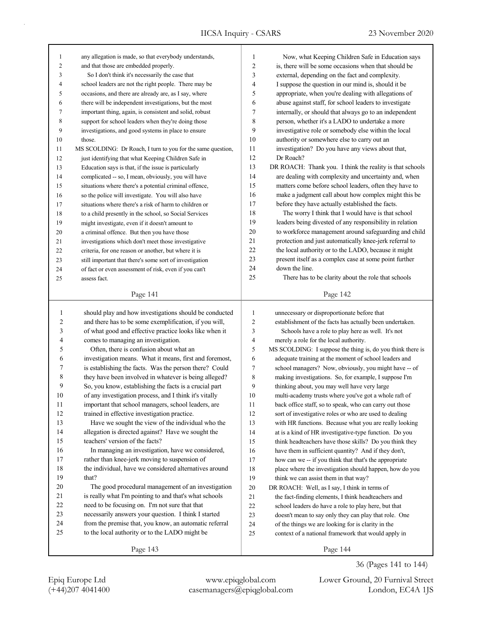| 1              | any allegation is made, so that everybody understands,      | 1                | Now, what Keeping Children Safe in Education says          |
|----------------|-------------------------------------------------------------|------------------|------------------------------------------------------------|
| 2              | and that those are embedded properly.                       | $\overline{c}$   | is, there will be some occasions when that should be       |
| 3              | So I don't think it's necessarily the case that             | 3                | external, depending on the fact and complexity.            |
| 4              | school leaders are not the right people. There may be       | 4                | I suppose the question in our mind is, should it be        |
| 5              | occasions, and there are already are, as I say, where       | 5                | appropriate, when you're dealing with allegations of       |
| 6              | there will be independent investigations, but the most      | 6                | abuse against staff, for school leaders to investigate     |
| 7              | important thing, again, is consistent and solid, robust     | $\boldsymbol{7}$ | internally, or should that always go to an independent     |
| $\,$ 8 $\,$    | support for school leaders when they're doing those         | 8                | person, whether it's a LADO to undertake a more            |
| 9              | investigations, and good systems in place to ensure         | 9                | investigative role or somebody else within the local       |
| 10             | those.                                                      | 10               | authority or somewhere else to carry out an                |
| 11             | MS SCOLDING: Dr Roach, I turn to you for the same question, | 11               | investigation? Do you have any views about that,           |
| 12             | just identifying that what Keeping Children Safe in         | 12               | Dr Roach?                                                  |
| 13             | Education says is that, if the issue is particularly        | 13               | DR ROACH: Thank you. I think the reality is that schools   |
| 14             | complicated -- so, I mean, obviously, you will have         | 14               | are dealing with complexity and uncertainty and, when      |
| 15             | situations where there's a potential criminal offence,      | 15               | matters come before school leaders, often they have to     |
| 16             | so the police will investigate. You will also have          | 16               | make a judgment call about how complex might this be       |
| 17             | situations where there's a risk of harm to children or      | 17               | before they have actually established the facts.           |
| 18             | to a child presently in the school, so Social Services      | 18               | The worry I think that I would have is that school         |
| 19             | might investigate, even if it doesn't amount to             | 19               | leaders being divested of any responsibility in relation   |
| 20             | a criminal offence. But then you have those                 | 20               | to workforce management around safeguarding and child      |
| 21             | investigations which don't meet those investigative         | 21               | protection and just automatically knee-jerk referral to    |
| 22             | criteria, for one reason or another, but where it is        | 22               | the local authority or to the LADO, because it might       |
| 23             | still important that there's some sort of investigation     | 23               | present itself as a complex case at some point further     |
| 24             | of fact or even assessment of risk, even if you can't       | 24               | down the line.                                             |
| 25             | assess fact.                                                | 25               | There has to be clarity about the role that schools        |
|                |                                                             |                  |                                                            |
|                | Page 141                                                    |                  | Page 142                                                   |
|                |                                                             |                  |                                                            |
|                |                                                             |                  |                                                            |
| $\mathbf{1}$   | should play and how investigations should be conducted      | 1                | unnecessary or disproportionate before that                |
| $\overline{c}$ | and there has to be some exemplification, if you will,      | 2                | establishment of the facts has actually been undertaken.   |
| 3              | of what good and effective practice looks like when it      | 3                | Schools have a role to play here as well. It's not         |
| 4              | comes to managing an investigation.                         | 4                | merely a role for the local authority.                     |
| 5              | Often, there is confusion about what an                     | 5                | MS SCOLDING: I suppose the thing is, do you think there is |
| 6              | investigation means. What it means, first and foremost,     | 6                | adequate training at the moment of school leaders and      |
| 7              | is establishing the facts. Was the person there? Could      | 7                | school managers? Now, obviously, you might have -- of      |
| $\,8\,$        | they have been involved in whatever is being alleged?       | 8                | making investigations. So, for example, I suppose I'm      |
| 9              | So, you know, establishing the facts is a crucial part      | 9                | thinking about, you may well have very large               |
| 10             | of any investigation process, and I think it's vitally      | 10               | multi-academy trusts where you've got a whole raft of      |
| 11             | important that school managers, school leaders, are         | 11               | back office staff, so to speak, who can carry out those    |
| 12             | trained in effective investigation practice.                | 12               | sort of investigative roles or who are used to dealing     |
| 13             | Have we sought the view of the individual who the           | 13               | with HR functions. Because what you are really looking     |
| 14             | allegation is directed against? Have we sought the          | 14               | at is a kind of HR investigative-type function. Do you     |
| 15             | teachers' version of the facts?                             | 15               | think headteachers have those skills? Do you think they    |
| 16             | In managing an investigation, have we considered,           | 16               | have them in sufficient quantity? And if they don't,       |
| 17             | rather than knee-jerk moving to suspension of               | 17               | how can we -- if you think that that's the appropriate     |
| $18\,$         | the individual, have we considered alternatives around      | 18               | place where the investigation should happen, how do you    |
| 19             | that?                                                       | 19               | think we can assist them in that way?                      |
| $20\,$         | The good procedural management of an investigation          | $20\,$           | DR ROACH: Well, as I say, I think in terms of              |
| 21             | is really what I'm pointing to and that's what schools      | 21               | the fact-finding elements, I think headteachers and        |
| 22             | need to be focusing on. I'm not sure that that              | 22               | school leaders do have a role to play here, but that       |
| 23             | necessarily answers your question. I think I started        | 23               | doesn't mean to say only they can play that role. One      |
| 24             | from the premise that, you know, an automatic referral      | 24               | of the things we are looking for is clarity in the         |
| 25             | to the local authority or to the LADO might be              | 25               | context of a national framework that would apply in        |
|                | Page 143                                                    |                  | Page 144                                                   |

36 (Pages 141 to 144)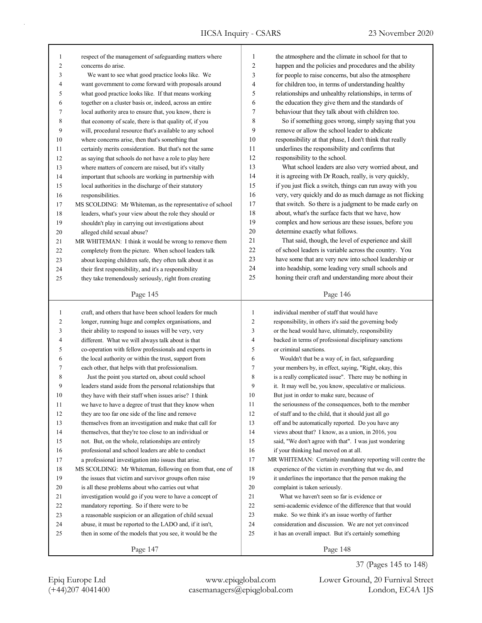| 1              | respect of the management of safeguarding matters where   | 1              | the atmosphere and the climate in school for that to       |
|----------------|-----------------------------------------------------------|----------------|------------------------------------------------------------|
| $\overline{c}$ | concerns do arise.                                        | $\overline{c}$ | happen and the policies and procedures and the ability     |
| 3              | We want to see what good practice looks like. We          | 3              | for people to raise concerns, but also the atmosphere      |
| 4              | want government to come forward with proposals around     | 4              | for children too, in terms of understanding healthy        |
| 5              | what good practice looks like. If that means working      | 5              | relationships and unhealthy relationships, in terms of     |
| 6              | together on a cluster basis or, indeed, across an entire  | 6              | the education they give them and the standards of          |
| 7              | local authority area to ensure that, you know, there is   | 7              | behaviour that they talk about with children too.          |
| 8              | that economy of scale, there is that quality of, if you   | $\,$ 8 $\,$    | So if something goes wrong, simply saying that you         |
| 9              | will, procedural resource that's available to any school  | 9              | remove or allow the school leader to abdicate              |
| 10             | where concerns arise, then that's something that          | 10             | responsibility at that phase, I don't think that really    |
| 11             | certainly merits consideration. But that's not the same   | 11             | underlines the responsibility and confirms that            |
| 12             | as saying that schools do not have a role to play here    | 12             | responsibility to the school.                              |
| 13             | where matters of concern are raised, but it's vitally     | 13             | What school leaders are also very worried about, and       |
| 14             | important that schools are working in partnership with    | 14             | it is agreeing with Dr Roach, really, is very quickly,     |
| 15             | local authorities in the discharge of their statutory     | 15             | if you just flick a switch, things can run away with you   |
| 16             | responsibilities.                                         | 16             | very, very quickly and do as much damage as not flicking   |
| 17             | MS SCOLDING: Mr Whiteman, as the representative of school | 17             | that switch. So there is a judgment to be made early on    |
| 18             | leaders, what's your view about the role they should or   | 18             | about, what's the surface facts that we have, how          |
| 19             | shouldn't play in carrying out investigations about       | 19             | complex and how serious are these issues, before you       |
| 20             | alleged child sexual abuse?                               | 20             | determine exactly what follows.                            |
| 21             | MR WHITEMAN: I think it would be wrong to remove them     | 21             | That said, though, the level of experience and skill       |
| 22             | completely from the picture. When school leaders talk     | 22             | of school leaders is variable across the country. You      |
| 23             | about keeping children safe, they often talk about it as  | 23             | have some that are very new into school leadership or      |
| 24             | their first responsibility, and it's a responsibility     | 24             | into headship, some leading very small schools and         |
| 25             | they take tremendously seriously, right from creating     | 25             | honing their craft and understanding more about their      |
|                |                                                           |                |                                                            |
|                | Page 145                                                  |                | Page 146                                                   |
|                |                                                           |                |                                                            |
|                |                                                           |                |                                                            |
| $\mathbf{1}$   | craft, and others that have been school leaders for much  | 1              | individual member of staff that would have                 |
| $\overline{c}$ | longer, running huge and complex organisations, and       | $\overline{c}$ | responsibility, in others it's said the governing body     |
| 3              | their ability to respond to issues will be very, very     | 3              | or the head would have, ultimately, responsibility         |
| $\overline{4}$ | different. What we will always talk about is that         | 4              | backed in terms of professional disciplinary sanctions     |
| 5              | co-operation with fellow professionals and experts in     | 5              | or criminal sanctions.                                     |
| 6              | the local authority or within the trust, support from     | 6              | Wouldn't that be a way of, in fact, safeguarding           |
| 7              | each other, that helps with that professionalism.         | 7              | your members by, in effect, saying, "Right, okay, this     |
| 8              | Just the point you started on, about could school         | 8              | is a really complicated issue". There may be nothing in    |
| 9              | leaders stand aside from the personal relationships that  | 9              | it. It may well be, you know, speculative or malicious.    |
| 10             | they have with their staff when issues arise? I think     | 10             | But just in order to make sure, because of                 |
| 11             | we have to have a degree of trust that they know when     | 11             | the seriousness of the consequences, both to the member    |
| 12             | they are too far one side of the line and remove          | 12             | of staff and to the child, that it should just all go      |
| 13             | themselves from an investigation and make that call for   | 13             | off and be automatically reported. Do you have any         |
| 14             | themselves, that they're too close to an individual or    | 14             | views about that? I know, as a union, in 2016, you         |
| 15             | not. But, on the whole, relationships are entirely        | 15             | said, "We don't agree with that". I was just wondering     |
| 16             | professional and school leaders are able to conduct       | 16             | if your thinking had moved on at all.                      |
| 17             | a professional investigation into issues that arise.      | 17             | MR WHITEMAN: Certainly mandatory reporting will centre the |
| 18             | MS SCOLDING: Mr Whiteman, following on from that, one of  | $18\,$         | experience of the victim in everything that we do, and     |
| 19             | the issues that victim and survivor groups often raise    | 19             | it underlines the importance that the person making the    |
| 20             | is all these problems about who carries out what          | 20             | complaint is taken seriously.                              |
| 21             | investigation would go if you were to have a concept of   | 21             | What we haven't seen so far is evidence or                 |
| 22             | mandatory reporting. So if there were to be               | 22             | semi-academic evidence of the difference that that would   |
| 23             | a reasonable suspicion or an allegation of child sexual   | 23             | make. So we think it's an issue worthy of further          |
| 24             | abuse, it must be reported to the LADO and, if it isn't,  | 24             | consideration and discussion. We are not yet convinced     |
| 25             | then in some of the models that you see, it would be the  | 25             | it has an overall impact. But it's certainly something     |
|                | Page 147                                                  |                | Page 148                                                   |

(+44)207 4041400 casemanagers@epiqglobal.com London, EC4A 1JS Epiq Europe Ltd www.epiqglobal.com Lower Ground, 20 Furnival Street

37 (Pages 145 to 148)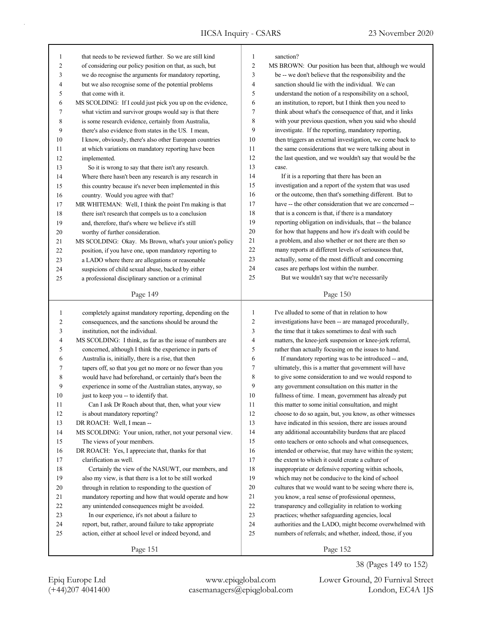| 1        | that needs to be reviewed further. So we are still kind                                                         | 1              | sanction?                                                                                                           |
|----------|-----------------------------------------------------------------------------------------------------------------|----------------|---------------------------------------------------------------------------------------------------------------------|
| 2        | of considering our policy position on that, as such, but                                                        | $\overline{c}$ | MS BROWN: Our position has been that, although we would                                                             |
| 3        | we do recognise the arguments for mandatory reporting,                                                          | 3              | be -- we don't believe that the responsibility and the                                                              |
| 4        | but we also recognise some of the potential problems                                                            | 4              | sanction should lie with the individual. We can                                                                     |
| 5        | that come with it.                                                                                              | 5<br>6         | understand the notion of a responsibility on a school,                                                              |
| 6        | MS SCOLDING: If I could just pick you up on the evidence,                                                       | $\tau$         | an institution, to report, but I think then you need to<br>think about what's the consequence of that, and it links |
| 7<br>8   | what victim and survivor groups would say is that there<br>is some research evidence, certainly from Australia, | 8              | with your previous question, when you said who should                                                               |
| 9        | there's also evidence from states in the US. I mean,                                                            | 9              | investigate. If the reporting, mandatory reporting,                                                                 |
| 10       | I know, obviously, there's also other European countries                                                        | 10             | then triggers an external investigation, we come back to                                                            |
| 11       | at which variations on mandatory reporting have been                                                            | 11             | the same considerations that we were talking about in                                                               |
| 12       | implemented.                                                                                                    | 12             | the last question, and we wouldn't say that would be the                                                            |
| 13       | So it is wrong to say that there isn't any research.                                                            | 13             | case.                                                                                                               |
| 14       | Where there hasn't been any research is any research in                                                         | 14             | If it is a reporting that there has been an                                                                         |
| 15       | this country because it's never been implemented in this                                                        | 15             | investigation and a report of the system that was used                                                              |
| 16       | country. Would you agree with that?                                                                             | 16             | or the outcome, then that's something different. But to                                                             |
| 17       | MR WHITEMAN: Well, I think the point I'm making is that                                                         | 17             | have -- the other consideration that we are concerned --                                                            |
| 18       | there isn't research that compels us to a conclusion                                                            | 18             | that is a concern is that, if there is a mandatory                                                                  |
| 19       | and, therefore, that's where we believe it's still                                                              | 19             | reporting obligation on individuals, that -- the balance                                                            |
| 20       | worthy of further consideration.                                                                                | 20             | for how that happens and how it's dealt with could be                                                               |
| 21       | MS SCOLDING: Okay. Ms Brown, what's your union's policy                                                         | 21             | a problem, and also whether or not there are then so                                                                |
| 22       | position, if you have one, upon mandatory reporting to                                                          | 22             | many reports at different levels of seriousness that,                                                               |
| 23       | a LADO where there are allegations or reasonable                                                                | 23             | actually, some of the most difficult and concerning                                                                 |
| 24       | suspicions of child sexual abuse, backed by either                                                              | 24             | cases are perhaps lost within the number.                                                                           |
| 25       | a professional disciplinary sanction or a criminal                                                              | 25             | But we wouldn't say that we're necessarily                                                                          |
|          | Page 149                                                                                                        |                | Page 150                                                                                                            |
|          |                                                                                                                 |                |                                                                                                                     |
|          |                                                                                                                 |                |                                                                                                                     |
| 1        | completely against mandatory reporting, depending on the                                                        | $\mathbf{1}$   | I've alluded to some of that in relation to how                                                                     |
| 2        | consequences, and the sanctions should be around the                                                            | $\overline{c}$ | investigations have been -- are managed procedurally,                                                               |
| 3        | institution, not the individual.                                                                                | 3              | the time that it takes sometimes to deal with such                                                                  |
| 4        | MS SCOLDING: I think, as far as the issue of numbers are                                                        | 4              | matters, the knee-jerk suspension or knee-jerk referral,                                                            |
| 5        | concerned, although I think the experience in parts of                                                          | 5              | rather than actually focusing on the issues to hand.                                                                |
| 6        | Australia is, initially, there is a rise, that then                                                             | 6              | If mandatory reporting was to be introduced -- and,                                                                 |
| 7        | tapers off, so that you get no more or no fewer than you                                                        | $\tau$         | ultimately, this is a matter that government will have                                                              |
| 8        | would have had beforehand, or certainly that's been the                                                         | 8              | to give some consideration to and we would respond to                                                               |
| 9        | experience in some of the Australian states, anyway, so                                                         | 9              | any government consultation on this matter in the                                                                   |
| 10       | just to keep you -- to identify that.                                                                           | 10             | fullness of time. I mean, government has already put                                                                |
| 11       | Can I ask Dr Roach about that, then, what your view                                                             | 11             | this matter to some initial consultation, and might                                                                 |
| 12       | is about mandatory reporting?                                                                                   | 12             | choose to do so again, but, you know, as other witnesses                                                            |
| 13       | DR ROACH: Well, I mean --                                                                                       | 13             | have indicated in this session, there are issues around                                                             |
| 14       | MS SCOLDING: Your union, rather, not your personal view.                                                        | 14             | any additional accountability burdens that are placed                                                               |
| 15       | The views of your members.                                                                                      | 15             | onto teachers or onto schools and what consequences,                                                                |
| 16       | DR ROACH: Yes, I appreciate that, thanks for that                                                               | 16             | intended or otherwise, that may have within the system;                                                             |
| 17       | clarification as well.                                                                                          | 17             | the extent to which it could create a culture of                                                                    |
| 18       | Certainly the view of the NASUWT, our members, and                                                              | 18             | inappropriate or defensive reporting within schools,                                                                |
| 19       | also my view, is that there is a lot to be still worked                                                         | 19             | which may not be conducive to the kind of school                                                                    |
| 20       | through in relation to responding to the question of                                                            | $20\,$         | cultures that we would want to be seeing where there is,                                                            |
| 21       | mandatory reporting and how that would operate and how                                                          | 21             | you know, a real sense of professional openness,                                                                    |
| 22       | any unintended consequences might be avoided.                                                                   | 22             | transparency and collegiality in relation to working                                                                |
| 23       | In our experience, it's not about a failure to                                                                  | 23             | practices; whether safeguarding agencies, local                                                                     |
| 24<br>25 | report, but, rather, around failure to take appropriate<br>action, either at school level or indeed beyond, and | 24<br>25       | authorities and the LADO, might become overwhelmed with<br>numbers of referrals; and whether, indeed, those, if you |

Page 152

38 (Pages 149 to 152)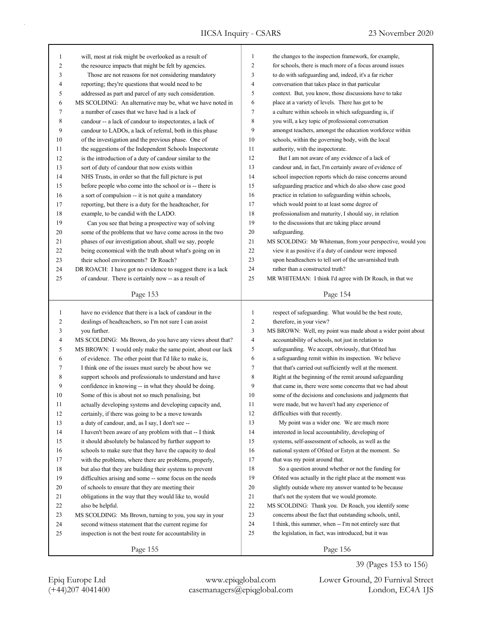| 1              | will, most at risk might be overlooked as a result of       | $\mathbf{1}$   | the changes to the inspection framework, for example,       |
|----------------|-------------------------------------------------------------|----------------|-------------------------------------------------------------|
| $\overline{c}$ | the resource impacts that might be felt by agencies.        | $\overline{c}$ | for schools, there is much more of a focus around issues    |
| 3              | Those are not reasons for not considering mandatory         | 3              | to do with safeguarding and, indeed, it's a far richer      |
| 4              | reporting; they're questions that would need to be          | 4              | conversation that takes place in that particular            |
| 5              | addressed as part and parcel of any such consideration.     | 5              | context. But, you know, those discussions have to take      |
| 6              | MS SCOLDING: An alternative may be, what we have noted in   | 6              | place at a variety of levels. There has got to be           |
| 7              | a number of cases that we have had is a lack of             | $\overline{7}$ | a culture within schools in which safeguarding is, if       |
| 8              | candour -- a lack of candour to inspectorates, a lack of    | 8              | you will, a key topic of professional conversation          |
| 9              | candour to LADOs, a lack of referral, both in this phase    | 9              | amongst teachers, amongst the education workforce within    |
| 10             | of the investigation and the previous phase. One of         | 10             | schools, within the governing body, with the local          |
| 11             | the suggestions of the Independent Schools Inspectorate     | 11             | authority, with the inspectorate.                           |
| 12             | is the introduction of a duty of candour similar to the     | 12             | But I am not aware of any evidence of a lack of             |
| 13             | sort of duty of candour that now exists within              | 13             | candour and, in fact, I'm certainly aware of evidence of    |
| 14             | NHS Trusts, in order so that the full picture is put        | 14             | school inspection reports which do raise concerns around    |
| 15             | before people who come into the school or is -- there is    | 15             | safeguarding practice and which do also show case good      |
| 16             | a sort of compulsion -- it is not quite a mandatory         | 16             | practice in relation to safeguarding within schools,        |
| 17             | reporting, but there is a duty for the headteacher, for     | 17             | which would point to at least some degree of                |
| 18             | example, to be candid with the LADO.                        | 18             | professionalism and maturity, I should say, in relation     |
| 19             | Can you see that being a prospective way of solving         | 19             | to the discussions that are taking place around             |
| 20             | some of the problems that we have come across in the two    | 20             | safeguarding.                                               |
| 21             | phases of our investigation about, shall we say, people     | 21             | MS SCOLDING: Mr Whiteman, from your perspective, would you  |
| 22             | being economical with the truth about what's going on in    | 22             | view it as positive if a duty of candour were imposed       |
| 23             | their school environments? Dr Roach?                        | 23             | upon headteachers to tell sort of the unvarnished truth     |
| 24             | DR ROACH: I have got no evidence to suggest there is a lack | 24             | rather than a constructed truth?                            |
| 25             | of candour. There is certainly now -- as a result of        | 25             | MR WHITEMAN: I think I'd agree with Dr Roach, in that we    |
|                |                                                             |                |                                                             |
|                | Page 153                                                    |                | Page 154                                                    |
|                |                                                             |                |                                                             |
|                |                                                             |                |                                                             |
| $\mathbf{1}$   | have no evidence that there is a lack of candour in the     | $\mathbf{1}$   | respect of safeguarding. What would be the best route,      |
| 2              | dealings of headteachers, so I'm not sure I can assist      | $\overline{c}$ | therefore, in your view?                                    |
| 3              | you further.                                                | 3              | MS BROWN: Well, my point was made about a wider point about |
| 4              | MS SCOLDING: Ms Brown, do you have any views about that?    | 4              | accountability of schools, not just in relation to          |
| 5              | MS BROWN: I would only make the same point, about our lack  | 5              | safeguarding. We accept, obviously, that Ofsted has         |
| 6              | of evidence. The other point that I'd like to make is,      | 6              | a safeguarding remit within its inspection. We believe      |
| 7              | I think one of the issues must surely be about how we       | 7              | that that's carried out sufficiently well at the moment.    |
| 8              | support schools and professionals to understand and have    | 8              | Right at the beginning of the remit around safeguarding     |
| 9              | confidence in knowing -- in what they should be doing.      | 9              | that came in, there were some concerns that we had about    |
| 10             | Some of this is about not so much penalising, but           | 10             | some of the decisions and conclusions and judgments that    |
| 11             | actually developing systems and developing capacity and,    | 11             | were made, but we haven't had any experience of             |
| 12             | certainly, if there was going to be a move towards          | 12             | difficulties with that recently.                            |
| 13             | a duty of candour, and, as I say, I don't see --            | 13             | My point was a wider one. We are much more                  |
| 14             | I haven't been aware of any problem with that -- I think    | 14             | interested in local accountability, developing of           |
| 15             | it should absolutely be balanced by further support to      | 15             | systems, self-assessment of schools, as well as the         |
| 16             | schools to make sure that they have the capacity to deal    | 16             | national system of Ofsted or Estyn at the moment. So        |
| 17             | with the problems, where there are problems, properly,      | 17             | that was my point around that.                              |
| 18             | but also that they are building their systems to prevent    | 18             | So a question around whether or not the funding for         |
| 19             | difficulties arising and some -- some focus on the needs    | 19             | Ofsted was actually in the right place at the moment was    |
| $20\,$         | of schools to ensure that they are meeting their            | 20             | slightly outside where my answer wanted to be because       |
| 21             | obligations in the way that they would like to, would       | 21             | that's not the system that we would promote.                |
| 22             | also be helpful.                                            | 22             | MS SCOLDING: Thank you. Dr Roach, you identify some         |
| 23             | MS SCOLDING: Ms Brown, turning to you, you say in your      | 23             | concerns about the fact that outstanding schools, until,    |
| 24             | second witness statement that the current regime for        | 24             | I think, this summer, when -- I'm not entirely sure that    |
| 25             | inspection is not the best route for accountability in      | 25             | the legislation, in fact, was introduced, but it was        |

39 (Pages 153 to 156)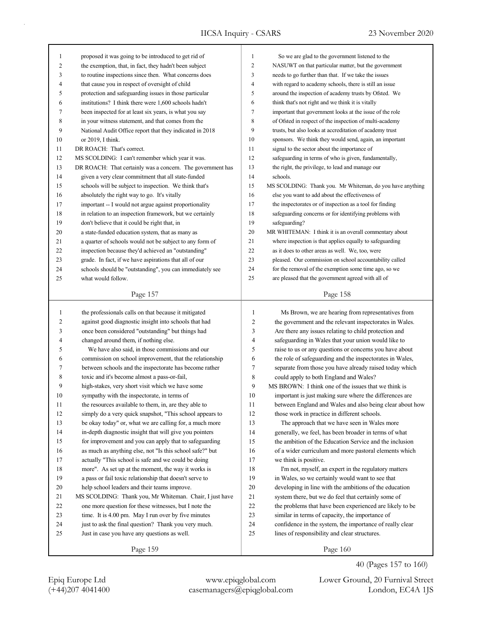| 1              | proposed it was going to be introduced to get rid of       | $\mathbf{1}$   | So we are glad to the government listened to the         |
|----------------|------------------------------------------------------------|----------------|----------------------------------------------------------|
| $\overline{c}$ | the exemption, that, in fact, they hadn't been subject     | $\overline{2}$ | NASUWT on that particular matter, but the government     |
| 3              | to routine inspections since then. What concerns does      | 3              | needs to go further than that. If we take the issues     |
| $\overline{4}$ | that cause you in respect of oversight of child            | $\overline{4}$ | with regard to academy schools, there is still an issue  |
| 5              | protection and safeguarding issues in those particular     | 5              | around the inspection of academy trusts by Ofsted. We    |
| 6              | institutions? I think there were 1,600 schools hadn't      | 6              | think that's not right and we think it is vitally        |
| 7              | been inspected for at least six years, is what you say     | 7              | important that government looks at the issue of the role |
| 8              | in your witness statement, and that comes from the         | 8              | of Ofsted in respect of the inspection of multi-academy  |
| 9              | National Audit Office report that they indicated in 2018   | 9              | trusts, but also looks at accreditation of academy trust |
| 10             | or 2019, I think.                                          | 10             | sponsors. We think they would send, again, an importan   |
| 11             | DR ROACH: That's correct.                                  | 11             | signal to the sector about the importance of             |
| 12             | MS SCOLDING: I can't remember which year it was.           | 12             | safeguarding in terms of who is given, fundamentally,    |
| 13             | DR ROACH: That certainly was a concern. The government has | 13             | the right, the privilege, to lead and manage our         |
| 14             | given a very clear commitment that all state-funded        | 14             | schools.                                                 |
| 15             | schools will be subject to inspection. We think that's     | 15             | MS SCOLDING: Thank you. Mr Whiteman, do you have         |
| 16             | absolutely the right way to go. It's vitally               | 16             | else you want to add about the effectiveness of          |
| 17             | important -- I would not argue against proportionality     | 17             | the inspectorates or of inspection as a tool for finding |
| 18             | in relation to an inspection framework, but we certainly   | 18             | safeguarding concerns or for identifying problems with   |
| 19             | don't believe that it could be right that, in              | 19             | safeguarding?                                            |
| 20             | a state-funded education system, that as many as           | 20             | MR WHITEMAN: I think it is an overall commentary abo     |
| 21             | a quarter of schools would not be subject to any form of   | 21             | where inspection is that applies equally to safeguarding |
| 22             | inspection because they'd achieved an "outstanding"        | 22             | as it does to other areas as well. We, too, were         |
| 23             | grade. In fact, if we have aspirations that all of our     | 23             | pleased. Our commission on school accountability called  |
| 24             | schools should be "outstanding", you can immediately see   | 24             | for the removal of the exemption some time ago, so we    |
| 25             | what would follow.                                         | 25             | are pleased that the government agreed with all of       |
|                |                                                            |                |                                                          |

| 1              | the professionals calls on that because it mitigated     | $\mathbf{1}$   | Ms Brown, we are hearing from representatives from       |
|----------------|----------------------------------------------------------|----------------|----------------------------------------------------------|
| 2              | against good diagnostic insight into schools that had    | 2              | the government and the relevant inspectorates in Wales.  |
| 3              | once been considered "outstanding" but things had        | 3              | Are there any issues relating to child protection and    |
| $\overline{4}$ | changed around them, if nothing else.                    | $\overline{4}$ | safeguarding in Wales that your union would like to      |
| 5              | We have also said, in those commissions and our          | 5              | raise to us or any questions or concerns you have about  |
| 6              | commission on school improvement, that the relationship  | 6              | the role of safeguarding and the inspectorates in Wales, |
| 7              | between schools and the inspectorate has become rather   | 7              | separate from those you have already raised today which  |
| 8              | toxic and it's become almost a pass-or-fail,             | 8              | could apply to both England and Wales?                   |
| 9              | high-stakes, very short visit which we have some         | 9              | MS BROWN: I think one of the issues that we think is     |
| 10             | sympathy with the inspectorate, in terms of              | 10             | important is just making sure where the differences are  |
| 11             | the resources available to them, in, are they able to    | 11             | between England and Wales and also being clear about how |
| 12             | simply do a very quick snapshot, "This school appears to | 12             | those work in practice in different schools.             |
| 13             | be okay today" or, what we are calling for, a much more  | 13             | The approach that we have seen in Wales more             |
| 14             | in-depth diagnostic insight that will give you pointers  | 14             | generally, we feel, has been broader in terms of what    |
| 15             | for improvement and you can apply that to safeguarding   | 15             | the ambition of the Education Service and the inclusion  |
| 16             | as much as anything else, not "Is this school safe?" but | 16             | of a wider curriculum and more pastoral elements which   |
| 17             | actually "This school is safe and we could be doing      | 17             | we think is positive.                                    |
| 18             | more". As set up at the moment, the way it works is      | 18             | I'm not, myself, an expert in the regulatory matters     |
| 19             | a pass or fail toxic relationship that doesn't serve to  | 19             | in Wales, so we certainly would want to see that         |
| 20             | help school leaders and their teams improve.             | 20             | developing in line with the ambitions of the education   |
| 21             | MS SCOLDING: Thank you, Mr Whiteman. Chair, I just have  | 21             | system there, but we do feel that certainly some of      |
| 22             | one more question for these witnesses, but I note the    | 22             | the problems that have been experienced are likely to be |
| 23             | time. It is 4.00 pm. May I run over by five minutes      | 23             | similar in terms of capacity, the importance of          |
| 24             | just to ask the final question? Thank you very much.     | 24             | confidence in the system, the importance of really clear |
| 25             | Just in case you have any questions as well.             | 25             | lines of responsibility and clear structures.            |
|                | Page 159                                                 |                | Page 160                                                 |

Page 158

MS SCOLDING: Thank you. Mr Whiteman, do you have anything

(+44)207 4041400 casemanagers@epiqglobal.com London, EC4A 1JS Epiq Europe Ltd www.epiqglobal.com Lower Ground, 20 Furnival Street

40 (Pages 157 to 160)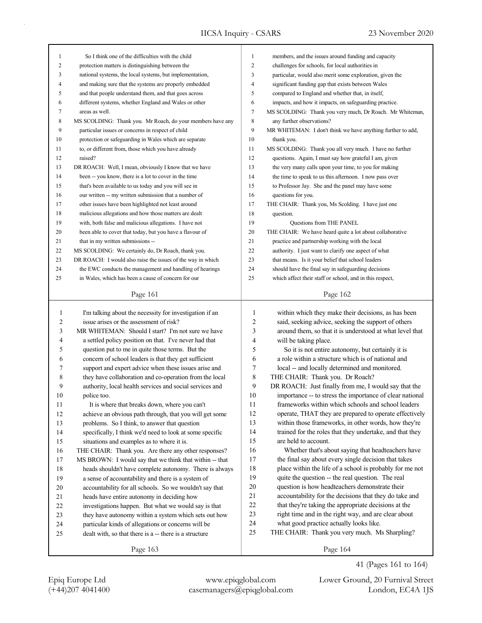| 1              | So I think one of the difficulties with the child                                                         | 1              | members, and the issues around funding and capacity                                                              |
|----------------|-----------------------------------------------------------------------------------------------------------|----------------|------------------------------------------------------------------------------------------------------------------|
| 2              | protection matters is distinguishing between the                                                          | $\overline{c}$ | challenges for schools, for local authorities in                                                                 |
| 3              | national systems, the local systems, but implementation,                                                  | 3              | particular, would also merit some exploration, given the                                                         |
| 4              | and making sure that the systems are properly embedded                                                    | $\overline{4}$ | significant funding gap that exists between Wales                                                                |
| 5              | and that people understand them, and that goes across                                                     | 5              | compared to England and whether that, in itself,                                                                 |
| 6              | different systems, whether England and Wales or other                                                     | 6              | impacts, and how it impacts, on safeguarding practice.                                                           |
| 7              | areas as well.                                                                                            | 7              | MS SCOLDING: Thank you very much, Dr Roach. Mr Whiteman,                                                         |
| 8              | MS SCOLDING: Thank you. Mr Roach, do your members have any                                                | 8              | any further observations?                                                                                        |
| 9              | particular issues or concerns in respect of child                                                         | 9              | MR WHITEMAN: I don't think we have anything further to add,                                                      |
| 10             | protection or safeguarding in Wales which are separate                                                    | 10             | thank you.                                                                                                       |
| 11             | to, or different from, those which you have already                                                       | 11             | MS SCOLDING: Thank you all very much. I have no further                                                          |
| 12             | raised?                                                                                                   | 12             | questions. Again, I must say how grateful I am, given                                                            |
| 13             | DR ROACH: Well, I mean, obviously I know that we have                                                     | 13             | the very many calls upon your time, to you for making                                                            |
| 14             | been -- you know, there is a lot to cover in the time                                                     | 14             | the time to speak to us this afternoon. I now pass over                                                          |
| 15             | that's been available to us today and you will see in                                                     | 15             | to Professor Jay. She and the panel may have some                                                                |
| 16             | our written -- my written submission that a number of                                                     | 16             | questions for you.                                                                                               |
| 17             | other issues have been highlighted not least around                                                       | 17             | THE CHAIR: Thank you, Ms Scolding. I have just one                                                               |
| 18             | malicious allegations and how those matters are dealt                                                     | 18             | question.                                                                                                        |
| 19             | with, both false and malicious allegations. I have not                                                    | 19             | Questions from THE PANEL                                                                                         |
| 20             | been able to cover that today, but you have a flavour of                                                  | 20             | THE CHAIR: We have heard quite a lot about collaborative                                                         |
| 21             | that in my written submissions --                                                                         | 21             | practice and partnership working with the local                                                                  |
| 22             | MS SCOLDING: We certainly do, Dr Roach, thank you.                                                        | 22             | authority. I just want to clarify one aspect of what                                                             |
| 23             | DR ROACH: I would also raise the issues of the way in which                                               | 23             | that means. Is it your belief that school leaders                                                                |
| 24             | the EWC conducts the management and handling of hearings                                                  | 24             | should have the final say in safeguarding decisions                                                              |
| 25             | in Wales, which has been a cause of concern for our                                                       | 25             | which affect their staff or school, and in this respect,                                                         |
|                |                                                                                                           |                | Page 162                                                                                                         |
|                | Page 161                                                                                                  |                |                                                                                                                  |
|                |                                                                                                           |                |                                                                                                                  |
|                |                                                                                                           |                |                                                                                                                  |
| $\mathbf{1}$   | I'm talking about the necessity for investigation if an                                                   | 1              | within which they make their decisions, as has been                                                              |
| $\overline{c}$ | issue arises or the assessment of risk?<br>MR WHITEMAN: Should I start? I'm not sure we have              | 2              | said, seeking advice, seeking the support of others                                                              |
| 3              |                                                                                                           | 3              | around them, so that it is understood at what level that                                                         |
| 4<br>5         | a settled policy position on that. I've never had that                                                    | 4              | will be taking place.                                                                                            |
|                | question put to me in quite those terms. But the                                                          | 5              | So it is not entire autonomy, but certainly it is                                                                |
| 6<br>7         | concern of school leaders is that they get sufficient                                                     | 6<br>7         | a role within a structure which is of national and                                                               |
|                | support and expert advice when these issues arise and                                                     | 8              | local -- and locally determined and monitored.                                                                   |
| 8<br>9         | they have collaboration and co-operation from the local                                                   | 9              | THE CHAIR: Thank you. Dr Roach?                                                                                  |
| 10             | authority, local health services and social services and<br>police too.                                   | 10             | DR ROACH: Just finally from me, I would say that the<br>importance -- to stress the importance of clear national |
|                |                                                                                                           | 11             | frameworks within which schools and school leaders                                                               |
| 11<br>12       | It is where that breaks down, where you can't                                                             | 12             | operate, THAT they are prepared to operate effectively                                                           |
|                | achieve an obvious path through, that you will get some                                                   | 13             |                                                                                                                  |
| 13<br>14       | problems. So I think, to answer that question<br>specifically, I think we'd need to look at some specific | 14             | within those frameworks, in other words, how they're<br>trained for the roles that they undertake, and that they |
| 15             | situations and examples as to where it is.                                                                | 15             | are held to account.                                                                                             |
| 16             | THE CHAIR: Thank you. Are there any other responses?                                                      | 16             | Whether that's about saying that headteachers have                                                               |
| 17             | MS BROWN: I would say that we think that within -- that                                                   | 17             | the final say about every single decision that takes                                                             |
| 18             |                                                                                                           | 18             |                                                                                                                  |
| 19             | heads shouldn't have complete autonomy. There is always                                                   | 19             | place within the life of a school is probably for me not<br>quite the question -- the real question. The real    |
| $20\,$         | a sense of accountability and there is a system of                                                        | 20             | question is how headteachers demonstrate their                                                                   |
| 21             | accountability for all schools. So we wouldn't say that<br>heads have entire autonomy in deciding how     | 21             | accountability for the decisions that they do take and                                                           |
| 22             | investigations happen. But what we would say is that                                                      | 22             | that they're taking the appropriate decisions at the                                                             |
| 23             | they have autonomy within a system which sets out how                                                     | 23             | right time and in the right way, and are clear about                                                             |
| 24             | particular kinds of allegations or concerns will be                                                       | 24             | what good practice actually looks like.                                                                          |
| 25             | dealt with, so that there is a -- there is a structure                                                    | 25             | THE CHAIR: Thank you very much. Ms Sharpling?                                                                    |

Page 164

(+44)207 4041400 casemanagers@epiqglobal.com London, EC4A 1JS Epiq Europe Ltd www.epiqglobal.com Lower Ground, 20 Furnival Street

41 (Pages 161 to 164)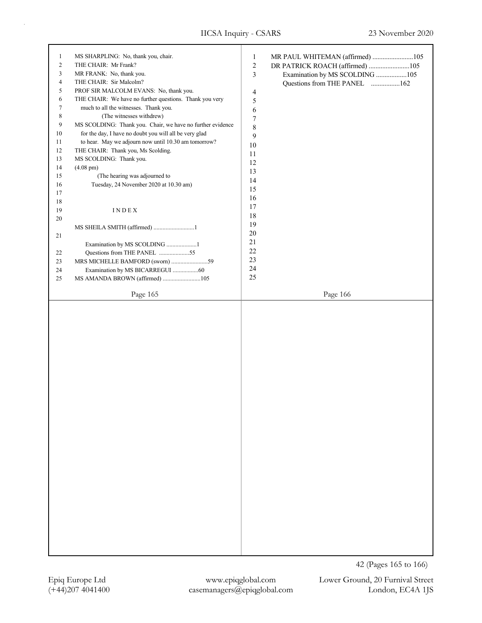| $\mathbf{1}$   | MS SHARPLING: No, thank you, chair.                        | $\mathbf{1}$     | MR PAUL WHITEMAN (affirmed) 105 |  |
|----------------|------------------------------------------------------------|------------------|---------------------------------|--|
| $\sqrt{2}$     | THE CHAIR: Mr Frank?                                       | $\sqrt{2}$       | DR PATRICK ROACH (affirmed) 105 |  |
| 3              | MR FRANK: No, thank you.                                   | $\overline{3}$   | Examination by MS SCOLDING 105  |  |
| $\overline{4}$ | THE CHAIR: Sir Malcolm?                                    |                  | Questions from THE PANEL 162    |  |
| 5              | PROF SIR MALCOLM EVANS: No, thank you.                     | 4                |                                 |  |
| 6              | THE CHAIR: We have no further questions. Thank you very    | $\mathfrak s$    |                                 |  |
| 7              | much to all the witnesses. Thank you.                      | 6                |                                 |  |
| $\,$ 8 $\,$    | (The witnesses withdrew)                                   | $\boldsymbol{7}$ |                                 |  |
| 9              | MS SCOLDING: Thank you. Chair, we have no further evidence | $\,8\,$          |                                 |  |
| 10             | for the day, I have no doubt you will all be very glad     | 9                |                                 |  |
| 11             | to hear. May we adjourn now until 10.30 am tomorrow?       | 10               |                                 |  |
| 12             | THE CHAIR: Thank you, Ms Scolding.                         |                  |                                 |  |
| 13             | MS SCOLDING: Thank you.                                    | $11\,$           |                                 |  |
| 14             | $(4.08 \text{ pm})$                                        | 12               |                                 |  |
| 15             | (The hearing was adjourned to                              | 13               |                                 |  |
| 16             | Tuesday, 24 November 2020 at 10.30 am)                     | 14               |                                 |  |
| 17             |                                                            | 15               |                                 |  |
| $18\,$         |                                                            | 16               |                                 |  |
| 19             | INDEX                                                      | 17               |                                 |  |
| 20             |                                                            | 18               |                                 |  |
|                |                                                            | 19               |                                 |  |
|                | MS SHEILA SMITH (affirmed) 1                               | 20               |                                 |  |
| 21             |                                                            | $21\,$           |                                 |  |
|                | Examination by MS SCOLDING 1                               | 22               |                                 |  |
| 22             | Questions from THE PANEL 55                                | 23               |                                 |  |
| 23             | MRS MICHELLE BAMFORD (sworn) 59                            |                  |                                 |  |
| 24             | Examination by MS BICARREGUI 60                            | $24\,$           |                                 |  |
| 25             | MS AMANDA BROWN (affirmed) 105                             | 25               |                                 |  |
|                | Page 165                                                   |                  | Page 166                        |  |
|                |                                                            |                  |                                 |  |
|                |                                                            |                  |                                 |  |
|                |                                                            |                  |                                 |  |
|                |                                                            |                  |                                 |  |
|                |                                                            |                  |                                 |  |
|                |                                                            |                  |                                 |  |
|                |                                                            |                  |                                 |  |
|                |                                                            |                  |                                 |  |
|                |                                                            |                  |                                 |  |
|                |                                                            |                  |                                 |  |
|                |                                                            |                  |                                 |  |
|                |                                                            |                  |                                 |  |
|                |                                                            |                  |                                 |  |
|                |                                                            |                  |                                 |  |
|                |                                                            |                  |                                 |  |
|                |                                                            |                  |                                 |  |
|                |                                                            |                  |                                 |  |
|                |                                                            |                  |                                 |  |
|                |                                                            |                  |                                 |  |
|                |                                                            |                  |                                 |  |
|                |                                                            |                  |                                 |  |
|                |                                                            |                  |                                 |  |
|                |                                                            |                  |                                 |  |
|                |                                                            |                  |                                 |  |
|                |                                                            |                  |                                 |  |
|                |                                                            |                  |                                 |  |
|                |                                                            |                  |                                 |  |
|                |                                                            |                  |                                 |  |
|                |                                                            |                  |                                 |  |
|                |                                                            |                  |                                 |  |
|                |                                                            |                  |                                 |  |
|                |                                                            |                  |                                 |  |
|                |                                                            |                  | 42 (Pages 165 to 166)           |  |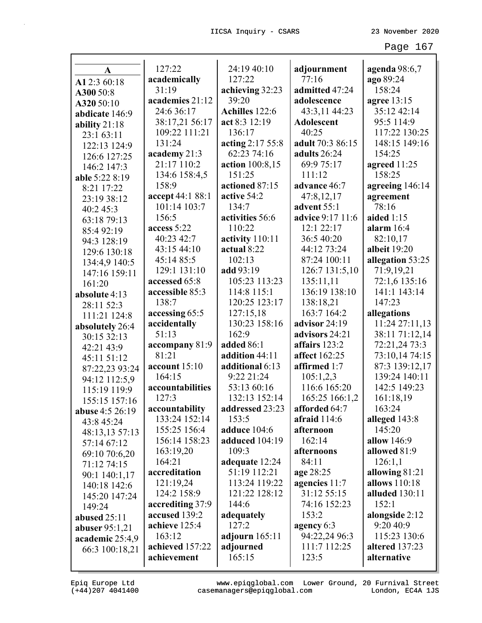| $\mathbf A$            | 127:22                         | 24:19 40:10         | adjournment           | agenda 98:6,7                 |
|------------------------|--------------------------------|---------------------|-----------------------|-------------------------------|
| A12:3 60:18            | academically                   | 127:22              | 77:16                 | ago 89:24                     |
| A300 50:8              | 31:19                          | achieving 32:23     | admitted 47:24        | 158:24                        |
| A320 50:10             | academies 21:12                | 39:20               | adolescence           | agree 13:15                   |
| abdicate 146:9         | 24:6 36:17                     | Achilles 122:6      | 43:3,11 44:23         | 35:12 42:14                   |
| ability 21:18          | 38:17,21 56:17                 | act 8:3 12:19       | <b>Adolescent</b>     | 95:5 114:9                    |
| 23:1 63:11             | 109:22 111:21                  | 136:17              | 40:25                 | 117:22 130:25                 |
| 122:13 124:9           | 131:24                         | acting 2:17 55:8    | adult 70:3 86:15      | 148:15 149:16                 |
| 126:6 127:25           | academy 21:3                   | 62:23 74:16         | adults 26:24          | 154:25                        |
| 146:2 147:3            | 21:17 110:2                    | action 100:8,15     | 69:9 75:17            | agreed 11:25                  |
| able 5:22 8:19         | 134:6 158:4,5                  | 151:25              | 111:12                | 158:25                        |
| 8:21 17:22             | 158:9                          | actioned 87:15      | advance 46:7          | agreeing 146:14               |
| 23:19 38:12            | accept 44:1 88:1               | active 54:2         | 47:8,12,17            | agreement                     |
| 40:2 45:3              | 101:14 103:7                   | 134:7               | advent 55:1           | 78:16                         |
| 63:18 79:13            | 156:5                          | activities 56:6     | advice 9:17 11:6      | aided $1:15$                  |
| 85:4 92:19             | access 5:22                    | 110:22              | 12:1 22:17            | alarm $16:4$                  |
| 94:3 128:19            | 40:23 42:7                     | activity 110:11     | 36:5 40:20            | 82:10,17                      |
| 129:6 130:18           | 43:15 44:10                    | actual 8:22         | 44:12 73:24           | albeit 19:20                  |
| 134:4,9 140:5          | 45:14 85:5                     | 102:13              | 87:24 100:11          | allegation 53:25              |
| 147:16 159:11          | 129:1 131:10                   | add 93:19           | 126:7 131:5,10        | 71:9,19,21                    |
| 161:20                 | accessed 65:8                  | 105:23 113:23       | 135:11,11             | 72:1,6 135:16                 |
| absolute 4:13          | accessible 85:3                | 114:8 115:1         | 136:19 138:10         | 141:1 143:14                  |
| 28:11 52:3             | 138:7                          | 120:25 123:17       | 138:18,21             | 147:23                        |
| 111:21 124:8           | accessing 65:5                 | 127:15,18           | 163:7 164:2           | allegations                   |
| absolutely 26:4        | accidentally                   | 130:23 158:16       | advisor 24:19         | 11:24 27:11,13                |
| 30:15 32:13            | 51:13                          | 162:9               | advisors 24:21        | 38:11 71:12,14                |
| 42:21 43:9             | accompany 81:9                 | added 86:1          | affairs 123:2         | 72:21,24 73:3                 |
| 45:11 51:12            | 81:21                          | addition 44:11      | affect 162:25         | 73:10,14 74:15                |
| 87:22,23 93:24         | account 15:10                  | additional 6:13     | affirmed 1:7          | 87:3 139:12,17                |
| 94:12 112:5,9          | 164:15                         | 9:22 21:24          | 105:1,2,3             | 139:24 140:11                 |
| 115:19 119:9           | accountabilities               | 53:13 60:16         | 116:6 165:20          | 142:5 149:23                  |
| 155:15 157:16          | 127:3                          | 132:13 152:14       | 165:25 166:1,2        | 161:18,19                     |
| <b>abuse</b> 4:5 26:19 | accountability                 | addressed 23:23     | afforded 64:7         | 163:24                        |
| 43:8 45:24             | 133:24 152:14                  | 153:5               | afraid $114:6$        | alleged 143:8                 |
| 48:13,13 57:13         | 155:25 156:4                   | adduce 104:6        | afternoon             | 145:20                        |
| 57:14 67:12            | 156:14 158:23                  | adduced 104:19      | 162:14                | allow $146:9$                 |
| 69:10 70:6,20          | 163:19,20                      | 109:3               | afternoons            | allowed 81:9                  |
| 71:12 74:15            | 164:21                         | adequate 12:24      | 84:11                 | 126:1,1                       |
| 90:1 140:1,17          | accreditation                  | 51:19 112:21        | age 28:25             | allowing 81:21                |
| 140:18 142:6           | 121:19,24                      | 113:24 119:22       | agencies 11:7         | allows 110:18                 |
| 145:20 147:24          | 124:2 158:9                    | 121:22 128:12       | 31:12 55:15           | alluded 130:11                |
| 149:24                 | accrediting 37:9               | 144:6               | 74:16 152:23          | 152:1                         |
| abused $25:11$         | accused 139:2                  | adequately<br>127:2 | 153:2                 | alongside 2:12                |
| abuser $95:1,21$       | achieve 125:4                  |                     | agency 6:3            | 9:20 40:9                     |
| academic 25:4,9        | 163:12                         | adjourn $165:11$    | 94:22,24 96:3         | 115:23 130:6                  |
| 66:3 100:18,21         | achieved 157:22<br>achievement | adjourned<br>165:15 | 111:7 112:25<br>123:5 | altered 137:23<br>alternative |
|                        |                                |                     |                       |                               |

Epiq Europe Ltd www.epiqglobal.com Lower Ground, 20 Furnival Street<br>(+44)207 4041400 casemanagers@epiqglobal.com London, EC4A 1JS www.epiqglobal.com Lower Ground, 20 Furnival Street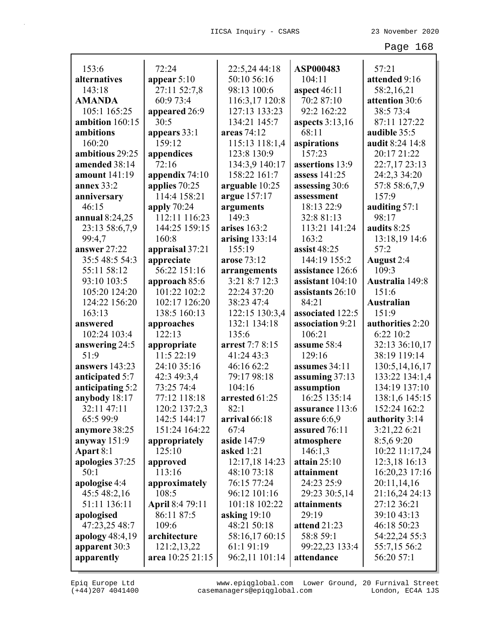|                   | 72:24                  |                              | ASP000483         | 57:21             |
|-------------------|------------------------|------------------------------|-------------------|-------------------|
| 153:6             |                        | 22:5,24 44:18<br>50:10 56:16 |                   |                   |
| alternatives      | appear $5:10$          |                              | 104:11            | attended 9:16     |
| 143:18            | 27:11 52:7,8           | 98:13 100:6                  | aspect 46:11      | 58:2,16,21        |
| <b>AMANDA</b>     | 60:9 73:4              | 116:3,17 120:8               | 70:2 87:10        | attention 30:6    |
| 105:1 165:25      | appeared 26:9          | 127:13 133:23                | 92:2 162:22       | 38:5 73:4         |
| ambition 160:15   | 30:5                   | 134:21 145:7                 | aspects $3:13,16$ | 87:11 127:22      |
| ambitions         | appears 33:1           | areas $74:12$                | 68:11             | audible 35:5      |
| 160:20            | 159:12                 | 115:13 118:1,4               | aspirations       | audit 8:24 14:8   |
| ambitious 29:25   | appendices             | 123:8 130:9                  | 157:23            | 20:17 21:22       |
| amended 38:14     | 72:16                  | 134:3,9 140:17               | assertions 13:9   | 22:7,17 23:13     |
| amount 141:19     | appendix 74:10         | 158:22 161:7                 | assess 141:25     | 24:2,3 34:20      |
| annex $33:2$      | applies 70:25          | arguable 10:25               | assessing 30:6    | 57:8 58:6,7,9     |
| anniversary       | 114:4 158:21           | argue 157:17                 | assessment        | 157:9             |
| 46:15             | apply $70:24$          | arguments                    | 18:13 22:9        | auditing 57:1     |
| annual 8:24,25    | 112:11 116:23          | 149:3                        | 32:8 81:13        | 98:17             |
| 23:13 58:6,7,9    | 144:25 159:15          | arises 163:2                 | 113:21 141:24     | audits 8:25       |
| 99:4,7            | 160:8                  | arising $133:14$             | 163:2             | 13:18,19 14:6     |
| answer 27:22      | appraisal 37:21        | 155:19                       | assist $48:25$    | 57:2              |
| 35:5 48:5 54:3    | appreciate             | arose 73:12                  | 144:19 155:2      | August 2:4        |
| 55:11 58:12       | 56:22 151:16           | arrangements                 | assistance 126:6  | 109:3             |
| 93:10 103:5       | approach 85:6          | 3:21 8:7 12:3                | assistant 104:10  | Australia 149:8   |
| 105:20 124:20     | 101:22 102:2           | 22:24 37:20                  | assistants 26:10  | 151:6             |
| 124:22 156:20     | 102:17 126:20          | 38:23 47:4                   | 84:21             | <b>Australian</b> |
| 163:13            | 138:5 160:13           | 122:15 130:3,4               | associated 122:5  | 151:9             |
| answered          | approaches             | 132:1 134:18                 | association 9:21  | authorities 2:20  |
| 102:24 103:4      | 122:13                 | 135:6                        | 106:21            | 6:22 10:2         |
| answering 24:5    | appropriate            | arrest 7:7 8:15              | assume 58:4       | 32:13 36:10,17    |
| 51:9              | 11:5 22:19             | 41:24 43:3                   | 129:16            | 38:19 119:14      |
| answers 143:23    | 24:10 35:16            | 46:16 62:2                   | assumes 34:11     | 130:5, 14, 16, 17 |
| anticipated 5:7   | 42:3 49:3,4            | 79:17 98:18                  | assuming $37:13$  | 133:22 134:1,4    |
| anticipating 5:2  | 73:25 74:4             | 104:16                       | assumption        | 134:19 137:10     |
| anybody 18:17     | 77:12 118:18           | arrested 61:25               | 16:25 135:14      | 138:1,6 145:15    |
| 32:11 47:11       | 120:2 137:2,3          | 82:1                         | assurance 113:6   | 152:24 162:2      |
| 65:5 99:9         | 142:5 144:17           | arrival 66:18                | assure $6:6,9$    | authority 3:14    |
| anymore 38:25     | 151:24 164:22          | 67:4                         | assured 76:11     | 3:21,22 6:21      |
| anyway $151:9$    | appropriately          | aside 147:9                  | atmosphere        | 8:5,69:20         |
| Apart 8:1         | 125:10                 | asked 1:21                   | 146:1,3           | 10:22 11:17,24    |
| apologies 37:25   | approved               | 12:17,18 14:23               | attain $25:10$    | 12:3,18 16:13     |
| 50:1              | 113:16                 | 48:10 73:18                  | attainment        | 16:20,23 17:16    |
| apologise 4:4     | approximately          | 76:15 77:24                  | 24:23 25:9        | 20:11,14,16       |
| 45:5 48:2,16      | 108:5                  | 96:12 101:16                 | 29:23 30:5,14     | 21:16,24 24:13    |
| 51:11 136:11      | <b>April</b> 8:4 79:11 | 101:18 102:22                | attainments       | 27:12 36:21       |
| apologised        | 86:11 87:5             | asking $19:10$               | 29:19             | 39:10 43:13       |
| 47:23,25 48:7     | 109:6                  | 48:21 50:18                  | attend 21:23      | 46:18 50:23       |
| apology $48:4,19$ | architecture           | 58:16,1760:15                | 58:8 59:1         | 54:22,24 55:3     |
| apparent 30:3     | 121:2,13,22            | 61:191:19                    | 99:22,23 133:4    | 55:7,15 56:2      |
| apparently        | area 10:25 21:15       | 96:2,11 101:14               | attendance        | 56:20 57:1        |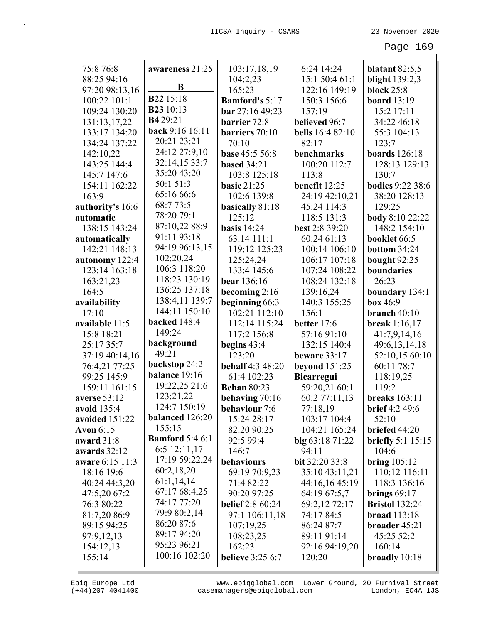|                  |                        |                         | 6:24 14:24              |                         |
|------------------|------------------------|-------------------------|-------------------------|-------------------------|
| 75:8 76:8        | awareness 21:25        | 103:17,18,19            |                         | blatant $82:5,5$        |
| 88:25 94:16      | B                      | 104:2,23                | 15:1 50:4 61:1          | blight 139:2,3          |
| 97:20 98:13,16   | <b>B22</b> 15:18       | 165:23                  | 122:16 149:19           | <b>block</b> 25:8       |
| 100:22 101:1     | <b>B23</b> 10:13       | <b>Bamford's 5:17</b>   | 150:3 156:6             | <b>board</b> 13:19      |
| 109:24 130:20    | B4 29:21               | bar 27:16 49:23         | 157:19                  | 15:2 17:11              |
| 131:13,17,22     |                        | barrier 72:8            | believed 96:7           | 34:22 46:18             |
| 133:17 134:20    | back 9:16 16:11        | barriers 70:10          | <b>bells</b> 16:4 82:10 | 55:3 104:13             |
| 134:24 137:22    | 20:21 23:21            | 70:10                   | 82:17                   | 123:7                   |
| 142:10,22        | 24:12 27:9,10          | <b>base 45:5 56:8</b>   | benchmarks              | <b>boards</b> 126:18    |
| 143:25 144:4     | 32:14,15 33:7          | <b>based 34:21</b>      | 100:20 112:7            | 128:13 129:13           |
| 145:7 147:6      | 35:20 43:20            | 103:8 125:18            | 113:8                   | 130:7                   |
| 154:11 162:22    | 50:1 51:3              | basic $21:25$           | benefit 12:25           | <b>bodies</b> 9:22 38:6 |
| 163:9            | 65:16 66:6             | 102:6 139:8             | 24:19 42:10,21          | 38:20 128:13            |
| authority's 16:6 | 68:7 73:5              | basically 81:18         | 45:24 114:3             | 129:25                  |
| automatic        | 78:20 79:1             | 125:12                  | 118:5 131:3             | <b>body</b> 8:10 22:22  |
| 138:15 143:24    | 87:10,22 88:9          | basis $14:24$           | best 2:8 39:20          | 148:2 154:10            |
| automatically    | 91:11 93:18            | 63:14 111:1             | 60:24 61:13             | booklet 66:5            |
| 142:21 148:13    | 94:19 96:13,15         | 119:12 125:23           | 100:14 106:10           | bottom 34:24            |
| autonomy 122:4   | 102:20,24              | 125:24,24               | 106:17 107:18           | bought 92:25            |
| 123:14 163:18    | 106:3 118:20           | 133:4 145:6             | 107:24 108:22           | boundaries              |
| 163:21,23        | 118:23 130:19          | <b>bear</b> 136:16      | 108:24 132:18           | 26:23                   |
| 164:5            | 136:25 137:18          | becoming $2:16$         | 139:16,24               | <b>boundary</b> 134:1   |
| availability     | 138:4,11 139:7         | beginning 66:3          | 140:3 155:25            | <b>box</b> 46:9         |
| 17:10            | 144:11 150:10          | 102:21 112:10           | 156:1                   | branch $40:10$          |
| available 11:5   | backed 148:4           | 112:14 115:24           | better 17:6             | break $1:16,17$         |
| 15:8 18:21       | 149:24                 | 117:2 156:8             | 57:16 91:10             | 41:7,9,14,16            |
| 25:17 35:7       | background             | begins 43:4             | 132:15 140:4            | 49:6,13,14,18           |
| 37:19 40:14,16   | 49:21                  | 123:20                  | beware $33:17$          | 52:10,15 60:10          |
| 76:4,21 77:25    | backstop 24:2          | <b>behalf</b> 4:3 48:20 | <b>beyond</b> 151:25    | 60:11 78:7              |
| 99:25 145:9      | balance 19:16          | 61:4 102:23             | <b>Bicarregui</b>       | 118:19,25               |
| 159:11 161:15    | 19:22,25 21:6          | <b>Behan</b> 80:23      | 59:20,21 60:1           | 119:2                   |
| averse 53:12     | 123:21,22              | behaving 70:16          | 60:2 77:11,13           | <b>breaks</b> 163:11    |
| avoid 135:4      | 124:7 150:19           | behaviour 7:6           | 77:18,19                | <b>brief</b> 4:2 49:6   |
| avoided 151:22   | balanced 126:20        | 15:24 28:17             | 103:17 104:4            | 52:10                   |
| <b>Avon</b> 6:15 | 155:15                 | 82:20 90:25             | 104:21 165:24           | briefed 44:20           |
| award 31:8       | <b>Bamford</b> 5:4 6:1 | 92:5 99:4               | big 63:1871:22          | briefly $5:1$ 15:15     |
| awards 32:12     | 6:5 12:11,17           | 146:7                   | 94:11                   | 104:6                   |
| aware 6:15 11:3  | 17:19 59:22,24         | behaviours              | bit 32:20 33:8          | bring $105:12$          |
| 18:16 19:6       | 60:2,18,20             | 69:19 70:9,23           | 35:10 43:11,21          | 110:12 116:11           |
| 40:24 44:3,20    | 61:1,14,14             | 71:4 82:22              | 44:16,16 45:19          | 118:3 136:16            |
| 47:5,20 67:2     | 67:17 68:4,25          | 90:20 97:25             | 64:19 67:5,7            | brings $69:17$          |
| 76:3 80:22       | 74:17 77:20            | <b>belief</b> 2:8 60:24 | 69:2,12 72:17           | <b>Bristol</b> 132:24   |
| 81:7,20 86:9     | 79:9 80:2,14           | 97:1 106:11,18          | 74:17 84:5              | <b>broad</b> 113:18     |
| 89:15 94:25      | 86:20 87:6             | 107:19,25               | 86:24 87:7              | broader 45:21           |
| 97:9,12,13       | 89:17 94:20            | 108:23,25               | 89:11 91:14             | 45:25 52:2              |
| 154:12,13        | 95:23 96:21            | 162:23                  | 92:16 94:19,20          | 160:14                  |
| 155:14           | 100:16 102:20          | <b>believe</b> 3:25 6:7 | 120:20                  | broadly $10:18$         |
|                  |                        |                         |                         |                         |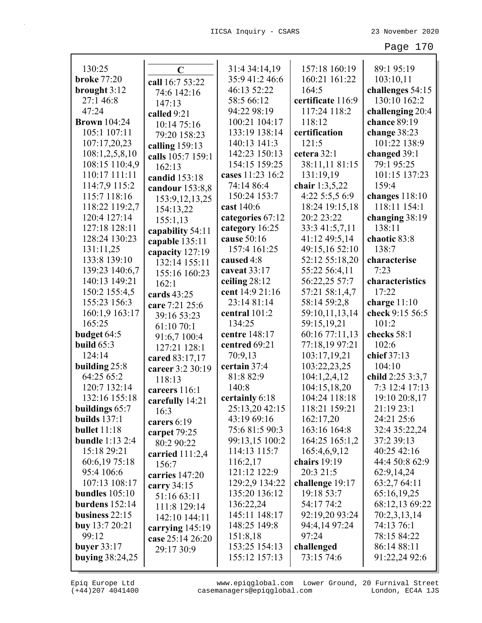| 130:25                 | $\mathbf C$       | 31:4 34:14,19    | 157:18 160:19     | 89:1 95:19       |
|------------------------|-------------------|------------------|-------------------|------------------|
| <b>broke 77:20</b>     | call 16:7 53:22   | 35:9 41:2 46:6   | 160:21 161:22     | 103:10,11        |
| brought 3:12           | 74:6 142:16       | 46:13 52:22      | 164:5             | challenges 54:15 |
| 27:1 46:8              | 147:13            | 58:5 66:12       | certificate 116:9 | 130:10 162:2     |
| 47:24                  | called 9:21       | 94:22 98:19      | 117:24 118:2      | challenging 20:4 |
| <b>Brown</b> 104:24    | 10:14 75:16       | 100:21 104:17    | 118:12            | chance 89:19     |
| 105:1 107:11           | 79:20 158:23      | 133:19 138:14    | certification     | change 38:23     |
| 107:17,20,23           | calling 159:13    | 140:13 141:3     | 121:5             | 101:22 138:9     |
| 108:1,2,5,8,10         | calls 105:7 159:1 | 142:23 150:13    | cetera 32:1       | changed 39:1     |
| 108:15 110:4,9         | 162:13            | 154:15 159:25    | 38:11,11 81:15    | 79:1 95:25       |
| 110:17 111:11          | candid 153:18     | cases 11:23 16:2 | 131:19,19         | 101:15 137:23    |
| 114:7,9 115:2          | candour 153:8,8   | 74:14 86:4       | chair 1:3,5,22    | 159:4            |
| 115:7 118:16           | 153:9, 12, 13, 25 | 150:24 153:7     | 4:22 5:5,5 6:9    | changes $118:10$ |
| 118:22 119:2,7         | 154:13,22         | cast 140:6       | 18:24 19:15,18    | 118:11 154:1     |
| 120:4 127:14           | 155:1,13          | categories 67:12 | 20:2 23:22        | changing 38:19   |
| 127:18 128:11          | capability 54:11  | category 16:25   | 33:3 41:5,7,11    | 138:11           |
| 128:24 130:23          | capable 135:11    | cause 50:16      | 41:12 49:5,14     | chaotic 83:8     |
| 131:11,25              | capacity 127:19   | 157:4 161:25     | 49:15,16 52:10    | 138:7            |
| 133:8 139:10           | 132:14 155:11     | caused 4:8       | 52:12 55:18,20    | characterise     |
| 139:23 140:6,7         | 155:16 160:23     | caveat 33:17     | 55:22 56:4,11     | 7:23             |
| 140:13 149:21          | 162:1             | ceiling $28:12$  | 56:22,25 57:7     | characteristics  |
| 150:2 155:4,5          | cards 43:25       | cent 14:9 21:16  | 57:21 58:1,4,7    | 17:22            |
| 155:23 156:3           | care 7:21 25:6    | 23:14 81:14      | 58:14 59:2,8      | charge $11:10$   |
| 160:1,9 163:17         | 39:16 53:23       | central 101:2    | 59:10,11,13,14    | check 9:15 56:5  |
| 165:25                 | 61:10 70:1        | 134:25           | 59:15,19,21       | 101:2            |
| budget 64:5            | 91:6,7 100:4      | centre 148:17    | 60:16 77:11,13    | checks 58:1      |
| build $65:3$           | 127:21 128:1      | centred 69:21    | 77:18,19 97:21    | 102:6            |
| 124:14                 | cared 83:17,17    | 70:9,13          | 103:17,19,21      | chief 37:13      |
| building 25:8          | career 3:2 30:19  | certain 37:4     | 103:22,23,25      | 104:10           |
| 64:25 65:2             | 118:13            | 81:8 82:9        | 104:1,2,4,12      | child 2:25 3:3,7 |
| 120:7 132:14           | careers 116:1     | 140:8            | 104:15,18,20      | 7:3 12:4 17:13   |
| 132:16 155:18          | carefully 14:21   | certainly 6:18   | 104:24 118:18     | 19:10 20:8,17    |
| buildings 65:7         | 16:3              | 25:13,20 42:15   | 118:21 159:21     | 21:19 23:1       |
| builds $137:1$         | carers 6:19       | 43:19 69:16      | 162:17,20         | 24:21 25:6       |
| bullet $11:18$         | carpet 79:25      | 75:6 81:5 90:3   | 163:16 164:8      | 32:4 35:22,24    |
| <b>bundle</b> 1:13 2:4 | 80:2 90:22        | 99:13,15 100:2   | 164:25 165:1,2    | 37:2 39:13       |
| 15:18 29:21            | carried 111:2,4   | 114:13 115:7     | 165:4,6,9,12      | 40:25 42:16      |
| 60:6,19 75:18          | 156:7             | 116:2,17         | chairs $19:19$    | 44:4 50:8 62:9   |
| 95:4 106:6             | carries 147:20    | 121:12 122:9     | 20:3 21:5         | 62:9,14,24       |
| 107:13 108:17          | carry $34:15$     | 129:2,9 134:22   | challenge 19:17   | 63:2,7 64:11     |
| bundles $105:10$       | 51:16 63:11       | 135:20 136:12    | 19:18 53:7        | 65:16,19,25      |
| burdens $152:14$       | 111:8 129:14      | 136:22,24        | 54:17 74:2        | 68:12,13 69:22   |
| business $22:15$       | 142:10 144:11     | 145:11 148:17    | 92:19,20 93:24    | 70:2,3,13,14     |
| buy $13:720:21$        | carrying 145:19   | 148:25 149:8     | 94:4,14 97:24     | 74:13 76:1       |
| 99:12                  | case 25:14 26:20  | 151:8,18         | 97:24             | 78:15 84:22      |
| buyer $33:17$          | 29:17 30:9        | 153:25 154:13    | challenged        | 86:14 88:11      |
| buying $38:24,25$      |                   | 155:12 157:13    | 73:15 74:6        | 91:22,24 92:6    |
|                        |                   |                  |                   |                  |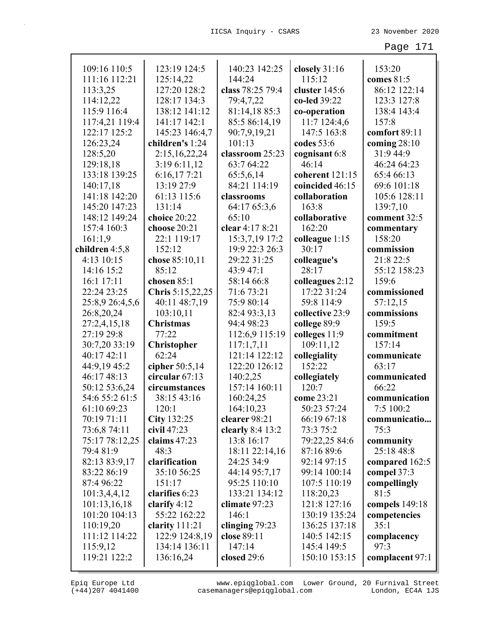| 109:16 110:5    | 123:19 124:5       | 140:23 142:25      | closely 31:16   | 153:20           |
|-----------------|--------------------|--------------------|-----------------|------------------|
| 111:16 112:21   | 125:14,22          | 144:24             | 115:12          | comes 81:5       |
| 113:3,25        | 127:20 128:2       | class 78:25 79:4   | cluster 145:6   | 86:12 122:14     |
| 114:12,22       | 128:17 134:3       | 79:4,7,22          | co-led 39:22    | 123:3 127:8      |
| 115:9 116:4     | 138:12 141:12      | 81:14,18 85:3      | co-operation    | 138:4 143:4      |
| 117:4,21 119:4  | 141:17 142:1       | 85:5 86:14,19      | 11:7 124:4,6    | 157:8            |
| 122:17 125:2    | 145:23 146:4,7     | 90:7,9,19,21       | 147:5 163:8     | comfort 89:11    |
| 126:23,24       | children's 1:24    | 101:13             | codes $53:6$    | coming $28:10$   |
| 128:5,20        | 2:15,16,22,24      | classroom 25:23    | cognisant 6:8   | 31:9 44:9        |
| 129:18,18       | 3:19 6:11,12       | 63:7 64:22         | 46:14           | 46:24 64:23      |
| 133:18 139:25   | 6:16,177:21        | 65:5,6,14          | coherent 121:15 | 65:4 66:13       |
| 140:17,18       | 13:19 27:9         | 84:21 114:19       | coincided 46:15 | 69:6 101:18      |
| 141:18 142:20   | 61:13 115:6        | classrooms         | collaboration   | 105:6 128:11     |
| 145:20 147:23   | 131:14             | 64:17 65:3,6       | 163:8           | 139:7,10         |
| 148:12 149:24   | choice 20:22       | 65:10              | collaborative   | comment 32:5     |
| 157:4 160:3     | choose 20:21       | clear 4:17 8:21    | 162:20          | commentary       |
| 161:1,9         | 22:1 119:17        | 15:3,7,19 17:2     | colleague 1:15  | 158:20           |
| children 4:5,8  | 152:12             | 19:9 22:3 26:3     | 30:17           | commission       |
| 4:13 10:15      | chose 85:10,11     | 29:22 31:25        | colleague's     | 21:8 22:5        |
| 14:16 15:2      | 85:12              | 43:9 47:1          | 28:17           | 55:12 158:23     |
| 16:1 17:11      | chosen 85:1        | 58:14 66:8         | colleagues 2:12 | 159:6            |
| 22:24 23:25     | Chris 5:15,22,25   | 71:6 73:21         | 17:22 31:24     | commissioned     |
| 25:8,9 26:4,5,6 | 40:11 48:7,19      | 75:9 80:14         | 59:8 114:9      | 57:12,15         |
| 26:8,20,24      | 103:10,11          | 82:4 93:3,13       | collective 23:9 | commissions      |
| 27:2,4,15,18    | <b>Christmas</b>   | 94:4 98:23         | college 89:9    | 159:5            |
| 27:19 29:8      | 77:22              | 112:6,9 115:19     | colleges 11:9   | commitment       |
| 30:7,20 33:19   | <b>Christopher</b> | 117:1,7,11         | 109:11,12       | 157:14           |
| 40:17 42:11     | 62:24              | 121:14 122:12      | collegiality    | communicate      |
| 44:9,19 45:2    | cipher 50:5,14     | 122:20 126:12      | 152:22          | 63:17            |
| 46:17 48:13     | circular 67:13     | 140:2,25           | collegiately    | communicated     |
| 50:12 53:6,24   | circumstances      | 157:14 160:11      | 120:7           | 66:22            |
| 54:6 55:2 61:5  | 38:15 43:16        | 160:24,25          | come 23:21      | communication    |
| 61:10 69:23     | 120:1              | 164:10,23          | 50:23 57:24     | 7:5 100:2        |
| 70:19 71:11     | <b>City</b> 132:25 | clearer 98:21      | 66:19 67:18     | communicatio     |
| 73:6,8 74:11    | civil 47:23        | clearly $8:4$ 13:2 | 73:3 75:2       | 75:3             |
| 75:17 78:12,25  | claims $47:23$     | 13:8 16:17         | 79:22,25 84:6   | community        |
| 79:4 81:9       | 48:3               | 18:11 22:14,16     | 87:16 89:6      | 25:18 48:8       |
| 82:13 83:9,17   | clarification      | 24:25 34:9         | 92:14 97:15     | compared 162:5   |
| 83:22 86:19     | 35:10 56:25        | 44:14 95:7,17      | 99:14 100:14    | compel 37:3      |
| 87:4 96:22      | 151:17             | 95:25 110:10       | 107:5 110:19    | compellingly     |
| 101:3,4,4,12    | clarifies 6:23     | 133:21 134:12      | 118:20,23       | 81:5             |
| 101:13,16,18    | clarify $4:12$     | climate 97:23      | 121:8 127:16    | compels $149:18$ |
| 101:20 104:13   | 55:22 162:22       | 146:1              | 130:19 135:24   | competencies     |
| 110:19,20       | clarity 111:21     | clinging $79:23$   | 136:25 137:18   | 35:1             |
| 111:12 114:22   | 122:9 124:8,19     | close 89:11        | 140:5 142:15    | complacency      |
| 115:9,12        | 134:14 136:11      | 147:14             | 145:4 149:5     | 97:3             |
| 119:21 122:2    | 136:16,24          | closed 29:6        | 150:10 153:15   | complacent 97:1  |
|                 |                    |                    |                 |                  |

(+44)207 4041400 casemanagers@epiqglobal.com London, EC4A 1JS www.epiqglobal.com Lower Ground, 20 Furnival Street

л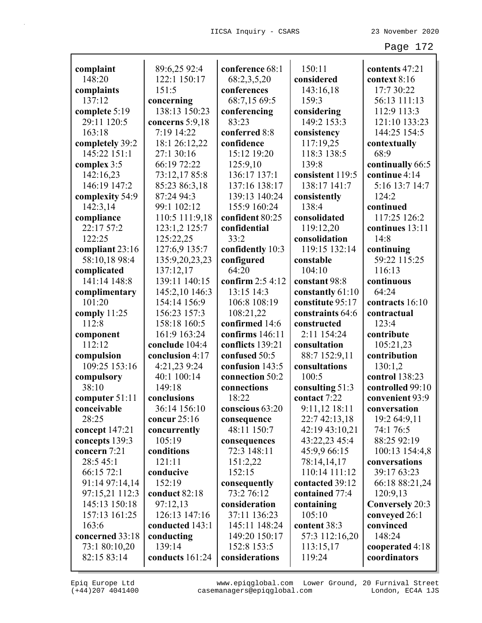| complaint           | 89:6,25 92:4                | conference 68:1  | 150:11                          | contents 47:21         |
|---------------------|-----------------------------|------------------|---------------------------------|------------------------|
| 148:20              | 122:1 150:17                | 68:2,3,5,20      | considered                      | context 8:16           |
| complaints          | 151:5                       | conferences      | 143:16,18                       | 17:7 30:22             |
| 137:12              | concerning                  | 68:7,15 69:5     | 159:3                           | 56:13 111:13           |
| complete 5:19       | 138:13 150:23               | conferencing     | considering                     | 112:9 113:3            |
| 29:11 120:5         | concerns 5:9,18             | 83:23            | 149:2 153:3                     | 121:10 133:23          |
| 163:18              | 7:19 14:22                  | conferred 8:8    | consistency                     | 144:25 154:5           |
| completely 39:2     | 18:1 26:12,22               | confidence       | 117:19,25                       | contextually           |
| 145:22 151:1        | 27:1 30:16                  | 15:12 19:20      | 118:3 138:5                     | 68:9                   |
| complex 3:5         | 66:19 72:22                 | 125:9,10         | 139:8                           | continually 66:5       |
| 142:16,23           | 73:12,1785:8                | 136:17 137:1     | consistent 119:5                | continue 4:14          |
| 146:19 147:2        | 85:23 86:3,18               | 137:16 138:17    | 138:17 141:7                    | 5:16 13:7 14:7         |
| complexity 54:9     | 87:24 94:3                  | 139:13 140:24    | consistently                    | 124:2                  |
| 142:3,14            | 99:1 102:12                 | 155:9 160:24     | 138:4                           | continued              |
| compliance          | 110:5 111:9,18              | confident 80:25  | consolidated                    | 117:25 126:2           |
| 22:17 57:2          | 123:1,2 125:7               | confidential     | 119:12,20                       | continues 13:11        |
| 122:25              | 125:22,25                   | 33:2             | consolidation                   | 14:8                   |
| compliant 23:16     | 127:6,9 135:7               | confidently 10:3 | 119:15 132:14                   | continuing             |
| 58:10,18 98:4       | 135:9,20,23,23              | configured       | constable                       | 59:22 115:25           |
| complicated         | 137:12,17                   | 64:20            | 104:10                          | 116:13                 |
| 141:14 148:8        | 139:11 140:15               | confirm 2:5 4:12 | constant 98:8                   | continuous             |
| complimentary       | 145:2,10 146:3              | 13:15 14:3       | constantly 61:10                | 64:24                  |
| 101:20              | 154:14 156:9                | 106:8 108:19     | constitute 95:17                | contracts 16:10        |
| comply 11:25        | 156:23 157:3                | 108:21,22        | constraints 64:6                | contractual            |
| 112:8               | 158:18 160:5                | confirmed 14:6   | constructed                     | 123:4                  |
|                     | 161:9 163:24                | confirms 146:11  | 2:11 154:24                     | contribute             |
| component<br>112:12 | conclude 104:4              | conflicts 139:21 | consultation                    | 105:21,23              |
| compulsion          | conclusion 4:17             | confused 50:5    | 88:7 152:9,11                   | contribution           |
| 109:25 153:16       | 4:21,23 9:24                | confusion 143:5  | consultations                   | 130:1,2                |
| compulsory          | 40:1 100:14                 | connection 50:2  | 100:5                           | control 138:23         |
| 38:10               | 149:18                      | connections      |                                 | controlled 99:10       |
|                     |                             | 18:22            | consulting 51:3<br>contact 7:22 |                        |
| computer 51:11      | conclusions<br>36:14 156:10 |                  |                                 | convenient 93:9        |
| conceivable         |                             | conscious 63:20  | 9:11,12 18:11                   | conversation           |
| 28:25               | concur 25:16                | consequence      | 22:7 42:13,18                   | 19:2 64:9,11           |
| concept $147:21$    | concurrently                | 48:11 150:7      | 42:19 43:10,21                  | 74:1 76:5              |
| concepts 139:3      | 105:19                      | consequences     | 43:22,23 45:4                   | 88:25 92:19            |
| concern 7:21        | conditions                  | 72:3 148:11      | 45:9,9 66:15                    | 100:13 154:4,8         |
| 28:5 45:1           | 121:11                      | 151:2,22         | 78:14,14,17                     | conversations          |
| 66:15 72:1          | conducive                   | 152:15           | 110:14 111:12                   | 39:17 63:23            |
| 91:14 97:14,14      | 152:19                      | consequently     | contacted 39:12                 | 66:18 88:21,24         |
| 97:15,21 112:3      | conduct 82:18               | 73:2 76:12       | contained 77:4                  | 120:9,13               |
| 145:13 150:18       | 97:12,13                    | consideration    | containing                      | <b>Conversely 20:3</b> |
| 157:13 161:25       | 126:13 147:16               | 37:11 136:23     | 105:10                          | conveyed 26:1          |
| 163:6               | conducted 143:1             | 145:11 148:24    | content 38:3                    | convinced              |
| concerned 33:18     | conducting                  | 149:20 150:17    | 57:3 112:16,20                  | 148:24                 |
| 73:1 80:10,20       | 139:14                      | 152:8 153:5      | 113:15,17                       | cooperated 4:18        |
| 82:15 83:14         | conducts 161:24             | considerations   | 119:24                          | coordinators           |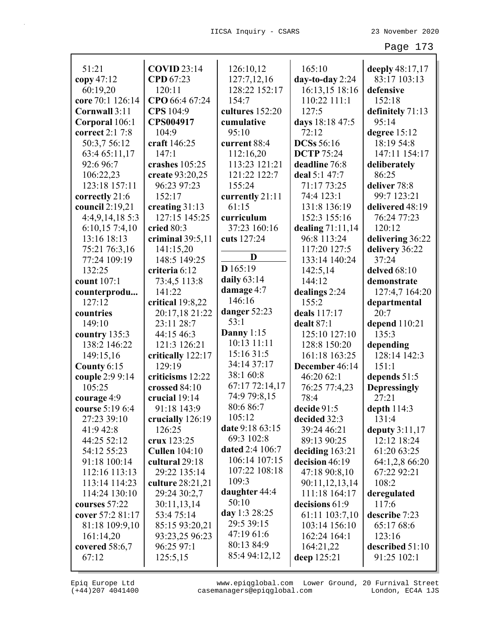| 51:21            | <b>COVID 23:14</b>   | 126:10,12       | 165:10             | deeply 48:17,17     |
|------------------|----------------------|-----------------|--------------------|---------------------|
| copy 47:12       | CPD 67:23            | 127:7,12,16     | day-to-day 2:24    | 83:17 103:13        |
| 60:19,20         | 120:11               | 128:22 152:17   | 16:13,15 18:16     | defensive           |
| core 70:1 126:14 | CPO 66:4 67:24       | 154:7           | 110:22 111:1       | 152:18              |
| Cornwall 3:11    | CPS 104:9            | cultures 152:20 | 127:5              | definitely 71:13    |
| Corporal 106:1   | <b>CPS004917</b>     | cumulative      | days 18:18 47:5    | 95:14               |
| correct 2:1 7:8  | 104:9                | 95:10           | 72:12              | degree $15:12$      |
| 50:3,7 56:12     | craft 146:25         | current 88:4    | <b>DCSs</b> 56:16  | 18:19 54:8          |
| 63:4 65:11,17    | 147:1                | 112:16,20       | <b>DCTP</b> 75:24  | 147:11 154:17       |
| 92:6 96:7        | crashes 105:25       | 113:23 121:21   | deadline 76:8      | deliberately        |
| 106:22,23        | create 93:20,25      | 121:22 122:7    | deal 5:1 47:7      | 86:25               |
| 123:18 157:11    | 96:23 97:23          | 155:24          | 71:17 73:25        | deliver 78:8        |
| correctly 21:6   | 152:17               | currently 21:11 | 74:4 123:1         | 99:7 123:21         |
| council 2:19,21  | creating 31:13       | 61:15           | 131:8 136:19       | delivered 48:19     |
| 4:4,9,14,185:3   | 127:15 145:25        | curriculum      | 152:3 155:16       | 76:24 77:23         |
| 6:10,157:4,10    | cried 80:3           | 37:23 160:16    | dealing $71:11,14$ | 120:12              |
| 13:16 18:13      | criminal $39:5,11$   | cuts 127:24     | 96:8 113:24        | delivering 36:22    |
| 75:21 76:3,16    | 141:15,20            |                 | 117:20 127:5       | delivery 36:22      |
| 77:24 109:19     | 148:5 149:25         | D               | 133:14 140:24      | 37:24               |
| 132:25           | criteria 6:12        | D 165:19        | 142:5,14           | delved 68:10        |
| count 107:1      | 73:4,5 113:8         | daily $63:14$   | 144:12             | demonstrate         |
| counterprodu     | 141:22               | damage 4:7      | dealings 2:24      | 127:4,7 164:20      |
| 127:12           | critical 19:8,22     | 146:16          | 155:2              | departmental        |
| countries        | 20:17,18 21:22       | danger 52:23    | deals 117:17       | 20:7                |
| 149:10           | 23:11 28:7           | 53:1            | dealt $87:1$       | depend 110:21       |
| country 135:3    | 44:15 46:3           | Danny $1:15$    | 125:10 127:10      | 135:3               |
| 138:2 146:22     | 121:3 126:21         | 10:13 11:11     | 128:8 150:20       | depending           |
| 149:15,16        | critically 122:17    | 15:16 31:5      | 161:18 163:25      | 128:14 142:3        |
| County 6:15      | 129:19               | 34:14 37:17     | December 46:14     | 151:1               |
| couple 2:9 9:14  | criticisms 12:22     | 38:1 60:8       | 46:20 62:1         | depends 51:5        |
| 105:25           | crossed 84:10        | 67:17 72:14,17  | 76:25 77:4,23      | <b>Depressingly</b> |
| courage 4:9      | crucial 19:14        | 74:9 79:8,15    | 78:4               | 27:21               |
| course $5:196:4$ | 91:18 143:9          | 80:6 86:7       | decide 91:5        | depth 114:3         |
| 27:23 39:10      | crucially 126:19     | 105:12          | decided 32:3       | 131:4               |
| 41:9 42:8        | 126:25               | date 9:18 63:15 | 39:24 46:21        | deputy 3:11,17      |
| 44:25 52:12      | crux 123:25          | 69:3 102:8      | 89:13 90:25        | 12:12 18:24         |
| 54:12 55:23      | <b>Cullen</b> 104:10 | dated 2:4 106:7 | deciding $163:21$  | 61:20 63:25         |
| 91:18 100:14     | cultural 29:18       | 106:14 107:15   | decision 46:19     | 64:1,2,8 66:20      |
| 112:16 113:13    | 29:22 135:14         | 107:22 108:18   | 47:18 90:8,10      | 67:22 92:21         |
| 113:14 114:23    | culture 28:21,21     | 109:3           | 90:11,12,13,14     | 108:2               |
| 114:24 130:10    | 29:24 30:2,7         | daughter 44:4   | 111:18 164:17      | deregulated         |
| courses 57:22    | 30:11,13,14          | 50:10           | decisions 61:9     | 117:6               |
| cover 57:2 81:17 | 53:475:14            | day 1:3 $28:25$ | 61:11 103:7,10     | describe 7:23       |
| 81:18 109:9,10   | 85:15 93:20,21       | 29:5 39:15      | 103:14 156:10      | 65:17 68:6          |
| 161:14,20        | 93:23,25 96:23       | 47:19 61:6      | 162:24 164:1       | 123:16              |
| covered $58:6,7$ | 96:25 97:1           | 80:13 84:9      | 164:21,22          | described 51:10     |
| 67:12            | 125:5,15             | 85:4 94:12,12   | deep 125:21        | 91:25 102:1         |
|                  |                      |                 |                    |                     |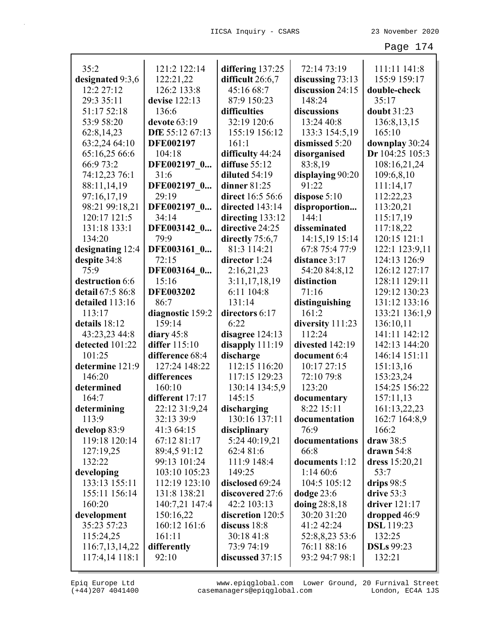| 35:2             | 121:2 122:14     | differing $137:25$ | 72:14 73:19        | 111:11 141:8      |
|------------------|------------------|--------------------|--------------------|-------------------|
| designated 9:3,6 | 122:21,22        | difficult 26:6,7   | discussing $73:13$ | 155:9 159:17      |
| 12:2 27:12       | 126:2 133:8      | 45:16 68:7         | discussion 24:15   | double-check      |
| 29:3 35:11       | devise 122:13    | 87:9 150:23        | 148:24             | 35:17             |
| 51:17 52:18      | 136:6            | difficulties       | discussions        | doubt 31:23       |
| 53:9 58:20       | devote 63:19     | 32:19 120:6        | 13:24 40:8         | 136:8,13,15       |
| 62:8,14,23       | DfE 55:12 67:13  | 155:19 156:12      | 133:3 154:5,19     | 165:10            |
| 63:2,24 64:10    | <b>DFE002197</b> | 161:1              | dismissed 5:20     | downplay 30:24    |
| 65:16,25 66:6    | 104:18           | difficulty 44:24   | disorganised       | Dr 104:25 105:3   |
| 66:9 73:2        | DFE002197 0      | diffuse $55:12$    | 83:8,19            | 108:16,21,24      |
| 74:12,23 76:1    | 31:6             | diluted $54:19$    | displaying 90:20   | 109:6,8,10        |
| 88:11,14,19      | DFE002197_0      | dinner $81:25$     | 91:22              | 111:14,17         |
| 97:16,17,19      | 29:19            | direct 16:5 56:6   | dispose $5:10$     | 112:22,23         |
| 98:21 99:18,21   | DFE002197_0      | directed 143:14    | disproportion      | 113:20,21         |
| 120:17 121:5     | 34:14            | directing $133:12$ | 144:1              | 115:17,19         |
| 131:18 133:1     | DFE003142_0      | directive 24:25    | disseminated       | 117:18,22         |
| 134:20           | 79:9             | directly 75:6,7    | 14:15,19 15:14     | 120:15 121:1      |
| designating 12:4 | DFE003161 0      | 81:3 114:21        | 67:8 75:4 77:9     | 122:1 123:9,11    |
| despite 34:8     | 72:15            | director 1:24      | distance 3:17      | 124:13 126:9      |
| 75:9             | DFE003164 0      | 2:16,21,23         | 54:20 84:8,12      | 126:12 127:17     |
| destruction 6:6  | 15:16            | 3:11,17,18,19      | distinction        | 128:11 129:11     |
| detail 67:5 86:8 | <b>DFE003202</b> | 6:11 104:8         | 71:16              | 129:12 130:23     |
| detailed 113:16  | 86:7             | 131:14             | distinguishing     | 131:12 133:16     |
| 113:17           | diagnostic 159:2 | directors 6:17     | 161:2              | 133:21 136:1,9    |
| details 18:12    | 159:14           | 6:22               | diversity 111:23   | 136:10,11         |
| 43:23,23 44:8    | diary $45:8$     | disagree $124:13$  | 112:24             | 141:11 142:12     |
| detected 101:22  | differ 115:10    | disapply $111:19$  | divested 142:19    | 142:13 144:20     |
| 101:25           | difference 68:4  | discharge          | document 6:4       | 146:14 151:11     |
| determine 121:9  | 127:24 148:22    | 112:15 116:20      | 10:17 27:15        | 151:13,16         |
| 146:20           | differences      | 117:15 129:23      | 72:10 79:8         | 153:23,24         |
| determined       | 160:10           | 130:14 134:5,9     | 123:20             | 154:25 156:22     |
| 164:7            | different 17:17  | 145:15             | documentary        | 157:11,13         |
| determining      | 22:12 31:9,24    | discharging        | 8:22 15:11         | 161:13,22,23      |
| 113:9            | 32:13 39:9       | 130:16 137:11      | documentation      | 162:7 164:8,9     |
| develop 83:9     | 41:3 64:15       | disciplinary       | 76:9               | 166:2             |
| 119:18 120:14    | 67:12 81:17      | 5:24 40:19,21      | documentations     | draw 38:5         |
| 127:19,25        | 89:4,5 91:12     | 62:4 81:6          | 66:8               | drawn $54:8$      |
| 132:22           | 99:13 101:24     | 111:9 148:4        | documents 1:12     | dress $15:20,21$  |
| developing       | 103:10 105:23    | 149:25             | 1:1460:6           | 53:7              |
| 133:13 155:11    | 112:19 123:10    | disclosed 69:24    | 104:5 105:12       | drips 98:5        |
| 155:11 156:14    | 131:8 138:21     | discovered 27:6    | dodge 23:6         | drive 53:3        |
| 160:20           | 140:7,21 147:4   | 42:2 103:13        | doing 28:8,18      | driver 121:17     |
| development      | 150:16,22        | discretion 120:5   | 30:20 31:20        | dropped 46:9      |
| 35:23 57:23      | 160:12 161:6     | discuss 18:8       | 41:2 42:24         | <b>DSL</b> 119:23 |
| 115:24,25        | 161:11           | 30:18 41:8         | 52:8,8,23 53:6     | 132:25            |
| 116:7,13,14,22   | differently      | 73:9 74:19         | 76:11 88:16        | <b>DSLs</b> 99:23 |
| 117:4,14 118:1   | 92:10            | discussed 37:15    | 93:2 94:7 98:1     | 132:21            |

(+44)207 4041400 casemanagers@epiqglobal.com London, EC4A 1JS www.epiqglobal.com Lower Ground, 20 Furnival Street

┚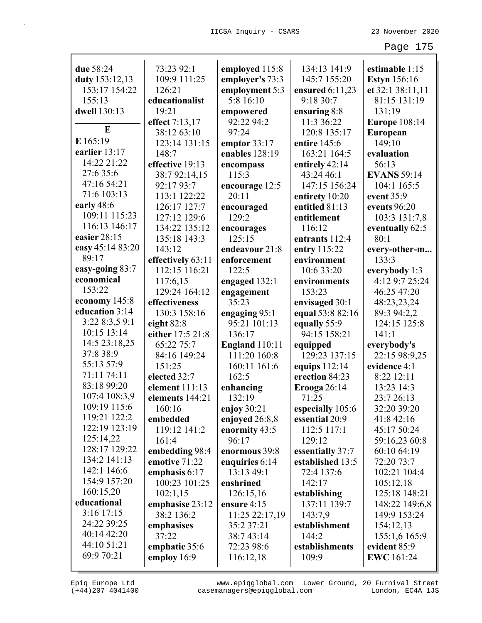| due 58:24                       | 73:23 92:1        | employed 115:8        | 134:13 141:9        | estimable 1:15          |
|---------------------------------|-------------------|-----------------------|---------------------|-------------------------|
| duty 153:12,13                  | 109:9 111:25      | employer's 73:3       | 145:7 155:20        | <b>Estyn</b> 156:16     |
| 153:17 154:22                   | 126:21            | employment 5:3        | ensured $6:11,23$   | et 32:1 38:11,11        |
| 155:13                          | educationalist    | 5:8 16:10             | 9:18 30:7           | 81:15 131:19            |
| dwell 130:13                    | 19:21             | empowered             | ensuring 8:8        | 131:19                  |
|                                 | effect 7:13,17    | 92:22 94:2            | 11:3 36:22          | <b>Europe</b> 108:14    |
| E                               | 38:12 63:10       | 97:24                 | 120:8 135:17        | <b>European</b>         |
| E 165:19                        | 123:14 131:15     | emptor 33:17          | entire 145:6        | 149:10                  |
| earlier 13:17                   | 148:7             | enables 128:19        | 163:21 164:5        | evaluation              |
| 14:22 21:22                     | effective 19:13   | encompass             | entirely 42:14      | 56:13                   |
| 27:6 35:6                       | 38:7 92:14,15     | 115:3                 | 43:24 46:1          | <b>EVANS 59:14</b>      |
| 47:16 54:21                     | 92:17 93:7        | encourage 12:5        | 147:15 156:24       | 104:1 165:5             |
| 71:6 103:13                     | 113:1 122:22      | 20:11                 | entirety 10:20      | event 35:9              |
| early 48:6                      | 126:17 127:7      | encouraged            | entitled 81:13      | events 96:20            |
| 109:11 115:23                   | 127:12 129:6      | 129:2                 | entitlement         | 103:3 131:7,8           |
| 116:13 146:17                   | 134:22 135:12     |                       | 116:12              |                         |
| easier 28:15                    | 135:18 143:3      | encourages<br>125:15  | entrants 112:4      | eventually 62:5<br>80:1 |
| easy 45:14 83:20                |                   | endeavour 21:8        |                     |                         |
| 89:17                           | 143:12            |                       | entry 115:22        | every-other-m           |
| easy-going 83:7                 | effectively 63:11 | enforcement           | environment         | 133:3                   |
| economical                      | 112:15 116:21     | 122:5                 | 10:6 33:20          | everybody 1:3           |
| 153:22                          | 117:6,15          | engaged 132:1         | environments        | 4:12 9:7 25:24          |
|                                 | 129:24 164:12     | engagement            | 153:23              | 46:25 47:20             |
| economy 145:8<br>education 3:14 | effectiveness     | 35:23                 | envisaged 30:1      | 48:23,23,24             |
|                                 | 130:3 158:16      | engaging 95:1         | equal 53:8 82:16    | 89:3 94:2,2             |
| 3:22 8:3,5 9:1                  | eight 82:8        | 95:21 101:13          | equally 55:9        | 124:15 125:8            |
| 10:15 13:14                     | either 17:5 21:8  | 136:17                | 94:15 158:21        | 141:1                   |
| 14:5 23:18,25                   | 65:22 75:7        | <b>England</b> 110:11 | equipped            | everybody's             |
| 37:8 38:9                       | 84:16 149:24      | 111:20 160:8          | 129:23 137:15       | 22:15 98:9,25           |
| 55:13 57:9                      | 151:25            | 160:11 161:6          | equips 112:14       | evidence 4:1            |
| 71:11 74:11                     | elected 32:7      | 162:5                 | erection 84:23      | 8:22 12:11              |
| 83:18 99:20                     | element 111:13    | enhancing             | <b>Erooga</b> 26:14 | 13:23 14:3              |
| 107:4 108:3,9                   | elements 144:21   | 132:19                | 71:25               | 23:7 26:13              |
| 109:19 115:6                    | 160:16            | enjoy 30:21           | especially 105:6    | 32:20 39:20             |
| 119:21 122:2                    | embedded          | enjoyed 26:8,8        | essential 20:9      | 41:8 42:16              |
| 122:19 123:19                   | 119:12 141:2      | enormity 43:5         | 112:5 117:1         | 45:17 50:24             |
| 125:14,22                       | 161:4             | 96:17                 | 129:12              | 59:16,23 60:8           |
| 128:17 129:22                   | embedding 98:4    | enormous 39:8         | essentially 37:7    | 60:10 64:19             |
| 134:2 141:13                    | emotive 71:22     | enquiries 6:14        | established 13:5    | 72:20 73:7              |
| 142:1 146:6                     | emphasis 6:17     | 13:13 49:1            | 72:4 137:6          | 102:21 104:4            |
| 154:9 157:20                    | 100:23 101:25     | enshrined             | 142:17              | 105:12,18               |
| 160:15,20                       | 102:1,15          | 126:15,16             | establishing        | 125:18 148:21           |
| educational                     | emphasise 23:12   | ensure 4:15           | 137:11 139:7        | 148:22 149:6,8          |
| $3:16$ 17:15                    | 38:2 136:2        | 11:25 22:17,19        | 143:7,9             | 149:9 153:24            |
| 24:22 39:25                     | emphasises        | 35:2 37:21            | establishment       | 154:12,13               |
| 40:14 42:20                     | 37:22             | 38:7 43:14            | 144:2               | 155:1,6 165:9           |
| 44:10 51:21                     | emphatic 35:6     | 72:23 98:6            | establishments      | evident 85:9            |
| 69:9 70:21                      | employ 16:9       | 116:12,18             | 109:9               | <b>EWC</b> 161:24       |
|                                 |                   |                       |                     |                         |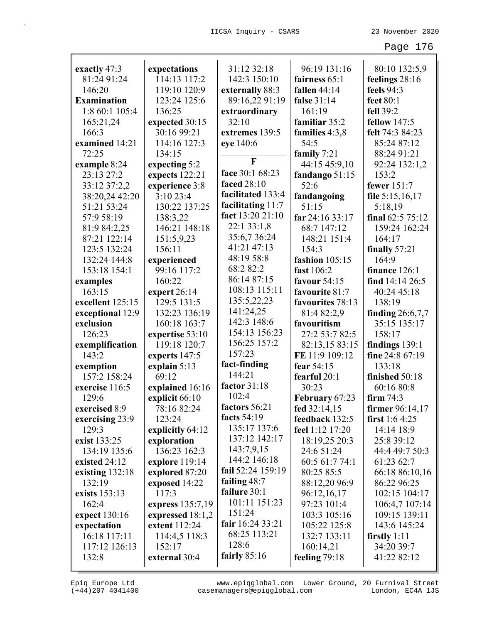| exactly 47:3       | expectations     | 31:12 32:18       | 96:19 131:16     | 80:10 132:5,9       |
|--------------------|------------------|-------------------|------------------|---------------------|
| 81:24 91:24        | 114:13 117:2     | 142:3 150:10      | fairness 65:1    | feelings 28:16      |
| 146:20             | 119:10 120:9     | externally 88:3   | fallen $44:14$   | feels 94:3          |
| <b>Examination</b> | 123:24 125:6     | 89:16,22 91:19    | false 31:14      | feet 80:1           |
| 1:8 60:1 105:4     | 136:25           | extraordinary     | 161:19           | fell 39:2           |
| 165:21,24          | expected 30:15   | 32:10             | familiar 35:2    | <b>fellow</b> 147:5 |
| 166:3              | 30:16 99:21      | extremes 139:5    | families 4:3,8   | felt 74:3 84:23     |
| examined 14:21     | 114:16 127:3     | eye 140:6         | 54:5             | 85:24 87:12         |
| 72:25              | 134:15           |                   | family $7:21$    | 88:24 91:21         |
| example 8:24       | expecting 5:2    | F                 | 44:15 45:9,10    | 92:24 132:1,2       |
| 23:13 27:2         | expects 122:21   | face 30:1 68:23   | fandango 51:15   | 153:2               |
| 33:12 37:2,2       | experience 3:8   | faced 28:10       | 52:6             | fewer 151:7         |
| 38:20,24 42:20     | 3:10 23:4        | facilitated 133:4 | fandangoing      | file $5:15,16,17$   |
| 51:21 53:24        | 130:22 137:25    | facilitating 11:7 | 51:15            | 5:18,19             |
| 57:9 58:19         | 138:3,22         | fact 13:20 21:10  | far 24:16 33:17  | final $62:575:12$   |
| 81:9 84:2,25       | 146:21 148:18    | 22:133:1,8        | 68:7 147:12      | 159:24 162:24       |
| 87:21 122:14       | 151:5,9,23       | 35:6,7 36:24      | 148:21 151:4     | 164:17              |
| 123:5 132:24       | 156:11           | 41:21 47:13       | 154:3            | finally $57:21$     |
| 132:24 144:8       | experienced      | 48:19 58:8        | fashion 105:15   | 164:9               |
| 153:18 154:1       | 99:16 117:2      | 68:2 82:2         | fast 106:2       | finance 126:1       |
| examples           | 160:22           | 86:14 87:15       | favour 54:15     | find 14:14 26:5     |
| 163:15             | expert $26:14$   | 108:13 115:11     | favourite 81:7   | 40:24 45:18         |
| excellent 125:15   | 129:5 131:5      | 135:5,22,23       | favourites 78:13 | 138:19              |
| exceptional 12:9   | 132:23 136:19    | 141:24,25         | 81:4 82:2,9      | finding $26:6,7,7$  |
| exclusion          | 160:18 163:7     | 142:3 148:6       | favouritism      | 35:15 135:17        |
| 126:23             | expertise 53:10  | 154:13 156:23     | 27:2 53:7 82:5   | 158:17              |
| exemplification    | 119:18 120:7     | 156:25 157:2      | 82:13,15 83:15   | findings 139:1      |
| 143:2              | experts 147:5    | 157:23            | FE 11:9 109:12   | fine 24:8 67:19     |
| exemption          | explain 5:13     | fact-finding      | fear 54:15       | 133:18              |
| 157:2 158:24       | 69:12            | 144:21            | fearful 20:1     | finished 50:18      |
| exercise 116:5     | explained 16:16  | factor 31:18      | 30:23            | 60:16 80:8          |
| 129:6              | explicit 66:10   | 102:4             | February 67:23   | firm $74:3$         |
| exercised 8:9      | 78:16 82:24      | factors 56:21     | fed $32:14,15$   | firmer 96:14,17     |
| exercising 23:9    | 123:24           | facts 54:19       | feedback 132:5   | first 1:6 4:25      |
| 129:3              | explicitly 64:12 | 135:17 137:6      | feel 1:12 17:20  | 14:14 18:9          |
| exist 133:25       | exploration      | 137:12 142:17     | 18:19,25 20:3    | 25:8 39:12          |
| 134:19 135:6       | 136:23 162:3     | 143:7,9,15        | 24:6 51:24       | 44:4 49:7 50:3      |
| existed 24:12      | explore 119:14   | 144:2 146:18      | 60:5 61:7 74:1   | 61:23 62:7          |
| existing $132:18$  | explored 87:20   | fail 52:24 159:19 | 80:25 85:5       | 66:18 86:10,16      |
| 132:19             | exposed 14:22    | failing $48:7$    | 88:12,20 96:9    | 86:22 96:25         |
| exists 153:13      | 117:3            | failure 30:1      | 96:12,16,17      | 102:15 104:17       |
| 162:4              | express 135:7,19 | 101:11 151:23     | 97:23 101:4      | 106:4,7 107:14      |
| expect 130:16      | expressed 18:1,2 | 151:24            | 103:3 105:16     | 109:15 139:11       |
| expectation        | extent 112:24    | fair 16:24 33:21  | 105:22 125:8     | 143:6 145:24        |
| 16:18 117:11       | 114:4,5 118:3    | 68:25 113:21      | 132:7 133:11     | firstly $1:11$      |
| 117:12 126:13      | 152:17           | 128:6             | 160:14,21        | 34:20 39:7          |
| 132:8              | external 30:4    | fairly $85:16$    | feeling $79:18$  | 41:22 82:12         |
|                    |                  |                   |                  |                     |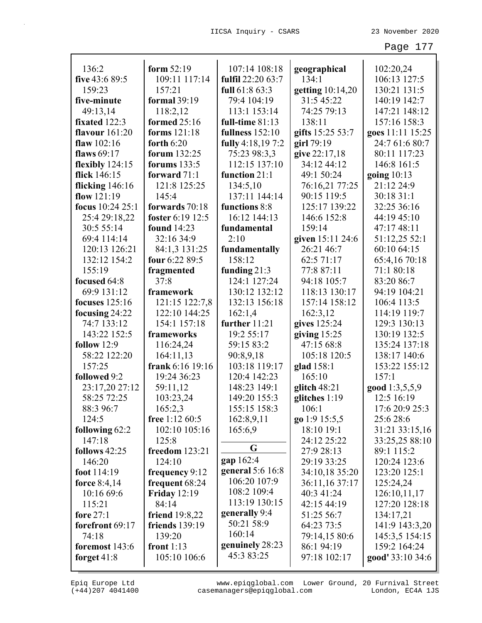| 136:2                 | form $52:19$          | 107:14 108:18     | geographical     | 102:20,24        |
|-----------------------|-----------------------|-------------------|------------------|------------------|
| five 43:6 89:5        | 109:11 117:14         | fulfil 22:20 63:7 | 134:1            | 106:13 127:5     |
| 159:23                | 157:21                | full 61:8 63:3    | getting 10:14,20 | 130:21 131:5     |
| five-minute           | formal 39:19          | 79:4 104:19       | 31:5 45:22       | 140:19 142:7     |
| 49:13,14              | 118:2,12              | 113:1 153:14      | 74:25 79:13      | 147:21 148:12    |
| fixated 122:3         | formed 25:16          | full-time 81:13   | 138:11           | 157:16 158:3     |
| <b>flavour</b> 161:20 | forms 121:18          | fullness 152:10   | gifts 15:25 53:7 | goes 11:11 15:25 |
| flaw $102:16$         | forth $6:20$          | fully 4:18,19 7:2 | girl 79:19       | 24:7 61:6 80:7   |
| flaws 69:17           | forum 132:25          | 75:23 98:3,3      | give 22:17,18    | 80:11 117:23     |
| flexibly 124:15       | forums $133:5$        | 112:15 137:10     | 34:12 44:12      | 146:8 161:5      |
| flick 146:15          | forward 71:1          | function 21:1     | 49:1 50:24       | going $10:13$    |
| flicking 146:16       | 121:8 125:25          | 134:5,10          | 76:16,21 77:25   | 21:12 24:9       |
| flow $121:19$         | 145:4                 | 137:11 144:14     | 90:15 119:5      | 30:18 31:1       |
| focus 10:24 25:1      | forwards 70:18        | functions 8:8     | 125:17 139:22    | 32:25 36:16      |
| 25:4 29:18,22         | foster 6:19 12:5      | 16:12 144:13      | 146:6 152:8      | 44:19 45:10      |
| 30:5 55:14            | <b>found</b> 14:23    | fundamental       | 159:14           | 47:17 48:11      |
| 69:4 114:14           | 32:16 34:9            | 2:10              | given 15:11 24:6 | 51:12,25 52:1    |
| 120:13 126:21         | 84:1,3 131:25         | fundamentally     | 26:21 46:7       | 60:10 64:15      |
| 132:12 154:2          | four 6:22 89:5        | 158:12            | 62:5 71:17       | 65:4,16 70:18    |
| 155:19                | fragmented            | funding $21:3$    | 77:8 87:11       | 71:1 80:18       |
| focused 64:8          | 37:8                  | 124:1 127:24      | 94:18 105:7      | 83:20 86:7       |
| 69:9 131:12           | framework             | 130:12 132:12     | 118:13 130:17    | 94:19 104:21     |
| focuses $125:16$      | 121:15 122:7,8        | 132:13 156:18     | 157:14 158:12    | 106:4 113:5      |
| focusing 24:22        | 122:10 144:25         | 162:1,4           | 162:3,12         | 114:19 119:7     |
| 74:7 133:12           | 154:1 157:18          | further 11:21     | gives 125:24     | 129:3 130:13     |
| 143:22 152:5          | frameworks            | 19:2 55:17        | giving $15:25$   | 130:19 132:5     |
| follow $12:9$         | 116:24,24             | 59:15 83:2        | 47:15 68:8       | 135:24 137:18    |
| 58:22 122:20          | 164:11,13             | 90:8,9,18         | 105:18 120:5     | 138:17 140:6     |
| 157:25                | frank 6:16 19:16      | 103:18 119:17     | glad 158:1       | 153:22 155:12    |
| followed 9:2          | 19:24 36:23           | 120:4 142:23      | 165:10           | 157:1            |
| 23:17,20 27:12        | 59:11,12              | 148:23 149:1      | glitch $48:21$   | good 1:3,5,5,9   |
| 58:25 72:25           | 103:23,24             | 149:20 155:3      | glitches 1:19    | 12:5 16:19       |
| 88:3 96:7             | 165:2,3               | 155:15 158:3      | 106:1            | 17:6 20:9 25:3   |
| 124:5                 | free $1:12\,60:5$     | 162:8,9,11        | $g_0$ 1:9 15:5,5 | 25:6 28:6        |
| following 62:2        | 102:10 105:16         | 165:6,9           | 18:10 19:1       | 31:21 33:15,16   |
| 147:18                | 125:8                 |                   | 24:12 25:22      | 33:25,25 88:10   |
| follows 42:25         | freedom 123:21        | G                 | 27:9 28:13       | 89:1 115:2       |
| 146:20                | 124:10                | gap 162:4         | 29:19 33:25      | 120:24 123:6     |
| foot 114:19           | frequency 9:12        | general 5:6 16:8  | 34:10,18 35:20   | 123:20 125:1     |
| force $8:4,14$        | frequent 68:24        | 106:20 107:9      | 36:11,16 37:17   | 125:24,24        |
| 10:16 69:6            | <b>Friday</b> 12:19   | 108:2 109:4       | 40:3 41:24       | 126:10,11,17     |
| 115:21                | 84:14                 | 113:19 130:15     | 42:15 44:19      | 127:20 128:18    |
| fore 27:1             | friend $19:8,22$      | generally 9:4     | 51:25 56:7       | 134:17,21        |
| forefront 69:17       | <b>friends</b> 139:19 | 50:21 58:9        | 64:23 73:5       | 141:9 143:3,20   |
| 74:18                 | 139:20                | 160:14            | 79:14,15 80:6    | 145:3,5 154:15   |
| foremost 143:6        | front $1:13$          | genuinely 28:23   | 86:1 94:19       | 159:2 164:24     |
| forget $41:8$         | 105:10 106:6          | 45:3 83:25        | 97:18 102:17     | good' 33:10 34:6 |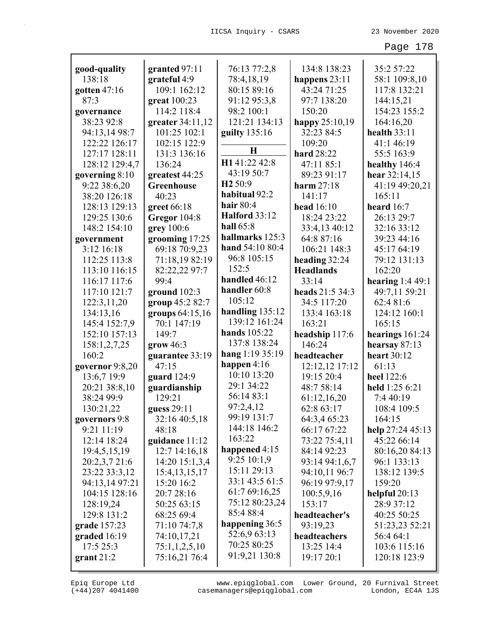| good-quality    | granted 97:11              | 76:13 77:2,8         | 134:8 138:23      | 35:2 57:22        |
|-----------------|----------------------------|----------------------|-------------------|-------------------|
| 138:18          | grateful 4:9               | 78:4,18,19           | happens $23:11$   | 58:1 109:8,10     |
| gotten $47:16$  | 109:1 162:12               | 80:15 89:16          | 43:24 71:25       | 117:8 132:21      |
| 87:3            | great $100:23$             | 91:12 95:3,8         | 97:7 138:20       | 144:15,21         |
| governance      | 114:2 118:4                | 98:2 100:1           | 150:20            | 154:23 155:2      |
| 38:23 92:8      | greater 34:11,12           | 121:21 134:13        | happy $25:10,19$  | 164:16,20         |
| 94:13,14 98:7   | 101:25 102:1               | guilty 135:16        | 32:23 84:5        | health $33:11$    |
| 122:22 126:17   | 102:15 122:9               |                      | 109:20            | 41:1 46:19        |
| 127:17 128:11   | 131:3 136:16               | H                    | <b>hard</b> 28:22 | 55:5 163:9        |
| 128:12 129:4,7  | 136:24                     | H141:22 42:8         | 47:11 85:1        | healthy 146:4     |
| governing 8:10  | greatest 44:25             | 43:19 50:7           | 89:23 91:17       | hear 32:14,15     |
| 9:22 38:6,20    | Greenhouse                 | H <sub>2</sub> 50:9  | harm $27:18$      | 41:19 49:20,21    |
| 38:20 126:18    | 40:23                      | habitual 92:2        | 141:17            | 165:11            |
| 128:13 129:13   | greet 66:18                | hair $80:4$          | head $16:10$      | heard $16:7$      |
| 129:25 130:6    | Gregor 104:8               | <b>Halford 33:12</b> | 18:24 23:22       | 26:13 29:7        |
| 148:2 154:10    | grey 100:6                 | hall 65:8            | 33:4,13 40:12     | 32:16 33:12       |
| government      | grooming 17:25             | hallmarks 125:3      | 64:8 87:16        | 39:23 44:16       |
| 3:12 16:18      | 69:18 70:9,23              | hand 54:10 80:4      | 106:21 148:3      | 45:17 64:19       |
| 112:25 113:8    | 71:18,19 82:19             | 96:8 105:15          | heading 32:24     | 79:12 131:13      |
| 113:10 116:15   | 82:22,22 97:7              | 152:5                | <b>Headlands</b>  | 162:20            |
| 116:17 117:6    | 99:4                       | handled 46:12        | 33:14             | hearing $1:449:1$ |
| 117:10 121:7    | ground $102:3$             | handler 60:8         | heads 21:5 34:3   | 49:7,11 59:21     |
| 122:3,11,20     | group 45:2 82:7            | 105:12               | 34:5 117:20       | 62:4 81:6         |
| 134:13,16       | groups 64:15,16            | handling $135:12$    | 133:4 163:18      | 124:12 160:1      |
| 145:4 152:7,9   | 70:1 147:19                | 139:12 161:24        | 163:21            | 165:15            |
| 152:10 157:13   | 149:7                      | hands 105:22         | headship 117:6    | hearings $161:24$ |
| 158:1,2,7,25    | $\frac{\text{grow}}{46:3}$ | 137:8 138:24         | 146:24            | hearsay 87:13     |
| 160:2           | guarantee 33:19            | hang 1:19 35:19      | headteacher       | heart 30:12       |
| governor 9:8,20 | 47:15                      | happen $4:16$        | 12:12,12 17:12    | 61:13             |
| 13:6,7 19:9     | guard 124:9                | 10:10 13:20          | 19:15 20:4        | heel 122:6        |
| 20:21 38:8,10   | guardianship               | 29:1 34:22           | 48:7 58:14        | held 1:25 6:21    |
| 38:24 99:9      | 129:21                     | 56:14 83:1           | 61:12,16,20       | 7:4 40:19         |
| 130:21,22       | guess 29:11                | 97:2,4,12            | 62:8 63:17        | 108:4 109:5       |
| governors 9:8   | 32:16 40:5,18              | 99:19 131:7          | 64:3,4 65:23      | 164:15            |
| 9:21 11:19      | 48:18                      | 144:18 146:2         | 66:17 67:22       | help 27:24 45:13  |
| 12:14 18:24     | guidance 11:12             | 163:22               | 73:22 75:4,11     | 45:22 66:14       |
| 19:4,5,15,19    | 12:7 14:16,18              | happened 4:15        | 84:14 92:23       | 80:16,20 84:13    |
| 20:2,3,7 21:6   | 14:20 15:1,3,4             | 9:25 10:1,9          | 93:14 94:1,6,7    | 96:1 133:13       |
| 23:22 33:3,12   | 15:4, 13, 15, 17           | 15:11 29:13          | 94:10,11 96:7     | 138:12 139:5      |
| 94:13,14 97:21  | 15:20 16:2                 | 33:1 43:5 61:5       | 96:19 97:9,17     | 159:20            |
| 104:15 128:16   | 20:7 28:16                 | 61:7 69:16,25        | 100:5,9,16        | helpful 20:13     |
| 128:19,24       | 50:25 63:15                | 75:12 80:23,24       | 153:17            | 28:9 37:12        |
| 129:8 131:2     | 68:25 69:4                 | 85:4 88:4            | headteacher's     | 40:25 50:25       |
| grade 157:23    | 71:10 74:7,8               | happening 36:5       | 93:19,23          | 51:23,23 52:21    |
| graded $16:19$  | 74:10,17,21                | 52:6,9 63:13         | headteachers      | 56:4 64:1         |
| 17:5 25:3       | 75:1,1,2,5,10              | 70:25 80:25          | 13:25 14:4        | 103:6 115:16      |
| grant 21:2      | 75:16,21 76:4              | 91:9,21 130:8        | 19:17 20:1        | 120:18 123:9      |
|                 |                            |                      |                   |                   |

(+44)207 4041400 casemanagers@epiqglobal.com London, EC4A 1JS www.epiqglobal.com Lower Ground, 20 Furnival Street

┚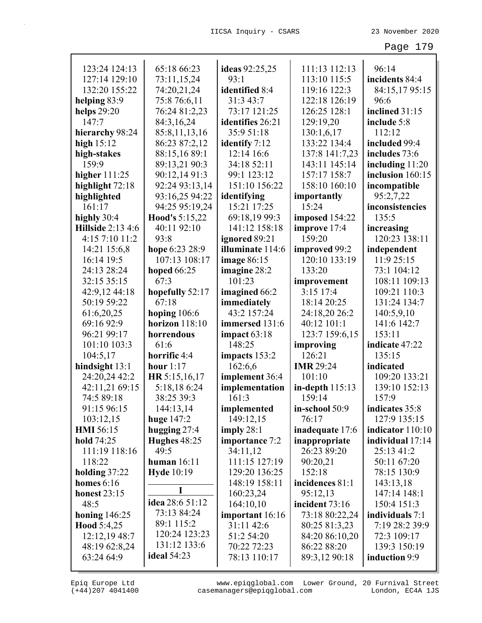| 123:24 124:13            | 65:18 66:23         | ideas 92:25,25       | 111:13 112:13     | 96:14             |
|--------------------------|---------------------|----------------------|-------------------|-------------------|
| 127:14 129:10            | 73:11,15,24         | 93:1                 | 113:10 115:5      | incidents 84:4    |
| 132:20 155:22            | 74:20,21,24         | identified 8:4       | 119:16 122:3      | 84:15,17 95:15    |
| helping 83:9             | 75:8 76:6,11        | 31:3 43:7            | 122:18 126:19     | 96:6              |
| helps 29:20              | 76:24 81:2,23       | 73:17 121:25         | 126:25 128:1      | inclined 31:15    |
| 147:7                    | 84:3,16,24          | identifies 26:21     | 129:19,20         | include 5:8       |
| hierarchy 98:24          | 85:8,11,13,16       | 35:9 51:18           | 130:1,6,17        | 112:12            |
| high $15:12$             | 86:23 87:2,12       | <b>identify</b> 7:12 | 133:22 134:4      | included 99:4     |
| high-stakes              | 88:15,16 89:1       | 12:14 16:6           | 137:8 141:7,23    | includes 73:6     |
| 159:9                    | 89:13,21 90:3       | 34:18 52:11          | 143:11 145:14     | including $11:20$ |
| higher $111:25$          | 90:12,14 91:3       | 99:1 123:12          | 157:17 158:7      | inclusion 160:15  |
| highlight 72:18          | 92:24 93:13,14      | 151:10 156:22        | 158:10 160:10     | incompatible      |
| highlighted              | 93:16,25 94:22      | identifying          | importantly       | 95:2,7,22         |
| 161:17                   | 94:25 95:19,24      | 15:21 17:25          | 15:24             | inconsistencies   |
| highly 30:4              | Hood's 5:15,22      | 69:18,19 99:3        | imposed 154:22    | 135:5             |
| <b>Hillside 2:13 4:6</b> | 40:11 92:10         | 141:12 158:18        | improve 17:4      | increasing        |
| 4:15 7:10 11:2           | 93:8                | ignored 89:21        | 159:20            | 120:23 138:11     |
| 14:21 15:6,8             | hope 6:23 28:9      | illuminate 114:6     | improved 99:2     | independent       |
| 16:14 19:5               | 107:13 108:17       | image $86:15$        | 120:10 133:19     | 11:9 25:15        |
| 24:13 28:24              | hoped 66:25         | imagine 28:2         | 133:20            | 73:1 104:12       |
| 32:15 35:15              | 67:3                | 101:23               | improvement       | 108:11 109:13     |
| 42:9,12 44:18            | hopefully 52:17     | imagined 66:2        | 3:15 17:4         | 109:21 110:3      |
| 50:19 59:22              | 67:18               | immediately          | 18:14 20:25       | 131:24 134:7      |
| 61:6,20,25               | hoping $106:6$      | 43:2 157:24          | 24:18,20 26:2     | 140:5,9,10        |
| 69:16 92:9               | horizon $118:10$    | immersed 131:6       | 40:12 101:1       | 141:6 142:7       |
| 96:21 99:17              | horrendous          | impact $63:18$       | 123:7 159:6,15    | 153:11            |
| 101:10 103:3             | 61:6                | 148:25               | improving         | indicate 47:22    |
| 104:5,17                 | horrific 4:4        | impacts 153:2        | 126:21            | 135:15            |
| hindsight 13:1           | hour $1:17$         | 162:6,6              | <b>IMR 29:24</b>  | indicated         |
| 24:20,24 42:2            | HR 5:15,16,17       | implement 36:4       | 101:10            | 109:20 133:21     |
| 42:11,21 69:15           | 5:18,186:24         | implementation       | in-depth $115:13$ | 139:10 152:13     |
| 74:5 89:18               | 38:25 39:3          | 161:3                | 159:14            | 157:9             |
| 91:15 96:15              | 144:13,14           | implemented          | in-school 50:9    | indicates 35:8    |
| 103:12,15                | huge 147:2          | 149:12,15            | 76:17             | 127:9 135:15      |
| <b>HMI</b> 56:15         | hugging $27:4$      | imply $28:1$         | inadequate 17:6   | indicator 110:10  |
| <b>hold</b> 74:25        | <b>Hughes</b> 48:25 | importance 7:2       | inappropriate     | individual 17:14  |
| 111:19 118:16            | 49:5                | 34:11,12             | 26:23 89:20       | 25:13 41:2        |
| 118:22                   | human $16:11$       | 111:15 127:19        | 90:20,21          | 50:11 67:20       |
| holding 37:22            | <b>Hyde</b> 10:19   | 129:20 136:25        | 152:18            | 78:15 130:9       |
| homes $6:16$             | I                   | 148:19 158:11        | incidences 81:1   | 143:13,18         |
| <b>honest</b> 23:15      |                     | 160:23,24            | 95:12,13          | 147:14 148:1      |
| 48:5                     | idea 28:6 51:12     | 164:10,10            | incident 73:16    | 150:4 151:3       |
| honing $146:25$          | 73:13 84:24         | important 16:16      | 73:18 80:22,24    | individuals 7:1   |
| Hood 5:4,25              | 89:1 115:2          | 31:11 42:6           | 80:25 81:3,23     | 7:19 28:2 39:9    |
| 12:12,19 48:7            | 120:24 123:23       | 51:2 54:20           | 84:20 86:10,20    | 72:3 109:17       |
| 48:19 62:8,24            | 131:12 133:6        | 70:22 72:23          | 86:22 88:20       | 139:3 150:19      |
| 63:24 64:9               | <b>ideal</b> 54:23  | 78:13 110:17         | 89:3,12 90:18     | induction 9:9     |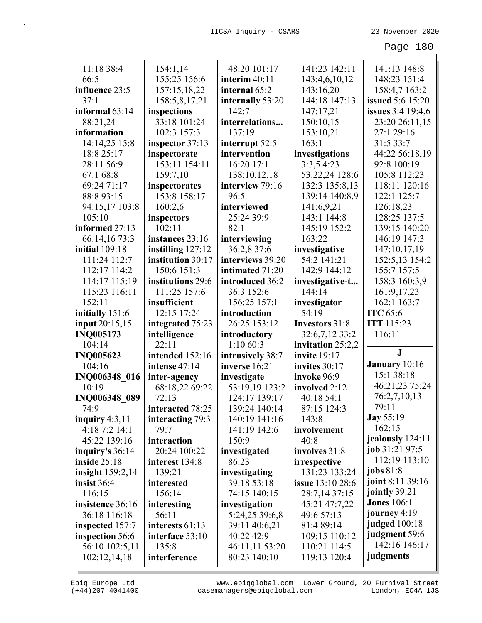| 11:18 38:4                        | 154:1,14                             | 48:20 101:17                   | 141:23 142:11               | 141:13 148:8             |
|-----------------------------------|--------------------------------------|--------------------------------|-----------------------------|--------------------------|
| 66:5                              | 155:25 156:6                         | interim 40:11                  | 143:4,6,10,12               | 148:23 151:4             |
| influence 23:5                    | 157:15,18,22                         | internal 65:2                  | 143:16,20                   | 158:4,7 163:2            |
| 37:1                              | 158:5,8,17,21                        | internally 53:20               | 144:18 147:13               | <b>issued</b> 5:6 15:20  |
| informal $63:14$                  | inspections                          | 142:7                          | 147:17,21                   | <b>issues</b> 3:4 19:4,6 |
| 88:21,24                          | 33:18 101:24                         | interrelations                 | 150:10,15                   | 23:20 26:11,15           |
| information                       | 102:3 157:3                          | 137:19                         | 153:10,21                   | 27:1 29:16               |
| 14:14,25 15:8                     | inspector 37:13                      | interrupt 52:5                 | 163:1                       | 31:5 33:7                |
| 18:8 25:17                        | inspectorate                         | intervention                   | investigations              | 44:22 56:18,19           |
| 28:11 56:9                        | 153:11 154:11                        | 16:20 17:1                     | 3:3,5 4:23                  | 92:8 100:19              |
| 67:1 68:8                         | 159:7,10                             | 138:10,12,18                   | 53:22,24 128:6              | 105:8 112:23             |
| 69:24 71:17                       | inspectorates                        | interview 79:16                | 132:3 135:8,13              | 118:11 120:16            |
| 88:8 93:15                        | 153:8 158:17                         | 96:5                           | 139:14 140:8,9              | 122:1 125:7              |
| 94:15,17 103:8                    | 160:2,6                              | interviewed                    | 141:6,9,21                  | 126:18,23                |
| 105:10                            | inspectors                           | 25:24 39:9                     | 143:1 144:8                 | 128:25 137:5             |
| informed 27:13                    | 102:11                               | 82:1                           | 145:19 152:2                | 139:15 140:20            |
| 66:14,16 73:3                     | instances 23:16                      | interviewing                   | 163:22                      | 146:19 147:3             |
| <b>initial</b> 109:18             | instilling 127:12                    | 36:2,8 37:6                    | investigative               | 147:10,17,19             |
| 111:24 112:7                      | institution 30:17                    | interviews 39:20               | 54:2 141:21                 | 152:5,13 154:2           |
| 112:17 114:2                      | 150:6 151:3                          | intimated 71:20                | 142:9 144:12                | 155:7 157:5              |
| 114:17 115:19                     | institutions 29:6                    | introduced 36:2                | investigative-t             | 158:3 160:3,9            |
| 115:23 116:11                     | 111:25 157:6                         | 36:3 152:6                     | 144:14                      | 161:9,17,23              |
| 152:11                            | insufficient                         | 156:25 157:1                   | investigator                | 162:1 163:7              |
| initially 151:6                   | 12:15 17:24                          | introduction                   | 54:19                       | <b>ITC</b> 65:6          |
| input 20:15,15                    | integrated 75:23                     | 26:25 153:12                   | <b>Investors</b> 31:8       | <b>ITT</b> 115:23        |
| <b>INQ005173</b>                  | intelligence                         | introductory                   | 32:6,7,12 33:2              | 116:11                   |
| 104:14                            | 22:11                                | 1:1060:3                       | invitation 25:2,2           | $\bf J$                  |
| <b>INQ005623</b>                  | intended 152:16                      | intrusively 38:7               | invite 19:17                | January 10:16            |
| 104:16                            | intense 47:14                        | inverse 16:21                  | invites 30:17               | 15:1 38:18               |
| INQ006348 016<br>10:19            | inter-agency                         | investigate                    | invoke 96:9                 | 46:21,23 75:24           |
|                                   | 68:18,22 69:22                       | 53:19,19 123:2                 | involved 2:12<br>40:18 54:1 | 76:2,7,10,13             |
| INQ006348 089                     | 72:13                                | 124:17 139:17                  |                             | 79:11                    |
| 74:9                              | interacted 78:25<br>interacting 79:3 | 139:24 140:14<br>140:19 141:16 | 87:15 124:3<br>143:8        | <b>Jay 55:19</b>         |
| inquiry $4:3,11$<br>4:18 7:2 14:1 | 79:7                                 | 141:19 142:6                   | involvement                 | 162:15                   |
| 45:22 139:16                      | interaction                          | 150:9                          | 40:8                        | jealously 124:11         |
| inquiry's 36:14                   | 20:24 100:22                         | investigated                   | involves 31:8               | job 31:21 97:5           |
| inside $25:18$                    | interest 134:8                       | 86:23                          | irrespective                | 112:19 113:10            |
| insight $159:2,14$                | 139:21                               | investigating                  | 131:23 133:24               | jobs 81:8                |
| insist 36:4                       | interested                           | 39:18 53:18                    | <b>issue</b> 13:10 28:6     | joint 8:11 39:16         |
| 116:15                            | 156:14                               | 74:15 140:15                   | 28:7,14 37:15               | jointly 39:21            |
| insistence 36:16                  | interesting                          | investigation                  | 45:21 47:7,22               | <b>Jones</b> 106:1       |
| 36:18 116:18                      | 56:11                                | 5:24,25 39:6,8                 | 49:6 57:13                  | journey 4:19             |
| inspected 157:7                   | interests 61:13                      | 39:11 40:6,21                  | 81:4 89:14                  | judged 100:18            |
| inspection 56:6                   | interface 53:10                      | 40:22 42:9                     | 109:15 110:12               | judgment 59:6            |
| 56:10 102:5,11                    | 135:8                                | 46:11,11 53:20                 | 110:21 114:5                | 142:16 146:17            |
| 102:12,14,18                      | interference                         | 80:23 140:10                   | 119:13 120:4                | judgments                |
|                                   |                                      |                                |                             |                          |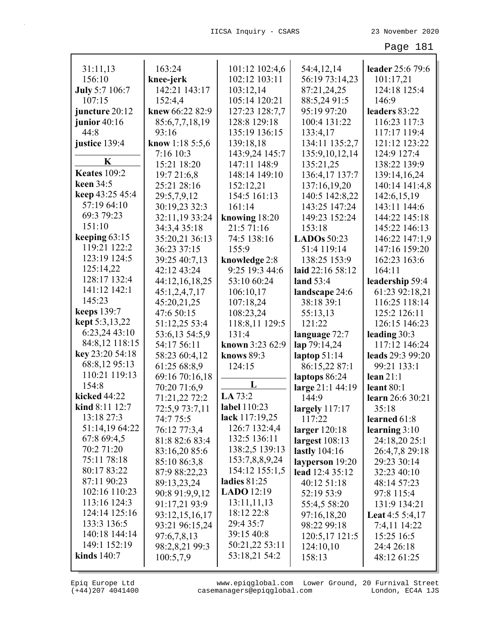| 31:11,13              | 163:24          | 101:12 102:4,6    | 54:4,12,14         | leader 25:6 79:6       |
|-----------------------|-----------------|-------------------|--------------------|------------------------|
| 156:10                | knee-jerk       | 102:12 103:11     | 56:19 73:14,23     | 101:17,21              |
| <b>July 5:7 106:7</b> | 142:21 143:17   | 103:12,14         | 87:21,24,25        | 124:18 125:4           |
| 107:15                | 152:4,4         | 105:14 120:21     | 88:5,24 91:5       | 146:9                  |
| juncture 20:12        | knew 66:22 82:9 | 127:23 128:7,7    | 95:19 97:20        | leaders 83:22          |
| junior $40:16$        | 85:6,7,7,18,19  | 128:8 129:18      | 100:4 131:22       | 116:23 117:3           |
| 44:8                  | 93:16           | 135:19 136:15     | 133:4,17           | 117:17 119:4           |
| justice 139:4         | know 1:18 5:5,6 | 139:18,18         | 134:11 135:2,7     | 121:12 123:22          |
| K                     | 7:16 10:3       | 143:9,24 145:7    | 135:9, 10, 12, 14  | 124:9 127:4            |
| <b>Keates</b> 109:2   | 15:21 18:20     | 147:11 148:9      | 135:21,25          | 138:22 139:9           |
| <b>keen</b> 34:5      | 19:7 21:6,8     | 148:14 149:10     | 136:4,17 137:7     | 139:14,16,24           |
| keep 43:25 45:4       | 25:21 28:16     | 152:12,21         | 137:16,19,20       | 140:14 141:4,8         |
| 57:19 64:10           | 29:5,7,9,12     | 154:5 161:13      | 140:5 142:8,22     | 142:6,15,19            |
| 69:3 79:23            | 30:19,23 32:3   | 161:14            | 143:25 147:24      | 143:11 144:6           |
| 151:10                | 32:11,19 33:24  | knowing 18:20     | 149:23 152:24      | 144:22 145:18          |
| keeping $63:15$       | 34:3,4 35:18    | 21:5 71:16        | 153:18             | 145:22 146:13          |
| 119:21 122:2          | 35:20,21 36:13  | 74:5 138:16       | <b>LADOs</b> 50:23 | 146:22 147:1,9         |
| 123:19 124:5          | 36:23 37:15     | 155:9             | 51:4 119:14        | 147:16 159:20          |
| 125:14,22             | 39:25 40:7,13   | knowledge 2:8     | 138:25 153:9       | 162:23 163:6           |
| 128:17 132:4          | 42:12 43:24     | 9:25 19:3 44:6    | laid 22:16 58:12   | 164:11                 |
| 141:12 142:1          | 44:12,16,18,25  | 53:10 60:24       | land 53:4          | leadership 59:4        |
| 145:23                | 45:1,2,4,7,17   | 106:10,17         | landscape 24:6     | 61:23 92:18,21         |
| <b>keeps</b> 139:7    | 45:20,21,25     | 107:18,24         | 38:18 39:1         | 116:25 118:14          |
| kept 5:3,13,22        | 47:6 50:15      | 108:23,24         | 55:13,13           | 125:2 126:11           |
| 6:23,24 43:10         | 51:12,25 53:4   | 118:8,11 129:5    | 121:22             | 126:15 146:23          |
| 84:8,12 118:15        | 53:6,13 54:5,9  | 131:4             | language 72:7      | leading $30:3$         |
| key 23:20 54:18       | 54:17 56:11     | known 3:23 62:9   | lap 79:14,24       | 117:12 146:24          |
| 68:8,12 95:13         | 58:23 60:4,12   | <b>knows</b> 89:3 | laptop $51:14$     | leads 29:3 99:20       |
| 110:21 119:13         | 61:25 68:8,9    | 124:15            | 86:15,22 87:1      | 99:21 133:1            |
| 154:8                 | 69:16 70:16,18  | L                 | laptops 86:24      | lean 21:1              |
| kicked 44:22          | 70:20 71:6,9    | LA 73:2           | large 21:1 44:19   | leant $80:1$           |
| kind 8:11 12:7        | 71:21,22 72:2   | label 110:23      | 144:9              | learn 26:6 30:21       |
| 13:18 27:3            | 72:5,9 73:7,11  | lack 117:19,25    | largely 117:17     | 35:18                  |
| 51:14,19 64:22        | 74:7 75:5       | 126:7 132:4,4     | 117:22             | learned $61:8$         |
| 67:8 69:4,5           | 76:12 77:3,4    | 132:5 136:11      | larger $120:18$    | learning $3:10$        |
| 70:2 71:20            | 81:8 82:6 83:4  | 138:2,5 139:13    | largest $108:13$   | 24:18,20 25:1          |
| 75:11 78:18           | 83:16,20 85:6   | 153:7,8,8,9,24    | lastly $104:16$    | 26:4,7,8 29:18         |
| 80:17 83:22           | 85:10 86:3,8    | 154:12 155:1,5    | layperson 19:20    | 29:23 30:14            |
| 87:11 90:23           | 87:9 88:22,23   | ladies $81:25$    | lead 12:4 35:12    | 32:23 40:10            |
| 102:16 110:23         | 89:13,23,24     | LADO $12:19$      | 40:12 51:18        | 48:14 57:23            |
| 113:16 124:3          | 90:8 91:9,9,12  | 13:11,11,13       | 52:19 53:9         | 97:8 115:4             |
| 124:14 125:16         | 91:17,21 93:9   | 18:12 22:8        | 55:4,5 58:20       | 131:9 134:21           |
| 133:3 136:5           | 93:12,15,16,17  | 29:4 35:7         | 97:16,18,20        | <b>Leat</b> 4:5 5:4,17 |
| 140:18 144:14         | 93:21 96:15,24  | 39:15 40:8        | 98:22 99:18        | 7:4,11 14:22           |
| 149:1 152:19          | 97:6,7,8,13     | 50:21,22 53:11    | 120:5,17 121:5     | 15:25 16:5             |
| kinds $140:7$         | 98:2,8,21 99:3  | 53:18,21 54:2     | 124:10,10          | 24:4 26:18             |
|                       | 100:5,7,9       |                   | 158:13             | 48:12 61:25            |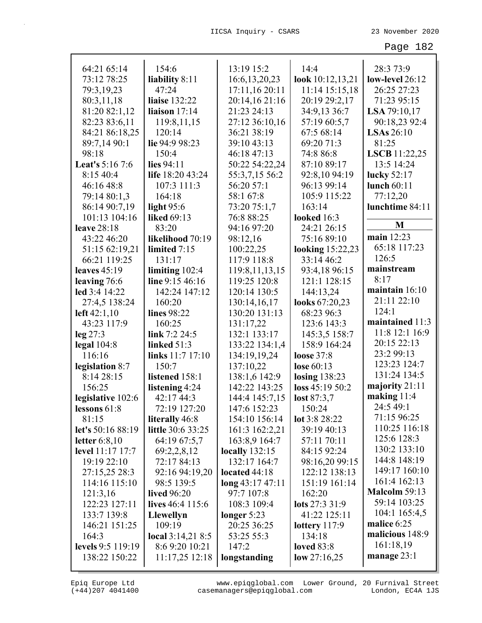| 64:21 65:14             | 154:6                    | 13:19 15:2        | 14:4              | 28:3 73:9            |
|-------------------------|--------------------------|-------------------|-------------------|----------------------|
| 73:12 78:25             | liability 8:11           | 16:6, 13, 20, 23  | look 10:12,13,21  | low-level 26:12      |
| 79:3,19,23              | 47:24                    | 17:11,16 20:11    | 11:14 15:15,18    | 26:25 27:23          |
| 80:3,11,18              | liaise 132:22            | 20:14,16 21:16    | 20:19 29:2,17     | 71:23 95:15          |
| 81:20 82:1,12           | liaison $17:14$          | 21:23 24:13       | 34:9,13 36:7      | LSA 79:10,17         |
| 82:23 83:6,11           | 119:8, 11, 15            | 27:12 36:10,16    | 57:19 60:5,7      | 90:18,23 92:4        |
| 84:21 86:18,25          | 120:14                   | 36:21 38:19       | 67:5 68:14        | LSAs 26:10           |
| 89:7,14 90:1            | lie 94:9 98:23           | 39:10 43:13       | 69:20 71:3        | 81:25                |
| 98:18                   | 150:4                    | 46:18 47:13       | 74:8 86:8         | <b>LSCB</b> 11:22,25 |
| Leat's 5:16 7:6         | lies $94:11$             | 50:22 54:22,24    | 87:10 89:17       | 13:5 14:24           |
| 8:15 40:4               | life 18:20 43:24         | 55:3,7,15 56:2    | 92:8,10 94:19     | lucky 52:17          |
| 46:16 48:8              | 107:3 111:3              | 56:20 57:1        | 96:13 99:14       | lunch 60:11          |
| 79:14 80:1,3            | 164:18                   | 58:1 67:8         | 105:9 115:22      | 77:12,20             |
| 86:14 90:7,19           | light $95:6$             | 73:20 75:1,7      | 163:14            | lunchtime 84:11      |
| 101:13 104:16           | <b>liked</b> 69:13       | 76:8 88:25        | looked 16:3       | M                    |
| leave 28:18             | 83:20                    | 94:16 97:20       | 24:21 26:15       |                      |
| 43:22 46:20             | likelihood 70:19         | 98:12,16          | 75:16 89:10       | main 12:23           |
| 51:15 62:19,21          | limited $7:15$           | 100:22,25         | looking 15:22,23  | 65:18 117:23         |
| 66:21 119:25            | 131:17                   | 117:9 118:8       | 33:14 46:2        | 126:5                |
| leaves $45:19$          | limiting $102:4$         | 119:8, 11, 13, 15 | 93:4,18 96:15     | mainstream           |
| leaving 76:6            | line 9:15 46:16          | 119:25 120:8      | 121:1 128:15      | 8:17                 |
| led 3:4 14:22           | 142:24 147:12            | 120:14 130:5      | 144:13,24         | maintain 16:10       |
| 27:4,5 138:24           | 160:20                   | 130:14,16,17      | looks 67:20,23    | 21:11 22:10          |
| left $42:1,10$          | lines 98:22              | 130:20 131:13     | 68:23 96:3        | 124:1                |
| 43:23 117:9             | 160:25                   | 131:17,22         | 123:6 143:3       | maintained 11:3      |
| $leg\,27:3$             | link $7:2$ 24:5          | 132:1 133:17      | 145:3,5 158:7     | 11:8 12:1 16:9       |
| legal $104:8$           | linked $51:3$            | 133:22 134:1,4    | 158:9 164:24      | 20:15 22:13          |
| 116:16                  | links 11:7 17:10         | 134:19,19,24      | <b>loose</b> 37:8 | 23:2 99:13           |
| legislation 8:7         | 150:7                    | 137:10,22         | lose 60:13        | 123:23 124:7         |
| 8:14 28:15              | listened 158:1           | 138:1,6 142:9     | losing $138:23$   | 131:24 134:5         |
| 156:25                  | listening 4:24           | 142:22 143:25     | loss 45:19 50:2   | majority 21:11       |
| legislative 102:6       | 42:17 44:3               | 144:4 145:7,15    | lost $87:3,7$     | making $11:4$        |
| lessons 61:8            | 72:19 127:20             | 147:6 152:23      | 150:24            | 24:5 49:1            |
| 81:15                   | literally 46:8           | 154:10 156:14     | lot 3:8 28:22     | 71:15 96:25          |
| let's 50:16 88:19       | <b>little</b> 30:6 33:25 | 161:3 162:2,21    | 39:19 40:13       | 110:25 116:18        |
| letter $6:8,10$         | 64:19 67:5,7             | 163:8,9 164:7     | 57:11 70:11       | 125:6 128:3          |
| <b>level</b> 11:17 17:7 | 69:2,2,8,12              | locally $132:15$  | 84:15 92:24       | 130:2 133:10         |
| 19:19 22:10             | 72:17 84:13              | 132:17 164:7      | 98:16,20 99:15    | 144:8 148:19         |
| 27:15,25 28:3           | 92:16 94:19,20           | located 44:18     | 122:12 138:13     | 149:17 160:10        |
| 114:16 115:10           | 98:5 139:5               | long 43:17 47:11  | 151:19 161:14     | 161:4 162:13         |
| 121:3,16                | <b>lived</b> 96:20       | 97:7 107:8        | 162:20            | Malcolm 59:13        |
| 122:23 127:11           | lives $46:4$ 115:6       | 108:3 109:4       | lots 27:3 31:9    | 59:14 103:25         |
| 133:7 139:8             | <b>Llewellyn</b>         | longer $5:23$     | 41:22 125:11      | 104:1 165:4,5        |
| 146:21 151:25           | 109:19                   | 20:25 36:25       | lottery $117:9$   | malice 6:25          |
| 164:3                   | local $3:14,218:5$       | 53:25 55:3        | 134:18            | malicious 148:9      |
| levels 9:5 119:19       | 8:6 9:20 10:21           | 147:2             | <b>loved</b> 83:8 | 161:18,19            |
| 138:22 150:22           | 11:17,25 12:18           | longstanding      | low $27:16,25$    | manage $23:1$        |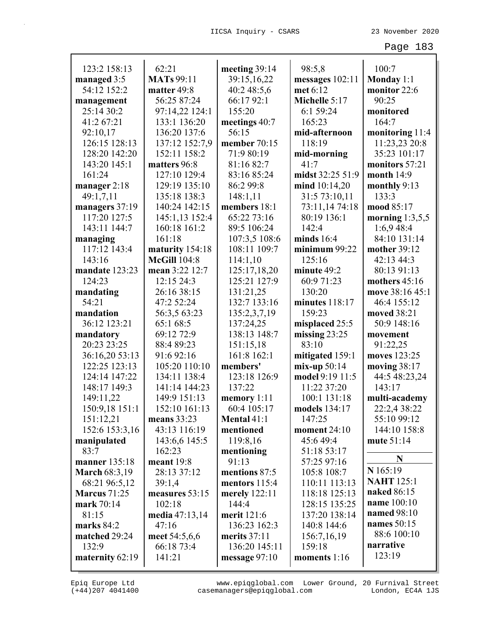| 123:2 158:13         | 62:21               | meeting 39:14  | 98:5,8            | 100:7                            |
|----------------------|---------------------|----------------|-------------------|----------------------------------|
| managed 3:5          | <b>MATs</b> 99:11   | 39:15,16,22    | messages $102:11$ | Monday 1:1                       |
| 54:12 152:2          | matter 49:8         | 40:2 48:5,6    | met 6:12          | monitor 22:6                     |
| management           | 56:25 87:24         | 66:17 92:1     | Michelle 5:17     | 90:25                            |
| 25:14 30:2           | 97:14,22 124:1      | 155:20         | 6:1 59:24         | monitored                        |
| 41:2 67:21           | 133:1 136:20        | meetings 40:7  | 165:23            | 164:7                            |
| 92:10,17             | 136:20 137:6        | 56:15          | mid-afternoon     | monitoring 11:4                  |
| 126:15 128:13        | 137:12 152:7,9      | member $70:15$ | 118:19            | 11:23,23 20:8                    |
| 128:20 142:20        | 152:11 158:2        | 71:9 80:19     | mid-morning       | 35:23 101:17                     |
| 143:20 145:1         | matters 96:8        | 81:16 82:7     | 41:7              | monitors 57:21                   |
| 161:24               | 127:10 129:4        | 83:16 85:24    | midst 32:25 51:9  | month $14:9$                     |
| manager $2:18$       | 129:19 135:10       | 86:2 99:8      | mind 10:14,20     | monthly 9:13                     |
| 49:1,7,11            | 135:18 138:3        | 148:1,11       | 31:5 73:10,11     | 133:3                            |
| managers 37:19       | 140:24 142:15       | members 18:1   | 73:11,14 74:18    | mood 85:17                       |
| 117:20 127:5         | 145:1,13 152:4      | 65:22 73:16    | 80:19 136:1       | morning $1:3,5,5$                |
| 143:11 144:7         | 160:18 161:2        | 89:5 106:24    | 142:4             | 1:6,948:4                        |
| managing             | 161:18              | 107:3,5 108:6  | minds $16:4$      | 84:10 131:14                     |
| 117:12 143:4         | maturity 154:18     | 108:11 109:7   | minimum 99:22     | mother 39:12                     |
| 143:16               | <b>McGill 104:8</b> | 114:1,10       | 125:16            | 42:13 44:3                       |
| mandate 123:23       | mean 3:22 12:7      | 125:17,18,20   | minute 49:2       | 80:13 91:13                      |
| 124:23               | 12:15 24:3          | 125:21 127:9   | 60:9 71:23        | mothers 45:16                    |
| mandating            | 26:16 38:15         | 131:21,25      | 130:20            | move 38:16 45:1                  |
| 54:21                | 47:2 52:24          | 132:7 133:16   | minutes 118:17    | 46:4 155:12                      |
| mandation            | 56:3,5 63:23        | 135:2,3,7,19   | 159:23            | moved 38:21                      |
| 36:12 123:21         | 65:1 68:5           | 137:24,25      | misplaced 25:5    | 50:9 148:16                      |
| mandatory            | 69:12 72:9          | 138:13 148:7   | missing $23:25$   | movement                         |
| 20:23 23:25          | 88:4 89:23          | 151:15,18      | 83:10             | 91:22,25                         |
| 36:16,20 53:13       | 91:6 92:16          | 161:8 162:1    | mitigated 159:1   | moves 123:25                     |
| 122:25 123:13        | 105:20 110:10       | members'       | $mix-up 50:14$    | moving $38:17$                   |
| 124:14 147:22        | 134:11 138:4        | 123:18 126:9   | model 9:19 11:5   | 44:5 48:23,24                    |
| 148:17 149:3         | 141:14 144:23       | 137:22         | 11:22 37:20       | 143:17                           |
| 149:11,22            | 149:9 151:13        | memory $1:11$  | 100:1 131:18      | multi-academy                    |
| 150:9,18 151:1       | 152:10 161:13       | 60:4 105:17    | models 134:17     | 22:2,4 38:22                     |
| 151:12,21            | means 33:23         | Mental 41:1    | 147:25            | 55:10 99:12                      |
| 152:6 153:3,16       | 43:13 116:19        | mentioned      | moment 24:10      | 144:10 158:8                     |
| manipulated          | 143:6,6 145:5       | 119:8,16       | 45:649:4          | mute 51:14                       |
| 83:7                 | 162:23              | mentioning     | 51:18 53:17       | N                                |
| manner 135:18        | meant 19:8          | 91:13          | 57:25 97:16       | N 165:19                         |
| <b>March 68:3,19</b> | 28:13 37:12         | mentions 87:5  | 105:8 108:7       |                                  |
| 68:21 96:5,12        | 39:1,4              | mentors 115:4  | 110:11 113:13     | <b>NAHT</b> 125:1<br>naked 86:15 |
| <b>Marcus</b> 71:25  | measures 53:15      | merely 122:11  | 118:18 125:13     | name 100:10                      |
| mark 70:14           | 102:18              | 144:4          | 128:15 135:25     | named 98:10                      |
| 81:15                | media $47:13,14$    | merit 121:6    | 137:20 138:14     | names 50:15                      |
| marks 84:2           | 47:16               | 136:23 162:3   | 140:8 144:6       | 88:6 100:10                      |
| matched 29:24        | meet 54:5,6,6       | merits 37:11   | 156:7,16,19       | narrative                        |
| 132:9                | 66:18 73:4          | 136:20 145:11  | 159:18            | 123:19                           |
| maternity 62:19      | 141:21              | message 97:10  | moments 1:16      |                                  |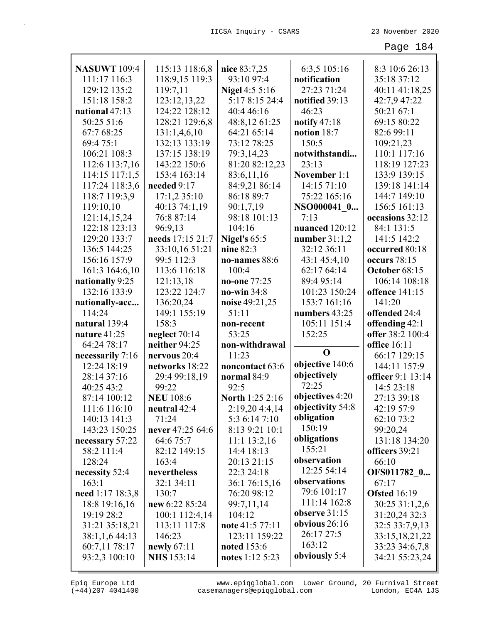| <b>NASUWT</b> 109:4             | 115:13 118:6,8    | nice 83:7,25          | 6:3,5 105:16     | 8:3 10:6 26:13      |
|---------------------------------|-------------------|-----------------------|------------------|---------------------|
| 111:17 116:3                    | 118:9,15 119:3    | 93:10 97:4            | notification     | 35:18 37:12         |
| 129:12 135:2                    | 119:7,11          | <b>Nigel 4:5 5:16</b> | 27:23 71:24      | 40:11 41:18,25      |
| 151:18 158:2                    | 123:12,13,22      | 5:17 8:15 24:4        | notified 39:13   | 42:7,9 47:22        |
| national 47:13                  | 124:22 128:12     | 40:4 46:16            | 46:23            | 50:21 67:1          |
| 50:25 51:6                      | 128:21 129:6,8    | 48:8,12 61:25         | notify $47:18$   | 69:15 80:22         |
| 67:7 68:25                      | 131:1,4,6,10      | 64:21 65:14           | notion $18:7$    | 82:6 99:11          |
| 69:4 75:1                       | 132:13 133:19     | 73:12 78:25           | 150:5            | 109:21,23           |
| 106:21 108:3                    | 137:15 138:19     | 79:3,14,23            | notwithstandi    | 110:1 117:16        |
| 112:6 113:7,16                  | 143:22 150:6      | 81:20 82:12,23        | 23:13            | 118:19 127:23       |
| 114:15 117:1,5                  | 153:4 163:14      | 83:6,11,16            | November 1:1     | 133:9 139:15        |
| 117:24 118:3,6                  | needed 9:17       | 84:9,21 86:14         | 14:15 71:10      | 139:18 141:14       |
| 118:7 119:3,9                   | 17:1,2 35:10      | 86:18 89:7            | 75:22 165:16     | 144:7 149:10        |
| 119:10,10                       | 40:13 74:1,19     | 90:1,7,19             | NSO000041 0      | 156:5 161:13        |
| 121:14,15,24                    | 76:8 87:14        | 98:18 101:13          | 7:13             | occasions 32:12     |
| 122:18 123:13                   | 96:9,13           | 104:16                | nuanced 120:12   | 84:1 131:5          |
| 129:20 133:7                    | needs 17:15 21:7  | Nigel's 65:5          | number $31:1,2$  | 141:5 142:2         |
| 136:5 144:25                    | 33:10,16 51:21    | nine 82:3             | 32:12 36:11      | occurred 80:18      |
| 156:16 157:9                    | 99:5 112:3        | no-names 88:6         | 43:1 45:4,10     | occurs 78:15        |
| 161:3 164:6,10                  | 113:6 116:18      | 100:4                 | 62:17 64:14      | October 68:15       |
|                                 | 121:13,18         |                       | 89:4 95:14       |                     |
| nationally 9:25<br>132:16 133:9 | 123:22 124:7      | no-one 77:25          |                  | 106:14 108:18       |
|                                 |                   | $no$ -win $34:8$      | 101:23 150:24    | offence 141:15      |
| nationally-acc                  | 136:20,24         | noise 49:21,25        | 153:7 161:16     | 141:20              |
| 114:24                          | 149:1 155:19      | 51:11                 | numbers 43:25    | offended 24:4       |
| natural 139:4                   | 158:3             | non-recent            | 105:11 151:4     | offending 42:1      |
| nature 41:25                    | neglect 70:14     | 53:25                 | 152:25           | offer 38:2 100:4    |
| 64:24 78:17                     | neither 94:25     | non-withdrawal        | $\mathbf 0$      | <b>office</b> 16:11 |
| necessarily 7:16                | nervous 20:4      | 11:23                 | objective 140:6  | 66:17 129:15        |
| 12:24 18:19                     | networks 18:22    | noncontact 63:6       | objectively      | 144:11 157:9        |
| 28:14 37:16                     | 29:4 99:18,19     | normal 84:9           | 72:25            | officer 9:1 13:14   |
| 40:25 43:2                      | 99:22             | 92:5                  |                  | 14:5 23:18          |
| 87:14 100:12                    | <b>NEU 108:6</b>  | North 1:25 2:16       | objectives 4:20  | 27:13 39:18         |
| 111:6 116:10                    | neutral 42:4      | 2:19,20 4:4,14        | objectivity 54:8 | 42:19 57:9          |
| 140:13 141:3                    | 71:24             | 5:3 6:14 7:10         | obligation       | 62:10 73:2          |
| 143:23 150:25                   | never 47:25 64:6  | 8:13 9:21 10:1        | 150:19           | 99:20,24            |
| necessary 57:22                 | 64:6 75:7         | $11:1$ $13:2,16$      | obligations      | 131:18 134:20       |
| 58:2 111:4                      | 82:12 149:15      | 14:4 18:13            | 155:21           | officers 39:21      |
| 128:24                          | 163:4             | 20:13 21:15           | observation      | 66:10               |
| necessity 52:4                  | nevertheless      | 22:3 24:18            | 12:25 54:14      | OFS011782 0         |
| 163:1                           | 32:1 34:11        | 36:1 76:15,16         | observations     | 67:17               |
| need 1:17 18:3,8                | 130:7             | 76:20 98:12           | 79:6 101:17      | <b>Ofsted</b> 16:19 |
| 18:8 19:16,16                   | new 6:22 85:24    | 99:7,11,14            | 111:14 162:8     | 30:25 31:1,2,6      |
| 19:19 28:2                      | 100:1 112:4,14    | 104:12                | observe $31:15$  | 31:20,24 32:3       |
| 31:21 35:18,21                  | 113:11 117:8      | note 41:5 77:11       | obvious $26:16$  | 32:5 33:7,9,13      |
| 38:1,1,6 44:13                  | 146:23            | 123:11 159:22         | 26:17 27:5       | 33:15, 18, 21, 22   |
|                                 |                   |                       |                  |                     |
| 60:7,11 78:17                   | newly $67:11$     | noted 153:6           | 163:12           | 33:23 34:6,7,8      |
| 93:2,3 100:10                   | <b>NHS</b> 153:14 | notes $1:12\,5:23$    | obviously 5:4    | 34:21 55:23,24      |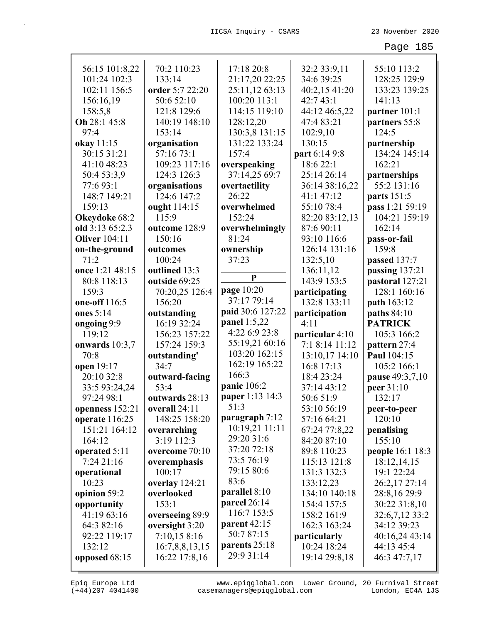| 56:15 101:8,22          | 70:2 110:23                     | 17:18 20:8                  | 32:2 33:9,11                 | 55:10 113:2                |
|-------------------------|---------------------------------|-----------------------------|------------------------------|----------------------------|
| 101:24 102:3            | 133:14                          | 21:17,20 22:25              | 34:6 39:25                   | 128:25 129:9               |
| 102:11 156:5            | order 5:7 22:20                 | 25:11,12 63:13              | 40:2,15 41:20                | 133:23 139:25              |
| 156:16,19               | 50:6 52:10                      | 100:20 113:1                | 42:7 43:1                    | 141:13                     |
| 158:5,8                 | 121:8 129:6                     | 114:15 119:10               | 44:12 46:5,22                | partner 101:1              |
| Oh 28:1 45:8            | 140:19 148:10                   | 128:12,20                   | 47:4 83:21                   | partners 55:8              |
| 97:4                    | 153:14                          | 130:3,8 131:15              | 102:9,10                     | 124:5                      |
| okay 11:15              | organisation                    | 131:22 133:24               | 130:15                       | partnership                |
| 30:15 31:21             | 57:16 73:1                      | 157:4                       | part 6:14 9:8                | 134:24 145:14              |
| 41:10 48:23             | 109:23 117:16                   | overspeaking                | 18:6 22:1                    | 162:21                     |
| 50:4 53:3,9             | 124:3 126:3                     | 37:14,25 69:7               | 25:14 26:14                  | partnerships               |
| 77:693:1                | organisations                   | overtactility               | 36:14 38:16,22               | 55:2 131:16                |
| 148:7 149:21            | 124:6 147:2                     | 26:22                       | 41:1 47:12                   | parts 151:5                |
| 159:13                  | ought 114:15                    | overwhelmed                 | 55:10 78:4                   | pass 1:21 59:19            |
| Okeydoke 68:2           | 115:9                           | 152:24                      | 82:20 83:12,13               | 104:21 159:19              |
| old 3:13 65:2,3         | outcome 128:9                   | overwhelmingly              | 87:6 90:11                   | 162:14                     |
| <b>Oliver</b> 104:11    | 150:16                          | 81:24                       | 93:10 116:6                  | pass-or-fail               |
| on-the-ground           | outcomes                        | ownership                   | 126:14 131:16                | 159:8                      |
| 71:2                    | 100:24                          | 37:23                       | 132:5,10                     | passed 137:7               |
| once 1:21 48:15         | outlined 13:3                   |                             | 136:11,12                    | passing 137:21             |
| 80:8 118:13             | outside 69:25                   | $\mathbf{P}$                | 143:9 153:5                  | pastoral 127:21            |
| 159:3                   | 70:20,25 126:4                  | page 10:20                  | participating                | 128:1 160:16               |
| one-off 116:5           | 156:20                          | 37:17 79:14                 | 132:8 133:11                 | path 163:12                |
|                         |                                 |                             |                              |                            |
| ones 5:14               | outstanding                     | paid 30:6 127:22            | participation                | paths 84:10                |
| ongoing 9:9             | 16:19 32:24                     | panel 1:5,22                | 4:11                         | <b>PATRICK</b>             |
| 119:12                  | 156:23 157:22                   | 4:22 6:9 23:8               | particular 4:10              | 105:3 166:2                |
| onwards 10:3,7          | 157:24 159:3                    | 55:19,21 60:16              | 7:1 8:14 11:12               | pattern 27:4               |
| 70:8                    | outstanding'                    | 103:20 162:15               | 13:10,17 14:10               | Paul 104:15                |
| open 19:17              | 34:7                            | 162:19 165:22               | 16:8 17:13                   | 105:2 166:1                |
| 20:10 32:8              | outward-facing                  | 166:3                       | 18:4 23:24                   | pause 49:3,7,10            |
| 33:5 93:24,24           | 53:4                            | panic 106:2                 | 37:14 43:12                  | peer 31:10                 |
| 97:24 98:1              | outwards 28:13                  | paper 1:13 14:3             | 50:6 51:9                    | 132:17                     |
| openness 152:21         | overall 24:11                   | 51:3                        | 53:10 56:19                  | peer-to-peer               |
| operate 116:25          | 148:25 158:20                   | paragraph $7:12$            | 57:16 64:21                  | 120:10                     |
| 151:21 164:12           | overarching                     | 10:19,21 11:11              | 67:24 77:8,22                | penalising                 |
| 164:12                  | 3:19 112:3                      | 29:20 31:6                  | 84:20 87:10                  | 155:10                     |
| operated 5:11           | overcome 70:10                  | 37:20 72:18                 | 89:8 110:23                  | people 16:1 18:3           |
| 7:24 21:16              | overemphasis                    | 73:5 76:19                  | 115:13 121:8                 | 18:12,14,15                |
| operational             | 100:17                          | 79:15 80:6                  | 131:3 132:3                  | 19:1 22:24                 |
| 10:23                   | overlay 124:21                  | 83:6                        | 133:12,23                    | 26:2,17 27:14              |
| opinion 59:2            | overlooked                      | parallel 8:10               | 134:10 140:18                | 28:8,16 29:9               |
| opportunity             | 153:1                           | parcel 26:14<br>116:7 153:5 | 154:4 157:5                  | 30:22 31:8,10              |
| 41:19 63:16             | overseeing 89:9                 |                             | 158:2 161:9                  | 32:6,7,12 33:2             |
| 64:3 82:16              | oversight 3:20                  | parent $42:15$<br>50:787:15 | 162:3 163:24                 | 34:12 39:23                |
| 92:22 119:17            | 7:10,158:16                     |                             | particularly                 | 40:16,24 43:14             |
| 132:12<br>opposed 68:15 | 16:7,8,8,13,15<br>16:22 17:8,16 | parents 25:18<br>29:9 31:14 | 10:24 18:24<br>19:14 29:8,18 | 44:13 45:4<br>46:3 47:7,17 |

L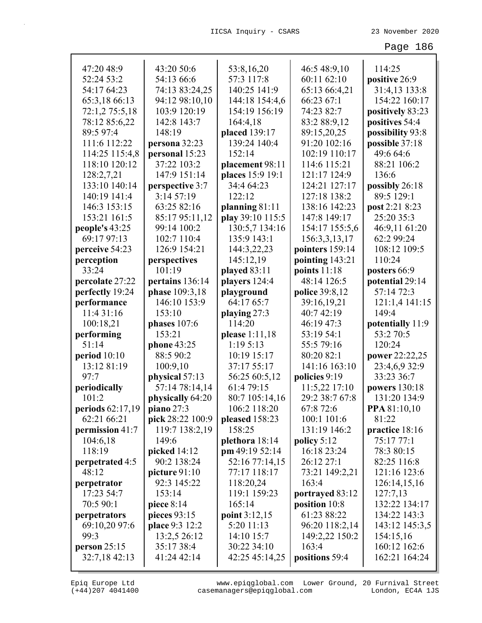| 47:20 48:9       | 43:20 50:6       | 53:8,16,20       | 46:5 48:9,10    | 114:25           |
|------------------|------------------|------------------|-----------------|------------------|
| 52:24 53:2       | 54:13 66:6       | 57:3 117:8       | 60:11 62:10     | positive 26:9    |
| 54:17 64:23      | 74:13 83:24,25   | 140:25 141:9     | 65:13 66:4,21   | 31:4,13 133:8    |
| 65:3,18 66:13    | 94:12 98:10,10   | 144:18 154:4,6   | 66:23 67:1      | 154:22 160:17    |
| 72:1,2 75:5,18   | 103:9 120:19     | 154:19 156:19    | 74:23 82:7      | positively 83:23 |
| 78:12 85:6,22    | 142:8 143:7      | 164:4,18         | 83:2 88:9,12    | positives 54:4   |
| 89:5 97:4        | 148:19           | placed 139:17    | 89:15,20,25     | possibility 93:8 |
| 111:6 112:22     | persona 32:23    | 139:24 140:4     | 91:20 102:16    | possible 37:18   |
| 114:25 115:4,8   | personal 15:23   | 152:14           | 102:19 110:17   | 49:6 64:6        |
| 118:10 120:12    | 37:22 103:2      | placement 98:11  | 114:6 115:21    | 88:21 106:2      |
| 128:2,7,21       | 147:9 151:14     | places 15:9 19:1 | 121:17 124:9    | 136:6            |
| 133:10 140:14    | perspective 3:7  | 34:4 64:23       | 124:21 127:17   | possibly 26:18   |
| 140:19 141:4     | 3:1457:19        | 122:12           | 127:18 138:2    | 89:5 129:1       |
| 146:3 153:15     | 63:25 82:16      | planning 81:11   | 138:16 142:23   | post 2:21 8:23   |
| 153:21 161:5     | 85:17 95:11,12   | play 39:10 115:5 | 147:8 149:17    | 25:20 35:3       |
| people's 43:25   | 99:14 100:2      | 130:5,7 134:16   | 154:17 155:5,6  | 46:9,11 61:20    |
| 69:17 97:13      | 102:7 110:4      | 135:9 143:1      | 156:3,3,13,17   | 62:2 99:24       |
| perceive 54:23   | 126:9 154:21     | 144:3,22,23      | pointers 159:14 | 108:12 109:5     |
| perception       | perspectives     | 145:12,19        | pointing 143:21 | 110:24           |
| 33:24            | 101:19           | played 83:11     | points $11:18$  | posters 66:9     |
| percolate 27:22  | pertains 136:14  | players 124:4    | 48:14 126:5     | potential 29:14  |
| perfectly 19:24  | phase 109:3,18   | playground       | police 39:8,12  | 57:14 72:3       |
| performance      | 146:10 153:9     | 64:17 65:7       | 39:16,19,21     | 121:1,4 141:15   |
| 11:4 31:16       | 153:10           | playing 27:3     | 40:7 42:19      | 149:4            |
| 100:18,21        | phases $107:6$   | 114:20           | 46:19 47:3      | potentially 11:9 |
| performing       | 153:21           | please 1:11,18   | 53:19 54:1      | 53:2 70:5        |
| 51:14            | phone 43:25      | 1:19 5:13        | 55:5 79:16      | 120:24           |
| period $10:10$   | 88:5 90:2        | 10:19 15:17      | 80:20 82:1      | power 22:22,25   |
| 13:12 81:19      | 100:9,10         | 37:17 55:17      | 141:16 163:10   | 23:4,6,9 32:9    |
| 97:7             | physical 57:13   | 56:25 60:5,12    | policies 9:19   | 33:23 36:7       |
| periodically     | 57:14 78:14,14   | 61:4 79:15       | 11:5,22 17:10   | powers 130:18    |
| 101:2            | physically 64:20 | 80:7 105:14,16   | 29:2 38:7 67:8  | 131:20 134:9     |
| periods 62:17,19 | piano $27:3$     | 106:2 118:20     | 67:8 72:6       | PPA 81:10,10     |
| 62:21 66:21      | pick 28:22 100:9 | pleased 158:23   | 100:1 101:6     | 81:22            |
| permission 41:7  | 119:7 138:2,19   | 158:25           | 131:19 146:2    | practice 18:16   |
| 104:6,18         | 149:6            | plethora 18:14   | policy $5:12$   | 75:17 77:1       |
| 118:19           | picked $14:12$   | pm 49:19 52:14   | 16:18 23:24     | 78:3 80:15       |
| perpetrated 4:5  | 90:2 138:24      | 52:16 77:14,15   | 26:12 27:1      | 82:25 116:8      |
| 48:12            | picture 91:10    | 77:17 118:17     | 73:21 149:2,21  | 121:16 123:6     |
| perpetrator      | 92:3 145:22      | 118:20,24        | 163:4           | 126:14,15,16     |
| 17:23 54:7       | 153:14           | 119:1 159:23     | portrayed 83:12 | 127:7,13         |
| 70:5 90:1        | piece $8:14$     | 165:14           | position 10:8   | 132:22 134:17    |
| perpetrators     | pieces $93:15$   | point $3:12,15$  | 61:23 88:22     | 134:22 143:3     |
| 69:10,20 97:6    | place 9:3 12:2   | 5:20 11:13       | 96:20 118:2,14  | 143:12 145:3,5   |
| 99:3             | 13:2,5 26:12     | 14:10 15:7       | 149:2,22 150:2  | 154:15,16        |
| person $25:15$   | 35:17 38:4       | 30:22 34:10      | 163:4           | 160:12 162:6     |
| 32:7,18 42:13    | 41:24 42:14      | 42:25 45:14,25   | positions 59:4  | 162:21 164:24    |
|                  |                  |                  |                 |                  |

(+44)207 4041400 casemanagers@epiqglobal.com London, EC4A 1JS www.epiqglobal.com Lower Ground, 20 Furnival Street

┚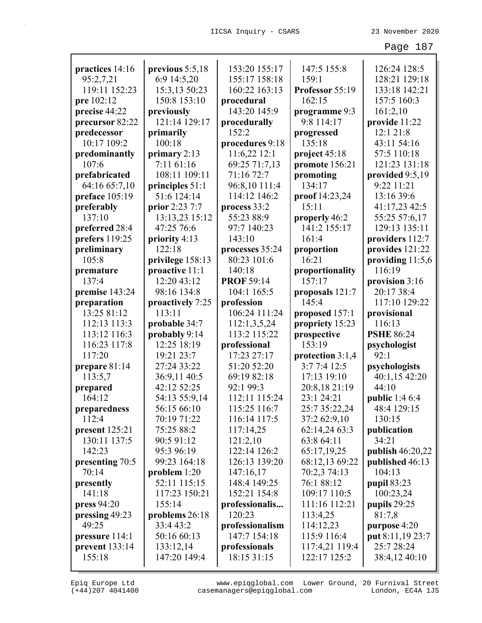| practices 14:16            | previous 5:5,18             | 153:20 155:17                | 147:5 155:8                    | 126:24 128:5                     |
|----------------------------|-----------------------------|------------------------------|--------------------------------|----------------------------------|
| 95:2,7,21                  | 6:9 14:5,20                 | 155:17 158:18                | 159:1                          | 128:21 129:18                    |
| 119:11 152:23              | 15:3,13 50:23               | 160:22 163:13                | Professor 55:19                | 133:18 142:21                    |
| pre 102:12                 | 150:8 153:10                | procedural                   | 162:15                         | 157:5 160:3                      |
| precise 44:22              | previously                  | 143:20 145:9                 | programme 9:3                  | 161:2,10                         |
| precursor 82:22            | 121:14 129:17               | procedurally                 | 9:8 114:17                     | provide 11:22                    |
| predecessor                | primarily                   | 152:2                        | progressed                     | 12:1 21:8                        |
| 10:17 109:2                | 100:18                      | procedures 9:18              | 135:18                         | 43:11 54:16                      |
| predominantly              | primary $2:13$              | 11:6,22 12:1                 | project $45:18$                | 57:5 110:18                      |
| 107:6                      | 7:11 61:16                  | 69:25 71:7,13                | promote 156:21                 | 121:23 131:18                    |
| prefabricated              | 108:11 109:11               | 71:16 72:7                   | promoting                      | provided 9:5,19                  |
| 64:16 65:7,10              | principles $51:1$           | 96:8,10 111:4                | 134:17                         | 9:22 11:21                       |
| preface 105:19             | 51:6 124:14                 | 114:12 146:2                 | proof 14:23,24                 | 13:16 39:6                       |
| preferably                 | prior 2:23 7:7              | process 33:2                 | 15:11                          | 41:17,23 42:5                    |
| 137:10                     | 13:13,23 15:12              | 55:23 88:9                   | properly 46:2                  | 55:25 57:6,17                    |
| preferred 28:4             | 47:25 76:6                  | 97:7 140:23                  | 141:2 155:17                   | 129:13 135:11                    |
| prefers 119:25             | priority 4:13               | 143:10                       | 161:4                          | providers 112:7                  |
| preliminary                | 122:18                      | processes 35:24              | proportion                     | provides 121:22                  |
| 105:8                      | privilege 158:13            | 80:23 101:6                  | 16:21                          | providing $11:5,6$               |
| premature                  | proactive 11:1              | 140:18                       | proportionality                | 116:19                           |
| 137:4                      | 12:20 43:12                 | <b>PROF 59:14</b>            | 157:17                         | provision 3:16                   |
| premise 143:24             | 98:16 134:8                 | 104:1 165:5                  | proposals 121:7                | 20:17 38:4                       |
| preparation                | proactively 7:25            | profession                   | 145:4                          | 117:10 129:22                    |
| 13:25 81:12                | 113:11                      | 106:24 111:24                | proposed 157:1                 | provisional                      |
| 112:13 113:3               | probable 34:7               | 112:1,3,5,24                 | propriety 15:23                | 116:13                           |
| 113:12 116:3               | probably 9:14               | 113:2 115:22                 | prospective                    | <b>PSHE 86:24</b>                |
| 116:23 117:8               | 12:25 18:19                 | professional                 | 153:19                         | psychologist                     |
| 117:20                     | 19:21 23:7                  | 17:23 27:17                  | protection 3:1,4               | 92:1                             |
| prepare 81:14              |                             |                              |                                |                                  |
|                            | 27:24 33:22                 | 51:20 52:20                  | 3:7 7:4 12:5                   | psychologists                    |
| 113:5,7                    | 36:9,11 40:5                | 69:19 82:18                  | 17:13 19:10                    | 40:1,15 42:20                    |
| prepared                   | 42:12 52:25                 | 92:1 99:3                    | 20:8,18 21:19                  | 44:10                            |
| 164:12                     | 54:13 55:9,14               | 112:11 115:24                | 23:1 24:21                     | <b>public</b> 1:4 6:4            |
| preparedness               | 56:15 66:10                 | 115:25 116:7                 | 25:7 35:22,24                  | 48:4 129:15                      |
| 112:4                      | 70:19 71:22                 | 116:14 117:5                 | 37:2 62:9,10                   | 130:15                           |
| present $125:21$           | 75:25 88:2                  | 117:14,25                    | 62:14,24 63:3                  | publication                      |
| 130:11 137:5               | 90:5 91:12                  | 121:2,10                     | 63:8 64:11                     | 34:21                            |
| 142:23                     | 95:3 96:19                  | 122:14 126:2                 | 65:17,19,25                    | publish 46:20,22                 |
|                            | 99:23 164:18                | 126:13 139:20                | 68:12,13 69:22                 | published 46:13                  |
| presenting 70:5<br>70:14   | problem $1:20$              | 147:16,17                    | 70:2,3 74:13                   | 104:13                           |
|                            | 52:11 115:15                | 148:4 149:25                 | 76:188:12                      |                                  |
| presently<br>141:18        | 117:23 150:21               | 152:21 154:8                 | 109:17 110:5                   | pupil 83:23                      |
|                            | 155:14                      |                              | 111:16 112:21                  | 100:23,24                        |
| press 94:20                |                             | professionalis<br>120:23     | 113:4,25                       | pupils 29:25                     |
| pressing 49:23<br>49:25    | problems 26:18<br>33:4 43:2 | professionalism              | 114:12,23                      | 81:7,8                           |
|                            | 50:16 60:13                 | 147:7 154:18                 | 115:9 116:4                    | purpose 4:20<br>put 8:11,19 23:7 |
| pressure 114:1             | 133:12,14                   |                              |                                | 25:7 28:24                       |
| prevent $133:14$<br>155:18 | 147:20 149:4                | professionals<br>18:15 31:15 | 117:4,21 119:4<br>122:17 125:2 | 38:4,12 40:10                    |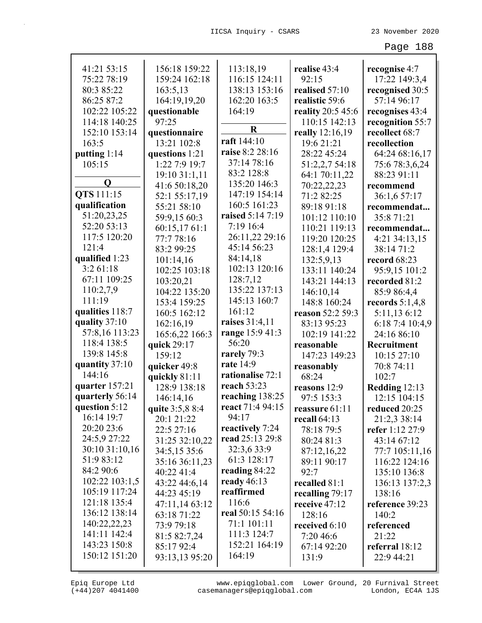| 41:21 53:15     | 156:18 159:22   | 113:18,19        | realise 43:4                     | recognise 4:7     |
|-----------------|-----------------|------------------|----------------------------------|-------------------|
| 75:22 78:19     | 159:24 162:18   | 116:15 124:11    | 92:15                            | 17:22 149:3,4     |
| 80:3 85:22      | 163:5,13        | 138:13 153:16    | realised 57:10                   | recognised 30:5   |
| 86:25 87:2      | 164:19,19,20    | 162:20 163:5     | realistic 59:6                   | 57:14 96:17       |
| 102:22 105:22   | questionable    | 164:19           | reality 20:5 45:6                | recognises 43:4   |
| 114:18 140:25   | 97:25           |                  | 110:15 142:13                    | recognition 55:7  |
| 152:10 153:14   | questionnaire   | $\bf R$          | really 12:16,19                  | recollect 68:7    |
| 163:5           | 13:21 102:8     | raft 144:10      | 19:6 21:21                       | recollection      |
| putting 1:14    | questions 1:21  | raise 8:2 28:16  | 28:22 45:24                      | 64:24 68:16,17    |
| 105:15          | 1:22 7:9 19:7   | 37:14 78:16      | 51:2,2,7 54:18                   | 75:6 78:3,6,24    |
|                 | 19:10 31:1,11   | 83:2 128:8       | 64:1 70:11,22                    | 88:23 91:11       |
| Q               | 41:6 50:18,20   | 135:20 146:3     | 70:22,22,23                      | recommend         |
| QTS 111:15      | 52:1 55:17,19   | 147:19 154:14    | 71:2 82:25                       | 36:1,6 57:17      |
| qualification   | 55:21 58:10     | 160:5 161:23     | 89:18 91:18                      | recommendat       |
| 51:20,23,25     | 59:9,15 60:3    | raised 5:14 7:19 | 101:12 110:10                    | 35:8 71:21        |
| 52:20 53:13     | 60:15,17 61:1   | 7:19 16:4        | 110:21 119:13                    | recommendat       |
| 117:5 120:20    | 77:778:16       | 26:11,22 29:16   | 119:20 120:25                    | 4:21 34:13,15     |
| 121:4           | 83:2 99:25      | 45:14 56:23      | 128:1,4 129:4                    | 38:14 71:2        |
| qualified 1:23  | 101:14,16       | 84:14,18         | 132:5,9,13                       | record 68:23      |
| 3:2 61:18       | 102:25 103:18   | 102:13 120:16    | 133:11 140:24                    | 95:9,15 101:2     |
| 67:11 109:25    | 103:20,21       | 128:7,12         | 143:21 144:13                    | recorded 81:2     |
| 110:2,7,9       | 104:22 135:20   | 135:22 137:13    | 146:10,14                        | 85:9 86:4,4       |
| 111:19          | 153:4 159:25    | 145:13 160:7     | 148:8 160:24                     | records $5:1,4,8$ |
| qualities 118:7 | 160:5 162:12    | 161:12           | reason 52:2 59:3                 | 5:11,13 6:12      |
| quality 37:10   | 162:16,19       | raises 31:4,11   | 83:13 95:23                      | 6:18 7:4 10:4,9   |
| 57:8,16 113:23  | 165:6,22 166:3  | range 15:9 41:3  | 102:19 141:22                    | 24:16 86:10       |
| 118:4 138:5     | quick 29:17     | 56:20            | reasonable                       | Recruitment       |
| 139:8 145:8     | 159:12          | rarely 79:3      | 147:23 149:23                    | 10:15 27:10       |
| quantity 37:10  | quicker 49:8    | rate 14:9        | reasonably                       | 70:8 74:11        |
| 144:16          | quickly 81:11   | rationalise 72:1 | 68:24                            | 102:7             |
| quarter 157:21  | 128:9 138:18    | reach 53:23      | reasons 12:9                     | Redding 12:13     |
| quarterly 56:14 | 146:14,16       | reaching 138:25  | 97:5 153:3                       | 12:15 104:15      |
| question 5:12   | quite 3:5,8 8:4 | react 71:4 94:15 | reassure 61:11                   | reduced 20:25     |
| 16:14 19:7      | 20:1 21:22      | 94:17            | recall $64:13$                   | 21:2,3 38:14      |
| 20:20 23:6      | 22:5 27:16      | reactively 7:24  | 78:18 79:5                       | refer 1:12 27:9   |
| 24:5,9 27:22    | 31:25 32:10,22  | read 25:13 29:8  | 80:24 81:3                       | 43:14 67:12       |
| 30:10 31:10,16  | 34:5,15 35:6    | 32:3,6 33:9      | 87:12,16,22                      | 77:7 105:11,16    |
| 51:9 83:12      | 35:16 36:11,23  | 61:3 128:17      | 89:11 90:17                      | 116:22 124:16     |
| 84:2 90:6       | 40:22 41:4      | reading 84:22    | 92:7                             | 135:10 136:8      |
| 102:22 103:1,5  | 43:22 44:6,14   | ready $46:13$    | recalled 81:1                    | 136:13 137:2,3    |
| 105:19 117:24   | 44:23 45:19     | reaffirmed       |                                  | 138:16            |
| 121:18 135:4    | 47:11,14 63:12  | 116:6            | recalling 79:17<br>receive 47:12 | reference 39:23   |
| 136:12 138:14   | 63:18 71:22     | real 50:15 54:16 | 128:16                           | 140:2             |
| 140:22,22,23    | 73:9 79:18      | 71:1 101:11      | received 6:10                    | referenced        |
| 141:11 142:4    |                 | 111:3 124:7      | 7:20 46:6                        | 21:22             |
| 143:23 150:8    | 81:5 82:7,24    | 152:21 164:19    |                                  |                   |
| 150:12 151:20   | 85:17 92:4      | 164:19           | 67:14 92:20                      | referral 18:12    |
|                 | 93:13,13 95:20  |                  | 131:9                            | 22:9 44:21        |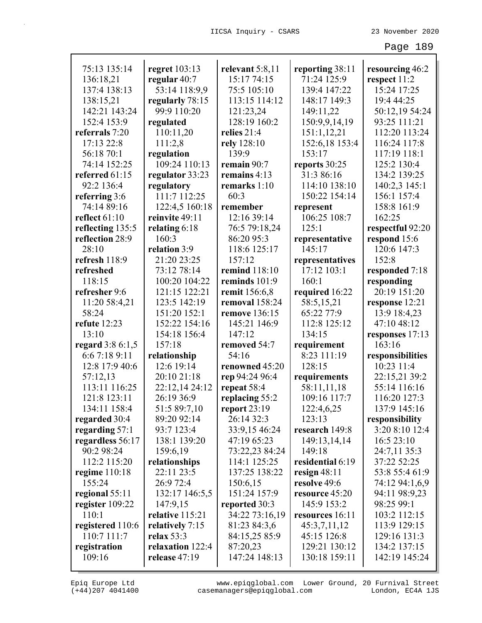| 75:13 135:14      | regret $103:13$  | relevant $5:8,11$    | reporting 38:11  | resourcing 46:2  |
|-------------------|------------------|----------------------|------------------|------------------|
| 136:18,21         | regular $40:7$   | 15:17 74:15          | 71:24 125:9      | respect 11:2     |
| 137:4 138:13      | 53:14 118:9,9    | 75:5 105:10          | 139:4 147:22     | 15:24 17:25      |
| 138:15,21         | regularly 78:15  | 113:15 114:12        | 148:17 149:3     | 19:4 44:25       |
| 142:21 143:24     | 99:9 110:20      | 121:23,24            | 149:11,22        | 50:12,19 54:24   |
| 152:4 153:9       | regulated        | 128:19 160:2         | 150:9,9,14,19    | 93:25 111:21     |
| referrals 7:20    | 110:11,20        | relies 21:4          | 151:1,12,21      | 112:20 113:24    |
| 17:13 22:8        | 111:2,8          | rely 128:10          | 152:6,18 153:4   | 116:24 117:8     |
| 56:18 70:1        | regulation       | 139:9                | 153:17           | 117:19 118:1     |
| 74:14 152:25      | 109:24 110:13    | remain 90:7          | reports 30:25    | 125:2 130:4      |
| referred 61:15    | regulator 33:23  | remains 4:13         | 31:3 86:16       | 134:2 139:25     |
| 92:2 136:4        | regulatory       | remarks 1:10         | 114:10 138:10    | 140:2,3 145:1    |
| referring 3:6     | 111:7 112:25     | 60:3                 | 150:22 154:14    | 156:1 157:4      |
| 74:14 89:16       | 122:4,5 160:18   | remember             | represent        | 158:8 161:9      |
| reflect $61:10$   | reinvite 49:11   | 12:16 39:14          | 106:25 108:7     | 162:25           |
| reflecting 135:5  | relating 6:18    | 76:5 79:18,24        | 125:1            | respectful 92:20 |
| reflection 28:9   | 160:3            | 86:20 95:3           | representative   | respond 15:6     |
| 28:10             | relation 3:9     | 118:6 125:17         | 145:17           | 120:6 147:3      |
| refresh 118:9     | 21:20 23:25      | 157:12               | representatives  | 152:8            |
| refreshed         | 73:12 78:14      | remind 118:10        | 17:12 103:1      | responded 7:18   |
| 118:15            | 100:20 104:22    | reminds 101:9        | 160:1            | responding       |
| refresher 9:6     | 121:15 122:21    | remit 156:6,8        | required 16:22   | 20:19 151:20     |
| 11:20 58:4,21     | 123:5 142:19     | removal 158:24       | 58:5,15,21       | response 12:21   |
| 58:24             | 151:20 152:1     | <b>remove</b> 136:15 | 65:22 77:9       | 13:9 18:4,23     |
| refute 12:23      | 152:22 154:16    | 145:21 146:9         | 112:8 125:12     | 47:10 48:12      |
| 13:10             | 154:18 156:4     | 147:12               | 134:15           | responses 17:13  |
| regard 3:8 6:1,5  | 157:18           | removed 54:7         | requirement      | 163:16           |
| 6:67:189:11       | relationship     | 54:16                | 8:23 111:19      | responsibilities |
| 12:8 17:9 40:6    | 12:6 19:14       | renowned 45:20       | 128:15           | 10:23 11:4       |
| 57:12,13          | 20:10 21:18      | rep 94:24 96:4       | requirements     | 22:15,21 39:2    |
| 113:11 116:25     | 22:12,14 24:12   | repeat 58:4          | 58:11,11,18      | 55:14 116:16     |
| 121:8 123:11      | 26:19 36:9       | replacing 55:2       | 109:16 117:7     | 116:20 127:3     |
| 134:11 158:4      | 51:5 89:7,10     | report 23:19         | 122:4,6,25       | 137:9 145:16     |
| regarded 30:4     | 89:20 92:14      | 26:14 32:3           | 123:13           | responsibility   |
| regarding 57:1    | 93:7 123:4       | 33:9,15 46:24        | research 149:8   | 3:20 8:10 12:4   |
| regardless 56:17  | 138:1 139:20     | 47:19 65:23          | 149:13,14,14     | 16:523:10        |
| 90:2 98:24        | 159:6,19         | 73:22,23 84:24       | 149:18           | 24:7,11 35:3     |
| 112:2 115:20      | relationships    | 114:1 125:25         | residential 6:19 | 37:22 52:25      |
| regime $110:18$   | 22:11 23:5       | 137:25 138:22        | resign $48:11$   | 53:8 55:4 61:9   |
| 155:24            | 26:9 72:4        | 150:6,15             | resolve 49:6     | 74:12 94:1,6,9   |
| regional 55:11    | 132:17 146:5,5   | 151:24 157:9         | resource 45:20   | 94:11 98:9,23    |
| register $109:22$ | 147:9,15         | reported 30:3        | 145:9 153:2      | 98:25 99:1       |
| 110:1             | relative 115:21  | 34:22 73:16,19       | resources 16:11  | 103:2 112:15     |
| registered 110:6  | relatively 7:15  | 81:23 84:3,6         | 45:3,7,11,12     | 113:9 129:15     |
| 110:7 111:7       | relax 53:3       | 84:15,25 85:9        | 45:15 126:8      | 129:16 131:3     |
| registration      | relaxation 122:4 | 87:20,23             | 129:21 130:12    | 134:2 137:15     |
| 109:16            | release 47:19    | 147:24 148:13        | 130:18 159:11    | 142:19 145:24    |

(+44)207 4041400 casemanagers@epiqglobal.com London, EC4A 1JS www.epiqglobal.com Lower Ground, 20 Furnival Street

л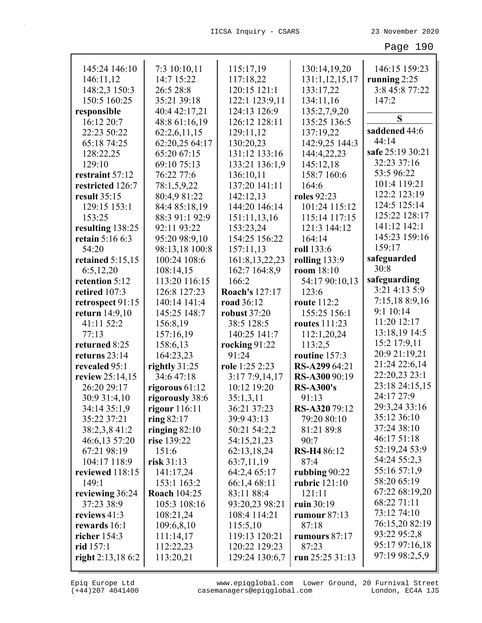| 145:24 146:10          | 7:3 10:10,11        | 115:17,19             | 130:14,19,20       | 146:15 159:23    |
|------------------------|---------------------|-----------------------|--------------------|------------------|
| 146:11,12              | 14:7 15:22          | 117:18,22             | 131:1, 12, 15, 17  | running $2:25$   |
| 148:2,3 150:3          | 26:5 28:8           | 120:15 121:1          | 133:17,22          | 3:8 45:8 77:22   |
| 150:5 160:25           | 35:21 39:18         | 122:1 123:9,11        | 134:11,16          | 147:2            |
| responsible            | 40:4 42:17,21       | 124:13 126:9          | 135:2,7,9,20       |                  |
| 16:12 20:7             | 48:8 61:16,19       | 126:12 128:11         | 135:25 136:5       | S                |
| 22:23 50:22            | 62:2,6,11,15        | 129:11,12             | 137:19,22          | saddened 44:6    |
| 65:18 74:25            | 62:20,25 64:17      | 130:20,23             | 142:9,25 144:3     | 44:14            |
| 128:22,25              | 65:20 67:15         | 131:12 133:16         | 144:4,22,23        | safe 25:19 30:21 |
| 129:10                 | 69:10 75:13         | 133:21 136:1,9        | 145:12,18          | 32:23 37:16      |
| restraint 57:12        | 76:22 77:6          | 136:10,11             | 158:7 160:6        | 53:5 96:22       |
| restricted 126:7       | 78:1,5,9,22         | 137:20 141:11         | 164:6              | 101:4 119:21     |
| result 35:15           | 80:4,9 81:22        | 142:12,13             | roles 92:23        | 122:2 123:19     |
| 129:15 153:1           | 84:4 85:18,19       | 144:20 146:14         | 101:24 115:12      | 124:5 125:14     |
| 153:25                 | 88:3 91:1 92:9      | 151:11,13,16          | 115:14 117:15      | 125:22 128:17    |
| resulting 138:25       | 92:11 93:22         | 153:23,24             | 121:3 144:12       | 141:12 142:1     |
| <b>retain</b> 5:16 6:3 | 95:20 98:9,10       | 154:25 156:22         | 164:14             | 145:23 159:16    |
| 54:20                  | 98:13,18 100:8      | 157:11,13             | roll 133:6         | 159:17           |
| retained 5:15,15       | 100:24 108:6        | 161:8, 13, 22, 23     | rolling $133:9$    | safeguarded      |
| 6:5,12,20              | 108:14,15           | 162:7 164:8,9         | room $18:10$       | 30:8             |
| retention 5:12         | 113:20 116:15       | 166:2                 | 54:17 90:10,13     | safeguarding     |
| retired 107:3          | 126:8 127:23        | <b>Roach's 127:17</b> | 123:6              | 3:21 4:13 5:9    |
| retrospect 91:15       | 140:14 141:4        | road 36:12            | <b>route</b> 112:2 | 7:15,18 8:9,16   |
| return 14:9,10         | 145:25 148:7        | robust $37:20$        | 155:25 156:1       | 9:1 10:14        |
| 41:11 52:2             | 156:8,19            | 38:5 128:5            | routes 111:23      | 11:20 12:17      |
| 77:13                  | 157:16,19           | 140:25 141:7          | 112:1,20,24        | 13:18,19 14:5    |
| returned 8:25          | 158:6,13            | rocking 91:22         | 113:2,5            | 15:2 17:9,11     |
| returns 23:14          | 164:23,23           | 91:24                 | routine 157:3      | 20:9 21:19,21    |
| revealed 95:1          | rightly $31:25$     | role 1:25 2:23        | RS-A299 64:21      | 21:24 22:6,14    |
| review 25:14,15        | 34:6 47:18          | 3:177:9,14,17         | RS-A300 90:19      | 22:20,23 23:1    |
| 26:20 29:17            | rigorous $61:12$    | 10:12 19:20           | <b>RS-A300's</b>   | 23:18 24:15,15   |
| 30:9 31:4,10           | rigorously 38:6     | 35:1,3,11             | 91:13              | 24:17 27:9       |
| 34:14 35:1,9           | rigour 116:11       | 36:21 37:23           | RS-A320 79:12      | 29:3,24 33:16    |
| 35:22 37:21            | ring $82:17$        | 39:9 43:13            | 79:20 80:10        | 35:12 36:10      |
| 38:2,3,8 41:2          | ringing $82:10$     | 50:21 54:2,2          | 81:21 89:8         | 37:24 38:10      |
| 46:6,13 57:20          | rise 139:22         | 54:15,21,23           | 90:7               | 46:17 51:18      |
| 67:21 98:19            | 151:6               | 62:13,18,24           | <b>RS-H4</b> 86:12 | 52:19,24 53:9    |
| 104:17 118:9           | risk 31:13          | 63:7,11,19            | 87:4               | 54:24 55:2,3     |
| reviewed 118:15        | 141:17,24           | 64:2,4 65:17          | rubbing 90:22      | 55:16 57:1,9     |
| 149:1                  | 153:1 163:2         | 66:1,4 68:11          | rubric 121:10      | 58:20 65:19      |
| reviewing 36:24        | <b>Roach 104:25</b> | 83:11 88:4            | 121:11             | 67:22 68:19,20   |
| 37:23 38:9             | 105:3 108:16        | 93:20,23 98:21        | ruin $30:19$       | 68:22 71:11      |
| reviews 41:3           | 108:21,24           | 108:4 114:21          | rumour $87:13$     | 73:12 74:10      |
| rewards 16:1           | 109:6,8,10          | 115:5,10              | 87:18              | 76:15,20 82:19   |
| richer $154:3$         | 111:14,17           | 119:13 120:21         | rumours 87:17      | 93:22 95:2,8     |
| rid $157:1$            | 112:22,23           | 120:22 129:23         | 87:23              | 95:17 97:16,18   |
| right $2:13,186:2$     | 113:20,21           | 129:24 130:6,7        | run $25:2531:13$   | 97:19 98:2,5,9   |
|                        |                     |                       |                    |                  |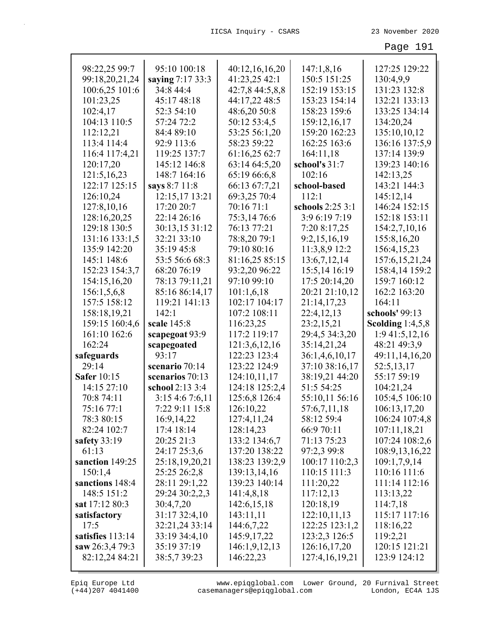| 98:22,25 99:7                     | 95:10 100:18               | 40:12,16,16,20             | 147:1,8,16                     | 127:25 129:22                 |
|-----------------------------------|----------------------------|----------------------------|--------------------------------|-------------------------------|
| 99:18,20,21,24                    | saying 7:17 33:3           | 41:23,25 42:1              | 150:5 151:25                   | 130:4,9,9                     |
| 100:6,25 101:6                    | 34:8 44:4                  | 42:7,8 44:5,8,8            | 152:19 153:15                  | 131:23 132:8                  |
| 101:23,25                         | 45:17 48:18                | 44:17,22 48:5              | 153:23 154:14                  | 132:21 133:13                 |
| 102:4,17                          | 52:3 54:10                 | 48:6,20 50:8               | 158:23 159:6                   | 133:25 134:14                 |
| 104:13 110:5                      | 57:24 72:2                 | 50:12 53:4,5               | 159:12,16,17                   | 134:20,24                     |
| 112:12,21                         | 84:4 89:10                 | 53:25 56:1,20              | 159:20 162:23                  | 135:10,10,12                  |
| 113:4 114:4                       | 92:9 113:6                 | 58:23 59:22                | 162:25 163:6                   | 136:16 137:5,9                |
| 116:4 117:4,21                    | 119:25 137:7               | 61:16,25 62:7              | 164:11,18                      | 137:14 139:9                  |
| 120:17,20                         | 145:12 146:8               | 63:14 64:5,20              | school's 31:7                  | 139:23 140:16                 |
| 121:5,16,23                       | 148:7 164:16               | 65:19 66:6,8               | 102:16                         | 142:13,25                     |
| 122:17 125:15                     | says 8:7 11:8              | 66:13 67:7,21              | school-based                   | 143:21 144:3                  |
| 126:10,24                         | 12:15,17 13:21             | 69:3,25 70:4               | 112:1                          | 145:12,14                     |
| 127:8,10,16                       | 17:20 20:7                 | 70:16 71:1                 | schools 2:25 3:1               | 146:24 152:15                 |
| 128:16,20,25                      | 22:14 26:16                | 75:3,14 76:6               | 3:9 6:19 7:19                  | 152:18 153:11                 |
| 129:18 130:5                      | 30:13,15 31:12             | 76:13 77:21                | 7:20 8:17,25                   | 154:2,7,10,16                 |
| 131:16 133:1,5                    | 32:21 33:10                | 78:8,20 79:1               | 9:2,15,16,19                   | 155:8,16,20                   |
| 135:9 142:20                      | 35:19 45:8                 | 79:10 80:16                | 11:3,8,9 12:2                  | 156:4, 15, 23                 |
| 145:1 148:6                       | 53:5 56:6 68:3             | 81:16,25 85:15             | 13:6,7,12,14                   | 157:6, 15, 21, 24             |
| 152:23 154:3,7                    | 68:20 76:19                | 93:2,20 96:22              | 15:5,14 16:19                  | 158:4,14 159:2                |
| 154:15,16,20                      | 78:13 79:11,21             | 97:10 99:10                | 17:5 20:14,20                  | 159:7 160:12                  |
| 156:1,5,6,8                       | 85:16 86:14,17             | 101:1,6,18                 | 20:21 21:10,12                 | 162:2 163:20                  |
| 157:5 158:12                      | 119:21 141:13              | 102:17 104:17              | 21:14,17,23                    | 164:11                        |
| 158:18,19,21                      | 142:1                      | 107:2 108:11               | 22:4,12,13                     | schools' 99:13                |
|                                   |                            |                            |                                |                               |
|                                   |                            |                            |                                |                               |
| 159:15 160:4,6                    | scale 145:8                | 116:23,25                  | 23:2,15,21                     | Scolding $1:4,5,8$            |
| 161:10 162:6                      | scapegoat 93:9             | 117:2 119:17               | 29:4,5 34:3,20                 | 1:941:5,12,16                 |
| 162:24                            | scapegoated                | 121:3,6,12,16              | 35:14,21,24                    | 48:21 49:3,9                  |
| safeguards                        | 93:17                      | 122:23 123:4               | 36:1,4,6,10,17                 | 49:11,14,16,20                |
| 29:14                             | scenario 70:14             | 123:22 124:9               | 37:10 38:16,17                 | 52:5,13,17                    |
| <b>Safer 10:15</b>                | scenarios 70:13            | 124:10,11,17               | 38:19,21 44:20                 | 55:17 59:19                   |
| 14:15 27:10                       | school 2:13 3:4            | 124:18 125:2,4             | 51:5 54:25                     | 104:21,24                     |
| 70:8 74:11                        | 3:15 4:6 7:6,11            | 125:6,8 126:4              | 55:10,11 56:16                 | 105:4,5 106:10                |
| 75:16 77:1                        | 7:22 9:11 15:8             | 126:10,22                  | 57:6,7,11,18                   | 106:13,17,20                  |
| 78:3 80:15                        | 16:9, 14, 22               | 127:4,11,24                | 58:12 59:4                     | 106:24 107:4,8                |
| 82:24 102:7                       | 17:4 18:14                 | 128:14,23                  | 66:9 70:11                     | 107:11,18,21                  |
| safety $33:19$                    | 20:25 21:3                 | 133:2 134:6,7              | 71:13 75:23                    | 107:24 108:2,6                |
| 61:13                             | 24:17 25:3,6               | 137:20 138:22              | 97:2,3 99:8                    | 108:9,13,16,22                |
| sanction 149:25                   | 25:18,19,20,21             | 138:23 139:2,9             | 100:17 110:2,3                 | 109:1,7,9,14                  |
| 150:1,4                           | 25:25 26:2,8               | 139:13,14,16               | 110:15 111:3                   | 110:16 111:6                  |
| sanctions 148:4                   | 28:11 29:1,22              | 139:23 140:14              | 111:20,22                      | 111:14 112:16                 |
| 148:5 151:2                       | 29:24 30:2,2,3             | 141:4,8,18                 | 117:12,13                      | 113:13,22                     |
| sat 17:12 80:3                    | 30:4,7,20                  | 142:6,15,18                | 120:18,19                      | 114:7,18                      |
| satisfactory                      | 31:17 32:4,10              | 143:11,11                  | 122:10,11,13                   | 115:17 117:16                 |
| 17:5                              | 32:21,24 33:14             | 144:6,7,22                 | 122:25 123:1,2                 | 118:16,22                     |
| satisfies 113:14                  | 33:19 34:4,10              | 145:9,17,22                | 123:2,3 126:5                  | 119:2,21                      |
| saw 26:3,4 79:3<br>82:12,24 84:21 | 35:19 37:19<br>38:5,739:23 | 146:1,9,12,13<br>146:22,23 | 126:16,17,20<br>127:4,16,19,21 | 120:15 121:21<br>123:9 124:12 |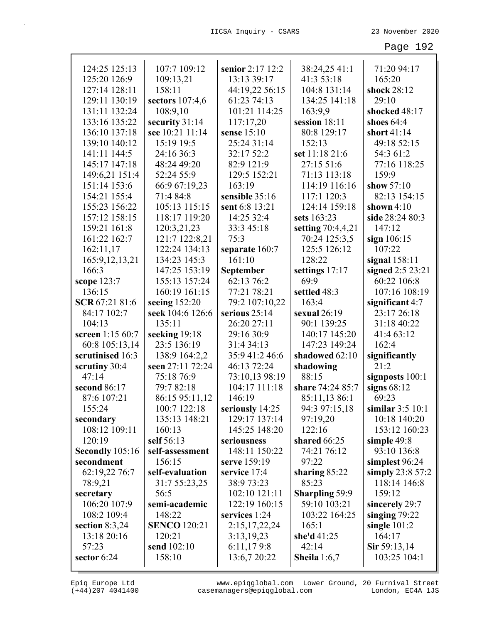| 124:25 125:13     | 107:7 109:12        | senior 2:17 12:2 | 38:24,25 41:1         | 71:20 94:17        |
|-------------------|---------------------|------------------|-----------------------|--------------------|
| 125:20 126:9      | 109:13,21           | 13:13 39:17      | 41:3 53:18            | 165:20             |
| 127:14 128:11     | 158:11              | 44:19,22 56:15   | 104:8 131:14          | shock 28:12        |
| 129:11 130:19     | sectors 107:4,6     | 61:23 74:13      | 134:25 141:18         | 29:10              |
| 131:11 132:24     | 108:9,10            | 101:21 114:25    | 163:9,9               | shocked 48:17      |
| 133:16 135:22     | security 31:14      | 117:17,20        | session 18:11         | shoes $64:4$       |
| 136:10 137:18     | see 10:21 11:14     | sense 15:10      | 80:8 129:17           | short 41:14        |
| 139:10 140:12     | 15:19 19:5          | 25:24 31:14      | 152:13                | 49:18 52:15        |
| 141:11 144:5      | 24:16 36:3          | 32:17 52:2       | set 11:18 21:6        | 54:3 61:2          |
| 145:17 147:18     | 48:24 49:20         | 82:9 121:9       | 27:15 51:6            | 77:16 118:25       |
| 149:6,21 151:4    | 52:24 55:9          | 129:5 152:21     | 71:13 113:18          | 159:9              |
| 151:14 153:6      | 66:9 67:19,23       | 163:19           | 114:19 116:16         | show $57:10$       |
| 154:21 155:4      | 71:4 84:8           | sensible 35:16   | 117:1 120:3           | 82:13 154:15       |
| 155:23 156:22     | 105:13 115:15       | sent 6:8 13:21   | 124:14 159:18         | shown $4:10$       |
| 157:12 158:15     | 118:17 119:20       | 14:25 32:4       | sets 163:23           | side 28:24 80:3    |
| 159:21 161:8      | 120:3,21,23         | 33:3 45:18       | setting 70:4,4,21     | 147:12             |
| 161:22 162:7      | 121:7 122:8,21      | 75:3             | 70:24 125:3,5         | sign 106:15        |
| 162:11,17         | 122:24 134:13       | separate 160:7   | 125:5 126:12          | 107:22             |
| 165:9, 12, 13, 21 | 134:23 145:3        | 161:10           | 128:22                | signal $158:11$    |
| 166:3             | 147:25 153:19       | September        | settings 17:17        | signed 2:5 23:21   |
| scope 123:7       | 155:13 157:24       | 62:13 76:2       | 69:9                  | 60:22 106:8        |
| 136:15            | 160:19 161:15       | 77:21 78:21      | settled 48:3          | 107:16 108:19      |
| SCR 67:21 81:6    | seeing 152:20       | 79:2 107:10,22   | 163:4                 | significant 4:7    |
| 84:17 102:7       | seek 104:6 126:6    | serious 25:14    | sexual $26:19$        | 23:17 26:18        |
| 104:13            | 135:11              | 26:20 27:11      | 90:1 139:25           | 31:18 40:22        |
| screen 1:15 60:7  | seeking 19:18       | 29:16 30:9       | 140:17 145:20         | 41:4 63:12         |
| 60:8 105:13,14    | 23:5 136:19         | 31:4 34:13       | 147:23 149:24         | 162:4              |
| scrutinised 16:3  | 138:9 164:2,2       | 35:9 41:2 46:6   | shadowed 62:10        | significantly      |
| scrutiny 30:4     | seen 27:11 72:24    | 46:13 72:24      | shadowing             | 21:2               |
| 47:14             | 75:18 76:9          | 73:10,13 98:19   | 88:15                 | signposts 100:1    |
| second 86:17      | 79:7 82:18          | 104:17 111:18    | share 74:24 85:7      | signs $68:12$      |
| 87:6 107:21       | 86:15 95:11,12      | 146:19           | 85:11,13 86:1         | 69:23              |
| 155:24            | 100:7 122:18        | seriously 14:25  | 94:3 97:15,18         | similar $3:5$ 10:1 |
| secondary         | 135:13 148:21       | 129:17 137:14    | 97:19,20              | 10:18 140:20       |
| 108:12 109:11     | 160:13              | 145:25 148:20    | 122:16                | 153:12 160:23      |
| 120:19            | self 56:13          | seriousness      | shared 66:25          | simple 49:8        |
| Secondly 105:16   | self-assessment     | 148:11 150:22    | 74:21 76:12           | 93:10 136:8        |
| secondment        | 156:15              | serve 159:19     | 97:22                 | simplest 96:24     |
| 62:19,22 76:7     | self-evaluation     | service 17:4     | sharing 85:22         | simply $23:857:2$  |
| 78:9,21           | 31:7 55:23,25       | 38:9 73:23       | 85:23                 | 118:14 146:8       |
| secretary         | 56:5                | 102:10 121:11    | <b>Sharpling 59:9</b> | 159:12             |
| 106:20 107:9      | semi-academic       | 122:19 160:15    | 59:10 103:21          | sincerely 29:7     |
| 108:2 109:4       | 148:22              | services 1:24    | 103:22 164:25         | singing $79:22$    |
| section $8:3,24$  | <b>SENCO</b> 120:21 | 2:15, 17, 22, 24 | 165:1                 | single $101:2$     |
| 13:18 20:16       | 120:21              | 3:13,19,23       | she'd 41:25           | 164:17             |
| 57:23             | send 102:10         | 6:11,179:8       | 42:14                 | Sir 59:13,14       |
| sector 6:24       | 158:10              | 13:6,7 20:22     | Sheila $1:6,7$        | 103:25 104:1       |
|                   |                     |                  |                       |                    |

L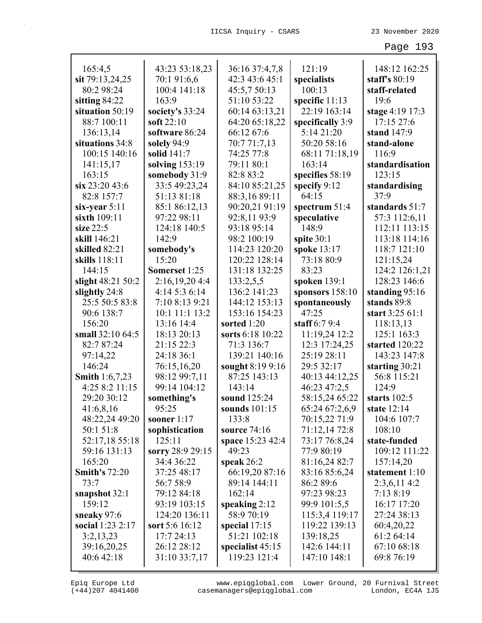| 165:4,5                 | 43:23 53:18,23   | 36:16 37:4,7,8     | 121:19            | 148:12 162:25    |
|-------------------------|------------------|--------------------|-------------------|------------------|
| sit 79:13,24,25         | 70:1 91:6,6      | 42:3 43:6 45:1     | specialists       | staff's $80:19$  |
| 80:2 98:24              | 100:4 141:18     | 45:5,7 50:13       | 100:13            | staff-related    |
| sitting 84:22           | 163:9            | 51:10 53:22        | specific 11:13    | 19:6             |
| situation 50:19         | society's 33:24  | 60:14 63:13,21     | 22:19 163:14      | stage 4:19 17:3  |
| 88:7 100:11             | soft $22:10$     | 64:20 65:18,22     | specifically 3:9  | 17:1527:6        |
| 136:13,14               | software 86:24   | 66:12 67:6         | 5:14 21:20        | stand 147:9      |
| situations 34:8         | solely 94:9      | 70:7 71:7,13       | 50:20 58:16       | stand-alone      |
| 100:15 140:16           | solid 141:7      | 74:25 77:8         | 68:11 71:18,19    | 116:9            |
| 141:15,17               | solving $153:19$ | 79:11 80:1         | 163:14            | standardisation  |
| 163:15                  | somebody 31:9    | 82:8 83:2          | specifies 58:19   | 123:15           |
| $\sin 23:2043:6$        | 33:5 49:23,24    | 84:10 85:21,25     | specify $9:12$    | standardising    |
| 82:8 157:7              | 51:13 81:18      | 88:3,16 89:11      | 64:15             | 37:9             |
| $six-year 5:11$         | 85:1 86:12,13    | 90:20,21 91:19     | spectrum 51:4     | standards 51:7   |
| sixth 109:11            | 97:22 98:11      | 92:8,11 93:9       | speculative       | 57:3 112:6,11    |
| size $22:5$             | 124:18 140:5     | 93:18 95:14        | 148:9             | 112:11 113:15    |
| skill 146:21            | 142:9            | 98:2 100:19        | spite 30:1        | 113:18 114:16    |
| skilled 82:21           | somebody's       | 114:23 120:20      | spoke 13:17       | 118:7 121:10     |
| skills 118:11           | 15:20            | 120:22 128:14      | 73:18 80:9        | 121:15,24        |
| 144:15                  | Somerset 1:25    | 131:18 132:25      | 83:23             | 124:2 126:1,21   |
| slight 48:21 50:2       | 2:16,19,204:4    | 133:2,5,5          | spoken 139:1      | 128:23 146:6     |
| slightly 24:8           | 4:14 5:3 6:14    | 136:2 141:23       | sponsors $158:10$ | standing $95:16$ |
| 25:5 50:5 83:8          | 7:10 8:13 9:21   | 144:12 153:13      | spontaneously     | stands 89:8      |
| 90:6 138:7              | 10:1 11:1 13:2   | 153:16 154:23      | 47:25             | start 3:25 61:1  |
| 156:20                  | 13:16 14:4       | sorted 1:20        | staff $6:79:4$    | 118:13,13        |
| small 32:10 64:5        | 18:13 20:13      | sorts 6:18 10:22   | 11:19,24 12:2     | 125:1 163:3      |
| 82:7 87:24              | 21:15 22:3       | 71:3 136:7         | 12:3 17:24,25     | started 120:22   |
| 97:14,22                | 24:18 36:1       | 139:21 140:16      | 25:19 28:11       | 143:23 147:8     |
| 146:24                  | 76:15,16,20      | sought 8:19 9:16   | 29:5 32:17        | starting 30:21   |
| <b>Smith 1:6,7,23</b>   | 98:12 99:7,11    | 87:25 143:13       | 40:13 44:12,25    | 56:8 115:21      |
| 4:25 8:2 11:15          | 99:14 104:12     | 143:14             | 46:23 47:2,5      | 124:9            |
| 29:20 30:12             | something's      | sound 125:24       | 58:15,24 65:22    | starts $102:5$   |
| 41:6,8,16               | 95:25            | sounds $101:15$    | 65:24 67:2,6,9    | state $12:14$    |
| 48:22,24 49:20          | sooner $1:17$    | 133:8              | 70:15,22 71:9     | 104:6 107:7      |
| 50:1 51:8               | sophistication   | source 74:16       | 71:12,14 72:8     | 108:10           |
| 52:17,18 55:18          | 125:11           | space 15:23 42:4   | 73:17 76:8,24     | state-funded     |
| 59:16 131:13            | sorry 28:9 29:15 | 49:23              | 77:9 80:19        | 109:12 111:22    |
| 165:20                  | 34:4 36:22       | speak $26:2$       | 81:16,24 82:7     | 157:14,20        |
| <b>Smith's 72:20</b>    | 37:25 48:17      | 66:19,20 87:16     | 83:16 85:6,24     | statement 1:10   |
| 73:7                    | 56:7 58:9        | 89:14 144:11       | 86:2 89:6         | 2:3,6,114:2      |
| snapshot 32:1           | 79:12 84:18      | 162:14             | 97:23 98:23       | 7:13 8:19        |
| 159:12                  | 93:19 103:15     | speaking $2:12$    | 99:9 101:5,5      | 16:17 17:20      |
| sneaky 97:6             | 124:20 136:11    | 58:9 70:19         | 115:3,4 119:17    | 27:24 38:13      |
| <b>social</b> 1:23 2:17 | sort 5:6 16:12   | special $17:15$    | 119:22 139:13     | 60:4,20,22       |
| 3:2,13,23               | 17:7 24:13       | 51:21 102:18       | 139:18,25         | 61:2 64:14       |
| 39:16,20,25             | 26:12 28:12      | specialist $45:15$ | 142:6 144:11      | 67:10 68:18      |
| 40:6 42:18              | 31:10 33:7,17    | 119:23 121:4       | 147:10 148:1      | 69:8 76:19       |
|                         |                  |                    |                   |                  |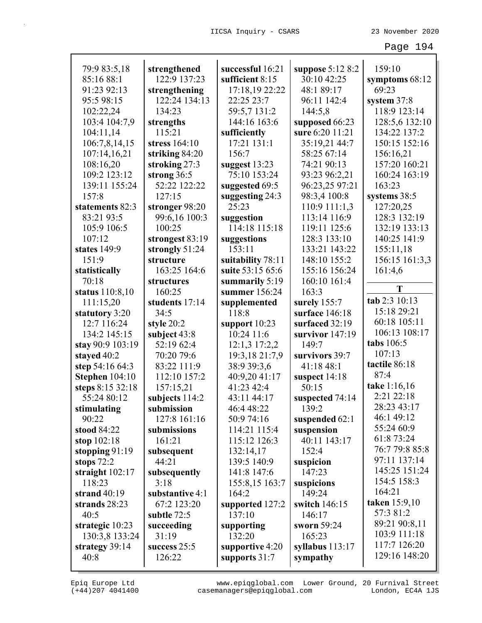| 79:9 83:5,18          | strengthened    | successful 16:21         | suppose $5:128:2$ | 159:10           |
|-----------------------|-----------------|--------------------------|-------------------|------------------|
| 85:16 88:1            | 122:9 137:23    | sufficient 8:15          | 30:10 42:25       | symptoms $68:12$ |
| 91:23 92:13           | strengthening   | 17:18,19 22:22           | 48:1 89:17        | 69:23            |
| 95:5 98:15            | 122:24 134:13   | 22:25 23:7               | 96:11 142:4       | system 37:8      |
| 102:22,24             | 134:23          | 59:5,7 131:2             | 144:5,8           | 118:9 123:14     |
| 103:4 104:7,9         | strengths       | 144:16 163:6             | supposed 66:23    | 128:5,6 132:10   |
| 104:11,14             | 115:21          | sufficiently             | sure 6:20 11:21   | 134:22 137:2     |
| 106:7,8,14,15         | stress 164:10   | 17:21 131:1              | 35:19,21 44:7     | 150:15 152:16    |
| 107:14,16,21          | striking 84:20  | 156:7                    | 58:25 67:14       | 156:16,21        |
| 108:16,20             | stroking 27:3   | suggest 13:23            | 74:21 90:13       | 157:20 160:21    |
| 109:2 123:12          | strong 36:5     | 75:10 153:24             | 93:23 96:2,21     | 160:24 163:19    |
| 139:11 155:24         | 52:22 122:22    | suggested 69:5           | 96:23,25 97:21    | 163:23           |
| 157:8                 | 127:15          | suggesting 24:3          | 98:3,4 100:8      | systems 38:5     |
| statements 82:3       | stronger 98:20  | 25:23                    | 110:9 111:1,3     | 127:20,25        |
| 83:21 93:5            | 99:6,16 100:3   | suggestion               | 113:14 116:9      | 128:3 132:19     |
| 105:9 106:5           | 100:25          | 114:18 115:18            | 119:11 125:6      | 132:19 133:13    |
| 107:12                | strongest 83:19 | suggestions              | 128:3 133:10      | 140:25 141:9     |
| states 149:9          | strongly 51:24  | 153:11                   | 133:21 143:22     | 155:11,18        |
| 151:9                 | structure       | suitability 78:11        | 148:10 155:2      | 156:15 161:3,3   |
| statistically         | 163:25 164:6    | suite 53:15 65:6         | 155:16 156:24     | 161:4,6          |
| 70:18                 | structures      | summarily 5:19           | 160:10 161:4      |                  |
| status 110:8,10       | 160:25          | summer 156:24            | 163:3             | T                |
| 111:15,20             | students 17:14  | supplemented             | surely 155:7      | tab 2:3 10:13    |
| statutory 3:20        | 34:5            | 118:8                    | surface 146:18    | 15:18 29:21      |
| 12:7 116:24           | style 20:2      | support $10:23$          | surfaced 32:19    | 60:18 105:11     |
| 134:2 145:15          | subject 43:8    | 10:24 11:6               | survivor 147:19   | 106:13 108:17    |
| stay 90:9 103:19      | 52:19 62:4      | 12:1,3 17:2,2            | 149:7             | tabs 106:5       |
| stayed 40:2           | 70:20 79:6      | 19:3,18 21:7,9           | survivors 39:7    | 107:13           |
| step 54:16 64:3       | 83:22 111:9     | 38:9 39:3,6              | 41:18 48:1        | tactile 86:18    |
| <b>Stephen</b> 104:10 | 112:10 157:2    | 40:9,20 41:17            | suspect $14:18$   | 87:4             |
| steps 8:15 32:18      | 157:15,21       | 41:23 42:4               | 50:15             | take 1:16,16     |
| 55:24 80:12           | subjects 114:2  | 43:11 44:17              | suspected 74:14   | 2:21 22:18       |
| stimulating           | submission      | 46:4 48:22               | 139:2             | 28:23 43:17      |
| 90:22                 | 127:8 161:16    | 50:9 74:16               | suspended 62:1    | 46:1 49:12       |
| stood 84:22           | submissions     | 114:21 115:4             | suspension        | 55:24 60:9       |
|                       | 161:21          | 115:12 126:3             | 40:11 143:17      | 61:8 73:24       |
| stop $102:18$         |                 |                          |                   | 76:7 79:8 85:8   |
| stopping $91:19$      | subsequent      | 132:14,17<br>139:5 140:9 | 152:4             | 97:11 137:14     |
| stops $72:2$          | 44:21           |                          | suspicion         | 145:25 151:24    |
| straight $102:17$     | subsequently    | 141:8 147:6              | 147:23            | 154:5 158:3      |
| 118:23                | 3:18            | 155:8,15 163:7           | suspicions        | 164:21           |
| strand $40:19$        | substantive 4:1 | 164:2                    | 149:24            | taken 15:9,10    |
| strands 28:23         | 67:2 123:20     | supported 127:2          | switch 146:15     | 57:3 81:2        |
| 40:5                  | subtle 72:5     | 137:10                   | 146:17            |                  |
| strategic 10:23       | succeeding      | supporting               | sworn 59:24       | 89:21 90:8,11    |
| 130:3,8 133:24        | 31:19           | 132:20                   | 165:23            | 103:9 111:18     |
| strategy 39:14        | success 25:5    | supportive 4:20          | syllabus $113:17$ | 117:7 126:20     |
| 40:8                  | 126:22          | supports 31:7            | sympathy          | 129:16 148:20    |
|                       |                 |                          |                   |                  |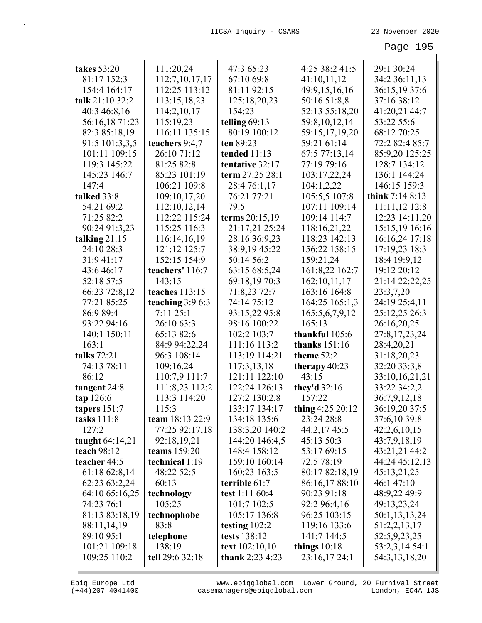| takes 53:20       | 111:20,24         | 47:3 65:23          | 4:25 38:2 41:5   | 29:1 30:24       |
|-------------------|-------------------|---------------------|------------------|------------------|
| 81:17 152:3       | 112:7,10,17,17    | 67:10 69:8          | 41:10,11,12      | 34:2 36:11,13    |
| 154:4 164:17      | 112:25 113:12     | 81:11 92:15         | 49:9,15,16,16    | 36:15,19 37:6    |
| talk 21:10 32:2   | 113:15,18,23      | 125:18,20,23        | 50:16 51:8,8     | 37:16 38:12      |
| 40:3 46:8,16      | 114:2,10,17       | 154:23              | 52:13 55:18,20   | 41:20,21 44:7    |
| 56:16,18 71:23    | 115:19,23         | telling $69:13$     | 59:8,10,12,14    | 53:22 55:6       |
| 82:3 85:18,19     | 116:11 135:15     | 80:19 100:12        | 59:15,17,19,20   | 68:12 70:25      |
| 91:5 101:3,3,5    | teachers 9:4,7    | ten 89:23           | 59:21 61:14      | 72:2 82:4 85:7   |
| 101:11 109:15     | 26:10 71:12       | <b>tended</b> 11:13 | 67:5 77:13,14    | 85:9,20 125:25   |
| 119:3 145:22      | 81:25 82:8        | tentative 32:17     | 77:19 79:16      | 128:7 134:12     |
| 145:23 146:7      | 85:23 101:19      | term 27:25 28:1     | 103:17,22,24     | 136:1 144:24     |
| 147:4             | 106:21 109:8      | 28:4 76:1,17        | 104:1,2,22       | 146:15 159:3     |
| talked 33:8       | 109:10,17,20      | 76:21 77:21         | 105:5,5 107:8    | think $7:148:13$ |
| 54:21 69:2        | 112:10,12,14      | 79:5                | 107:11 109:14    | 11:11,12 12:8    |
| 71:25 82:2        | 112:22 115:24     | terms 20:15,19      | 109:14 114:7     | 12:23 14:11,20   |
| 90:24 91:3,23     | 115:25 116:3      | 21:17,21 25:24      | 118:16,21,22     | 15:15,19 16:16   |
| talking $21:15$   | 116:14,16,19      | 28:16 36:9,23       | 118:23 142:13    | 16:16,24 17:18   |
| 24:10 28:3        | 121:12 125:7      | 38:9,19 45:22       | 156:22 158:15    | 17:19,23 18:3    |
| 31:9 41:17        | 152:15 154:9      | 50:14 56:2          | 159:21,24        | 18:4 19:9,12     |
| 43:6 46:17        | teachers' 116:7   | 63:15 68:5,24       | 161:8,22 162:7   | 19:12 20:12      |
| 52:18 57:5        | 143:15            | 69:18,19 70:3       | 162:10,11,17     | 21:14 22:22,25   |
| 66:23 72:8,12     | teaches 113:15    | 71:8,23 72:7        | 163:16 164:8     | 23:3,7,20        |
| 77:21 85:25       | teaching $3:96:3$ | 74:14 75:12         | 164:25 165:1,3   | 24:19 25:4,11    |
| 86:9 89:4         | 7:1125:1          | 93:15,22 95:8       | 165:5,6,7,9,12   | 25:12,25 26:3    |
| 93:22 94:16       | 26:10 63:3        | 98:16 100:22        | 165:13           | 26:16,20,25      |
| 140:1 150:11      | 65:13 82:6        | 102:2 103:7         | thankful 105:6   | 27:8,17,23,24    |
| 163:1             | 84:9 94:22,24     | 111:16 113:2        | thanks $151:16$  | 28:4,20,21       |
| talks 72:21       | 96:3 108:14       | 113:19 114:21       | theme $52:2$     | 31:18,20,23      |
| 74:13 78:11       | 109:16,24         | 117:3,13,18         | therapy $40:23$  | 32:20 33:3,8     |
| 86:12             | 110:7,9 111:7     | 121:11 122:10       | 43:15            | 33:10,16,21,21   |
| tangent 24:8      | 111:8,23 112:2    | 122:24 126:13       | they'd 32:16     | 33:22 34:2,2     |
| tan 126:6         | 113:3 114:20      | 127:2 130:2,8       | 157:22           | 36:7,9,12,18     |
| tapers 151:7      | 115:3             | 133:17 134:17       | thing 4:25 20:12 | 36:19,20 37:5    |
| tasks $111:8$     | team 18:13 22:9   | 134:18 135:6        | 23:24 28:8       | 37:6,10 39:8     |
| 127:2             | 77:25 92:17,18    | 138:3,20 140:2      | 44:2,17 45:5     | 42:2,6,10,15     |
| taught $64:14,21$ | 92:18,19,21       | 144:20 146:4,5      | 45:13 50:3       | 43:7,9,18,19     |
| teach 98:12       | teams 159:20      | 148:4 158:12        | 53:17 69:15      | 43:21,21 44:2    |
| teacher 44:5      | technical 1:19    | 159:10 160:14       | 72:5 78:19       | 44:24 45:12,13   |
| 61:18 62:8,14     | 48:22 52:5        | 160:23 163:5        | 80:17 82:18,19   | 45:13,21,25      |
| 62:23 63:2,24     | 60:13             | terrible 61:7       | 86:16,17 88:10   | 46:1 47:10       |
| 64:10 65:16,25    | technology        | test 1:11 60:4      | 90:23 91:18      | 48:9,22 49:9     |
| 74:23 76:1        | 105:25            | 101:7 102:5         | 92:2 96:4,16     | 49:13,23,24      |
| 81:13 83:18,19    | technophobe       | 105:17 136:8        | 96:25 103:15     | 50:1,13,13,24    |
| 88:11,14,19       | 83:8              | testing $102:2$     | 119:16 133:6     | 51:2,2,13,17     |
| 89:10 95:1        | telephone         | tests 138:12        | 141:7 144:5      | 52:5,9,23,25     |
| 101:21 109:18     | 138:19            | text 102:10,10      | things $10:18$   | 53:2,3,14 54:1   |
| 109:25 110:2      | tell 29:6 32:18   | thank $2:23$ 4:23   | 23:16,17 24:1    | 54:3,13,18,20    |
|                   |                   |                     |                  |                  |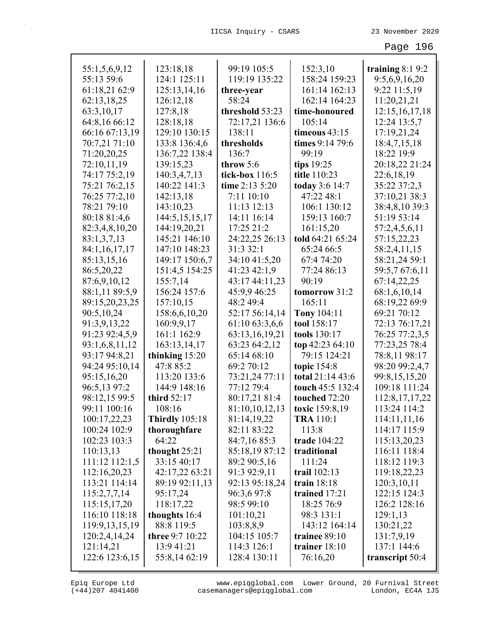| 55:1,5,6,9,12     | 123:18,18             | 99:19 105:5     | 152:3,10           | training $8:19:2$ |
|-------------------|-----------------------|-----------------|--------------------|-------------------|
| 55:13 59:6        | 124:1 125:11          | 119:19 135:22   | 158:24 159:23      | 9:5,6,9,16,20     |
| 61:18,21 62:9     | 125:13,14,16          | three-year      | 161:14 162:13      | 9:22 11:5,19      |
| 62:13,18,25       | 126:12,18             | 58:24           | 162:14 164:23      | 11:20,21,21       |
| 63:3,10,17        | 127:8,18              | threshold 53:23 | time-honoured      | 12:15, 16, 17, 18 |
| 64:8,16 66:12     | 128:18,18             | 72:17,21 136:6  | 105:14             | 12:24 13:5,7      |
| 66:16 67:13,19    | 129:10 130:15         | 138:11          | timeous $43:15$    | 17:19,21,24       |
| 70:7,21 71:10     | 133:8 136:4,6         | thresholds      | times 9:14 79:6    | 18:4,7,15,18      |
| 71:20,20,25       | 136:7,22 138:4        | 136:7           | 99:19              | 18:22 19:9        |
| 72:10,11,19       | 139:15,23             | throw 5:6       | tips 19:25         | 20:18,22 21:24    |
| 74:17 75:2,19     | 140:3,4,7,13          | tick-box 116:5  | title 110:23       | 22:6,18,19        |
| 75:21 76:2,15     | 140:22 141:3          | time 2:13 5:20  | today 3:6 14:7     | 35:22 37:2,3      |
| 76:25 77:2,10     | 142:13,18             | 7:11 10:10      | 47:22 48:1         | 37:10,21 38:3     |
| 78:21 79:10       | 143:10,23             | 11:13 12:13     | 106:1 130:12       | 38:4,8,10 39:3    |
| 80:18 81:4,6      | 144:5, 15, 15, 17     | 14:11 16:14     | 159:13 160:7       | 51:19 53:14       |
| 82:3,4,8,10,20    | 144:19,20,21          | 17:25 21:2      | 161:15,20          | 57:2,4,5,6,11     |
| 83:1,3,7,13       | 145:21 146:10         | 24:22,25 26:13  | told 64:21 65:24   | 57:15,22,23       |
| 84:1,16,17,17     | 147:10 148:23         | 31:3 32:1       | 65:24 66:5         | 58:2,4,11,15      |
| 85:13,15,16       | 149:17 150:6,7        | 34:10 41:5,20   | 67:4 74:20         | 58:21,24 59:1     |
| 86:5,20,22        | 151:4,5 154:25        | 41:23 42:1,9    | 77:24 86:13        | 59:5,7 67:6,11    |
| 87:6,9,10,12      | 155:7,14              | 43:17 44:11,23  | 90:19              | 67:14,22,25       |
| 88:1,11 89:5,9    | 156:24 157:6          | 45:9,9 46:25    | tomorrow 31:2      | 68:1,6,10,14      |
| 89:15,20,23,25    | 157:10,15             | 48:2 49:4       | 165:11             | 68:19,22 69:9     |
| 90:5,10,24        | 158:6,6,10,20         | 52:17 56:14,14  | <b>Tony 104:11</b> | 69:21 70:12       |
| 91:3,9,13,22      | 160:9,9,17            | 61:10 63:3,6,6  | tool 158:17        | 72:13 76:17,21    |
| 91:23 92:4,5,9    | 161:1 162:9           | 63:13,16,19,21  | tools 130:17       | 76:25 77:2,3,5    |
| 93:1,6,8,11,12    | 163:13,14,17          | 63:23 64:2,12   | top 42:23 64:10    | 77:23,25 78:4     |
| 93:17 94:8,21     | thinking 15:20        | 65:14 68:10     | 79:15 124:21       | 78:8,1198:17      |
| 94:24 95:10,14    | 47:8 85:2             | 69:2 70:12      | topic 154:8        | 98:20 99:2,4,7    |
| 95:15,16,20       | 113:20 133:6          | 73:21,24 77:11  | total 21:14 43:6   | 99:8,15,15,20     |
| 96:5,13 97:2      | 144:9 148:16          | 77:12 79:4      | touch 45:5 132:4   | 109:18 111:24     |
| 98:12,15 99:5     | third 52:17           | 80:17,21 81:4   | touched 72:20      | 112:8, 17, 17, 22 |
| 99:11 100:16      | 108:16                | 81:10,10,12,13  | toxic 159:8,19     | 113:24 114:2      |
| 100:17,22,23      | <b>Thirdly</b> 105:18 | 81:14,19,22     | <b>TRA</b> 110:1   | 114:11,11,16      |
| 100:24 102:9      | thoroughfare          | 82:11 83:22     | 113:8              | 114:17 115:9      |
| 102:23 103:3      | 64:22                 | 84:7,16 85:3    | trade 104:22       | 115:13,20,23      |
| 110:13,13         | thought 25:21         | 85:18,19 87:12  | traditional        | 116:11 118:4      |
| 111:12 112:1,5    | 33:15 40:17           | 89:2 90:5,16    | 111:24             | 118:12 119:3      |
| 112:16,20,23      | 42:17,22 63:21        | 91:3 92:9,11    | trail $102:13$     | 119:18,22,23      |
| 113:21 114:14     | 89:19 92:11,13        | 92:13 95:18,24  | train $18:18$      | 120:3,10,11       |
| 115:2,7,7,14      | 95:17,24              | 96:3,6 97:8     | trained 17:21      | 122:15 124:3      |
| 115:15,17,20      | 118:17,22             | 98:5 99:10      | 18:25 76:9         | 126:2 128:16      |
| 116:10 118:18     | thoughts 16:4         | 101:10,21       | 98:3 131:1         | 129:1,13          |
| 119:9, 13, 15, 19 | 88:8 119:5            | 103:8,8,9       | 143:12 164:14      | 130:21,22         |
| 120:2,4,14,24     | three 9:7 10:22       | 104:15 105:7    | trainee 89:10      | 131:7,9,19        |
| 121:14,21         | 13:9 41:21            | 114:3 126:1     | trainer $18:10$    | 137:1 144:6       |
| 122:6 123:6,15    | 55:8,14 62:19         | 128:4 130:11    | 76:16,20           | transcript 50:4   |
|                   |                       |                 |                    |                   |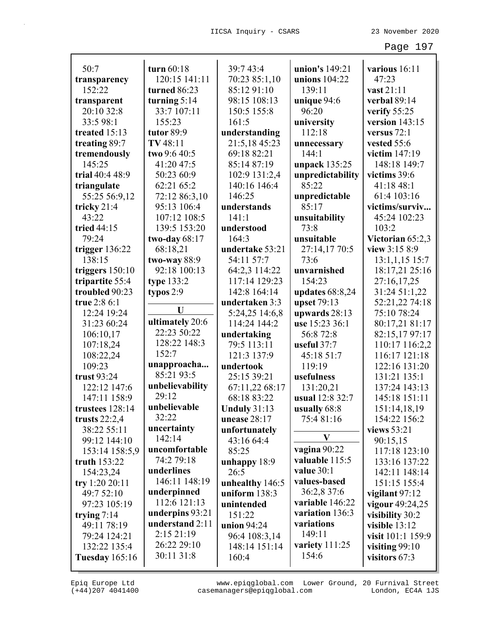Page 197

| 50:7                  | turn 60:18      | 39:7 43:4       | union's 149:21    | various 16:11     |
|-----------------------|-----------------|-----------------|-------------------|-------------------|
| transparency          | 120:15 141:11   | 70:23 85:1,10   | unions 104:22     | 47:23             |
| 152:22                | turned 86:23    | 85:12 91:10     | 139:11            | vast 21:11        |
| transparent           | turning $5:14$  | 98:15 108:13    | unique 94:6       | verbal 89:14      |
| 20:10 32:8            | 33:7 107:11     | 150:5 155:8     | 96:20             | verify 55:25      |
| 33:5 98:1             | 155:23          | 161:5           | university        | version 143:15    |
| treated 15:13         | tutor 89:9      | understanding   | 112:18            | versus $72:1$     |
| treating 89:7         | TV 48:11        | 21:5,18 45:23   | unnecessary       | vested 55:6       |
| tremendously          | two 9:6 40:5    | 69:18 82:21     | 144:1             | victim 147:19     |
| 145:25                | 41:20 47:5      | 85:14 87:19     | unpack 135:25     | 148:18 149:7      |
| trial 40:4 48:9       | 50:23 60:9      | 102:9 131:2,4   | unpredictability  | victims 39:6      |
| triangulate           | 62:21 65:2      | 140:16 146:4    | 85:22             | 41:18 48:1        |
| 55:25 56:9,12         | 72:12 86:3,10   | 146:25          | unpredictable     | 61:4 103:16       |
| tricky 21:4           | 95:13 106:4     | understands     | 85:17             | victims/surviv    |
| 43:22                 | 107:12 108:5    | 141:1           | unsuitability     | 45:24 102:23      |
| tried 44:15           | 139:5 153:20    | understood      | 73:8              | 103:2             |
| 79:24                 | two-day $68:17$ | 164:3           | unsuitable        | Victorian 65:2,3  |
| trigger $136:22$      | 68:18,21        | undertake 53:21 | 27:14,17 70:5     | view 3:15 8:9     |
| 138:15                | two-way 88:9    | 54:11 57:7      | 73:6              | 13:1,1,15 15:7    |
| triggers $150:10$     | 92:18 100:13    | 64:2,3 114:22   | unvarnished       | 18:17,21 25:16    |
| tripartite 55:4       | type $133:2$    | 117:14 129:23   | 154:23            | 27:16,17,25       |
| troubled 90:23        | typos $2:9$     | 142:8 164:14    | updates $68:8,24$ | 31:24 51:1,22     |
| true 2:8 6:1          |                 | undertaken 3:3  | upset 79:13       | 52:21,22 74:18    |
| 12:24 19:24           | U               | 5:24,25 14:6,8  | upwards 28:13     | 75:10 78:24       |
| 31:23 60:24           | ultimately 20:6 | 114:24 144:2    | use 15:23 36:1    | 80:17,21 81:17    |
| 106:10,17             | 22:23 50:22     | undertaking     | 56:8 72:8         | 82:15,17 97:17    |
| 107:18,24             | 128:22 148:3    | 79:5 113:11     | useful 37:7       | 110:17 116:2,2    |
| 108:22,24             | 152:7           | 121:3 137:9     | 45:18 51:7        | 116:17 121:18     |
| 109:23                | unapproacha     | undertook       | 119:19            | 122:16 131:20     |
| trust 93:24           | 85:21 93:5      | 25:15 39:21     | usefulness        | 131:21 135:1      |
| 122:12 147:6          | unbelievability | 67:11,22 68:17  | 131:20,21         | 137:24 143:13     |
| 147:11 158:9          | 29:12           | 68:18 83:22     | usual 12:8 32:7   | 145:18 151:11     |
| trustees $128:14$     | unbelievable    | Unduly $31:13$  | usually 68:8      | 151:14,18,19      |
| trusts $22:2,4$       | 32:22           | unease $28:17$  | 75:481:16         | 154:22 156:2      |
| 38:22 55:11           | uncertainty     | unfortunately   |                   | views 53:21       |
| 99:12 144:10          | 142:14          | 43:16 64:4      | V                 | 90:15,15          |
| 153:14 158:5,9        | uncomfortable   | 85:25           | vagina 90:22      | 117:18 123:10     |
| truth $153:22$        | 74:2 79:18      | unhappy 18:9    | valuable 115:5    | 133:16 137:22     |
| 154:23,24             | underlines      | 26:5            | value 30:1        | 142:11 148:14     |
| try 1:20 20:11        | 146:11 148:19   | unhealthy 146:5 | values-based      | 151:15 155:4      |
| 49:7 52:10            | underpinned     | uniform $138:3$ | 36:2,8 37:6       | vigilant $97:12$  |
| 97:23 105:19          | 112:6 121:13    | unintended      | variable 146:22   | vigour 49:24,25   |
| trying $7:14$         | underpins 93:21 | 151:22          | variation 136:3   | visibility 30:2   |
| 49:11 78:19           | understand 2:11 | union 94:24     | variations        | visible $13:12$   |
| 79:24 124:21          | 2:15 21:19      | 96:4 108:3,14   | 149:11            | visit 101:1 159:9 |
| 132:22 135:4          | 26:22 29:10     | 148:14 151:14   | variety $111:25$  | visiting $99:10$  |
| <b>Tuesday</b> 165:16 | 30:11 31:8      | 160:4           | 154:6             | visitors 67:3     |

(+44)207 4041400 casemanagers@epiqglobal.com London, EC4A 1JS www.epiqglobal.com Lower Ground, 20 Furnival Street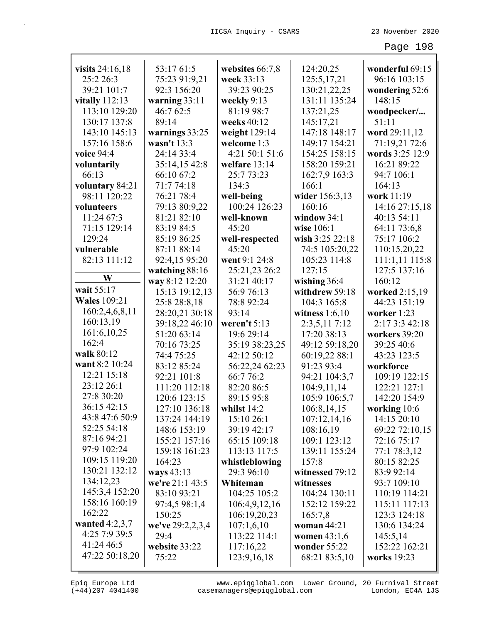Page 198

| visits 24:16,18             | 53:17 61:5                     | websites $66:7,8$            | 124:20,25                     | wonderful 69:15              |
|-----------------------------|--------------------------------|------------------------------|-------------------------------|------------------------------|
| 25:2 26:3                   | 75:23 91:9,21                  | week 33:13                   | 125:5, 17, 21                 | 96:16 103:15                 |
| 39:21 101:7                 | 92:3 156:20                    | 39:23 90:25                  | 130:21,22,25                  | wondering 52:6               |
| vitally 112:13              | warning $33:11$                | weekly 9:13                  | 131:11 135:24                 | 148:15                       |
| 113:10 129:20               | 46:7 62:5                      | 81:19 98:7                   | 137:21,25                     | woodpecker/                  |
| 130:17 137:8                | 89:14                          | weeks 40:12                  | 145:17,21                     | 51:11                        |
| 143:10 145:13               | warnings 33:25                 | weight 129:14                | 147:18 148:17                 | word 29:11,12                |
| 157:16 158:6                | wasn't 13:3                    | welcome 1:3                  | 149:17 154:21                 | 71:19,21 72:6                |
| voice 94:4                  | 24:14 33:4                     | 4:21 50:1 51:6               | 154:25 158:15                 | words 3:25 12:9              |
| voluntarily                 | 35:14,15 42:8                  | welfare 13:14                | 158:20 159:21                 | 16:21 89:22                  |
| 66:13                       | 66:10 67:2                     | 25:7 73:23                   | 162:7,9 163:3                 | 94:7 106:1                   |
| voluntary 84:21             | 71:774:18                      | 134:3                        | 166:1                         | 164:13                       |
| 98:11 120:22                | 76:21 78:4                     | well-being                   | wider 156:3,13                | work 11:19                   |
| volunteers                  | 79:13 80:9,22                  | 100:24 126:23                | 160:16                        | 14:16 27:15,18               |
| 11:24 67:3                  | 81:21 82:10                    | well-known                   | window $34:1$                 | 40:13 54:11                  |
| 71:15 129:14                | 83:19 84:5                     | 45:20                        | wise 106:1                    | 64:11 73:6,8                 |
| 129:24                      | 85:19 86:25                    | well-respected               | wish $3:25$ 22:18             | 75:17 106:2                  |
| vulnerable                  | 87:11 88:14                    | 45:20                        | 74:5 105:20,22                | 110:15,20,22                 |
| 82:13 111:12                | 92:4,15 95:20                  | went 9:1 24:8                | 105:23 114:8                  | 111:1,11 115:8               |
| W                           | watching 88:16                 | 25:21,23 26:2                | 127:15                        | 127:5 137:16                 |
| wait 55:17                  | way 8:12 12:20                 | 31:21 40:17                  | wishing $36:4$                | 160:12                       |
| <b>Wales</b> 109:21         | 15:13 19:12,13                 | 56:9 76:13                   | withdrew 59:18                | worked 2:15,19               |
|                             | 25:8 28:8,18                   | 78:8 92:24                   | 104:3 165:8                   | 44:23 151:19                 |
| 160:2,4,6,8,11<br>160:13,19 | 28:20,21 30:18                 | 93:14                        | witness $1:6,10$              | worker 1:23                  |
| 161:6,10,25                 | 39:18,22 46:10                 | weren't $5:13$               | 2:3,5,117:12                  | 2:17 3:3 42:18               |
| 162:4                       | 51:20 63:14                    | 19:6 29:14                   | 17:20 38:13                   | workers 39:20                |
| walk 80:12                  | 70:16 73:25                    | 35:19 38:23,25               | 49:12 59:18,20                | 39:25 40:6                   |
| want 8:2 10:24              | 74:4 75:25                     | 42:12 50:12                  | 60:19,22 88:1                 | 43:23 123:5                  |
| 12:21 15:18                 | 83:12 85:24                    | 56:22,24 62:23               | 91:23 93:4                    | workforce                    |
| 23:12 26:1                  | 92:21 101:8                    | 66:7 76:2                    | 94:21 104:3,7                 | 109:19 122:15                |
| 27:8 30:20                  | 111:20 112:18                  | 82:20 86:5                   | 104:9,11,14                   | 122:21 127:1                 |
| 36:15 42:15                 | 120:6 123:15                   | 89:15 95:8                   | 105:9 106:5,7                 | 142:20 154:9                 |
| 43:8 47:6 50:9              | 127:10 136:18                  | whilst $14:2$                | 106:8,14,15                   | working 10:6                 |
| 52:25 54:18                 | 137:24 144:19                  | 15:10 26:1                   | 107:12,14,16                  | 14:15 20:10                  |
| 87:16 94:21                 | 148:6 153:19                   | 39:19 42:17                  | 108:16,19                     | 69:22 72:10,15               |
| 97:9 102:24                 | 155:21 157:16<br>159:18 161:23 | 65:15 109:18<br>113:13 117:5 | 109:1 123:12<br>139:11 155:24 | 72:16 75:17                  |
| 109:15 119:20               | 164:23                         |                              | 157:8                         | 77:1 78:3,12<br>80:15 82:25  |
| 130:21 132:12               | ways 43:13                     | whistleblowing               | witnessed 79:12               | 83:9 92:14                   |
| 134:12,23                   | we're 21:1 43:5                | 29:3 96:10<br>Whiteman       |                               |                              |
| 145:3,4 152:20              | 83:10 93:21                    | 104:25 105:2                 | witnesses<br>104:24 130:11    | 93:7 109:10<br>110:19 114:21 |
| 158:16 160:19               | 97:4,5 98:1,4                  | 106:4,9,12,16                | 152:12 159:22                 | 115:11 117:13                |
| 162:22                      | 150:25                         |                              |                               | 123:3 124:18                 |
| wanted $4:2,3,7$            | we've 29:2,2,3,4               | 106:19,20,23<br>107:1,6,10   | 165:7,8<br>woman 44:21        | 130:6 134:24                 |
| 4:25 7:9 39:5               | 29:4                           | 113:22 114:1                 | women $43:1,6$                | 145:5,14                     |
| 41:24 46:5                  | website 33:22                  | 117:16,22                    | wonder 55:22                  | 152:22 162:21                |
| 47:22 50:18,20              | 75:22                          | 123:9,16,18                  | 68:21 83:5,10                 | works 19:23                  |
|                             |                                |                              |                               |                              |

(+44)207 4041400 casemanagers@epiqglobal.com London, EC4A 1JS www.epiqglobal.com Lower Ground, 20 Furnival Street

л